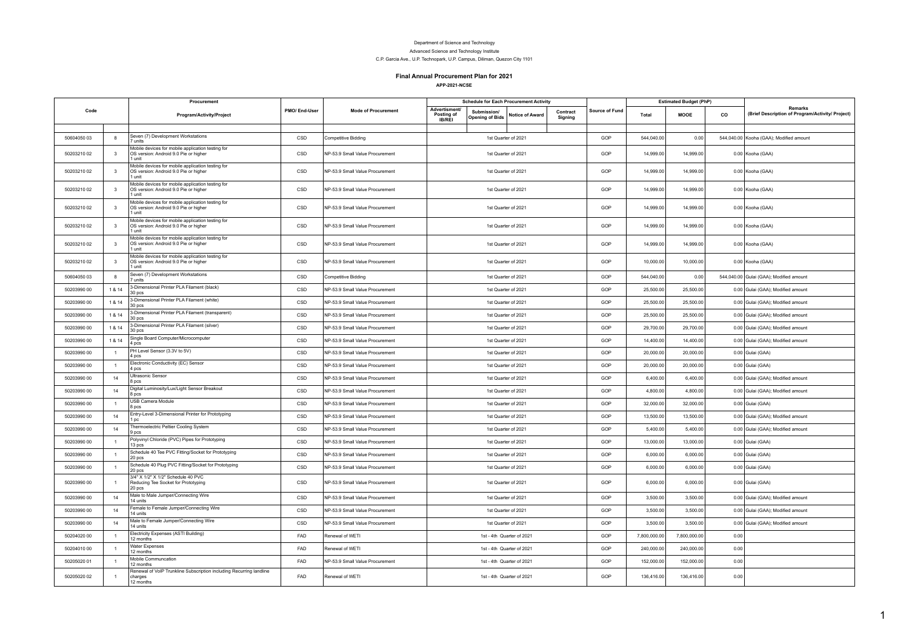## Department of Science and Technology Advanced Science and Technology Institute

C.P. Garcia Ave., U.P. Technopark, U.P. Campus, Diliman, Quezon City 1101

## **Final Annual Procurement Plan for 2021**

**APP-2021-NCSE**

|             |                         | Procurement                                                                                          |               |                                 |                                              | <b>Schedule for Each Procurement Activity</b> |                           |                     |                |              | <b>Estimated Budget (PhP)</b> |      |                                                                    |
|-------------|-------------------------|------------------------------------------------------------------------------------------------------|---------------|---------------------------------|----------------------------------------------|-----------------------------------------------|---------------------------|---------------------|----------------|--------------|-------------------------------|------|--------------------------------------------------------------------|
| Code        |                         | Program/Activity/Project                                                                             | PMO/ End-User | <b>Mode of Procurement</b>      | Advertisment/<br>Posting of<br><b>IB/REI</b> | Submission/<br>Opening of Bids                | Notice of Award           | Contract<br>Signing | Source of Fund | Total        | MOOE                          | co   | <b>Remarks</b><br>(Brief Description of Program/Activity/ Project) |
|             |                         |                                                                                                      |               |                                 |                                              |                                               |                           |                     |                |              |                               |      |                                                                    |
| 50604050 03 | 8                       | Seven (7) Development Workstations<br>7 units                                                        | CSD           | Competitive Bidding             |                                              |                                               | 1st Quarter of 2021       |                     | GOP            | 544,040.00   | 0.00                          |      | 544,040.00 Kooha (GAA); Modified amount                            |
| 50203210 02 | $\overline{\mathbf{3}}$ | Mobile devices for mobile application testing for<br>OS version: Android 9.0 Pie or higher<br>1 unit | CSD           | NP-53.9 Small Value Procurement |                                              |                                               | 1st Quarter of 2021       |                     | GOP            | 14,999.00    | 14,999.00                     |      | 0.00 Kooha (GAA)                                                   |
| 50203210 02 | $\overline{\mathbf{3}}$ | Mobile devices for mobile application testing for<br>OS version: Android 9.0 Pie or higher<br>1 unit | CSD           | NP-53.9 Small Value Procurement |                                              |                                               | 1st Quarter of 2021       |                     | GOP            | 14,999.00    | 14,999.00                     |      | 0.00 Kooha (GAA)                                                   |
| 50203210 02 | $\overline{\mathbf{3}}$ | Mobile devices for mobile application testing for<br>OS version: Android 9.0 Pie or higher<br>1 unit | CSD           | NP-53.9 Small Value Procurement |                                              |                                               | 1st Quarter of 2021       |                     | GOP            | 14,999.00    | 14,999.00                     |      | 0.00 Kooha (GAA)                                                   |
| 50203210 02 | 3                       | Mobile devices for mobile application testing for<br>OS version: Android 9.0 Pie or higher<br>1 unit | CSD           | NP-53.9 Small Value Procurement |                                              |                                               | 1st Quarter of 2021       |                     | GOP            | 14,999.00    | 14,999.00                     |      | 0.00 Kooha (GAA)                                                   |
| 50203210 02 | 3                       | Mobile devices for mobile application testing for<br>OS version: Android 9.0 Pie or higher<br>1 unit | CSD           | NP-53.9 Small Value Procurement |                                              |                                               | 1st Quarter of 2021       |                     | GOP            | 14,999.00    | 14,999.00                     |      | 0.00 Kooha (GAA)                                                   |
| 50203210 02 | $\overline{\mathbf{3}}$ | Mobile devices for mobile application testing for<br>OS version: Android 9.0 Pie or higher<br>1 unit | CSD           | NP-53.9 Small Value Procurement |                                              |                                               | 1st Quarter of 2021       |                     | GOP            | 14,999.00    | 14,999.00                     |      | 0.00 Kooha (GAA)                                                   |
| 50203210 02 | $\overline{\mathbf{3}}$ | Mobile devices for mobile application testing for<br>OS version: Android 9.0 Pie or higher<br>1 unit | CSD           | NP-53.9 Small Value Procurement |                                              |                                               | 1st Quarter of 2021       |                     | GOP            | 10,000.00    | 10,000.00                     |      | 0.00 Kooha (GAA)                                                   |
| 50604050 03 | 8                       | Seven (7) Development Workstations<br>7 units                                                        | CSD           | <b>Competitive Bidding</b>      |                                              |                                               | 1st Quarter of 2021       |                     | GOP            | 544,040.00   | 0.00                          |      | 544,040.00 Gulai (GAA); Modified amount                            |
| 50203990 00 | 1 & 14                  | 3-Dimensional Printer PLA Filament (black)<br>30 pcs                                                 | CSD           | NP-53.9 Small Value Procurement |                                              |                                               | 1st Quarter of 2021       |                     | GOP            | 25,500.00    | 25,500.00                     |      | 0.00 Gulai (GAA); Modified amount                                  |
| 50203990 00 | 1 & 14                  | 3-Dimensional Printer PLA Filament (white)<br>30 pcs                                                 | CSD           | NP-53.9 Small Value Procurement |                                              | 1st Quarter of 2021                           |                           |                     | GOP            | 25,500.00    | 25,500.00                     |      | 0.00 Gulai (GAA); Modified amount                                  |
| 50203990 00 | 1 & 14                  | 3-Dimensional Printer PLA Filament (transparent)<br>30 <sub>pos</sub>                                | CSD           | NP-53.9 Small Value Procurement |                                              | 1st Quarter of 2021                           |                           |                     | GOP            | 25,500.00    | 25,500.00                     |      | 0.00 Gulai (GAA); Modified amount                                  |
| 50203990 00 | 1 & 14                  | 3-Dimensional Printer PLA Filament (silver)<br>30 pcs                                                | CSD           | NP-53.9 Small Value Procurement |                                              | 1st Quarter of 2021                           |                           |                     | GOP            | 29,700.00    | 29,700.00                     |      | 0.00 Gulai (GAA); Modified amount                                  |
| 50203990 00 | 1 & 14                  | Single Board Computer/Microcomputer<br>4 pcs                                                         | CSD           | NP-53.9 Small Value Procurement |                                              |                                               | 1st Quarter of 2021       |                     | GOP            | 14,400.00    | 14,400.00                     |      | 0.00 Gulai (GAA); Modified amount                                  |
| 50203990 00 | $\overline{1}$          | PH Level Sensor (3.3V to 5V)<br>4 pcs                                                                | CSD           | NP-53.9 Small Value Procurement |                                              | 1st Quarter of 2021                           |                           |                     | GOP            | 20,000.00    | 20,000.00                     |      | 0.00 Gulai (GAA)                                                   |
| 50203990 00 | $\overline{1}$          | Electronic Conductivity (EC) Sensor<br>4 pcs                                                         | CSD           | NP-53.9 Small Value Procurement |                                              |                                               | 1st Quarter of 2021       |                     | GOP            | 20,000.00    | 20,000.00                     |      | 0.00 Gulai (GAA)                                                   |
| 50203990 00 | 14                      | Ultrasonic Sensor<br>8 pcs                                                                           | CSD           | NP-53.9 Small Value Procurement |                                              | 1st Quarter of 2021                           |                           |                     | GOP            | 6,400.00     | 6,400.00                      |      | 0.00 Gulai (GAA); Modified amount                                  |
| 50203990 00 | 14                      | Digital Luminosity/Lux/Light Sensor Breakout<br>8 pcs                                                | CSD           | NP-53.9 Small Value Procurement |                                              |                                               | 1st Quarter of 2021       |                     | GOP            | 4,800.00     | 4,800.00                      |      | 0.00 Gulai (GAA); Modified amount                                  |
| 50203990.00 | $\overline{1}$          | USB Camera Module<br>8 pcs                                                                           | CSD           | NP-53.9 Small Value Procurement |                                              |                                               | 1st Quarter of 2021       |                     | GOP            | 32,000.00    | 32,000.00                     |      | 0.00 Gulai (GAA)                                                   |
| 50203990 00 | 14                      | Entry-Level 3-Dimensional Printer for Prototyping<br>1pc                                             | CSD           | NP-53.9 Small Value Procurement |                                              |                                               | 1st Quarter of 2021       |                     | GOP            | 13,500.00    | 13,500.00                     |      | 0.00 Gulai (GAA); Modified amount                                  |
| 50203990 00 | 14                      | Thermoelectric Peltier Cooling System<br>9 pcs                                                       | CSD           | NP-53.9 Small Value Procurement |                                              |                                               | 1st Quarter of 2021       |                     | GOP            | 5,400.00     | 5,400.00                      |      | 0.00 Gulai (GAA); Modified amount                                  |
| 50203990 00 | $\overline{1}$          | Polyvinyl Chloride (PVC) Pipes for Prototyping<br>13 pcs                                             | CSD           | NP-53.9 Small Value Procurement |                                              | 1st Quarter of 2021                           |                           |                     | GOP            | 13,000.00    | 13,000.00                     |      | 0.00 Gulai (GAA)                                                   |
| 50203990 00 | $\overline{1}$          | Schedule 40 Tee PVC Fitting/Socket for Prototyping<br>20 pcs                                         | CSD           | NP-53.9 Small Value Procurement |                                              | 1st Quarter of 2021                           |                           |                     | GOP            | 6,000.00     | 6,000.00                      |      | 0.00 Gulai (GAA)                                                   |
| 50203990 00 | $\overline{1}$          | Schedule 40 Plug PVC Fitting/Socket for Prototyping<br>20 pcs                                        | CSD           | NP-53.9 Small Value Procurement |                                              |                                               | 1st Quarter of 2021       |                     | GOP            | 6,000.00     | 6,000.00                      |      | 0.00 Gulai (GAA)                                                   |
| 50203990 00 |                         | 3/4" X 1/2" X 1/2" Schedule 40 PVC<br>Reducing Tee Socket for Prototyping<br>20 pcs                  | CSD           | NP-53.9 Small Value Procurement |                                              |                                               | 1st Quarter of 2021       |                     | GOP            | 6,000.00     | 6,000.00                      |      | 0.00 Gulai (GAA)                                                   |
| 50203990 00 | 14                      | Male to Male Jumper/Connecting Wire<br>14 units                                                      | CSD           | NP-53.9 Small Value Procurement |                                              | 1st Quarter of 2021                           |                           |                     | GOP            | 3,500.00     | 3,500.00                      |      | 0.00 Gulai (GAA); Modified amount                                  |
| 50203990 00 | 14                      | Female to Female Jumper/Connecting Wire<br>14 units                                                  | CSD           | NP-53.9 Small Value Procurement |                                              |                                               | 1st Quarter of 2021       |                     | GOP            | 3,500.00     | 3,500.00                      |      | 0.00 Gulai (GAA); Modified amount                                  |
| 50203990 00 | 14                      | Male to Female Jumper/Connecting Wire<br>14 units                                                    | CSD           | NP-53.9 Small Value Procurement |                                              |                                               | 1st Quarter of 2021       |                     | GOP            | 3.500.00     | 3,500.00                      |      | 0.00 Gulai (GAA); Modified amount                                  |
| 50204020 00 | $\overline{1}$          | Electricity Expenses (ASTI Building)<br>12 months                                                    | FAD           | Renewal of WETI                 |                                              |                                               | 1st - 4th Quarter of 2021 |                     | GOP            | 7,800,000.00 | 7,800,000.00                  | 0.00 |                                                                    |
| 50204010 00 | $\overline{1}$          | Water Expenses<br>12 months                                                                          | FAD           | Renewal of WETI                 |                                              |                                               | 1st - 4th Quarter of 2021 |                     | GOP            | 240,000.00   | 240,000.00                    | 0.00 |                                                                    |
| 50205020 01 | $\overline{1}$          | Mobile Communcation<br>12 months                                                                     | FAD           | NP-53.9 Small Value Procurement |                                              | 1st - 4th Quarter of 2021                     |                           |                     | GOP            | 152,000.00   | 152,000.00                    | 0.00 |                                                                    |
| 50205020 02 |                         | Renewal of VoIP Trunkline Subscription including Recurring landline<br>charges<br>12 months          | FAD           | Renewal of WETI                 |                                              |                                               | 1st - 4th Quarter of 2021 |                     | GOP            | 136,416.00   | 136,416.00                    | 0.00 |                                                                    |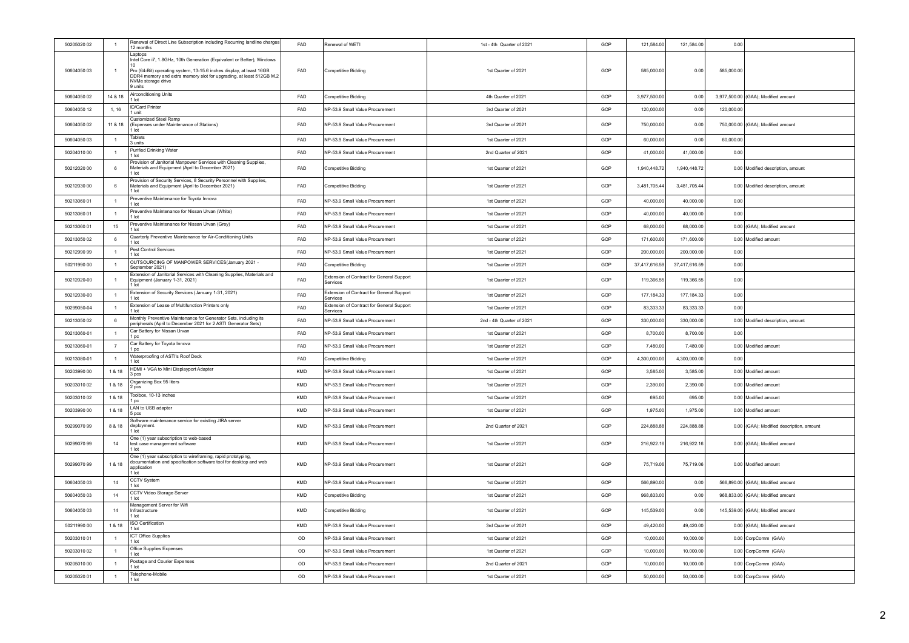| 50205020 02 | $\overline{1}$  | Renewal of Direct Line Subscription including Recurring landline charges<br>12 months                                                                                        | FAD        | Renewal of WETI                                       | 1st - 4th Quarter of 2021 | GOP | 121,584.00    | 121,584.00    | 0.00       |                                          |
|-------------|-----------------|------------------------------------------------------------------------------------------------------------------------------------------------------------------------------|------------|-------------------------------------------------------|---------------------------|-----|---------------|---------------|------------|------------------------------------------|
|             |                 | Laptops<br>Intel Core i7, 1.8GHz, 10th Generation (Equivalent or Better), Windows                                                                                            |            |                                                       |                           |     |               |               |            |                                          |
| 50604050 03 | $\overline{1}$  | Pro (64-Bit) operating system, 13-15.6 inches display, at least 16GB<br>DDR4 memory and extra memory slot for upgrading, at least 512GB M.2<br>NVMe storage drive<br>9 units | FAD        | Competitive Bidding                                   | 1st Quarter of 2021       | GOP | 585,000.00    | 0.00          | 585,000.00 |                                          |
| 50604050 02 | 14 & 18         | Airconditioning Units<br>1 lot                                                                                                                                               | FAD        | Competitive Bidding                                   | 4th Quarter of 2021       | GOP | 3,977,500.00  | 0.00          |            | 3,977,500.00 (GAA); Modified amount      |
| 50604050 12 | 1, 16           | <b>ID/Card Printer</b><br>1 unit                                                                                                                                             | FAD        | NP-53.9 Small Value Procurement                       | 3rd Quarter of 2021       | GOP | 120,000.00    | 0.00          | 120,000.00 |                                          |
| 50604050 02 | 11 & 18         | Customized Steel Ramp<br>(Expenses under Maintenance of Stations)<br>1 Int                                                                                                   | FAD        | NP-53.9 Small Value Procurement                       | 3rd Quarter of 2021       | GOP | 750,000.00    | 0.00          |            | 750,000.00 (GAA); Modified amount        |
| 50604050 03 | $\overline{1}$  | <b>Tablets</b><br>3 units                                                                                                                                                    | FAD        | NP-53.9 Small Value Procurement                       | 1st Quarter of 2021       | GOP | 60,000.00     | 0.00          | 60,000.00  |                                          |
| 50204010 00 | $\overline{1}$  | Purified Drinking Water<br>$1$ lot                                                                                                                                           | FAD        | NP-53.9 Small Value Procurement                       | 2nd Quarter of 2021       | GOP | 41,000.00     | 41,000.00     | 0.00       |                                          |
| 50212020 00 | 6               | Provision of Janitorial Manpower Services with Cleaning Supplies,<br>Materials and Equipment (April to December 2021)<br>1 lot                                               | FAD        | Competitive Bidding                                   | 1st Quarter of 2021       | GOP | 1.940.448.72  | 1,940,448.72  |            | 0.00 Modified description, amount        |
| 50212030 00 | $6\phantom{1}6$ | Provision of Security Services, 8 Security Personnel with Supplies,<br>Materials and Equipment (April to December 2021)<br>1 lot                                             | FAD        | Competitive Bidding                                   | 1st Quarter of 2021       | GOP | 3,481,705.44  | 3,481,705.44  |            | 0.00 Modified description, amount        |
| 50213060 01 | $\overline{1}$  | Preventive Maintenance for Toyota Innova<br>1 lot                                                                                                                            | FAD        | NP-53.9 Small Value Procurement                       | 1st Quarter of 2021       | GOP | 40,000.00     | 40,000.00     | 0.00       |                                          |
| 50213060 01 | $\overline{1}$  | Preventive Maintenance for Nissan Urvan (White)<br>1 lot                                                                                                                     | <b>FAD</b> | NP-53.9 Small Value Procurement                       | 1st Quarter of 2021       | GOP | 40,000.00     | 40,000.00     | 0.00       |                                          |
| 50213060 01 | 15              | Preventive Maintenance for Nissan Urvan (Grey)<br>1 lot                                                                                                                      | FAD        | NP-53.9 Small Value Procurement                       | 1st Quarter of 2021       | GOP | 68,000.00     | 68,000.00     |            | 0.00 (GAA): Modified amount              |
| 5021305002  | 6               | Quarterly Preventive Maintenance for Air-Conditioning Units<br>1 lot                                                                                                         | <b>FAD</b> | NP-53.9 Small Value Procurement                       | 1st Quarter of 2021       | GOP | 171,600.00    | 171,600.00    |            | 0.00 Modified amount                     |
| 50212990 99 | $\overline{1}$  | Pest Control Services<br>1 lot                                                                                                                                               | FAD        | NP-53.9 Small Value Procurement                       | 1st Quarter of 2021       | GOP | 200,000.00    | 200.000.00    | 0.00       |                                          |
| 50211990 00 | $\overline{1}$  | OUTSOURCING OF MANPOWER SERVICES(January 2021 -<br>September 2021)                                                                                                           | FAD        | Competitive Bidding                                   | 1st Quarter of 2021       | GOP | 37,417,616.59 | 37,417,616.59 | 0.00       |                                          |
| 50212020-00 |                 | Extension of Janitorial Services with Cleaning Supplies, Materials and<br>Equipment (January 1-31, 2021)<br>1 lot                                                            | FAD        | Extension of Contract for General Support<br>Services | 1st Quarter of 2021       | GOP | 119,366.55    | 119,366.55    | 0.00       |                                          |
| 50212030-00 | $\overline{1}$  | Extension of Security Services (January 1-31, 2021)<br>1 lot                                                                                                                 | FAD        | Extension of Contract for General Support<br>Services | 1st Quarter of 2021       | GOP | 177,184.33    | 177,184.33    | 0.00       |                                          |
| 50299050-04 | $\overline{1}$  | Extension of Lease of Multifunction Printers only<br>1 lot                                                                                                                   | FAD        | Extension of Contract for General Support<br>Services | 1st Quarter of 2021       | GOP | 83,333.33     | 83,333.33     | 0.00       |                                          |
| 50213050 02 | 6               | Monthly Preventive Maintenance for Generator Sets, including its<br>peripherals (April to December 2021 for 2 ASTI Generator Sets)                                           | FAD        | NP-53.9 Small Value Procurement                       | 2nd - 4th Quarter of 2021 | GOP | 330,000.00    | 330,000.00    |            | 0.00 Modified description, amount        |
| 50213060-01 | $\overline{1}$  | Car Battery for Nissan Urvan<br>1 pc                                                                                                                                         | FAD        | NP-53.9 Small Value Procurement                       | 1st Quarter of 2021       | GOP | 8,700.00      | 8,700.00      | 0.00       |                                          |
| 50213060-01 | $\overline{7}$  | Car Battery for Toyota Innova<br>1 pc                                                                                                                                        | FAD        | NP-53.9 Small Value Procurement                       | 1st Quarter of 2021       | GOP | 7,480.00      | 7,480.00      |            | 0.00 Modified amount                     |
| 50213080-01 | $\overline{1}$  | Waterproofing of ASTI's Roof Deck<br>1 lot                                                                                                                                   | FAD        | <b>Competitive Bidding</b>                            | 1st Quarter of 2021       | GOP | 4,300,000.00  | 4,300,000.00  | 0.00       |                                          |
| 50203990 00 | 1 & 18          | HDMI + VGA to Mini Displayport Adapter<br>3 <sub>ncs</sub>                                                                                                                   | KMD        | NP-53.9 Small Value Procurement                       | 1st Quarter of 2021       | GOP | 3,585.00      | 3,585.00      |            | 0.00 Modified amount                     |
| 50203010 02 | 1 & 18          | Organizing Box 95 liters<br>2 pcs                                                                                                                                            | KMD        | NP-53.9 Small Value Procurement                       | 1st Quarter of 2021       | GOP | 2,390.00      | 2,390.00      |            | 0.00 Modified amount                     |
| 50203010 02 | 1 & 18          | Toolbox, 10-13 inches<br>1 pc                                                                                                                                                | KMD        | NP-53.9 Small Value Procurement                       | 1st Quarter of 2021       | GOP | 695.00        | 695.00        |            | 0.00 Modified amount                     |
| 50203990.00 | 1 & 18          | LAN to USB adapter<br>5 pcs                                                                                                                                                  | <b>KMD</b> | NP-53.9 Small Value Procurement                       | 1st Quarter of 2021       | GOP | 1.975.00      | 1.975.00      |            | 0.00 Modified amount                     |
| 50299070 99 | 8 & 18          | Software maintenance service for existing JIRA server<br>deployment.<br>1 lot                                                                                                | KMD        | NP-53.9 Small Value Procurement                       | 2nd Quarter of 2021       | GOP | 224,888.88    | 224,888.88    |            | 0.00 (GAA); Modified description, amount |
| 50299070 99 | 14              | One (1) year subscription to web-based<br>test case management software<br>1 lot                                                                                             | <b>KMD</b> | NP-53.9 Small Value Procurement                       | 1st Quarter of 2021       | GOP | 216,922.16    | 216,922.16    |            | 0.00 (GAA); Modified amount              |
| 50299070 99 | 1 & 18          | One (1) year subscription to wireframing, rapid prototyping,<br>documentation and specification software tool for desktop and web<br>application<br>1 lot                    | KMD        | NP-53.9 Small Value Procurement                       | 1st Quarter of 2021       | GOP | 75,719.06     | 75.719.06     |            | 0.00 Modified amount                     |
| 50604050 03 | 14              | CCTV System<br>1 lot                                                                                                                                                         | KMD        | NP-53.9 Small Value Procurement                       | 1st Quarter of 2021       | GOP | 566,890.00    | 0.00          |            | 566,890.00 (GAA); Modified amount        |
| 50604050 03 | 14              | CCTV Video Storage Server<br>$1$ lot                                                                                                                                         | KMD        | <b>Competitive Bidding</b>                            | 1st Quarter of 2021       | GOP | 968,833.00    | 0.00          |            | 968,833.00 (GAA); Modified amount        |
| 50604050 03 | 14              | Management Server for Wifi<br>Infrastructure<br>1 lot                                                                                                                        | KMD        | Competitive Bidding                                   | 1st Quarter of 2021       | GOP | 145,539.00    | 0.00          |            | 145,539.00 (GAA); Modified amount        |
| 50211990 00 | 1 & 18          | ISO Certification<br>1 lot                                                                                                                                                   | <b>KMD</b> | NP-53.9 Small Value Procurement                       | 3rd Quarter of 2021       | GOP | 49,420.00     | 49,420.00     |            | 0.00 (GAA); Modified amount              |
| 50203010.01 | $\overline{1}$  | <b>ICT Office Supplies</b><br>1 lot                                                                                                                                          | OD         | NP-53.9 Small Value Procurement                       | 1st Quarter of 2021       | GOP | 10,000.00     | 10,000.00     |            | 0.00 CorpComm (GAA)                      |
| 50203010 02 | $\overline{1}$  | Office Supplies Expenses<br>1 lot                                                                                                                                            | OD         | NP-53.9 Small Value Procurement                       | 1st Quarter of 2021       | GOP | 10,000.00     | 10,000.00     |            | 0.00 CorpComm (GAA)                      |
| 50205010.00 | $\overline{1}$  | Postage and Courier Expenses<br>1 lot                                                                                                                                        | OD         | NP-53.9 Small Value Procurement                       | 2nd Quarter of 2021       | GOP | 10,000.00     | 10,000.00     |            | 0.00 CorpComm (GAA)                      |
| 50205020 01 | $\overline{1}$  | Telephone-Mobile<br>$1$ lot                                                                                                                                                  | OD         | NP-53.9 Small Value Procurement                       | 1st Quarter of 2021       | GOP | 50,000.00     | 50,000.00     |            | 0.00 CorpComm (GAA)                      |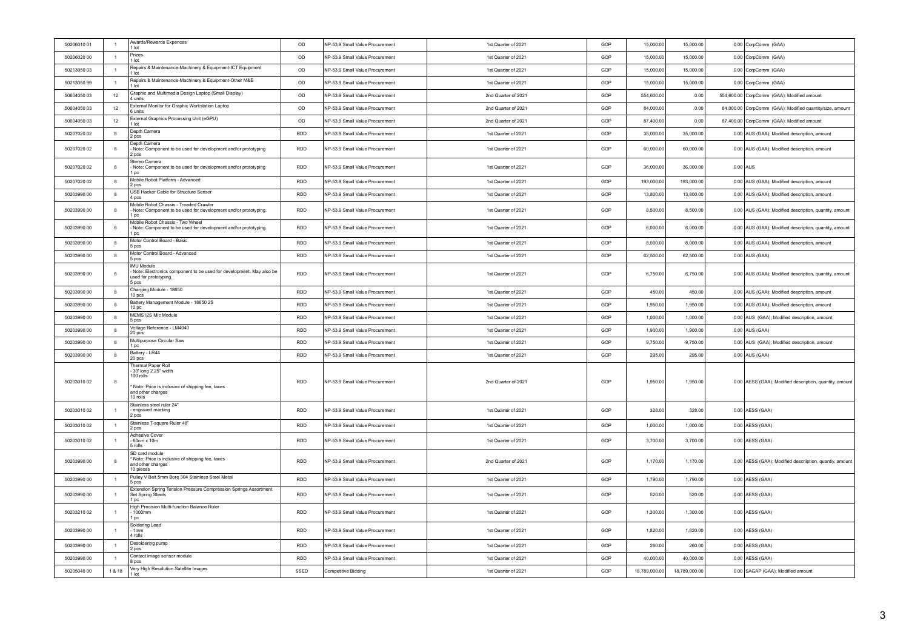| 50206010 01 | $\overline{1}$   | Awards/Rewards Expences<br>1 lot                                                                                                                         | OD         | NP-53.9 Small Value Procurement | 1st Quarter of 2021 | GOP | 15,000.00     | 15,000.00     |            | 0.00 CorpComm (GAA)                                      |
|-------------|------------------|----------------------------------------------------------------------------------------------------------------------------------------------------------|------------|---------------------------------|---------------------|-----|---------------|---------------|------------|----------------------------------------------------------|
| 50206020 00 | $\overline{1}$   | Prizes<br>$1$ lot                                                                                                                                        | OD         | NP-53.9 Small Value Procurement | 1st Quarter of 2021 | GOP | 15,000.00     | 15,000.00     |            | 0.00 CorpComm (GAA)                                      |
| 50213050 03 | $\overline{1}$   | Repairs & Maintenance-Machinery & Equipment-ICT Equipment<br>1 lot                                                                                       | OD         | NP-53.9 Small Value Procurement | 1st Quarter of 2021 | GOP | 15,000.00     | 15,000.00     |            | 0.00 CorpComm (GAA)                                      |
| 50213050 99 | $\overline{1}$   | Repairs & Maintenance-Machinery & Equipment-Other M&E<br>1 lot                                                                                           | OD         | NP-53.9 Small Value Procurement | 1st Quarter of 2021 | GOP | 15,000.00     | 15,000.00     |            | 0.00 CorpComm (GAA)                                      |
| 50604050 03 | 12               | Graphic and Multimedia Design Laptop (Small Display)<br>4 units                                                                                          | OD         | NP-53.9 Small Value Procurement | 2nd Quarter of 2021 | GOP | 554,600.00    | 0.00          |            | 554,600.00 CorpComm (GAA); Modified amount               |
| 50604050 03 | 12               | External Monitor for Graphic Workstation Laptop<br>6 units                                                                                               | OD         | NP-53.9 Small Value Procurement | 2nd Quarter of 2021 | GOP | 84,000.00     | 0.00          |            | 84,000.00 CorpComm (GAA); Modified quantity/size, amount |
| 50604050 03 | 12               | External Graphics Processing Unit (eGPU)<br>1 lot                                                                                                        | OD         | NP-53.9 Small Value Procurement | 2nd Quarter of 2021 | GOP | 87,400.00     | 0.00          |            | 87,400.00 CorpComm (GAA); Modified amount                |
| 50207020 02 | $\boldsymbol{8}$ | Depth Camera<br>2 pcs                                                                                                                                    | <b>RDD</b> | NP-53.9 Small Value Procurement | 1st Quarter of 2021 | GOP | 35,000.00     | 35,000.00     |            | 0.00 AUS (GAA); Modified description, amount             |
| 50207020.02 | 6                | Depth Camera<br>- Note: Component to be used for development and/or prototyping<br>2 pcs                                                                 | <b>RDD</b> | NP-53.9 Small Value Procurement | 1st Quarter of 2021 | GOP | 60,000.00     | 60,000.00     |            | 0.00 AUS (GAA); Modified description, amount             |
| 50207020 02 | 6                | Stereo Camera<br>- Note: Component to be used for development and/or prototyping<br>1 pc                                                                 | <b>RDD</b> | NP-53.9 Small Value Procurement | 1st Quarter of 2021 | GOP | 36,000.00     | 36,000.00     | $0.00$ AUS |                                                          |
| 50207020 02 | $\boldsymbol{8}$ | Mobile Robot Platform - Advanced<br>2 pcs                                                                                                                | <b>RDD</b> | NP-53.9 Small Value Procurement | 1st Quarter of 2021 | GOP | 193,000.00    | 193,000.00    |            | 0.00 AUS (GAA); Modified description, amount             |
| 50203990 00 | $\boldsymbol{8}$ | USB Hacker Cable for Structure Sensor<br>4 pcs                                                                                                           | <b>RDD</b> | NP-53.9 Small Value Procurement | 1st Quarter of 2021 | GOP | 13,800.00     | 13,800.00     |            | 0.00 AUS (GAA); Modified description, amount             |
| 50203990 00 | 8                | Mobile Robot Chassis - Treaded Crawler<br>Note: Component to be used for development and/or prototyping.<br>1 pc                                         | RDD        | NP-53.9 Small Value Procurement | 1st Quarter of 2021 | GOP | 8,500.00      | 8,500.00      |            | 0.00 AUS (GAA); Modified description, quantity, amount   |
| 50203990 00 | 6                | Mobile Robot Chassis - Two Wheel<br>- Note: Component to be used for development and/or prototyping.<br>1 pc                                             | RDD        | NP-53.9 Small Value Procurement | 1st Quarter of 2021 | GOP | 6,000.00      | 6,000.00      |            | 0.00 AUS (GAA); Modified description, quantity, amount   |
| 50203990 00 | $\boldsymbol{8}$ | Motor Control Board - Basic<br>5 pcs                                                                                                                     | <b>RDD</b> | NP-53.9 Small Value Procurement | 1st Quarter of 2021 | GOP | 8,000.00      | 8,000.00      |            | 0.00 AUS (GAA); Modified description, amount             |
| 50203990 00 | 8                | Motor Control Board - Advanced<br>5 pcs                                                                                                                  | <b>RDD</b> | NP-53.9 Small Value Procurement | 1st Quarter of 2021 | GOP | 62,500.00     | 62,500.00     |            | $0.00$ AUS (GAA)                                         |
| 50203990 00 | 6                | IMU Module<br>Note: Electronics component to be used for development. May also be<br>used for prototyping.<br>5 pcs                                      | <b>RDD</b> | NP-53.9 Small Value Procurement | 1st Quarter of 2021 | GOP | 6.750.00      | 6,750.00      |            | 0.00 AUS (GAA); Modified description, quantity, amount   |
| 50203990 00 | $\boldsymbol{8}$ | Charging Module - 18650<br>10 pcs                                                                                                                        | <b>RDD</b> | NP-53.9 Small Value Procurement | 1st Quarter of 2021 | GOP | 450.00        | 450.00        |            | 0.00 AUS (GAA); Modified description, amount             |
| 50203990 00 | $\boldsymbol{8}$ | Battery Management Module - 18650 2S<br>10 <sub>pc</sub>                                                                                                 | RDD        | NP-53.9 Small Value Procurement | 1st Quarter of 2021 | GOP | 1,950.00      | 1,950.00      |            | 0.00 AUS (GAA); Modified description, amount             |
| 50203990 00 | $\boldsymbol{8}$ | MEMS I2S Mic Module<br>5 pcs                                                                                                                             | RDD        | NP-53.9 Small Value Procurement | 1st Quarter of 2021 | GOP | 1,000.00      | 1,000.00      |            | 0.00 AUS (GAA); Modified description, amount             |
| 50203990 00 | $\boldsymbol{8}$ | Voltage Reference - LM4040<br>20 pcs                                                                                                                     | RDD        | NP-53.9 Small Value Procurement | 1st Quarter of 2021 | GOP | 1,900.00      | 1,900.00      |            | 0.00 AUS (GAA)                                           |
| 50203990 00 | $\bf 8$          | Multipurpose Circular Saw<br>1 pc                                                                                                                        | <b>RDD</b> | NP-53.9 Small Value Procurement | 1st Quarter of 2021 | GOP | 9,750.00      | 9,750.00      |            | 0.00 AUS (GAA); Modified description, amount             |
| 50203990 00 | 8                | Battery - LR44<br>20 pcs                                                                                                                                 | <b>RDD</b> | NP-53.9 Small Value Procurement | 1st Quarter of 2021 | GOP | 295.00        | 295.00        |            | $0.00$ AUS (GAA)                                         |
| 50203010 02 | 8                | <b>Thermal Paper Roll</b><br>- 33' long 2.25" width<br>$100$ rolls<br>' Note: Price is inclusive of shipping fee, taxes<br>and other charges<br>10 rolls | RDD        | NP-53.9 Small Value Procurement | 2nd Quarter of 2021 | GOP | 1.950.00      | 1,950.00      |            | 0.00 AESS (GAA); Modified description, quantity, amount  |
| 50203010 02 | $\overline{1}$   | Stainless steel ruler 24"<br>- engraved marking<br>2 pcs                                                                                                 | <b>RDD</b> | NP-53.9 Small Value Procurement | 1st Quarter of 2021 | GOP | 328.00        | 328.00        |            | $0.00$ AESS (GAA)                                        |
| 50203010 02 | $\overline{1}$   | Stainless T-square Ruler 48"<br>2 pcs                                                                                                                    | RDD        | NP-53.9 Small Value Procurement | 1st Quarter of 2021 | GOP | 1,000.00      | 1,000.00      |            | 0.00 AESS (GAA)                                          |
| 50203010 02 | $\overline{1}$   | <b>Adhesive Cover</b><br>60cm x 10m<br>5 rolls                                                                                                           | <b>RDD</b> | NP-53.9 Small Value Procurement | 1st Quarter of 2021 | GOP | 3,700.00      | 3,700.00      |            | $0.00$ AESS (GAA)                                        |
| 50203990.00 | 8                | SD card module<br>Note: Price is inclusive of shipping fee, taxes<br>and other charges<br>10 pieces                                                      | <b>RDD</b> | NP-53.9 Small Value Procurement | 2nd Quarter of 2021 | GOP | 1.170.00      | 1,170.00      |            | 0.00 AESS (GAA); Modified descriiption, quantiy, amount  |
| 50203990 00 | $\overline{1}$   | Pulley V Belt 5mm Bore 304 Stainless Steel Metal<br>5 pcs                                                                                                | <b>RDD</b> | NP-53.9 Small Value Procurement | 1st Quarter of 2021 | GOP | 1,790.00      | 1,790.00      |            | $0.00$ AESS (GAA)                                        |
| 50203990 00 | $\overline{1}$   | Extension Spring Tension Pressure Compression Springs Assortment<br>Set Spring Steels<br>1 pc                                                            | <b>RDD</b> | NP-53.9 Small Value Procurement | 1st Quarter of 2021 | GOP | 520.00        | 520.00        |            | $0.00$ AESS (GAA)                                        |
| 50203210 02 | $\overline{1}$   | High Precision Multi-function Balance Ruler<br>1000mm<br>1 pc                                                                                            | <b>RDD</b> | NP-53.9 Small Value Procurement | 1st Quarter of 2021 | GOP | 1,300.00      | 1,300.00      |            | 0.00 AESS (GAA)                                          |
| 50203990 00 | $\overline{1}$   | Soldering Lead<br>$-1mm$<br>4 rolls                                                                                                                      | RDD        | NP-53.9 Small Value Procurement | 1st Quarter of 2021 | GOP | 1.820.00      | 1,820.00      |            | $0.00$ AESS (GAA)                                        |
| 50203990 00 | $\overline{1}$   | Desoldering pump<br>2 pcs                                                                                                                                | RDD        | NP-53.9 Small Value Procurement | 1st Quarter of 2021 | GOP | 260.00        | 260.00        |            | $0.00$ AESS (GAA)                                        |
| 50203990 00 | $\overline{1}$   | Contact image sensor module<br>8 pcs                                                                                                                     | RDD        | NP-53.9 Small Value Procurement | 1st Quarter of 2021 | GOP | 40,000.00     | 40,000.00     |            | 0.00 AESS (GAA)                                          |
| 50205040 00 | 1 & 18           | Very High Resolution Satellite Images<br>1 lot                                                                                                           | SSED       | <b>Competitive Bidding</b>      | 1st Quarter of 2021 | GOP | 18,789,000.00 | 18,789,000.00 |            | 0.00 SAGAP (GAA); Modified amount                        |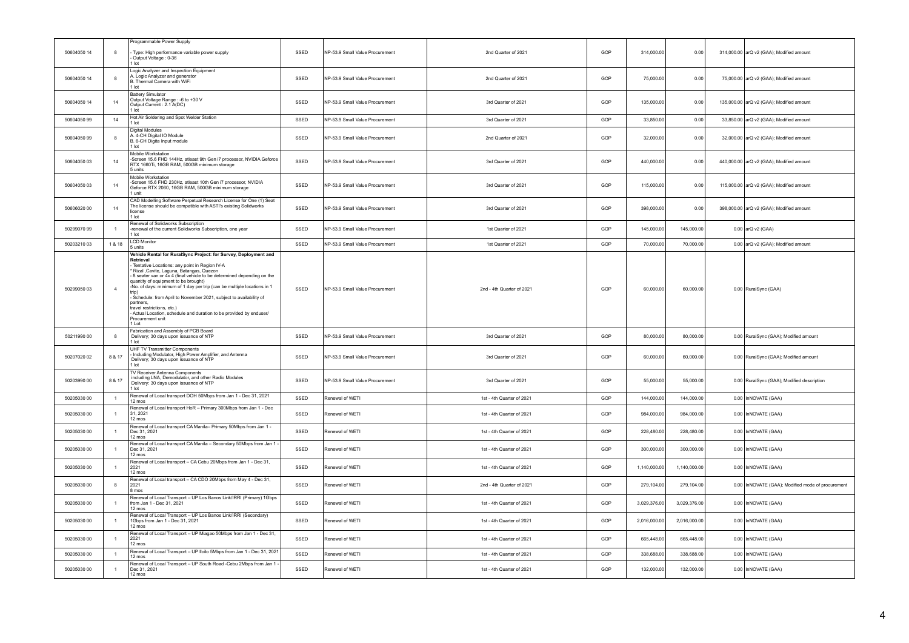|             |                | Programmable Power Supply                                                                                                                                                                                                                                                                                                                                                                                                                                                                                                                                                                   |      |                                 |                           |     |              |              |                                                   |
|-------------|----------------|---------------------------------------------------------------------------------------------------------------------------------------------------------------------------------------------------------------------------------------------------------------------------------------------------------------------------------------------------------------------------------------------------------------------------------------------------------------------------------------------------------------------------------------------------------------------------------------------|------|---------------------------------|---------------------------|-----|--------------|--------------|---------------------------------------------------|
| 50604050 14 | 8              | Type: High performance variable power supply<br>Output Voltage: 0-36<br>1 lot                                                                                                                                                                                                                                                                                                                                                                                                                                                                                                               | SSED | NP-53.9 Small Value Procurement | 2nd Quarter of 2021       | GOP | 314,000.00   | 0.00         | 314,000.00 arQ v2 (GAA); Modified amount          |
| 50604050 14 | 8              | Logic Analyzer and Inspection Equipment<br>A. Logic Analyzer and generator<br>B. Thermal Camera with WiFi<br>1 lot                                                                                                                                                                                                                                                                                                                                                                                                                                                                          | SSED | NP-53.9 Small Value Procurement | 2nd Quarter of 2021       | GOP | 75,000.00    | 0.00         | 75,000.00 arQ v2 (GAA); Modified amount           |
| 50604050 14 | 14             | <b>Battery Simulator</b><br>Output Voltage Range : - 6 to +30 V<br>Output Current : 2.1 A(DC)<br>1 lot                                                                                                                                                                                                                                                                                                                                                                                                                                                                                      | SSED | NP-53.9 Small Value Procurement | 3rd Quarter of 2021       | GOP | 135,000.00   | 0.00         | 135,000.00 arQ v2 (GAA); Modified amount          |
| 50604050 99 | 14             | Hot Air Soldering and Spot Welder Station<br>1 lot                                                                                                                                                                                                                                                                                                                                                                                                                                                                                                                                          | SSED | NP-53.9 Small Value Procurement | 3rd Quarter of 2021       | GOP | 33,850.00    | 0.00         | 33,850.00 arQ v2 (GAA); Modified amount           |
| 50604050 99 | 8              | Digital Modules<br>A. 4-CH Digital IO Module<br>B. 6-CH Digita Input module<br>1 lot                                                                                                                                                                                                                                                                                                                                                                                                                                                                                                        | SSED | NP-53.9 Small Value Procurement | 2nd Quarter of 2021       | GOP | 32,000.00    | 0.00         | 32,000.00 arQ v2 (GAA); Modified amount           |
| 50604050 03 | 14             | Mobile Workstation<br>-Screen 15.6 FHD 144Hz, atleast 9th Gen i7 processor, NVIDIA Geforce<br>RTX 1660Ti, 16GB RAM, 500GB minimum storage<br>5 units                                                                                                                                                                                                                                                                                                                                                                                                                                        | SSED | NP-53.9 Small Value Procurement | 3rd Quarter of 2021       | GOP | 440,000.00   | 0.00         | 440,000.00 arQ v2 (GAA); Modified amount          |
| 50604050 03 | 14             | Mobile Workstation<br>-Screen 15.6 FHD 230Hz, atleast 10th Gen i7 processor, NVIDIA<br>Geforce RTX 2060, 16GB RAM, 500GB minimum storage<br>I unit                                                                                                                                                                                                                                                                                                                                                                                                                                          | SSED | NP-53.9 Small Value Procurement | 3rd Quarter of 2021       | GOP | 115,000.00   | 0.00         | 115,000.00 arQ v2 (GAA); Modified amount          |
| 50606020 00 | 14             | CAD Modelling Software Perpetual Research License for One (1) Seat<br>The license should be compatible with ASTI's existing Solidworks<br>license<br>1 lot                                                                                                                                                                                                                                                                                                                                                                                                                                  | SSED | NP-53.9 Small Value Procurement | 3rd Quarter of 2021       | GOP | 398,000.00   | 0.00         | 398,000.00 arQ v2 (GAA); Modified amount          |
| 50299070 99 | $\overline{1}$ | Renewal of Solidworks Subscription<br>renewal of the current Solidworks Subscription, one year<br>I lot                                                                                                                                                                                                                                                                                                                                                                                                                                                                                     | SSED | NP-53.9 Small Value Procurement | 1st Quarter of 2021       | GOP | 145,000.00   | 145,000.00   | 0.00 arQ v2 (GAA)                                 |
| 50203210 03 | 1 & 18         | <b>LCD Monitor</b><br>5 units                                                                                                                                                                                                                                                                                                                                                                                                                                                                                                                                                               | SSED | NP-53.9 Small Value Procurement | 1st Quarter of 2021       | GOP | 70,000.00    | 70,000.00    | 0.00 arQ v2 (GAA); Modified amount                |
| 50299050 03 | $\overline{4}$ | Vehicle Rental for RuralSync Project: for Survey, Deployment and<br>Retrieval<br>Tentative Locations: any point in Region IV-A<br>Rizal , Cavite, Laguna, Batangas, Quezon<br>8 seater van or 4x 4 (final vehicle to be determined depending on the<br>quantity of equipment to be brought)<br>No. of days: minimum of 1 day per trip (can be multiple locations in 1<br>- Schedule: from April to November 2021, subject to availability of<br>partners,<br>travel restrictions, etc.)<br>Actual Location, schedule and duration to be provided by enduser/<br>Procurement unit<br>$11$ ot | SSED | NP-53.9 Small Value Procurement | 2nd - 4th Quarter of 2021 | GOP | 60,000.00    | 60,000.00    | 0.00 RuralSync (GAA)                              |
| 50211990.00 | 8              | Fabrication and Assembly of PCB Board<br>Delivery; 30 days upon issuance of NTP<br>1 lot                                                                                                                                                                                                                                                                                                                                                                                                                                                                                                    | SSED | NP-53.9 Small Value Procurement | 3rd Quarter of 2021       | GOP | 80,000.00    | 80,000.00    | 0.00 RuralSync (GAA); Modified amount             |
| 50207020 02 | 8 & 17         | UHF TV Transmitter Components<br>Including Modulator, High Power Amplifier, and Antenna<br>Delivery; 30 days upon issuance of NTP<br>I lot                                                                                                                                                                                                                                                                                                                                                                                                                                                  | SSED | NP-53.9 Small Value Procurement | 3rd Quarter of 2021       | GOP | 60,000.00    | 60,000.00    | 0.00 RuralSync (GAA); Modified amount             |
| 50203990 00 | 8 & 17         | <b>TV Receiver Antenna Components</b><br>including LNA, Demodulator, and other Radio Modules<br>Delivery: 30 days upon issuance of NTP<br>I lot                                                                                                                                                                                                                                                                                                                                                                                                                                             | SSED | NP-53.9 Small Value Procurement | 3rd Quarter of 2021       | GOP | 55,000.00    | 55,000.00    | 0.00 RuralSync (GAA); Modified description        |
| 50205030 00 | $\overline{1}$ | Renewal of Local transport DOH 50Mbps from Jan 1 - Dec 31, 2021<br>12 mos                                                                                                                                                                                                                                                                                                                                                                                                                                                                                                                   | SSED | Renewal of WFTI                 | 1st - 4th Quarter of 2021 | GOP | 144,000.00   | 144.000.00   | 0.00 InNOVATE (GAA)                               |
| 50205030 00 | $\overline{1}$ | Renewal of Local transport HoR - Primary 300Mbps from Jan 1 - Dec<br>31, 2021<br>12 mos                                                                                                                                                                                                                                                                                                                                                                                                                                                                                                     | SSED | Renewal of WETI                 | 1st - 4th Quarter of 2021 | GOP | 984,000.00   | 984,000.00   | 0.00 InNOVATE (GAA)                               |
| 50205030 00 | $\overline{1}$ | Renewal of Local transport CA Manila- Primary 50Mbps from Jan 1 -<br>Dec 31, 2021<br>12 mos                                                                                                                                                                                                                                                                                                                                                                                                                                                                                                 | SSED | Renewal of WETI                 | 1st - 4th Quarter of 2021 | GOP | 228,480.00   | 228,480.00   | 0.00 InNOVATE (GAA)                               |
| 50205030 00 | $\overline{1}$ | Renewal of Local transport CA Manila - Secondary 50Mbps from Jan 1 -<br>Dec 31, 2021<br>$12 \text{ mas}$                                                                                                                                                                                                                                                                                                                                                                                                                                                                                    | SSED | Renewal of WETI                 | 1st - 4th Quarter of 2021 | GOP | 300,000.00   | 300,000.00   | 0.00 InNOVATE (GAA)                               |
| 50205030 00 | $\mathbf{1}$   | Renewal of Local transport - CA Cebu 20Mbps from Jan 1 - Dec 31,<br>2021<br>12 mos                                                                                                                                                                                                                                                                                                                                                                                                                                                                                                          | SSED | Renewal of WETI                 | 1st - 4th Quarter of 2021 | GOP | 1,140,000.00 | 1,140,000.00 | 0.00 InNOVATE (GAA)                               |
| 50205030.00 | 8              | Renewal of Local transport - CA CDO 20Mbps from May 4 - Dec 31,<br>2021<br>8 mos                                                                                                                                                                                                                                                                                                                                                                                                                                                                                                            | SSED | Renewal of WETI                 | 2nd - 4th Quarter of 2021 | GOP | 279,104.00   | 279,104.00   | 0.00 InNOVATE (GAA); Modified mode of procurement |
| 50205030 00 | $\overline{1}$ | Renewal of Local Transport - UP Los Banos Link/IRRI (Primary) 1Gbps<br>from Jan 1 - Dec 31, 2021<br>$12 \text{ m}$ os                                                                                                                                                                                                                                                                                                                                                                                                                                                                       | SSED | Renewal of WETI                 | 1st - 4th Quarter of 2021 | GOP | 3,029,376.00 | 3,029,376.00 | 0.00 InNOVATE (GAA)                               |
| 50205030 00 | $\overline{1}$ | Renewal of Local Transport - UP Los Banos Link/IRRI (Secondary)<br>1Gbps from Jan 1 - Dec 31, 2021<br>12 mos                                                                                                                                                                                                                                                                                                                                                                                                                                                                                | SSED | Renewal of WETI                 | 1st - 4th Quarter of 2021 | GOP | 2,016,000.00 | 2,016,000.00 | 0.00 InNOVATE (GAA)                               |
| 50205030 00 | $\overline{1}$ | Renewal of Local Transport - UP Miagao 50Mbps from Jan 1 - Dec 31,<br>2021<br>12 mos                                                                                                                                                                                                                                                                                                                                                                                                                                                                                                        | SSED | Renewal of WETI                 | 1st - 4th Quarter of 2021 | GOP | 665,448.00   | 665,448.00   | 0.00 InNOVATE (GAA)                               |
| 50205030 00 | $\overline{1}$ | Renewal of Local Transport - UP Iloilo 5Mbps from Jan 1 - Dec 31, 2021<br>12 mos                                                                                                                                                                                                                                                                                                                                                                                                                                                                                                            | SSED | Renewal of WETI                 | 1st - 4th Quarter of 2021 | GOP | 338,688.00   | 338,688.00   | 0.00 InNOVATE (GAA)                               |
| 50205030 00 | $\overline{1}$ | Renewal of Local Transport - UP South Road -Cebu 2Mbps from Jan 1<br>Dec 31, 2021<br>12 mos                                                                                                                                                                                                                                                                                                                                                                                                                                                                                                 | SSED | Renewal of WETI                 | 1st - 4th Quarter of 2021 | GOP | 132,000.00   | 132,000.00   | 0.00 InNOVATE (GAA)                               |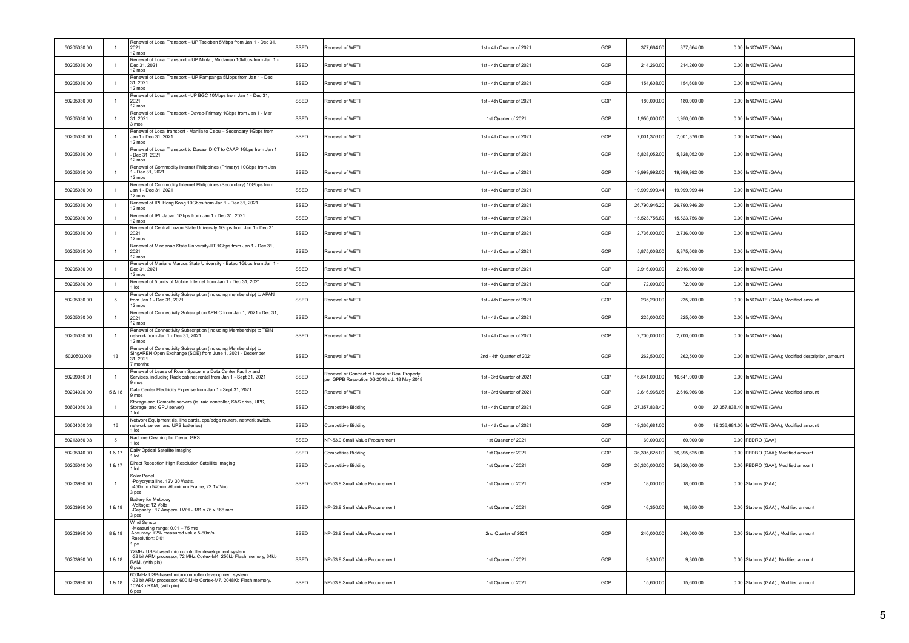| Renewal of Local Transport - UP Mintal, Mindanao 10Mbps from Jan 1<br>50205030 00<br>Dec 31, 2021<br>SSED<br>Renewal of WETI<br>1st - 4th Quarter of 2021<br>GOP<br>214,260.00<br>214,260.00<br>$\overline{1}$<br>12 mos<br>Renewal of Local Transport - UP Pampanga 5Mbps from Jan 1 - Dec<br>154,608.00<br>50205030 00<br>$\overline{1}$<br>31 2021<br>SSED<br>Renewal of WETI<br>1st - 4th Quarter of 2021<br>GOP<br>154,608.00<br>12 mos<br>Renewal of Local Transport-UP BGC 10Mbps from Jan 1 - Dec 31,<br>50205030 00<br>2021<br>SSED<br>Renewal of WETI<br>1st - 4th Quarter of 2021<br>GOP<br>180,000.00<br>180,000.00<br>$\overline{1}$<br>12 mos<br>Renewal of Local Transport - Davao-Primary 1Gbps from Jan 1 - Mar<br>50205030 00<br>31.2021<br>SSED<br>Renewal of WETI<br>1st Quarter of 2021<br>GOP<br>1,950,000.00<br>1,950,000.00<br>$\overline{1}$<br>$3 \text{ mas}$<br>Renewal of Local transport - Manila to Cebu - Secondary 1Gbps from<br>SSED<br>GOP<br>7,001,376.00<br>7,001,376.00<br>50205030 00<br>Jan 1 - Dec 31, 2021<br>Renewal of WETI<br>1st - 4th Quarter of 2021<br>$\overline{1}$<br>12 mos<br>Renewal of Local Transport to Davao, DICT to CAAP 1Gbps from Jan 1<br>50205030 00<br>SSED<br>Renewal of WETI<br>1st - 4th Quarter of 2021<br>GOP<br>5,828,052.00<br>5,828,052.00<br>Dec 31, 2021 | 0.00 InNOVATE (GAA)                                 |
|--------------------------------------------------------------------------------------------------------------------------------------------------------------------------------------------------------------------------------------------------------------------------------------------------------------------------------------------------------------------------------------------------------------------------------------------------------------------------------------------------------------------------------------------------------------------------------------------------------------------------------------------------------------------------------------------------------------------------------------------------------------------------------------------------------------------------------------------------------------------------------------------------------------------------------------------------------------------------------------------------------------------------------------------------------------------------------------------------------------------------------------------------------------------------------------------------------------------------------------------------------------------------------------------------------------------------------------|-----------------------------------------------------|
|                                                                                                                                                                                                                                                                                                                                                                                                                                                                                                                                                                                                                                                                                                                                                                                                                                                                                                                                                                                                                                                                                                                                                                                                                                                                                                                                      |                                                     |
|                                                                                                                                                                                                                                                                                                                                                                                                                                                                                                                                                                                                                                                                                                                                                                                                                                                                                                                                                                                                                                                                                                                                                                                                                                                                                                                                      | 0.00 InNOVATE (GAA)                                 |
|                                                                                                                                                                                                                                                                                                                                                                                                                                                                                                                                                                                                                                                                                                                                                                                                                                                                                                                                                                                                                                                                                                                                                                                                                                                                                                                                      | 0.00 InNOVATE (GAA)                                 |
|                                                                                                                                                                                                                                                                                                                                                                                                                                                                                                                                                                                                                                                                                                                                                                                                                                                                                                                                                                                                                                                                                                                                                                                                                                                                                                                                      | 0.00 InNOVATE (GAA)                                 |
|                                                                                                                                                                                                                                                                                                                                                                                                                                                                                                                                                                                                                                                                                                                                                                                                                                                                                                                                                                                                                                                                                                                                                                                                                                                                                                                                      | 0.00 InNOVATE (GAA)                                 |
| 12 mos                                                                                                                                                                                                                                                                                                                                                                                                                                                                                                                                                                                                                                                                                                                                                                                                                                                                                                                                                                                                                                                                                                                                                                                                                                                                                                                               | 0.00 InNOVATE (GAA)                                 |
| Renewal of Commodity Internet Philippines (Primary) 10Gbps from Jan<br>50205030.00<br>- Dec 31, 2021<br>SSED<br>GOP<br>19 999 992 00<br>19 999 992 00<br>Renewal of WFTI<br>1st - 4th Quarter of 2021<br>$\overline{1}$<br>12 mos                                                                                                                                                                                                                                                                                                                                                                                                                                                                                                                                                                                                                                                                                                                                                                                                                                                                                                                                                                                                                                                                                                    | 0.00 InNOVATE (GAA)                                 |
| Renewal of Commodity Internet Philippines (Secondary) 10Gbps from<br>50205030 00<br>SSED<br>Renewal of WETI<br>1st - 4th Quarter of 2021<br>GOP<br>19,999,999.44<br>19,999,999.44<br>$\overline{1}$<br>Jan 1 - Dec 31, 2021<br>12 mos                                                                                                                                                                                                                                                                                                                                                                                                                                                                                                                                                                                                                                                                                                                                                                                                                                                                                                                                                                                                                                                                                                | 0.00 InNOVATE (GAA)                                 |
| Renewal of IPL Hong Kong 10Gbps from Jan 1 - Dec 31, 2021<br>SSED<br>50205030 00<br>$\overline{1}$<br>Renewal of WETI<br>1st - 4th Quarter of 2021<br>GOP<br>26.790.946.20<br>26.790.946.20<br>12 mos                                                                                                                                                                                                                                                                                                                                                                                                                                                                                                                                                                                                                                                                                                                                                                                                                                                                                                                                                                                                                                                                                                                                | 0.00 InNOVATE (GAA)                                 |
| Renewal of IPL Japan 1Gbps from Jan 1 - Dec 31, 2021<br>50205030 00<br>SSED<br>GOP<br>15,523,756.80<br>15,523,756.80<br>$\overline{1}$<br>Renewal of WETI<br>1st - 4th Quarter of 2021<br>12 mos                                                                                                                                                                                                                                                                                                                                                                                                                                                                                                                                                                                                                                                                                                                                                                                                                                                                                                                                                                                                                                                                                                                                     | 0.00 InNOVATE (GAA)                                 |
| Renewal of Central Luzon State University 1Gbps from Jan 1 - Dec 31,<br>50205030 00<br>2021<br>SSED<br>Renewal of WETI<br>1st - 4th Quarter of 2021<br>GOP<br>2,736,000.00<br>2,736,000.00<br>$\overline{1}$<br>12 mos                                                                                                                                                                                                                                                                                                                                                                                                                                                                                                                                                                                                                                                                                                                                                                                                                                                                                                                                                                                                                                                                                                               | 0.00 InNOVATE (GAA)                                 |
| Renewal of Mindanao State University-IIT 1Gbps from Jan 1 - Dec 31,<br>SSED<br>50205030 00<br>$\overline{1}$<br>2021<br>Renewal of WETI<br>1st - 4th Quarter of 2021<br>GOP<br>5,875,008.00<br>5,875,008.00<br>12 mos                                                                                                                                                                                                                                                                                                                                                                                                                                                                                                                                                                                                                                                                                                                                                                                                                                                                                                                                                                                                                                                                                                                | 0.00 InNOVATE (GAA)                                 |
| Renewal of Mariano Marcos State University - Batac 1Gbps from Jan 1<br>50205030 00<br>SSED<br>Renewal of WETI<br>1st - 4th Quarter of 2021<br>GOP<br>2,916,000.00<br>2,916,000.00<br>Dec 31, 2021<br>$\overline{1}$<br>12 mos                                                                                                                                                                                                                                                                                                                                                                                                                                                                                                                                                                                                                                                                                                                                                                                                                                                                                                                                                                                                                                                                                                        | 0.00 InNOVATE (GAA)                                 |
| Renewal of 5 units of Mobile Internet from Jan 1 - Dec 31, 2021<br>SSED<br>GOP<br>72,000.00<br>50205030 00<br>Renewal of WETI<br>1st - 4th Quarter of 2021<br>72,000.00<br>$\overline{1}$<br>1 lot                                                                                                                                                                                                                                                                                                                                                                                                                                                                                                                                                                                                                                                                                                                                                                                                                                                                                                                                                                                                                                                                                                                                   | 0.00 InNOVATE (GAA)                                 |
| Renewal of Connectivity Subscription (including membership) to APAN<br>50205030 00<br>5<br>from Jan 1 - Dec 31, 2021<br>SSED<br>Renewal of WETI<br>1st - 4th Quarter of 2021<br>GOP<br>235,200.00<br>235,200.00<br>12 mos                                                                                                                                                                                                                                                                                                                                                                                                                                                                                                                                                                                                                                                                                                                                                                                                                                                                                                                                                                                                                                                                                                            | 0.00 InNOVATE (GAA); Modified amount                |
| Renewal of Connectivity Subscription APNIC from Jan 1, 2021 - Dec 31,<br>50205030 00<br>SSED<br>GOP<br>225,000.00<br>225,000.00<br>Renewal of WETI<br>1st - 4th Quarter of 2021<br>$\overline{1}$<br>2021<br>12 mos                                                                                                                                                                                                                                                                                                                                                                                                                                                                                                                                                                                                                                                                                                                                                                                                                                                                                                                                                                                                                                                                                                                  | 0.00 InNOVATE (GAA)                                 |
| Renewal of Connectivity Subscription (including Membership) to TEIN<br>50205030 00<br>network from Jan 1 - Dec 31, 2021<br>SSED<br>Renewal of WETI<br>1st - 4th Quarter of 2021<br>GOP<br>2,700,000.00<br>2,700,000.00<br>$\overline{1}$<br>12 mos                                                                                                                                                                                                                                                                                                                                                                                                                                                                                                                                                                                                                                                                                                                                                                                                                                                                                                                                                                                                                                                                                   | 0.00 InNOVATE (GAA)                                 |
| Renewal of Connectivity Subscription (including Membership) to<br>SingAREN Open Exchange (SOE) from June 1, 2021 - December<br>5020503000<br>13<br>SSED<br>Renewal of WETI<br>2nd - 4th Quarter of 2021<br>GOP<br>262,500.00<br>262,500.00<br>31, 2021<br>7 months                                                                                                                                                                                                                                                                                                                                                                                                                                                                                                                                                                                                                                                                                                                                                                                                                                                                                                                                                                                                                                                                   | 0.00   InNOVATE (GAA); Modified description, amount |
| Renewal of Lease of Room Space in a Data Center Facility and<br>Renewal of Contract of Lease of Real Property<br>50299050 01<br>Services, including Rack cabinet rental from Jan 1 - Sept 31, 2021<br>SSED<br>1st - 3rd Quarter of 2021<br>GOP<br>16,641,000.00<br>16,641,000.00<br>$\overline{1}$<br>per GPPB Resolution 06-2018 dd. 18 May 2018<br>9 mos                                                                                                                                                                                                                                                                                                                                                                                                                                                                                                                                                                                                                                                                                                                                                                                                                                                                                                                                                                           | 0.00 InNOVATE (GAA)                                 |
| Data Center Electricity Expense from Jan 1 - Sept 31, 2021<br>5 & 18<br>SSED<br>2,616,966.08<br>50204020 00<br>Renewal of WETI<br>1st - 3rd Quarter of 2021<br>GOP<br>2,616,966.08<br>9 mos                                                                                                                                                                                                                                                                                                                                                                                                                                                                                                                                                                                                                                                                                                                                                                                                                                                                                                                                                                                                                                                                                                                                          | 0.00 InNOVATE (GAA); Modified amount                |
| Storage and Compute servers (ie, raid controller, SAS drive, UPS,<br>50604050 03<br>SSED<br>1st - 4th Quarter of 2021<br>GOP<br>27,357,838.40<br>Storage, and GPU server)<br>Competitive Bidding<br>0.00<br>$\overline{1}$<br>1 lot                                                                                                                                                                                                                                                                                                                                                                                                                                                                                                                                                                                                                                                                                                                                                                                                                                                                                                                                                                                                                                                                                                  | 27,357,838.40 InNOVATE (GAA)                        |
| Network Equipment (ie. line cards, cpe/edge routers, network switch,<br>50604050 03<br>16<br>network server, and UPS batteries)<br>SSED<br><b>Competitive Bidding</b><br>1st - 4th Quarter of 2021<br>GOP<br>19,336,681.00<br>0.00<br>1 lot                                                                                                                                                                                                                                                                                                                                                                                                                                                                                                                                                                                                                                                                                                                                                                                                                                                                                                                                                                                                                                                                                          | 19,336,681.00   InNOVATE (GAA); Modified amount     |
| Radome Cleaning for Davao GRS<br>50213050 03<br>$\sqrt{5}$<br>SSED<br>NP-53.9 Small Value Procurement<br>1st Quarter of 2021<br>GOP<br>60,000.00<br>60,000.00<br>1 lot                                                                                                                                                                                                                                                                                                                                                                                                                                                                                                                                                                                                                                                                                                                                                                                                                                                                                                                                                                                                                                                                                                                                                               | 0.00 PEDRO (GAA)                                    |
| Daily Optical Satellite Imaging<br>50205040 00<br>1 & 17<br>SSED<br><b>Competitive Bidding</b><br>1st Quarter of 2021<br>GOP<br>36,395,625.00<br>36,395,625.00<br>1 lot                                                                                                                                                                                                                                                                                                                                                                                                                                                                                                                                                                                                                                                                                                                                                                                                                                                                                                                                                                                                                                                                                                                                                              | 0.00 PEDRO (GAA); Modified amount                   |
| Direct Reception High Resolution Satelllite Imaging<br>SSED<br>50205040 00<br>1 & 17<br>1st Quarter of 2021<br>GOP<br>26.320.000.00<br>26.320.000.00<br>Competitive Bidding<br>1 lot                                                                                                                                                                                                                                                                                                                                                                                                                                                                                                                                                                                                                                                                                                                                                                                                                                                                                                                                                                                                                                                                                                                                                 | 0.00 PEDRO (GAA); Modified amount                   |
| Solar Panel<br>-Polycrystalline, 12V 30 Watts,<br>50203990 00<br>SSED<br>NP-53.9 Small Value Procurement<br>1st Quarter of 2021<br>GOP<br>18,000.00<br>18,000.00<br>$\blacksquare$<br>-450mm x540mm Aluminum Frame, 22.1V Voc<br>3 pcs                                                                                                                                                                                                                                                                                                                                                                                                                                                                                                                                                                                                                                                                                                                                                                                                                                                                                                                                                                                                                                                                                               | 0.00 Stations (GAA)                                 |
| <b>Battery for Metbuoy</b><br>-Voltage: 12 Volts<br>50203990 00<br>1 & 18<br>SSED<br>NP-53.9 Small Value Procurement<br>1st Quarter of 2021<br>GOP<br>16,350.00<br>16,350.00<br>-Capacity: 17 Ampere, LWH - 181 x 76 x 166 mm<br>3 pcs                                                                                                                                                                                                                                                                                                                                                                                                                                                                                                                                                                                                                                                                                                                                                                                                                                                                                                                                                                                                                                                                                               | 0.00 Stations (GAA) ; Modified amount               |
| Wind Sensor<br>-Measuring range: 0.01 - 75 m/s<br>50203990 00<br>8 & 18<br>Accuracy: ±2% measured value 5-60m/s<br>SSED<br>NP-53.9 Small Value Procurement<br>2nd Quarter of 2021<br>GOP<br>240,000.00<br>240,000.00<br>Resolution: 0.01<br>1 pc                                                                                                                                                                                                                                                                                                                                                                                                                                                                                                                                                                                                                                                                                                                                                                                                                                                                                                                                                                                                                                                                                     | 0.00 Stations (GAA) ; Modified amount               |
| 72MHz USB-based microcontroller development system<br>-32 bit ARM processor, 72 MHz Cortex-M4, 256kb Flash memory, 64kb<br>50203990 00<br>SSED<br>9,300.00<br>9.300.00<br>1 & 18<br>NP-53.9 Small Value Procurement<br>1st Quarter of 2021<br>GOP<br>RAM, (with pin)<br>6 DCS                                                                                                                                                                                                                                                                                                                                                                                                                                                                                                                                                                                                                                                                                                                                                                                                                                                                                                                                                                                                                                                        | 0.00 Stations (GAA); Modified amount                |
| 600MHz USB-based microcontroller development system<br>-32 bit ARM processor, 600 MHz Cortex-M7, 2048Kb Flash memory,<br>50203990 00<br>SSED<br>NP-53.9 Small Value Procurement<br>1st Quarter of 2021<br>GOP<br>15,600.00<br>15,600.00<br>1 & 18<br>1024Kb RAM, (with pin)<br>6 pcs                                                                                                                                                                                                                                                                                                                                                                                                                                                                                                                                                                                                                                                                                                                                                                                                                                                                                                                                                                                                                                                 | 0.00 Stations (GAA) ; Modified amount               |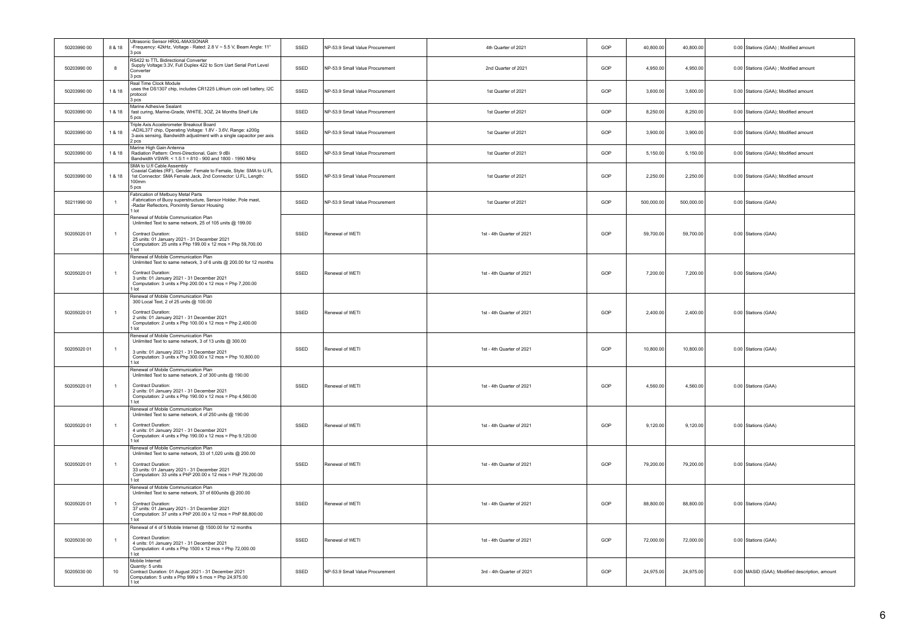| 50203990 00 | 8 & 18         | Ultrasonic Sensor HRXL-MAXSONAR<br>-Frequency: 42kHz, Voltage - Rated: 2.8 V ~ 5.5 V, Beam Angle: 11°<br>3 pcs                                                                                                                                                  | SSED | NP-53.9 Small Value Procurement | 4th Quarter of 2021       | GOP | 40,800.00  | 40,800.00  | 0.00 Stations (GAA) ; Modified amount          |
|-------------|----------------|-----------------------------------------------------------------------------------------------------------------------------------------------------------------------------------------------------------------------------------------------------------------|------|---------------------------------|---------------------------|-----|------------|------------|------------------------------------------------|
| 50203990 00 | 8              | RS422 to TTL Bidirectional Converter<br>Supply Voltage: 3.3V, Full Duplex 422 to Scm Uart Serial Port Level<br>Converter<br>3 pcs                                                                                                                               | SSED | NP-53.9 Small Value Procurement | 2nd Quarter of 2021       | GOP | 4,950.00   | 4,950.00   | 0.00 Stations (GAA) ; Modified amount          |
| 50203990 00 | 1 & 18         | Real Time Clock Module<br>uses the DS1307 chip, includes CR1225 Lithium coin cell battery, I2C<br>protocol<br>3 pcs                                                                                                                                             | SSED | NP-53.9 Small Value Procurement | 1st Quarter of 2021       | GOP | 3,600.00   | 3,600.00   | 0.00 Stations (GAA); Modified amount           |
| 50203990 00 | 1 & 18         | Marine Adhesive Sealant<br>fast curing, Marine-Grade, WHITE, 3OZ, 24 Months Shelf Life<br>5 pcs                                                                                                                                                                 | SSED | NP-53.9 Small Value Procurement | 1st Quarter of 2021       | GOP | 8,250.00   | 8,250.00   | 0.00 Stations (GAA); Modified amount           |
| 50203990 00 | 1 & 18         | Triple Axis Accelerometer Breakout Board<br>-ADXL377 chip, Operating Voltage: 1.8V - 3.6V, Range: ±200g<br>3-axis sensing, Bandwidth adjustment with a single capacitor per axis<br>2 pcs                                                                       | SSED | NP-53.9 Small Value Procurement | 1st Quarter of 2021       | GOP | 3,900.00   | 3,900.00   | 0.00 Stations (GAA); Modified amount           |
| 50203990 00 | 1 & 18         | Marine High Gain Antenna<br>Radiation Pattern: Omni-Directional, Gain: 9 dBi<br>Bandwidth VSWR: < 1.5:1 = 810 - 900 and 1800 - 1990 MHz                                                                                                                         | SSED | NP-53.9 Small Value Procurement | 1st Quarter of 2021       | GOP | 5,150.00   | 5,150.00   | 0.00 Stations (GAA); Modified amount           |
| 50203990 00 | 1 & 18         | SMA to U.fl Cable Assembly<br>Coaxial Cables (RF), Gender: Female to Female, Style: SMA to U.FL<br>1st Connector: SMA Female Jack, 2nd Connector: U.FL, Length:<br>100mm<br>5 pcs                                                                               | SSED | NP-53.9 Small Value Procurement | 1st Quarter of 2021       | GOP | 2,250.00   | 2,250.00   | 0.00 Stations (GAA); Modified amount           |
| 50211990 00 | $\overline{1}$ | Fabrication of Metbuoy Metal Parts<br>-Fabrication of Buoy superstructure, Sensor Holder, Pole mast,<br>-Radar Reflectors, Porximity Sensor Housing<br>1 lot                                                                                                    | SSED | NP-53.9 Small Value Procurement | 1st Quarter of 2021       | GOP | 500,000.00 | 500,000.00 | 0.00 Stations (GAA)                            |
| 50205020 01 | $\overline{1}$ | Renewal of Mobile Communication Plan<br>Unlimited Text to same network, 25 of 105 units @ 199.00<br>Contract Duration:<br>25 units: 01 January 2021 - 31 December 2021<br>Computation: 25 units x Php 199.00 x 12 mos = Php 59,700.00                           | SSED | Renewal of WETI                 | 1st - 4th Quarter of 2021 | GOP | 59,700.00  | 59,700.00  | 0.00 Stations (GAA)                            |
| 50205020 01 | $\overline{1}$ | 1 lot<br>Renewal of Mobile Communication Plan<br>Unlimited Text to same network, 3 of 6 units @ 200.00 for 12 months<br>Contract Duration:<br>3 units: 01 January 2021 - 31 December 2021<br>Computation: 3 units x Php 200.00 x 12 mos = Php 7,200.00<br>1 lot | SSED | Renewal of WETI                 | 1st - 4th Quarter of 2021 | GOP | 7,200.00   | 7.200.00   | 0.00 Stations (GAA)                            |
| 50205020 01 | $\overline{1}$ | Renewal of Mobile Communication Plan<br>300 Local Text, 2 of 25 units @ 100.00<br>Contract Duration:<br>2 units: 01 January 2021 - 31 December 2021<br>Computation: 2 units x Php 100.00 x 12 mos = Php 2,400.00<br>1 lot                                       | SSED | Renewal of WETI                 | 1st - 4th Quarter of 2021 | GOP | 2,400.00   | 2,400.00   | 0.00 Stations (GAA)                            |
| 50205020 01 | $\overline{1}$ | Renewal of Mobile Communication Plan<br>Unlimited Text to same network, 3 of 13 units @ 300.00<br>3 units: 01 January 2021 - 31 December 2021<br>Computation: 3 units x Php 300.00 x 12 mos = Php 10,800.00<br>1 lot                                            | SSED | Renewal of WETI                 | 1st - 4th Quarter of 2021 | GOP | 10,800.00  | 10,800.00  | 0.00 Stations (GAA)                            |
| 50205020 01 | $\overline{1}$ | Renewal of Mobile Communication Plan<br>Unlimited Text to same network, 2 of 300 units @ 190.00<br>Contract Duration:<br>2 units: 01 January 2021 - 31 December 2021<br>Computation: 2 units x Php 190.00 x 12 mos = Php 4,560.00<br>1 lot                      | SSED | Renewal of WETI                 | 1st - 4th Quarter of 2021 | GOP | 4,560.00   | 4,560.00   | 0.00 Stations (GAA)                            |
| 50205020 01 | $\overline{1}$ | Renewal of Mobile Communication Plan<br>Unlimited Text to same network, 4 of 250 units @ 190.00<br>Contract Duration:<br>4 units: 01 January 2021 - 31 December 2021<br>Computation: 4 units x Php 190.00 x 12 mos = Php 9,120.00<br>1 lot                      | SSED | Renewal of WETI                 | 1st - 4th Quarter of 2021 | GOP | 9.120.00   | 9,120.00   | 0.00 Stations (GAA)                            |
| 50205020 01 | $\overline{1}$ | Renewal of Mobile Communication Plan<br>Unlimited Text to same network, 33 of 1,020 units @ 200.00<br><b>Contract Duration:</b><br>33 units: 01 January 2021 - 31 December 2021<br>Computation: 33 units x PhP 200.00 x 12 mos = PhP 79,200.00<br>1 lot         | SSED | Renewal of WETI                 | 1st - 4th Quarter of 2021 | GOP | 79,200.00  | 79,200.00  | 0.00 Stations (GAA)                            |
| 50205020 01 | $\overline{1}$ | Renewal of Mobile Communication Plan<br>Unlimited Text to same network, 37 of 600units @ 200.00<br>Contract Duration:<br>37 units: 01 January 2021 - 31 December 2021<br>Computation: 37 units x PhP 200.00 x 12 mos = PhP 88,800.00<br>1 lot                   | SSED | Renewal of WETI                 | 1st - 4th Quarter of 2021 | GOP | 88,800.00  | 88,800.00  | 0.00 Stations (GAA)                            |
| 50205030 00 | $\overline{1}$ | Renewal of 4 of 5 Mobile Internet @ 1500.00 for 12 months<br>Contract Duration:<br>4 units: 01 January 2021 - 31 December 2021<br>Computation: 4 units x Php 1500 x 12 mos = Php 72,000.00<br>1 lot                                                             | SSED | Renewal of WETI                 | 1st - 4th Quarter of 2021 | GOP | 72,000.00  | 72,000.00  | 0.00 Stations (GAA)                            |
| 50205030 00 | 10             | Mobile Internet<br>Quantiv: 5 units<br>Contract Duration: 01 August 2021 - 31 December 2021<br>Computation: 5 units x Php 999 x 5 mos = Php 24,975.00<br>1 lot                                                                                                  | SSED | NP-53.9 Small Value Procurement | 3rd - 4th Quarter of 2021 | GOP | 24,975.00  | 24,975.00  | 0.00 MASID (GAA); Modified description, amount |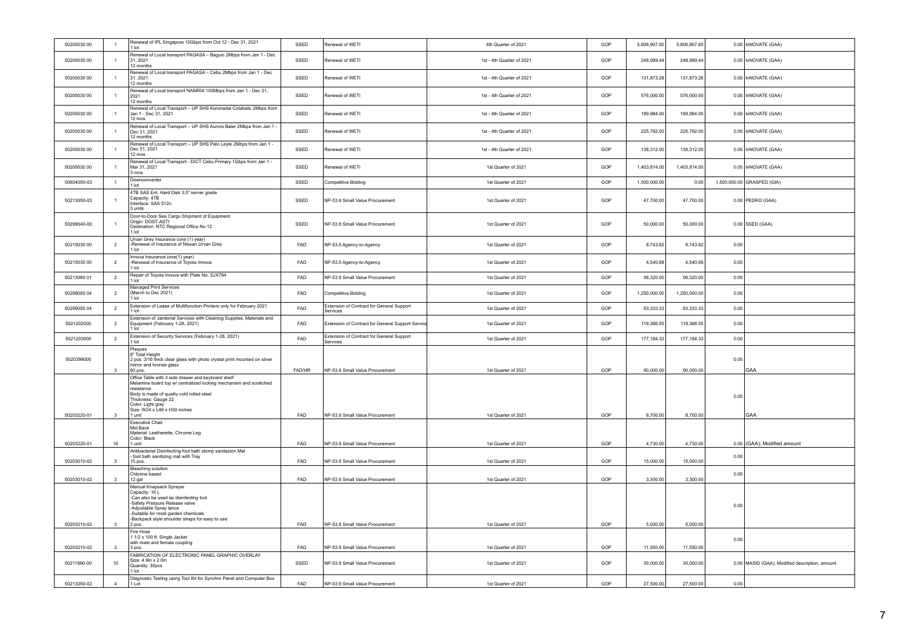| 50205030 00 | $\overline{1}$ | Renewal of IPL Singapore 10Gbps from Oct 12 - Dec 31, 2021<br>1 lot                                                                                                                                                                                                      | SSED       | Renewal of WFTI                                       | 4th Quarter of 2021       | GOP | 5,606,907.60 | 5,606,907.60 |      | 0.00 InNOVATE (GAA)                            |
|-------------|----------------|--------------------------------------------------------------------------------------------------------------------------------------------------------------------------------------------------------------------------------------------------------------------------|------------|-------------------------------------------------------|---------------------------|-----|--------------|--------------|------|------------------------------------------------|
| 50205030 00 | $\overline{1}$ | Renewal of Local transport PAGASA - Baguio 2Mbps from Jan 1 - Dec<br>31, 2021<br>12 months                                                                                                                                                                               | SSED       | Renewal of WETI                                       | 1st - 4th Quarter of 2021 | GOP | 248,989.44   | 248,989.44   |      | 0.00 InNOVATE (GAA)                            |
| 50205030.00 | $\overline{1}$ | Renewal of Local transport PAGASA - Cebu 2Mbps from Jan 1 - Dec<br>31 2021<br>12 months                                                                                                                                                                                  | SSED       | Renewal of WETI                                       | 1st - 4th Quarter of 2021 | GOP | 131,873.28   | 131,873.28   |      | 0.00 InNOVATE (GAA)                            |
| 50205030 00 | $\overline{1}$ | Renewal of Local transport NAMRIA 100Mbps from Jan 1 - Dec 31,<br>2021<br>12 months                                                                                                                                                                                      | SSED       | Renewal of WETI                                       | 1st - 4th Quarter of 2021 | GOP | 576,000.00   | 576,000.00   |      | 0.00 InNOVATE (GAA)                            |
| 50205030 00 | $\overline{1}$ | Renewal of Local Transport - UP SHS Koronadal Cotabato 2Mbps from<br>Jan 1 - Dec 31, 2021<br>12 mos                                                                                                                                                                      | SSED       | Renewal of WETI                                       | 1st - 4th Quarter of 2021 | GOP | 189,984.00   | 189,984.00   |      | 0.00 InNOVATE (GAA)                            |
| 50205030 00 | $\overline{1}$ | Renewal of Local Transport - UP SHS Aurora Baler 2Mbps from Jan 1 -<br>Dec 31, 2021<br>12 months                                                                                                                                                                         | SSED       | Renewal of WETI                                       | 1st - 4th Quarter of 2021 | GOP | 225,792.00   | 225,792.00   |      | 0.00 InNOVATE (GAA)                            |
| 50205030 00 | $\overline{1}$ | Renewal of Local Transport - UP SHS Palo Leyte 2Mbps from Jan 1 -<br>Dec 31, 2021<br>12 mos                                                                                                                                                                              | SSED       | Renewal of WETI                                       | 1st - 4th Quarter of 2021 | GOP | 138,312.00   | 138,312.00   |      | 0.00 InNOVATE (GAA)                            |
| 50205030 00 | $\overline{1}$ | Renewal of Local Transport - DICT Cebu Primary 1Gbps from Jan 1 -<br>Mar 31, 2021<br>3 mos                                                                                                                                                                               | SSED       | Renewal of WETI                                       | 1st Quarter of 2021       | GOP | 1,403,814.00 | 1,403,814.00 |      | 0.00 InNOVATE (GAA)                            |
| 50604050-03 | $\overline{1}$ | Downconverter<br>1 lot                                                                                                                                                                                                                                                   | SSED       | Competitive Bidding                                   | 1st Quarter of 2021       | GOP | 1,500,000.00 | 0.00         |      | 1,500,000.00 GRASPED (GIA)                     |
| 50213050-03 | $\overline{1}$ | 4TB SAS Ent. Hard Disk 3.5" server grade<br>Capacity: 4TB<br>Interface: SAS 512n<br>3 units                                                                                                                                                                              | SSED       | NP-53.9 Small Value Procurement                       | 1st Quarter of 2021       | GOP | 47,700.00    | 47,700.00    |      | $0.00$ PEDRO (GAA)                             |
| 50299040-00 | $\overline{1}$ | Door-to-Door Sea Cargo Shipment of Equipment<br>Origin: DOST-ASTI<br>Destination: NTC Regional Office No.12<br>1 lot                                                                                                                                                     | SSED       | NP-53.9 Small Value Procurement                       | 1st Quarter of 2021       | GOP | 50,000.00    | 50,000.00    |      | 0.00 SSED (GAA)                                |
| 50215030 00 | $\overline{2}$ | Urvan Grey Insurance (one (1) year)<br>-Renewal of Insurance of Nissan Urvan Grey<br>1 lot                                                                                                                                                                               | FAD        | NP-53.5 Agency-to-Agency                              | 1st Quarter of 2021       | GOP | 8,743.82     | 8,743.82     | 0.00 |                                                |
| 50215030 00 | $\overline{2}$ | Innova Insurance (one(1) year)<br>-Renewal of Insurance of Toyota Innova<br>1 lot                                                                                                                                                                                        | FAD        | NP-53.5 Agency-to-Agency                              | 1st Quarter of 2021       | GOP | 4.540.68     | 4.540.68     | 0.00 |                                                |
| 50213060 01 | $\overline{2}$ | Repair of Toyota Innova with Plate No. SJX794<br>$1$ lot                                                                                                                                                                                                                 | FAD        | NP-53.9 Small Value Procurement                       | 1st Quarter of 2021       | GOP | 56,320.00    | 56,320.00    | 0.00 |                                                |
| 50299050 04 | $\overline{2}$ | <b>Managed Print Services</b><br>(March to Dec 2021)<br>1 lot                                                                                                                                                                                                            | FAD        | Competitive Bidding                                   | 1st Quarter of 2021       | GOP | 1,250,000.00 | 1,250,000.00 | 0.00 |                                                |
| 50299050 04 | $\overline{2}$ | Extension of Lease of Multifunction Printers only for February 2021<br>1 lot                                                                                                                                                                                             | <b>FAD</b> | Extension of Contract for General Support<br>Services | 1st Quarter of 2021       | GOP | 83,333.33    | 83,333.33    | 0.00 |                                                |
| 5021202000  | $\overline{2}$ | Extension of Janitorial Services with Cleaning Supplies, Materials and<br>Equipment (February 1-28, 2021)<br>1 lot                                                                                                                                                       | FAD        | Extension of Contract for General Support Service     | 1st Quarter of 2021       | GOP | 119,366.55   | 119,366.55   | 0.00 |                                                |
| 5021203000  | $\overline{2}$ | Extension of Security Services (February 1-28, 2021)<br>1 lot                                                                                                                                                                                                            | FAD        | Extension of Contract for General Support<br>Services | 1st Quarter of 2021       | GOP | 177,184.33   | 177,184.33   | 0.00 |                                                |
| 5020399000  | $\mathbf{3}$   | Plaques<br>8" Total Height<br>2 pcs. 3/16 thick clear glass with photo crystal print mounted on silver<br>mirror and bronze glass<br>60 pcs.                                                                                                                             | FAD/HR     | NP-53.9 Small Value Procurement                       | 1st Quarter of 2021       | GOP | 90,000.00    | 90,000.00    | 0.00 | GAA                                            |
| 50203220-01 | $\mathbf{3}$   | Office Table with 3 side drawer and keyboard shelf<br>Melamine board top w/ centralized locking mechanism and scratched<br>resistance<br>Body is made of quality cold rolled steel<br>Thickness: Gauge 22<br>Color: Light gray<br>Size: W24 x L48 x H30 inches<br>1 unit | FAD        | NP-53.9 Small Value Procurement                       | 1st Quarter of 2021       | GOP | 8,700.00     | 8,700.00     | 0.00 | <b>GAA</b>                                     |
|             |                | Executive Chair<br>Mid Back<br>Material: Leatherette, Chrome Leg<br>Color: Black                                                                                                                                                                                         |            |                                                       |                           |     |              |              |      |                                                |
| 50203220-01 | 16             | 1 unit<br>Antibacterial Disinfecting foot bath stomp sanitazion Mat                                                                                                                                                                                                      | FAD        | NP-53.9 Small Value Procurement                       | 1st Quarter of 2021       | GOP | 4,730.00     | 4,730.00     |      | 0.00 (GAA); Modified amount                    |
| 50203010-02 | $\mathbf{3}$   | foot bath sanitizing mat with Tray<br>15 pcs.<br><b>Bleaching solution</b>                                                                                                                                                                                               | FAD        | NP-53.9 Small Value Procurement                       | 1st Quarter of 2021       | GOP | 15,000.00    | 15,000.00    | 0.00 |                                                |
| 50203010-02 | 3              | Chlorine based<br>12 gal                                                                                                                                                                                                                                                 | FAD        | NP-53.9 Small Value Procurement                       | 1st Quarter of 2021       | GOP | 3,300.00     | 3,300.00     | 0.00 |                                                |
| 50203210-02 | 3              | Manual Knapsack Sprayer<br>Capacity: 16 L<br>-Can also be used as disinfecting tool<br>-Safety Pressure Release valve<br>-Adjustable Spray lance<br>-Suitable for most garden chemicals<br>-Backpack style shoulder straps for easy to use<br>2 pcs.                     | FAD        | NP-53.9 Small Value Procurement                       | 1st Quarter of 2021       | GOP | 5,000.00     | 5,000.00     | 0.00 |                                                |
|             |                | Fire Hose<br>1 1/2 x 100 ft. Single Jacket                                                                                                                                                                                                                               |            |                                                       |                           |     |              |              | 0.00 |                                                |
| 50203210-02 | $\mathbf{3}$   | with male and female coupling<br>3 pcs.                                                                                                                                                                                                                                  | <b>FAD</b> | NP-53.9 Small Value Procurement                       | 1st Quarter of 2021       | GOP | 11,550.00    | 11,550.00    |      |                                                |
| 50211990-00 | 10             | FABRICATION OF ELECTRONIC PANEL GRAPHIC OVERLAY<br>Size: 4.9in x 2.0in<br>Quantity: 30pcs<br>1 lot                                                                                                                                                                       | SSED       | NP-53.9 Small Value Procurement                       | 1st Quarter of 2021       | GOP | 30,000.00    | 30,000.00    |      | 0.00 MASID (GAA); Modified description, amount |
| 50213050-02 | $\Delta$       | Diagnostic Testing using Tool Kit for Synchro Panel and Computer Box<br>1 Lot                                                                                                                                                                                            | FAD        | NP-53.9 Small Value Procurement                       | 1st Quarter of 2021       | GOP | 27,500.00    | 27,500.00    | 0.00 |                                                |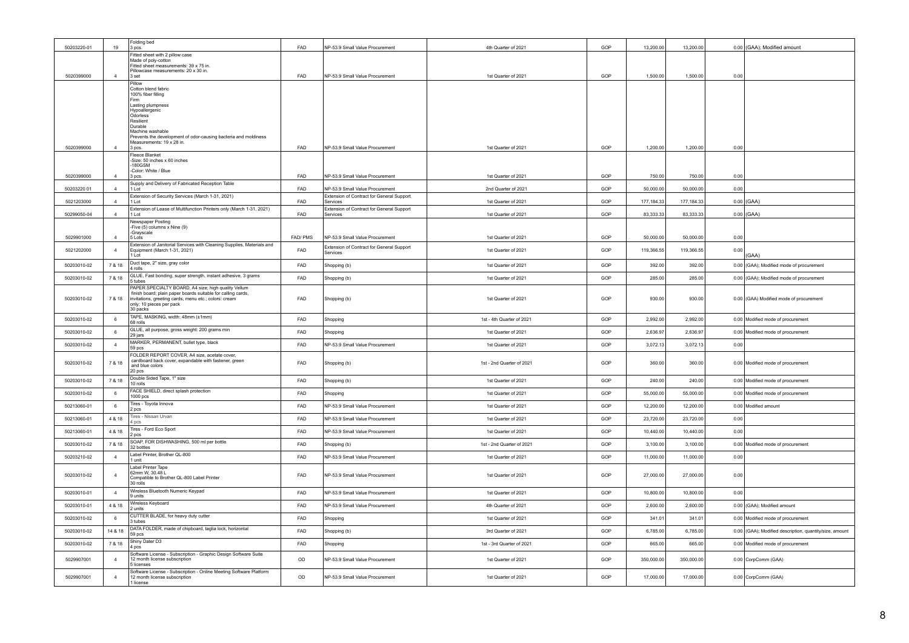| 50203220-01 | 19             | Folding bed<br>3 pcs.                                                                                               | <b>FAD</b> | NP-53.9 Small Value Procurement                                              | 4th Quarter of 2021       | GOP | 13,200.00  | 13,200.00  |      | 0.00 (GAA); Modified amount                             |
|-------------|----------------|---------------------------------------------------------------------------------------------------------------------|------------|------------------------------------------------------------------------------|---------------------------|-----|------------|------------|------|---------------------------------------------------------|
|             |                | Fitted sheet with 2 pillow case<br>Made of poly-cotton                                                              |            |                                                                              |                           |     |            |            |      |                                                         |
|             |                | Fitted sheet measurements: 39 x 75 in.<br>Pillowcase measurements: 20 x 30 in.                                      |            |                                                                              |                           |     |            |            |      |                                                         |
| 5020399000  | $\overline{4}$ | 3 set<br>Pillow                                                                                                     | FAD        | NP-53.9 Small Value Procurement                                              | 1st Quarter of 2021       | GOP | 1,500.00   | 1,500.00   | 0.00 |                                                         |
|             |                | Cotton blend fabric<br>100% fiber filling                                                                           |            |                                                                              |                           |     |            |            |      |                                                         |
|             |                | Firm<br>Lasting plumpness                                                                                           |            |                                                                              |                           |     |            |            |      |                                                         |
|             |                | Hypoallergenic<br>Odorless                                                                                          |            |                                                                              |                           |     |            |            |      |                                                         |
|             |                | Resilient<br>Durable                                                                                                |            |                                                                              |                           |     |            |            |      |                                                         |
|             |                | Machine washable<br>Prevents the development of odor-causing bacteria and moldiness                                 |            |                                                                              |                           |     |            |            |      |                                                         |
| 5020399000  | $\overline{4}$ | Measurements: 19 x 28 in.<br>3 pcs.                                                                                 | FAD        | NP-53.9 Small Value Procurement                                              | 1st Quarter of 2021       | GOP | 1.200.00   | 1,200.00   | 0.00 |                                                         |
|             |                | Fleece Blanket<br>-Size: 50 inches x 60 inches                                                                      |            |                                                                              |                           |     |            |            |      |                                                         |
| 5020399000  | $\overline{4}$ | 180GSM<br>-Color: White / Blue                                                                                      | FAD        | NP-53.9 Small Value Procurement                                              |                           | GOP | 750.00     |            |      |                                                         |
|             |                | 3 pcs.<br>Supply and Delivery of Fabricated Reception Table                                                         |            |                                                                              | 1st Quarter of 2021       |     |            | 750.00     | 0.00 |                                                         |
| 50203220 01 | $\overline{a}$ | 1 Lot<br>Extension of Security Services (March 1-31, 2021)                                                          | FAD        | NP-53.9 Small Value Procurement<br>Extension of Contract for General Support | 2nd Quarter of 2021       | GOP | 50,000.00  | 50,000.00  | 0.00 |                                                         |
| 5021203000  | $\overline{4}$ | $11$ of<br>Extension of Lease of Multifunction Printers only (March 1-31, 2021)                                     | <b>FAD</b> | Services<br>Extension of Contract for General Support                        | 1st Quarter of 2021       | GOP | 177.184.33 | 177,184.33 |      | $0.00$ (GAA)                                            |
| 50299050-04 | $\overline{a}$ | 1 Lot                                                                                                               | FAD        | Services                                                                     | 1st Quarter of 2021       | GOP | 83,333.33  | 83,333.33  |      | $0.00$ (GAA)                                            |
|             |                | Newspaper Posting<br>-Five (5) columns x Nine (9)<br>-Gravscale                                                     |            |                                                                              |                           |     |            |            |      |                                                         |
| 5029901000  | $\overline{4}$ | 5 Lots                                                                                                              | FAD/PMS    | NP-53.9 Small Value Procurement                                              | 1st Quarter of 2021       | GOP | 50,000.00  | 50,000.00  | 0.00 |                                                         |
| 5021202000  | $\overline{4}$ | Extension of Janitorial Services with Cleaning Supplies, Materials and<br>Equipment (March 1-31, 2021)<br>1 Lot     | FAD        | Extension of Contract for General Support<br><b>Services</b>                 | 1st Quarter of 2021       | GOP | 119,366.55 | 119,366.55 | 0.00 | (GAA)                                                   |
| 50203010-02 | 7 & 18         | Duct tape, 2" size, gray color<br>4 rolls                                                                           | FAD        | Shopping (b)                                                                 | 1st Quarter of 2021       | GOP | 392.00     | 392.00     |      | 0.00 (GAA); Modified mode of procurement                |
| 50203010-02 | 7 & 18         | GLUE, Fast bonding, super strength, instant adhesive, 3 grams<br>5 tubes                                            | FAD        | Shopping (b)                                                                 | 1st Quarter of 2021       | GOP | 285.00     | 285.00     |      | 0.00 (GAA): Modified mode of procurement                |
|             |                | PAPER SPECIALTY BOARD, A4 size; high quality Vellum<br>finish board; plain paper boards suitable for calling cards, |            |                                                                              |                           |     |            |            |      |                                                         |
| 50203010-02 | 7 & 18         | invitations, greeting cards, menu etc.; colors: cream<br>only; 10 pieces per pack                                   | FAD        | Shopping (b)                                                                 | 1st Quarter of 2021       | GOP | 930.00     | 930.00     |      | 0.00 (GAA) Modified mode of procurement                 |
|             |                | 30 packs<br>TAPE, MASKING, width: 48mm (±1mm)                                                                       |            |                                                                              |                           |     |            |            |      |                                                         |
| 50203010-02 | $\,6\,$        | 68 rolls                                                                                                            | FAD        | Shopping                                                                     | 1st - 4th Quarter of 2021 | GOP | 2,992.00   | 2,992.00   |      | 0.00 Modified mode of procurement                       |
|             |                |                                                                                                                     |            |                                                                              |                           |     |            |            |      |                                                         |
| 50203010-02 | 6              | GLUE, all purpose, gross weight: 200 grams min<br>29 jars                                                           | FAD        | Shopping                                                                     | 1st Quarter of 2021       | GOP | 2,636.97   | 2.636.97   |      | 0.00 Modified mode of procurement                       |
| 50203010-02 | $\overline{4}$ | MARKER, PERMANENT, bullet type, black<br>59 pcs                                                                     | FAD        | NP-53.9 Small Value Procurement                                              | 1st Quarter of 2021       | GOP | 3,072.13   | 3,072.13   | 0.00 |                                                         |
| 50203010-02 | 7 & 18         | FOLDER REPORT COVER, A4 size, acetate cover,<br>cardboard back cover, expandable with fastener, green               | FAD        | Shopping (b)                                                                 | 1st - 2nd Quarter of 2021 | GOP | 360.00     | 360.00     |      | 0.00 Modified mode of procurement                       |
|             |                | and blue colors<br>20 pcs                                                                                           |            |                                                                              |                           |     |            |            |      |                                                         |
| 50203010-02 | 7 & 18         | Double Sided Tape, 1" size<br>10 rolls                                                                              | FAD        | Shopping (b)                                                                 | 1st Quarter of 2021       | GOP | 240.00     | 240.00     |      | 0.00 Modified mode of procurement                       |
| 50203010-02 | 6              | FACE SHIELD, direct splash protection<br>1000 pcs                                                                   | FAD        | Shopping                                                                     | 1st Quarter of 2021       | GOP | 55,000.00  | 55,000.00  |      | 0.00 Modified mode of procurement                       |
| 50213060-01 | 6              | Tires - Toyota Innova<br>2 pcs                                                                                      | FAD        | NP-53.9 Small Value Procurement                                              | 1st Quarter of 2021       | GOP | 12,200.00  | 12,200.00  |      | 0.00 Modified amount                                    |
| 50213060-01 | 4 & 18         | Tires - Nissan Urvan<br>4 pcs                                                                                       | FAD        | NP-53.9 Small Value Procurement                                              | 1st Quarter of 2021       | GOP | 23,720.00  | 23,720.00  | 0.00 |                                                         |
| 50213060-01 | 4 & 18         | Tires - Ford Eco Sport                                                                                              | FAD        | NP-53.9 Small Value Procurement                                              | 1st Quarter of 2021       | GOP | 10,440.00  | 10,440.00  | 0.00 |                                                         |
| 50203010-02 | 7 & 18         | 2 pcs<br>SOAP, FOR DISHWASHING, 500 ml per bottle                                                                   | FAD        | Shopping (b)                                                                 | 1st - 2nd Quarter of 2021 | GOP | 3,100.00   | 3,100.00   |      | 0.00 Modified mode of procurement                       |
| 50203210-02 | $\overline{4}$ | 32 bottles<br>Label Printer, Brother QL-800                                                                         | FAD        | NP-53.9 Small Value Procurement                                              | 1st Quarter of 2021       | GOP | 11,000.00  | 11,000.00  | 0.00 |                                                         |
|             |                | 1 unit<br>Label Printer Tape                                                                                        |            |                                                                              |                           |     |            |            |      |                                                         |
| 50203010-02 | $\overline{4}$ | 62mm W 30 48 L<br>Compatible to Brother QL-800 Label Printer                                                        | FAD        | NP-53.9 Small Value Procurement                                              | 1st Quarter of 2021       | GOP | 27,000.00  | 27,000.00  | 0.00 |                                                         |
| 50203010-01 | $\overline{4}$ | 30 rolls<br>Wireless Bluetooth Numeric Keypad<br>9 units                                                            | FAD        | NP-53.9 Small Value Procurement                                              | 1st Quarter of 2021       | GOP | 10,800.00  | 10,800.00  | 0.00 |                                                         |
| 50203010-01 | 4 & 18         | Wireless Keyboard                                                                                                   | FAD        | NP-53.9 Small Value Procurement                                              | 4th Quarter of 2021       | GOP | 2,600.00   | 2,600.00   |      | 0.00 (GAA); Modified amount                             |
| 50203010-02 | 6              | 2 units<br>CUTTER BLADE, for heavy duty cutter                                                                      | FAD        | Shopping                                                                     | 1st Quarter of 2021       | GOP | 341.01     | 341.01     |      | 0.00 Modified mode of procurement                       |
| 50203010-02 | 14 & 18        | 3 tubes<br>DATA FOLDER, made of chipboard, taglia lock, horizontal                                                  | FAD        | Shopping (b)                                                                 | 3rd Quarter of 2021       | GOP | 6,785.00   | 6.785.00   |      | 0.00 (GAA); Modified description, quantity/size, amount |
| 50203010-02 | 7 & 18         | 59 pcs<br>Shiny Dater D3                                                                                            | FAD        | Shopping                                                                     | 1st - 3rd Quarter of 2021 | GOP | 665.00     | 665.00     |      | 0.00 Modified mode of procurement                       |
| 5029907001  | $\overline{4}$ | 4 pcs<br>Software License - Subscription - Graphic Design Software Suite<br>12 month license subscription           | OD         | NP-53.9 Small Value Procurement                                              | 1st Quarter of 2021       | GOP | 350,000.00 | 350,000.00 |      | 0.00 CorpComm (GAA)                                     |
| 5029907001  | $\overline{4}$ | 5 licenses<br>Software License - Subscription - Online Meeting Software Platform<br>12 month license subscription   | OD         | NP-53.9 Small Value Procurement                                              | 1st Quarter of 2021       | GOP | 17,000.00  | 17,000.00  |      | 0.00 CorpComm (GAA)                                     |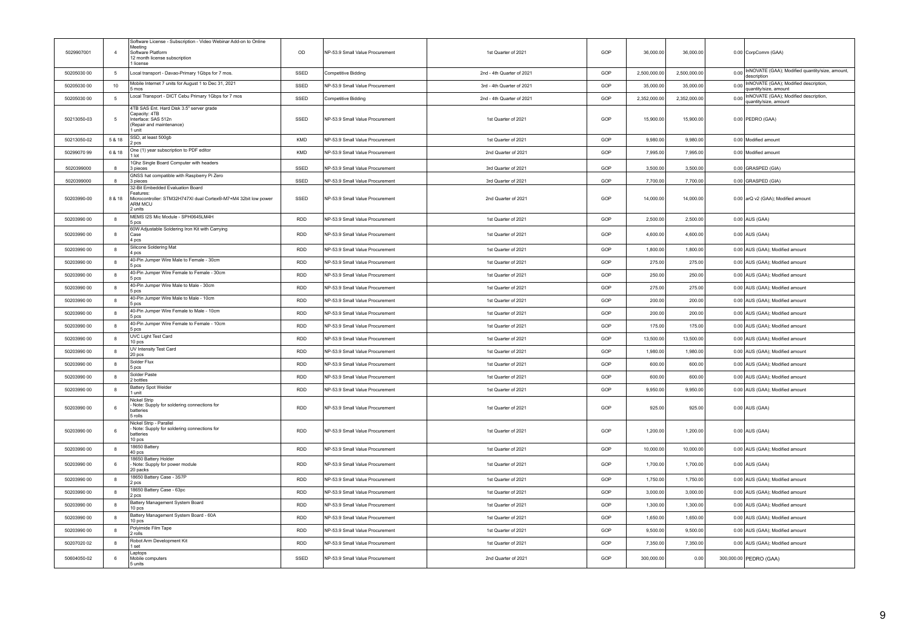| 5029907001  | $\overline{4}$   | Software License - Subscription - Video Webinar Add-on to Online<br>Meeting<br>Software Platform<br>12 month license subscription<br>license | OD         | NP-53.9 Small Value Procurement | 1st Quarter of 2021       | GOP | 36,000.00    | 36,000.00    | 0.00 CorpComm (GAA)                                                 |
|-------------|------------------|----------------------------------------------------------------------------------------------------------------------------------------------|------------|---------------------------------|---------------------------|-----|--------------|--------------|---------------------------------------------------------------------|
| 50205030 00 | 5                | Local transport - Davao-Primary 1Gbps for 7 mos.                                                                                             | SSED       | Competitive Bidding             | 2nd - 4th Quarter of 2021 | GOP | 2,500,000.00 | 2,500,000.00 | 0.00 InNOVATE (GAA); Modified quantity/size, amount,<br>description |
| 50205030 00 | 10               | Mobile Internet 7 units for August 1 to Dec 31, 2021<br>5 mos                                                                                | SSED       | NP-53.9 Small Value Procurement | 3rd - 4th Quarter of 2021 | GOF | 35,000.00    | 35,000.00    | 0.00 InNOVATE (GAA); Modified description,<br>quantity/size, amount |
| 50205030 00 | $5\phantom{.0}$  | Local Transport - DICT Cebu Primary 1Gbps for 7 mos                                                                                          | SSED       | Competitive Bidding             | 2nd - 4th Quarter of 2021 | GOP | 2,352,000.00 | 2,352,000.00 | 0.00 InNOVATE (GAA); Modified description,<br>quantity/size, amount |
| 50213050-03 | 5                | 4TB SAS Ent. Hard Disk 3.5" server grade<br>Capacity: 4TB<br>Interface: SAS 512n<br>(Repair and maintenance)<br>1 unit                       | SSED       | NP-53.9 Small Value Procurement | 1st Quarter of 2021       | GOP | 15,900.00    | 15,900.00    | 0.00 PEDRO (GAA)                                                    |
| 50213050-02 | 5 & 18           | SSD, at least 500gb<br>2 pcs                                                                                                                 | KMD        | NP-53.9 Small Value Procurement | 1st Quarter of 2021       | GOP | 9,980.00     | 9,980.00     | 0.00 Modified amount                                                |
| 50299070 99 | 6 & 18           | One (1) year subscription to PDF editor<br>1 lot                                                                                             | <b>KMD</b> | NP-53.9 Small Value Procurement | 2nd Quarter of 2021       | GOP | 7.995.00     | 7.995.00     | 0.00 Modified amount                                                |
| 5020399000  | 8                | 1Ghz Single Board Computer with headers<br>3 pieces                                                                                          | SSED       | NP-53.9 Small Value Procurement | 3rd Quarter of 2021       | GOP | 3,500.00     | 3,500.00     | 0.00 GRASPED (GIA)                                                  |
| 5020399000  | 8                | GNSS hat compatible with Raspberry Pi Zero<br>3 pieces                                                                                       | SSED       | NP-53.9 Small Value Procurement | 3rd Quarter of 2021       | GOP | 7,700.00     | 7,700.00     | 0.00 GRASPED (GIA)                                                  |
| 50203990-00 | 8 & 18           | 32-Bit Embedded Evaluation Board<br>Features:<br>Microcontroller: STM32H747XI dual Cortex®-M7+M4 32bit low power<br>ARM MCU<br>2 units       | SSED       | NP-53.9 Small Value Procurement | 2nd Quarter of 2021       | GOP | 14,000.00    | 14,000.00    | 0.00 arQ v2 (GAA); Modified amount                                  |
| 50203990 00 | 8                | MEMS I2S Mic Module - SPH0645LM4H<br>5 pcs                                                                                                   | <b>RDD</b> | NP-53.9 Small Value Procurement | 1st Quarter of 2021       | GOP | 2,500.00     | 2,500.00     | 0.00 AUS (GAA)                                                      |
| 50203990 00 | 8                | 60W Adjustable Soldering Iron Kit with Carrying<br>Case<br>4 ncs                                                                             | RDD        | NP-53.9 Small Value Procurement | 1st Quarter of 2021       | GOP | 4,600.00     | 4,600.00     | 0.00 AUS (GAA)                                                      |
| 50203990 00 | 8                | Silicone Soldering Mat<br>4 pcs                                                                                                              | <b>RDD</b> | NP-53.9 Small Value Procurement | 1st Quarter of 2021       | GOP | 1,800.00     | 1,800.00     | 0.00 AUS (GAA); Modified amount                                     |
| 50203990 00 | 8                | 40-Pin Jumper Wire Male to Female - 30cm<br>5 pcs                                                                                            | RDD        | NP-53.9 Small Value Procurement | 1st Quarter of 2021       | GOP | 275.00       | 275.00       | 0.00 AUS (GAA); Modified amount                                     |
| 50203990 00 | $\mathbf{a}$     | 40-Pin Jumper Wire Female to Female - 30cm<br>5 pcs                                                                                          | <b>RDD</b> | NP-53.9 Small Value Procurement | 1st Quarter of 2021       | GOP | 250.00       | 250.00       | 0.00 AUS (GAA); Modified amount                                     |
| 50203990.00 | 8                | 40-Pin Jumper Wire Male to Male - 30cm<br>5 pcs                                                                                              | <b>RDD</b> | NP-53.9 Small Value Procurement | 1st Quarter of 2021       | GOF | 275.00       | 275.00       | 0.00 AUS (GAA); Modified amount                                     |
| 50203990.00 | 8                | 40-Pin Jumper Wire Male to Male - 10cm<br>5 nos                                                                                              | <b>RDD</b> | NP-53.9 Small Value Procurement | 1st Quarter of 2021       | GOP | 200.00       | 200.00       | 0.00 AUS (GAA); Modified amount                                     |
| 50203990 00 | 8                | 40-Pin Jumper Wire Female to Male - 10cm<br>5 pcs                                                                                            | RDD        | NP-53.9 Small Value Procurement | 1st Quarter of 2021       | GOP | 200.00       | 200.00       | 0.00 AUS (GAA); Modified amount                                     |
| 50203990 00 | $\boldsymbol{8}$ | 40-Pin Jumper Wire Female to Female - 10cm<br>5 pcs                                                                                          | RDD        | NP-53.9 Small Value Procurement | 1st Quarter of 2021       | GOP | 175.00       | 175.00       | 0.00 AUS (GAA); Modified amount                                     |
| 50203990 00 | 8                | UVC Light Test Card<br>10 pcs                                                                                                                | <b>RDD</b> | NP-53.9 Small Value Procurement | 1st Quarter of 2021       | GOP | 13,500.00    | 13,500.00    | 0.00 AUS (GAA); Modified amount                                     |
| 50203990 00 | 8                | UV Intensity Test Card<br>20 pcs                                                                                                             | <b>RDD</b> | NP-53.9 Small Value Procurement | 1st Quarter of 2021       | GOP | 1,980.00     | 1,980.00     | 0.00 AUS (GAA); Modified amount                                     |
| 50203990 00 | 8                | Solder Flux<br>5 pcs                                                                                                                         | <b>RDD</b> | NP-53.9 Small Value Procurement | 1st Quarter of 2021       | GOP | 600.00       | 600.00       | 0.00 AUS (GAA); Modified amount                                     |
| 50203990.00 | 8                | Solder Paste<br>2 bottles                                                                                                                    | <b>RDD</b> | NP-53.9 Small Value Procurement | 1st Quarter of 2021       | GOP | 600.00       | 600.00       | 0.00 AUS (GAA); Modified amount                                     |
| 50203990 00 | 8                | Battery Spot Welder<br>1 unit                                                                                                                | <b>RDD</b> | NP-53.9 Small Value Procurement | 1st Quarter of 2021       | GOP | 9,950.00     | 9,950.00     | 0.00 AUS (GAA); Modified amount                                     |
| 50203990 00 | 6                | Nickel Strip<br>- Note: Supply for soldering connections for<br>hatteries<br>5 rolls                                                         | <b>RDD</b> | NP-53.9 Small Value Procurement | 1st Quarter of 2021       | GOP | 925.00       | 925.00       | $0.00$ AUS (GAA)                                                    |
| 50203990 00 | 6                | Nickel Strip - Parallel<br>- Note: Supply for soldering connections for<br>batteries<br>10 pcs                                               | <b>RDD</b> | NP-53.9 Small Value Procurement | 1st Quarter of 2021       | GOP | 1,200.00     | 1,200.00     | $0.00$ AUS (GAA)                                                    |
| 50203990 00 | 8                | 18650 Battery<br>40 pcs                                                                                                                      | RDD        | NP-53.9 Small Value Procurement | 1st Quarter of 2021       | GOP | 10,000.00    | 10,000.00    | 0.00 AUS (GAA); Modified amount                                     |
| 50203990 00 | 6                | 18650 Battery Holder<br>Note: Supply for power module<br>20 packs                                                                            | <b>RDD</b> | NP-53.9 Small Value Procurement | 1st Quarter of 2021       | GOF | 1,700.00     | 1,700.00     | 0.00 AUS (GAA)                                                      |
| 50203990 00 | 8                | 18650 Battery Case - 3S7P<br>2 pcs                                                                                                           | <b>RDD</b> | NP-53.9 Small Value Procurement | 1st Quarter of 2021       | GOP | 1,750.00     | 1,750.00     | 0.00 AUS (GAA); Modified amount                                     |
| 50203990.00 | 8                | 18650 Battery Case - 63pc<br>2 pcs                                                                                                           | <b>RDD</b> | NP-53.9 Small Value Procurement | 1st Quarter of 2021       | GOP | 3,000.00     | 3,000.00     | 0.00 AUS (GAA); Modified amount                                     |
| 50203990.00 | 8                | Battery Management System Board<br>10 pcs                                                                                                    | <b>RDD</b> | NP-53.9 Small Value Procurement | 1st Quarter of 2021       | GOP | 1,300.00     | 1,300.00     | 0.00 AUS (GAA); Modified amount                                     |
| 50203990.00 | 8                | Battery Management System Board - 60A<br>10 pcs                                                                                              | RDD        | NP-53.9 Small Value Procurement | 1st Quarter of 2021       | GOP | 1,650.00     | 1,650.00     | 0.00 AUS (GAA); Modified amount                                     |
| 50203990 00 | 8                | Polyimide Film Tape<br>2 rolls                                                                                                               | <b>RDD</b> | NP-53.9 Small Value Procurement | 1st Quarter of 2021       | GOP | 9,500.00     | 9,500.00     | 0.00 AUS (GAA); Modified amount                                     |
| 50207020 02 | 8                | Robot Arm Development Kit<br>1 set                                                                                                           | <b>RDD</b> | NP-53.9 Small Value Procurement | 1st Quarter of 2021       | GOP | 7,350.00     | 7,350.00     | 0.00 AUS (GAA); Modified amount                                     |
| 50604050-02 | 6                | Laptops<br>Mobile computers<br>5 units                                                                                                       | SSED       | NP-53.9 Small Value Procurement | 2nd Quarter of 2021       | GOP | 300,000.00   | 0.00         | 300,000.00 PEDRO (GAA)                                              |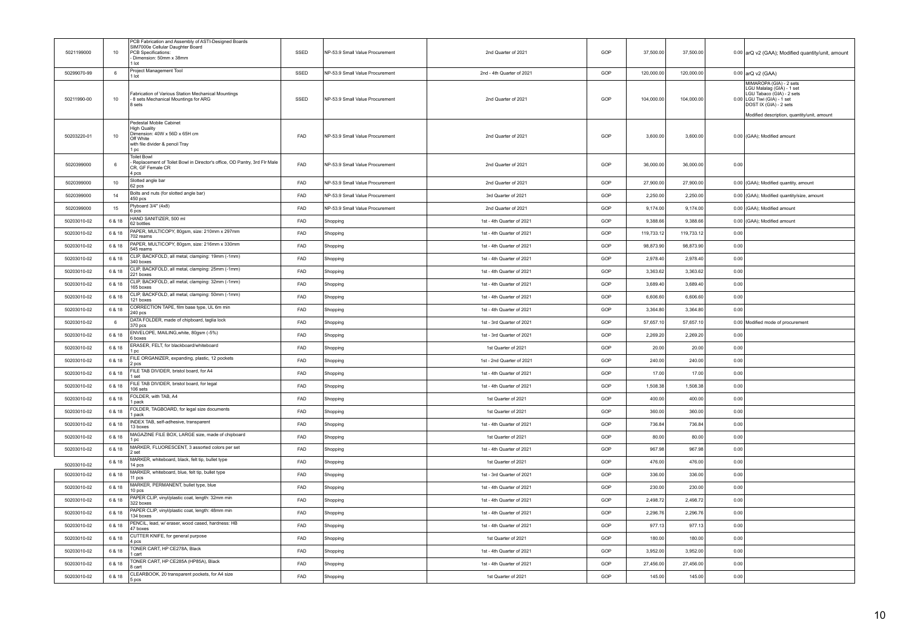| 5021199000  | 10     | PCB Fabrication and Assembly of ASTI-Designed Boards<br>SIM7000e Cellular Daughter Board<br>PCB Specifications:<br>Dimension: 50mm x 38mm<br>1 Int | SSED       | NP-53.9 Small Value Procurement | 2nd Quarter of 2021       | GOP | 37,500.00  | 37,500.00  |      | 0.00 arQ v2 (GAA); Modified quantity/unit, amount                                                                                                                                         |
|-------------|--------|----------------------------------------------------------------------------------------------------------------------------------------------------|------------|---------------------------------|---------------------------|-----|------------|------------|------|-------------------------------------------------------------------------------------------------------------------------------------------------------------------------------------------|
| 50299070-99 | 6      | Project Management Tool<br>1 lot                                                                                                                   | SSED       | NP-53.9 Small Value Procurement | 2nd - 4th Quarter of 2021 | GOP | 120,000.00 | 120,000.00 |      | 0.00 arQ v2 (GAA)                                                                                                                                                                         |
| 50211990-00 | 10     | Fabrication of Various Station Mechanical Mountings<br>- 8 sets Mechanical Mountings for ARG<br>8 sets                                             | SSED       | NP-53.9 Small Value Procurement | 2nd Quarter of 2021       | GOP | 104,000.00 | 104,000.00 |      | MIMAROPA (GIA) - 2 sets<br>LGU Malalag (GIA) - 1 set<br>LGU Tabaco (GIA) - 2 sets<br>0.00 LGU Tiwi (GIA) - 1 set<br>DOST IX (GIA) - 2 sets<br>Modified description, quantity/unit, amount |
| 50203220-01 | 10     | Pedestal Mobile Cabinet<br><b>High Quality</b><br>Dimension: 40W x 56D x 65H cm<br>Off White<br>with file divider & pencil Tray<br>1 pc            | <b>FAD</b> | NP-53.9 Small Value Procurement | 2nd Quarter of 2021       | GOP | 3,600.00   | 3,600.00   |      | 0.00 (GAA); Modified amount                                                                                                                                                               |
| 5020399000  | 6      | <b>Toilet Bowl</b><br>Replacement of Toilet Bowl in Director's office, OD Pantry, 3rd Flr Male<br>CR, GF Female CR<br>4 pcs                        | FAD        | NP-53.9 Small Value Procurement | 2nd Quarter of 2021       | GOP | 36,000.00  | 36,000.00  | 0.00 |                                                                                                                                                                                           |
| 5020399000  | 10     | Slotted angle bar<br>62 pcs                                                                                                                        | FAD        | NP-53.9 Small Value Procurement | 2nd Quarter of 2021       | GOP | 27,900.00  | 27,900.00  |      | 0.00 (GAA); Modified quantity, amount                                                                                                                                                     |
| 5020399000  | 14     | Bolts and nuts (for slotted angle bar)<br>450 pcs                                                                                                  | FAD        | NP-53.9 Small Value Procurement | 3rd Quarter of 2021       | GOP | 2,250.00   | 2,250.00   |      | 0.00 (GAA); Modified quantity/size, amount                                                                                                                                                |
| 5020399000  | 15     | Plyboard 3/4" (4x8)<br>6 pcs                                                                                                                       | FAD        | NP-53.9 Small Value Procurement | 2nd Quarter of 2021       | GOP | 9,174.00   | 9,174.00   |      | 0.00 (GAA); Modified amount                                                                                                                                                               |
| 50203010-02 | 6 & 18 | HAND SANITIZER, 500 ml<br>62 bottles                                                                                                               | FAD        | Shopping                        | 1st - 4th Quarter of 2021 | GOP | 9,388.66   | 9,388.66   |      | 0.00 (GAA); Modified amount                                                                                                                                                               |
| 50203010-02 | 6 & 18 | PAPER, MULTICOPY, 80gsm, size: 210mm x 297mm<br>702 reams                                                                                          | FAD        | Shopping                        | 1st - 4th Quarter of 2021 | GOP | 119,733.12 | 119,733.12 | 0.00 |                                                                                                                                                                                           |
| 50203010-02 | 6 & 18 | PAPER, MULTICOPY, 80gsm, size: 216mm x 330mm<br>545 reams                                                                                          | FAD        | Shopping                        | 1st - 4th Quarter of 2021 | GOP | 98,873.90  | 98,873.90  | 0.00 |                                                                                                                                                                                           |
| 50203010-02 | 6 & 18 | CLIP, BACKFOLD, all metal, clamping: 19mm (-1mm)<br>340 boxes                                                                                      | FAD        | Shopping                        | 1st - 4th Quarter of 2021 | GOP | 2,978.40   | 2,978.40   | 0.00 |                                                                                                                                                                                           |
| 50203010-02 | 6 & 18 | CLIP, BACKFOLD, all metal, clamping: 25mm (-1mm)<br>221 hoxes                                                                                      | FAD        | Shopping                        | 1st - 4th Quarter of 2021 | GOP | 3,363.62   | 3,363.62   | 0.00 |                                                                                                                                                                                           |
| 50203010-02 | 6 & 18 | CLIP, BACKFOLD, all metal, clamping: 32mm (-1mm)<br>165 boxes                                                                                      | FAD        | Shopping                        | 1st - 4th Quarter of 2021 | GOP | 3.689.40   | 3.689.40   | 0.00 |                                                                                                                                                                                           |
| 50203010-02 | 6 & 18 | CLIP, BACKFOLD, all metal, clamping: 50mm (-1mm)<br>121 boxes                                                                                      | FAD        | Shopping                        | 1st - 4th Quarter of 2021 | GOP | 6,606.60   | 6,606.60   | 0.00 |                                                                                                                                                                                           |
| 50203010-02 | 6 & 18 | CORRECTION TAPE, film base type, UL 6m min<br>240 pcs                                                                                              | FAD        | Shopping                        | 1st - 4th Quarter of 2021 | GOP | 3.364.80   | 3.364.80   | 0.00 |                                                                                                                                                                                           |
| 50203010-02 | 6      | DATA FOLDER, made of chipboard, taglia lock<br>370 pcs                                                                                             | FAD        | Shopping                        | 1st - 3rd Quarter of 2021 | GOP | 57,657.10  | 57,657.10  |      | 0.00 Modified mode of procurement                                                                                                                                                         |
| 50203010-02 | 6 & 18 | ENVELOPE, MAILING, white, 80gsm (-5%)<br>6 boxes                                                                                                   | FAD        | Shopping                        | 1st - 3rd Quarter of 2021 | GOP | 2,269.20   | 2.269.20   | 0.00 |                                                                                                                                                                                           |
| 50203010-02 | 6 & 18 | ERASER, FELT, for blackboard/whiteboard<br>l pc                                                                                                    | <b>FAD</b> | Shopping                        | 1st Quarter of 2021       | GOP | 20.00      | 20.00      | 0.00 |                                                                                                                                                                                           |
| 50203010-02 | 6 & 18 | FILE ORGANIZER, expanding, plastic, 12 pockets<br>2 pcs                                                                                            | FAD        | Shopping                        | 1st - 2nd Quarter of 2021 | GOP | 240.00     | 240.00     | 0.00 |                                                                                                                                                                                           |
| 50203010-02 | 6 & 18 | FILE TAB DIVIDER, bristol board, for A4<br>set                                                                                                     | <b>FAD</b> | Shopping                        | 1st - 4th Quarter of 2021 | GOP | 17.00      | 17.00      | 0.00 |                                                                                                                                                                                           |
| 50203010-02 | 6 & 18 | FILE TAB DIVIDER, bristol board, for legal<br>106 sets                                                                                             | FAD        | Shopping                        | 1st - 4th Quarter of 2021 | GOP | 1,508.38   | 1,508.38   | 0.00 |                                                                                                                                                                                           |
| 50203010-02 | 6 & 18 | FOLDER, with TAB, A4<br>pack                                                                                                                       | FAD        | Shopping                        | 1st Quarter of 2021       | GOP | 400.00     | 400.00     | 0.00 |                                                                                                                                                                                           |
| 50203010-02 | 6 & 18 | FOLDER, TAGBOARD, for legal size documents<br>pack                                                                                                 | FAD        | Shopping                        | 1st Quarter of 2021       | GOP | 360.00     | 360.00     | 0.00 |                                                                                                                                                                                           |
| 50203010-02 | 6 & 18 | INDEX TAB, self-adhesive, transparent<br>13 boxes                                                                                                  | FAD        | Shopping                        | 1st - 4th Quarter of 2021 | GOP | 736.84     | 736.84     | 0.00 |                                                                                                                                                                                           |
| 50203010-02 | 6 & 18 | MAGAZINE FILE BOX, LARGE size, made of chipboard<br>l pc                                                                                           | FAD        | Shopping                        | 1st Quarter of 2021       | GOP | 80.00      | 80.00      | 0.00 |                                                                                                                                                                                           |
| 50203010-02 | 6 & 18 | MARKER, FLUORESCENT, 3 assorted colors per set<br>2 set                                                                                            | FAD        | Shopping                        | 1st - 4th Quarter of 2021 | GOP | 967.98     | 967.98     | 0.00 |                                                                                                                                                                                           |
| 50203010-02 | 6 & 18 | MARKER, whiteboard, black, felt tip, bullet type<br>14 pcs                                                                                         | FAD        | Shopping                        | 1st Quarter of 2021       | GOP | 476.00     | 476.00     | 0.00 |                                                                                                                                                                                           |
| 50203010-02 | 6 & 18 | MARKER, whiteboard, blue, felt tip, bullet type<br>11 pcs                                                                                          | FAD        | Shopping                        | 1st - 3rd Quarter of 2021 | GOP | 336.00     | 336.00     | 0.00 |                                                                                                                                                                                           |
| 50203010-02 | 6 & 18 | MARKER, PERMANENT, bullet type, blue<br>10 pcs                                                                                                     | FAD        | Shopping                        | 1st - 4th Quarter of 2021 | GOP | 230.00     | 230.00     | 0.00 |                                                                                                                                                                                           |
| 50203010-02 | 6 & 18 | PAPER CLIP, vinyl/plastic coat, length: 32mm min<br>322 boxes                                                                                      | FAD        | Shopping                        | 1st - 4th Quarter of 2021 | GOP | 2,498.72   | 2,498.72   | 0.00 |                                                                                                                                                                                           |
| 50203010-02 | 6 & 18 | PAPER CLIP, vinyl/plastic coat, length: 48mm min<br>134 boxes                                                                                      | FAD        | Shopping                        | 1st - 4th Quarter of 2021 | GOP | 2,296.76   | 2,296.76   | 0.00 |                                                                                                                                                                                           |
| 50203010-02 | 6 & 18 | PENCIL, lead, w/ eraser, wood cased, hardness: HB<br>47 hoxes                                                                                      | FAD        | Shopping                        | 1st - 4th Quarter of 2021 | GOP | 977.13     | 977.13     | 0.00 |                                                                                                                                                                                           |
| 50203010-02 | 6 & 18 | CUTTER KNIFE, for general purpose<br>4 DCS                                                                                                         | FAD        | Shopping                        | 1st Quarter of 2021       | GOP | 180.00     | 180.00     | 0.00 |                                                                                                                                                                                           |
| 50203010-02 | 6 & 18 | TONER CART, HP CE278A, Black<br>1 cart                                                                                                             | FAD        | Shopping                        | 1st - 4th Quarter of 2021 | GOP | 3,952.00   | 3,952.00   | 0.00 |                                                                                                                                                                                           |
| 50203010-02 | 6 & 18 | TONER CART, HP CE285A (HP85A), Black<br><b>B</b> cart                                                                                              | FAD        | Shopping                        | 1st - 4th Quarter of 2021 | GOP | 27,456.00  | 27,456.00  | 0.00 |                                                                                                                                                                                           |
| 50203010-02 | 6 & 18 | CLEARBOOK, 20 transparent pockets, for A4 size<br>5 pcs                                                                                            | FAD        | Shopping                        | 1st Quarter of 2021       | GOP | 145.00     | 145.00     | 0.00 |                                                                                                                                                                                           |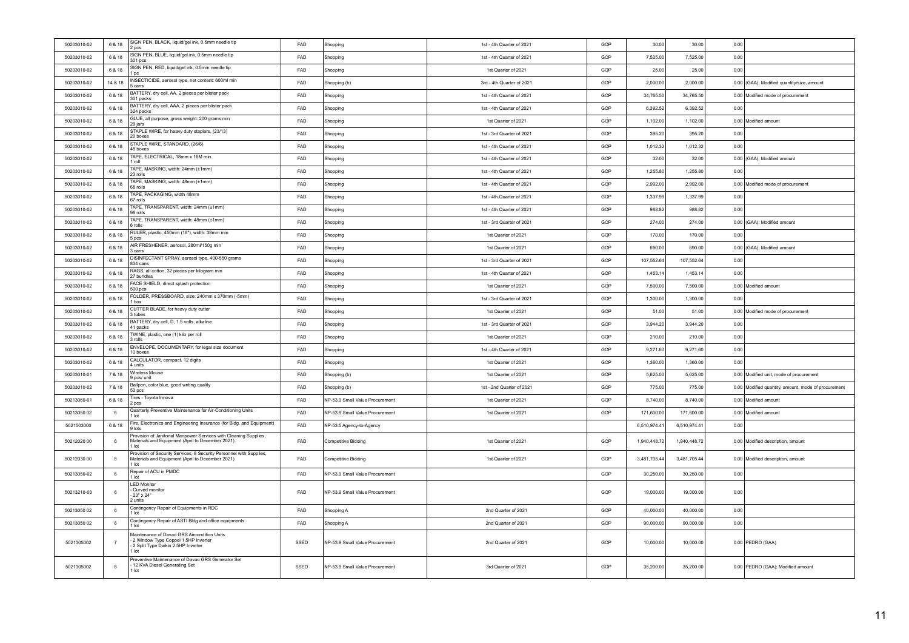| 50203010-02 | 6 & 18         | SIGN PEN, BLACK, liquid/gel ink, 0.5mm needle tip<br>2 pcs                                                                        | FAD        | Shopping                        | 1st - 4th Quarter of 2021 | GOP | 30.00        | 30.00        | 0.00 |                                                     |
|-------------|----------------|-----------------------------------------------------------------------------------------------------------------------------------|------------|---------------------------------|---------------------------|-----|--------------|--------------|------|-----------------------------------------------------|
| 50203010-02 | 6 & 18         | SIGN PEN, BLUE, liquid/gel ink, 0.5mm needle tip<br>301 pcs                                                                       | FAD        | Shopping                        | 1st - 4th Quarter of 2021 | GOP | 7,525.00     | 7,525.00     | 0.00 |                                                     |
| 50203010-02 | 6 & 18         | SIGN PEN, RED, liquid/gel ink, 0.5mm needle tip<br>l pc                                                                           | FAD        | Shopping                        | 1st Quarter of 2021       | GOP | 25.00        | 25.00        | 0.00 |                                                     |
| 50203010-02 | 14 & 18        | INSECTICIDE, aerosol type, net content: 600ml min<br>5 cans                                                                       | FAD        | Shopping (b)                    | 3rd - 4th Quarter of 2021 | GOP | 2,000.00     | 2,000.00     |      | 0.00 (GAA); Modified quantity/size, amount          |
| 50203010-02 | 6 & 18         | BATTERY, dry cell, AA, 2 pieces per blister pack<br>301 packs                                                                     | FAD        | Shopping                        | 1st - 4th Quarter of 2021 | GOP | 34,765.50    | 34,765.50    |      | 0.00 Modified mode of procurement                   |
| 50203010-02 | 6 & 18         | BATTERY, dry cell, AAA, 2 pieces per blister pack<br>324 packs                                                                    | FAD        | Shopping                        | 1st - 4th Quarter of 2021 | GOP | 6,392.52     | 6,392.52     | 0.00 |                                                     |
| 50203010-02 | 6 & 18         | GLUE, all purpose, gross weight: 200 grams min<br>29 jars                                                                         | FAD        | Shopping                        | 1st Quarter of 2021       | GOP | 1,102.00     | 1,102.00     |      | 0.00 Modified amount                                |
| 50203010-02 | 6 & 18         | STAPLE WIRE, for heavy duty staplers, (23/13)<br>20 boxes                                                                         | FAD        | Shopping                        | 1st - 3rd Quarter of 2021 | GOP | 395.20       | 395.20       | 0.00 |                                                     |
| 50203010-02 | 6 & 18         | STAPLE WIRE, STANDARD, (26/6)<br>48 boxes                                                                                         | FAD        | Shopping                        | 1st - 4th Quarter of 2021 | GOP | 1,012.32     | 1,012.32     | 0.00 |                                                     |
| 50203010-02 | 6 & 18         | TAPE, ELECTRICAL, 18mm x 16M min<br>I roll                                                                                        | FAD        | Shopping                        | 1st - 4th Quarter of 2021 | GOP | 32.00        | 32.00        |      | 0.00 (GAA); Modified amount                         |
| 50203010-02 | 6 & 18         | TAPE, MASKING, width: 24mm (±1mm)<br>23 rolls                                                                                     | FAD        | Shopping                        | 1st - 4th Quarter of 2021 | GOP | 1,255.80     | 1,255.80     | 0.00 |                                                     |
| 50203010-02 | 6 & 18         | TAPE, MASKING, width: 48mm (±1mm)<br>68 rolls                                                                                     | FAD        | Shopping                        | 1st - 4th Quarter of 2021 | GOP | 2,992.00     | 2,992.00     |      | 0.00 Modified mode of procurement                   |
| 50203010-02 | 6 & 18         | TAPE, PACKAGING, width 48mm<br>67 rolls                                                                                           | FAD        | Shopping                        | 1st - 4th Quarter of 2021 | GOP | 1,337.99     | 1,337.99     | 0.00 |                                                     |
| 50203010-02 | 6 & 18         | TAPE, TRANSPARENT, width: 24mm (±1mm)<br>98 rolls                                                                                 | FAD        | Shopping                        | 1st - 4th Quarter of 2021 | GOP | 988.82       | 988.82       | 0.00 |                                                     |
| 50203010-02 | 6 & 18         | TAPE, TRANSPARENT, width: 48mm (±1mm)<br>s rolls                                                                                  | FAD        | Shopping                        | 1st - 3rd Quarter of 2021 | GOP | 274.00       | 274.00       |      | 0.00 (GAA); Modified amount                         |
| 50203010-02 | 6 & 18         | RULER, plastic, 450mm (18"), width: 38mm min<br>b pcs                                                                             | FAD        | Shopping                        | 1st Quarter of 2021       | GOP | 170.00       | 170.00       | 0.00 |                                                     |
| 50203010-02 | 6 & 18         | AIR FRESHENER, aerosol, 280ml/150g min<br>3 cans                                                                                  | FAD        | Shopping                        | 1st Quarter of 2021       | GOP | 690.00       | 690.00       |      | 0.00 (GAA); Modified amount                         |
| 50203010-02 | 6 & 18         | DISINFECTANT SPRAY, aerosol type, 400-550 grams<br>834 cans                                                                       | FAD        | Shopping                        | 1st - 3rd Quarter of 2021 | GOP | 107,552.64   | 107,552.64   | 0.00 |                                                     |
| 50203010-02 | 6 & 18         | RAGS, all cotton, 32 pieces per kilogram min<br>27 bundles                                                                        | FAD        | Shopping                        | 1st - 4th Quarter of 2021 | GOP | 1,453.14     | 1,453.14     | 0.00 |                                                     |
| 50203010-02 | 6 & 18         | FACE SHIELD, direct splash protection<br>500 pcs                                                                                  | FAD        | Shopping                        | 1st Quarter of 2021       | GOP | 7,500.00     | 7,500.00     |      | 0.00 Modified amount                                |
| 50203010-02 | 6 & 18         | FOLDER, PRESSBOARD, size: 240mm x 370mm (-5mm)<br>box                                                                             | FAD        | Shopping                        | 1st - 3rd Quarter of 2021 | GOP | 1,300.00     | 1,300.00     | 0.00 |                                                     |
| 50203010-02 | 6 & 18         | CUTTER BLADE, for heavy duty cutter<br>tubes                                                                                      | FAD        | Shopping                        | 1st Quarter of 2021       | GOP | 51.00        | 51.00        |      | 0.00 Modified mode of procurement                   |
| 50203010-02 | 6 & 18         | BATTERY, dry cell, D, 1.5 volts, alkaline<br>41 packs                                                                             | FAD        | Shopping                        | 1st - 3rd Quarter of 2021 | GOP | 3,944.20     | 3,944.20     | 0.00 |                                                     |
| 50203010-02 | 6 & 18         | TWINE, plastic, one (1) kilo per roll<br>rolls                                                                                    | FAD        | Shopping                        | 1st Quarter of 2021       | GOF | 210.00       | 210.00       | 0.00 |                                                     |
| 50203010-02 | 6 & 18         | ENVELOPE, DOCUMENTARY, for legal size document<br>10 boxes                                                                        | FAD        | Shopping                        | 1st - 4th Quarter of 2021 | GOP | 9,271.60     | 9,271.60     | 0.00 |                                                     |
| 50203010-02 | 6 & 18         | CALCULATOR, compact, 12 digits<br>units                                                                                           | FAD        | Shopping                        | 1st Quarter of 2021       | GOP | 1,360.00     | 1,360.00     | 0.00 |                                                     |
| 50203010-01 | 7 & 18         | Wireless Mouse<br>ocs/unit                                                                                                        | FAD        | Shopping (b)                    | 1st Quarter of 2021       | GOP | 5.625.00     | 5.625.00     |      | 0.00 Modified unit, mode of procurement             |
| 50203010-02 | 7 & 18         | Ballpen, color blue, good writing quality<br>53 pcs                                                                               | FAD        | Shopping (b)                    | 1st - 2nd Quarter of 2021 | GOP | 775.00       | 775.00       |      | 0.00 Modified quantity, amount, mode of procurement |
| 50213060-01 | 6 & 18         | Fires - Toyota Innova<br>2 pcs                                                                                                    | FAD        | NP-53.9 Small Value Procurement | 1st Quarter of 2021       | GOP | 8,740.00     | 8,740.00     |      | 0.00 Modified amount                                |
| 50213050.02 | 6              | Quarterly Preventive Maintenance for Air-Conditioning Units<br>lot                                                                | <b>FAD</b> | NP-53.9 Small Value Procurement | 1st Quarter of 2021       | GOP | 171,600.00   | 171,600.00   |      | 0.00 Modified amount                                |
| 5021503000  | 6 & 18         | Fire, Electronics and Engineering Insurance (for Bldg. and Equipment)<br>9 lots                                                   | FAD        | NP-53.5 Agency-to-Agency        |                           |     | 6.510.974.41 | 6.510.974.41 | 0.00 |                                                     |
| 50212020 00 | 6              | Provision of Janitorial Manpower Services with Cleaning Supplies,<br>Materials and Equipment (April to December 2021)<br>1 lot    | FAD        | Competitive Bidding             | 1st Quarter of 2021       | GOP | 1,940,448.72 | 1,940,448.72 |      | 0.00 Modified description, amount                   |
| 50212030 00 | 6              | Provision of Security Services, 8 Security Personnel with Supplies,<br>Materials and Equipment (April to December 2021)<br>1 lot  | FAD        | Competitive Bidding             | 1st Quarter of 2021       | GOP | 3,481,705.44 | 3.481.705.44 |      | 0.00 Modified description, amount                   |
| 50213050-02 | 6              | Repair of ACU in PMDC<br>I lot                                                                                                    | FAD        | NP-53.9 Small Value Procurement |                           | GOP | 30,250.00    | 30,250.00    | 0.00 |                                                     |
| 50213210-03 | 6              | <b>LED Monitor</b><br>Curved monitor<br>- 23" x 24"<br>2 units                                                                    | FAD        | NP-53.9 Small Value Procurement |                           | GOP | 19,000.00    | 19,000.00    | 0.00 |                                                     |
| 50213050 02 | 6              | Contingency Repair of Equipments in RDC<br>l lot                                                                                  | FAD        | Shopping A                      | 2nd Quarter of 2021       | GOP | 40,000.00    | 40,000.00    | 0.00 |                                                     |
| 50213050 02 | 6              | Contingency Repair of ASTI Bldg and office equipments<br>1 lot                                                                    | FAD        | Shopping A                      | 2nd Quarter of 2021       | GOP | 90,000.00    | 90,000.00    | 0.00 |                                                     |
| 5021305002  | $\overline{7}$ | Maintenance of Davao GRS Aircondition Units<br>2 Window Type Coppel 1.5HP Inverter<br>2 Split Type Daikin 2.5HP Inverter<br>1 Int | SSED       | NP-53.9 Small Value Procurement | 2nd Quarter of 2021       | GOP | 10,000.00    | 10,000.00    |      | 0.00 PEDRO (GAA)                                    |
| 5021305002  | 8              | Preventive Maintenance of Davao GRS Generator Set<br>12 KVA Diesel Generating Set<br>I lot                                        | SSED       | NP-53.9 Small Value Procurement | 3rd Quarter of 2021       | GOP | 35 200 00    | 35 200 00    |      | 0.00 PEDRO (GAA); Modified amount                   |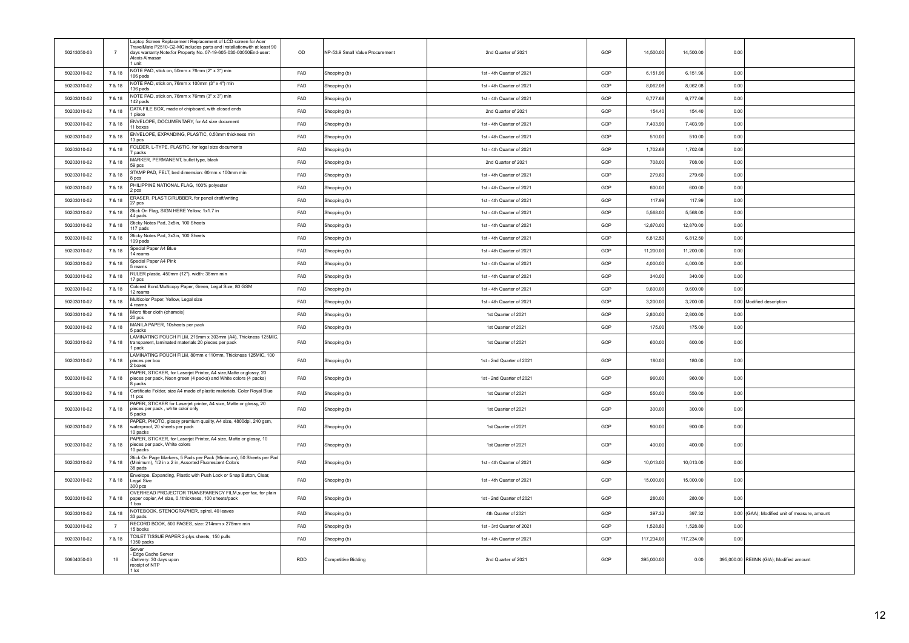| 50213050-03 | $\overline{7}$ | Laptop Screen Replacement Replacement of LCD screen for Acer<br>TravelMate P2510-G2-MGincludes parts and installationwith at least 90<br>days warranty.Note:for Property No. 07-19-605-030-00050End-user:<br>Alexis Almasan<br>1 unit | OD         | NP-53.9 Small Value Procurement | 2nd Quarter of 2021       | GOP | 14,500.00  | 14,500.00  | 0.00 |                                              |
|-------------|----------------|---------------------------------------------------------------------------------------------------------------------------------------------------------------------------------------------------------------------------------------|------------|---------------------------------|---------------------------|-----|------------|------------|------|----------------------------------------------|
| 50203010-02 | 7 & 18         | NOTE PAD, stick on, 50mm x 76mm (2" x 3") min<br>166 pads                                                                                                                                                                             | FAD        | Shopping (b)                    | 1st - 4th Quarter of 2021 | GOP | 6,151.96   | 6,151.96   | 0.00 |                                              |
| 50203010-02 | 7 & 18         | NOTE PAD, stick on, 76mm x 100mm (3" x 4") min<br>136 pads                                                                                                                                                                            | FAD        | Shopping (b)                    | 1st - 4th Quarter of 2021 | GOP | 8,062.08   | 8,062.08   | 0.00 |                                              |
| 50203010-02 | 7 & 18         | NOTE PAD, stick on, 76mm x 76mm (3" x 3") min<br>142 pads                                                                                                                                                                             | <b>FAD</b> | Shopping (b)                    | 1st - 4th Quarter of 2021 | GOP | 6,777.66   | 6,777.66   | 0.00 |                                              |
| 50203010-02 | 7 & 18         | DATA FILE BOX, made of chipboard, with closed ends<br>I piece                                                                                                                                                                         | <b>FAD</b> | Shopping (b)                    | 2nd Quarter of 2021       | GOP | 154.40     | 154.40     | 0.00 |                                              |
| 50203010-02 | 7 & 18         | ENVELOPE, DOCUMENTARY, for A4 size document<br>11 boxes                                                                                                                                                                               | <b>FAD</b> | Shopping (b)                    | 1st - 4th Quarter of 2021 | GOP | 7,403.99   | 7,403.99   | 0.00 |                                              |
| 50203010-02 | 7 & 18         | ENVELOPE, EXPANDING, PLASTIC, 0.50mm thickness min<br>13 pcs                                                                                                                                                                          | FAD        | Shopping (b)                    | 1st - 4th Quarter of 2021 | GOP | 510.00     | 510.00     | 0.00 |                                              |
| 50203010-02 | 7 & 18         | FOLDER, L-TYPE, PLASTIC, for legal size documents<br>7 nacks                                                                                                                                                                          | FAD        | Shopping (b)                    | 1st - 4th Quarter of 2021 | GOP | 1.702.68   | 1.702.68   | 0.00 |                                              |
| 50203010-02 | 7 & 18         | MARKER, PERMANENT, bullet type, black<br>59 pcs                                                                                                                                                                                       | FAD        | Shopping (b)                    | 2nd Quarter of 2021       | GOP | 708.00     | 708.00     | 0.00 |                                              |
| 50203010-02 | 7 & 18         | STAMP PAD, FELT, bed dimension: 60mm x 100mm min<br>B pcs                                                                                                                                                                             | FAD        | Shopping (b)                    | 1st - 4th Quarter of 2021 | GOP | 279.60     | 279.60     | 0.00 |                                              |
| 50203010-02 | 7 & 18         | PHILIPPINE NATIONAL FLAG, 100% polyester<br>2 pcs                                                                                                                                                                                     | FAD        | Shopping (b)                    | 1st - 4th Quarter of 2021 | GOP | 600.00     | 600.00     | 0.00 |                                              |
| 50203010-02 | 7 & 18         | ERASER, PLASTIC/RUBBER, for pencil draft/writing<br>27 pcs                                                                                                                                                                            | FAD        | Shopping (b)                    | 1st - 4th Quarter of 2021 | GOP | 117.99     | 117.99     | 0.00 |                                              |
| 50203010-02 | 7 & 18         | Stick On Flag, SIGN HERE Yellow, 1x1.7 in<br>44 pads                                                                                                                                                                                  | FAD        | Shopping (b)                    | 1st - 4th Quarter of 2021 | GOP | 5,568.00   | 5,568.00   | 0.00 |                                              |
| 50203010-02 | 7 & 18         | Sticky Notes Pad, 3x5in, 100 Sheets<br>117 pads                                                                                                                                                                                       | FAD        | Shopping (b)                    | 1st - 4th Quarter of 2021 | GOP | 12,870.00  | 12,870.00  | 0.00 |                                              |
| 50203010-02 | 7 & 18         | Sticky Notes Pad, 3x3in, 100 Sheets<br>109 pads                                                                                                                                                                                       | FAD        | Shopping (b)                    | 1st - 4th Quarter of 2021 | GOP | 6,812.50   | 6,812.50   | 0.00 |                                              |
| 50203010-02 | 7 & 18         | Special Paper A4 Blue<br>14 reams                                                                                                                                                                                                     | FAD        | Shopping (b)                    | 1st - 4th Quarter of 2021 | GOP | 11,200.00  | 11,200.00  | 0.00 |                                              |
| 50203010-02 | 7 & 18         | Special Paper A4 Pink<br>freams                                                                                                                                                                                                       | FAD        | Shopping (b)                    | 1st - 4th Quarter of 2021 | GOP | 4,000.00   | 4,000.00   | 0.00 |                                              |
| 50203010-02 | 7 & 18         | RULER plastic, 450mm (12"), width: 38mm min<br>17 pcs                                                                                                                                                                                 | <b>FAD</b> | Shopping (b)                    | 1st - 4th Quarter of 2021 | GOP | 340.00     | 340.00     | 0.00 |                                              |
| 50203010-02 | 7 & 18         | Colored Bond/Multicopy Paper, Green, Legal Size, 80 GSM<br>12 reams                                                                                                                                                                   | <b>FAD</b> | Shopping (b)                    | 1st - 4th Quarter of 2021 | GOP | 9,600.00   | 9.600.00   | 0.00 |                                              |
| 50203010-02 | 7 & 18         | Multicolor Paper, Yellow, Legal size<br>4 reams                                                                                                                                                                                       | FAD        | Shopping (b)                    | 1st - 4th Quarter of 2021 | GOP | 3,200.00   | 3,200.00   |      | 0.00 Modified description                    |
| 50203010-02 | 7 & 18         | Micro fiber cloth (chamois)<br>20 pcs                                                                                                                                                                                                 | FAD        | Shopping (b)                    | 1st Quarter of 2021       | GOP | 2,800.00   | 2.800.00   | 0.00 |                                              |
| 50203010-02 | 7 & 18         | MANILA PAPER, 10sheets per pack<br>5 packs                                                                                                                                                                                            | FAD        | Shopping (b)                    | 1st Quarter of 2021       | GOP | 175.00     | 175.00     | 0.00 |                                              |
| 50203010-02 | 7 & 18         | LAMINATING POUCH FILM, 216mm x 303mm (A4), Thickness 125MIC,<br>transparent, laminated materials 20 pieces per pack<br>1 pack                                                                                                         | FAD        | Shopping (b)                    | 1st Quarter of 2021       | GOP | 600.00     | 600.00     | 0.00 |                                              |
| 50203010-02 | 7 & 18         | LAMINATING POUCH FILM, 80mm x 110mm, Thickness 125MIC, 100<br>pieces per box<br>2 boxes                                                                                                                                               | <b>FAD</b> | Shopping (b)                    | 1st - 2nd Quarter of 2021 | GOP | 180.00     | 180.00     | 0.00 |                                              |
| 50203010-02 | 7 & 18         | PAPER, STICKER, for Laserjet Printer, A4 size, Matte or glossy, 20<br>pieces per pack, Neon green (4 packs) and White colors (4 packs)<br>8 packs                                                                                     | FAD        | Shopping (b)                    | 1st - 2nd Quarter of 2021 | GOP | 960.00     | 960.00     | 0.00 |                                              |
| 50203010-02 | 7 & 18         | Certificate Folder, size A4 made of plastic materials. Color Royal Blue<br>11 pcs                                                                                                                                                     | FAD        | Shopping (b)                    | 1st Quarter of 2021       | GOP | 550.00     | 550.00     | 0.00 |                                              |
| 50203010-02 | 7 & 18         | PAPER, STICKER for Laserjet printer, A4 size, Matte or glossy, 20<br>pieces per pack, white color only<br>5 packs                                                                                                                     | FAD        | Shopping (b)                    | 1st Quarter of 2021       | GOP | 300.00     | 300.00     | 0.00 |                                              |
| 50203010-02 | 7 & 18         | PAPER, PHOTO, glossy premium quality, A4 size, 4800dpi, 240 gsm,<br>waterproof, 20 sheets per pack<br>10 packs                                                                                                                        | <b>FAD</b> | Shopping (b)                    | 1st Quarter of 2021       | GOP | 900.00     | 900.00     | 0.00 |                                              |
| 50203010-02 | 7 & 18         | PAPER, STICKER, for Laserjet Printer, A4 size, Matte or glossy, 10<br>pieces per pack, White colors<br>10 packs                                                                                                                       | FAD        | Shopping (b)                    | 1st Quarter of 2021       | GOP | 400.00     | 400.00     | 0.00 |                                              |
| 50203010-02 | 7 & 18         | Stick On Page Markers, 5 Pads per Pack (Minimum), 50 Sheets per Pad<br>(Minimum), 1/2 in x 2 in, Assorted Fluorescent Colors<br>38 pads                                                                                               | FAD        | Shopping (b)                    | 1st - 4th Quarter of 2021 | GOP | 10,013.00  | 10,013.00  | 0.00 |                                              |
| 50203010-02 | 7 & 18         | Envelope, Expanding, Plastic with Push Lock or Snap Button, Clear,<br>Legal Size<br>$300$ pcs                                                                                                                                         | <b>FAD</b> | Shopping (b)                    | 1st - 4th Quarter of 2021 | GOP | 15,000.00  | 15,000.00  | 0.00 |                                              |
| 50203010-02 | 7 & 18         | OVERHEAD PROJECTOR TRANSPARENCY FILM, super fax, for plain<br>paper copier, A4 size, 0.1thickness, 100 sheets/pack<br>box                                                                                                             | <b>FAD</b> | Shopping (b)                    | 1st - 2nd Quarter of 2021 | GOP | 280.00     | 280.00     | 0.00 |                                              |
| 50203010-02 | $7-8.18$       | NOTEBOOK, STENOGRAPHER, spiral, 40 leaves<br>33 pads                                                                                                                                                                                  | FAD        | Shopping (b)                    | 4th Quarter of 2021       | GOP | 397.32     | 397.32     |      | 0.00 (GAA); Modified unit of measure, amount |
| 50203010-02 | $\overline{7}$ | RECORD BOOK, 500 PAGES, size: 214mm x 278mm min<br>15 books                                                                                                                                                                           | FAD        | Shopping (b)                    | 1st - 3rd Quarter of 2021 | GOP | 1,528.80   | 1,528.80   | 0.00 |                                              |
| 50203010-02 | 7 & 18         | TOILET TISSUE PAPER 2-plys sheets, 150 pulls<br>1350 packs                                                                                                                                                                            | FAD        | Shopping (b)                    | 1st - 4th Quarter of 2021 | GOP | 117,234.00 | 117,234.00 | 0.00 |                                              |
| 50604050-03 | 16             | Server<br>Edge Cache Server<br>-Delivery: 30 days upon<br>receipt of NTP<br>1 lot                                                                                                                                                     | RDD        | <b>Competitive Bidding</b>      | 2nd Quarter of 2021       | GOP | 395,000.00 | 0.00       |      | 395,000.00 REIINN (GIA); Modified amount     |
|             |                |                                                                                                                                                                                                                                       |            |                                 |                           |     |            |            |      |                                              |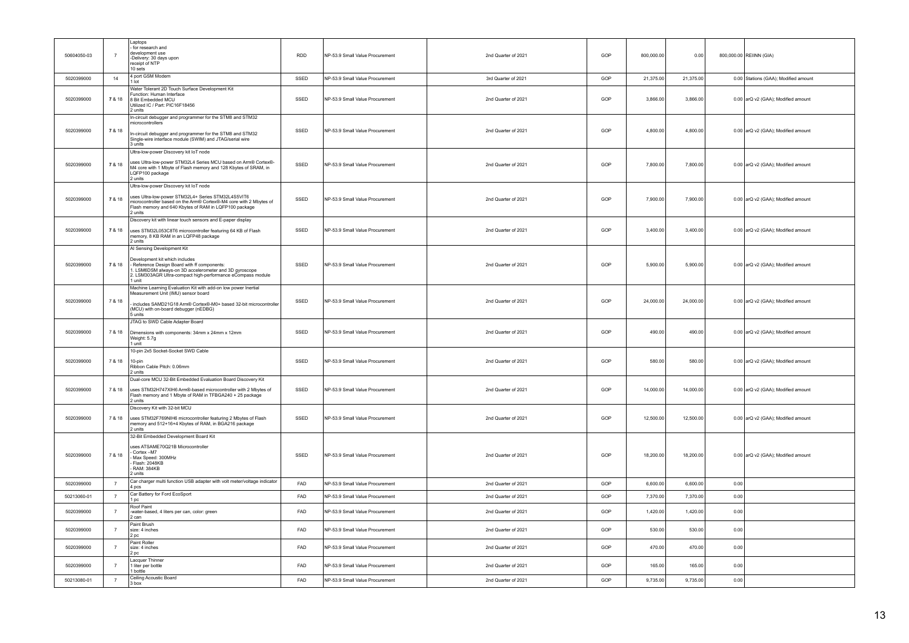| 50604050-03 | $\overline{7}$    | Laptops<br>for research and<br>development use<br>-Delivery: 30 days upon<br>receipt of NTP<br>10 sets                                                                                                                                        | <b>RDD</b> | NP-53.9 Small Value Procurement | 2nd Quarter of 2021 | GOP | 800,000.00 | 0.00      |      | 800,000.00 REIINN (GIA)              |
|-------------|-------------------|-----------------------------------------------------------------------------------------------------------------------------------------------------------------------------------------------------------------------------------------------|------------|---------------------------------|---------------------|-----|------------|-----------|------|--------------------------------------|
| 5020399000  | 14                | 4 port GSM Modem<br>1 lot                                                                                                                                                                                                                     | SSED       | NP-53.9 Small Value Procurement | 3rd Quarter of 2021 | GOP | 21,375.00  | 21,375.00 |      | 0.00 Stations (GAA); Modified amount |
| 5020399000  | 7 & 18            | Water Tolerant 2D Touch Surface Development Kit<br>Function: Human Interface<br>8 Bit Embedded MCU<br>Utilized IC / Part: PIC16F18456<br>2 units                                                                                              | SSED       | NP-53.9 Small Value Procurement | 2nd Quarter of 2021 | GOP | 3,866.00   | 3,866.00  |      | 0.00 arQ v2 (GAA); Modified amount   |
| 5020399000  | 7 & 18            | In-circuit debugger and programmer for the STM8 and STM32<br>microcontrollers<br>In-circuit debugger and programmer for the STM8 and STM32<br>Single-wire interface module (SWIM) and JTAG/serial wire<br>3 units                             | SSED       | NP-53.9 Small Value Procurement | 2nd Quarter of 2021 | GOP | 4,800.00   | 4,800.00  |      | 0.00 arQ v2 (GAA); Modified amount   |
| 5020399000  | 7 & 18            | Ultra-low-power Discovery kit loT node<br>uses Ultra-low-power STM32L4 Series MCU based on Arm® Cortex®-<br>M4 core with 1 Mbyte of Flash memory and 128 Kbytes of SRAM, in<br>LQFP100 package<br>2 units                                     | SSED       | NP-53.9 Small Value Procurement | 2nd Quarter of 2021 | GOP | 7,800.00   | 7,800.00  |      | 0.00 arQ v2 (GAA); Modified amount   |
| 5020399000  | 7 & 18            | Ultra-low-power Discovery kit loT node<br>uses Ultra-low-power STM32L4+ Series STM32L4S5VIT6<br>microcontroller based on the Arm® Cortex®-M4 core with 2 Mbytes of<br>Flash memory and 640 Kbytes of RAM in LQFP100 package<br>2 units        | SSED       | NP-53.9 Small Value Procurement | 2nd Quarter of 2021 | GOP | 7,900.00   | 7,900.00  |      | 0.00 arQ v2 (GAA); Modified amount   |
| 5020399000  | 7 & 18            | Discovery kit with linear touch sensors and E-paper display<br>uses STM32L053C8T6 microcontroller featuring 64 KB of Flash<br>memory, 8 KB RAM in an LQFP48 package<br>2 units                                                                | SSED       | NP-53.9 Small Value Procurement | 2nd Quarter of 2021 | GOP | 3,400.00   | 3,400.00  |      | 0.00 arQ v2 (GAA); Modified amount   |
| 5020399000  | 7 & 18            | Al Sensing Development Kit<br>Development kit which includes<br>Reference Design Board with ff components:<br>1. LSM6DSM always-on 3D accelerometer and 3D gyroscope<br>2. LSM303AGR Ultra-compact high-performance eCompass module<br>1 unit | SSED       | NP-53.9 Small Value Procurement | 2nd Quarter of 2021 | GOP | 5,900.00   | 5,900.00  |      | 0.00 arQ v2 (GAA); Modified amount   |
| 5020399000  | 7 & 18            | Machine Learning Evaluation Kit with add-on low power Inertial<br>Measurement Unit (IMU) sensor board<br>includes SAMD21G18 Arm® Cortex®-M0+ based 32-bit microcontroller<br>(MCU) with on-board debugger (nEDBG)<br>5 units                  | SSED       | NP-53.9 Small Value Procurement | 2nd Quarter of 2021 | GOP | 24,000.00  | 24,000.00 |      | 0.00 arQ v2 (GAA); Modified amount   |
| 5020399000  | 7 & 18            | JTAG to SWD Cable Adapter Board<br>Dimensions with components: 34mm x 24mm x 12mm<br>Weight: 5.7g<br>1 unit                                                                                                                                   | SSED       | NP-53.9 Small Value Procurement | 2nd Quarter of 2021 | GOP | 490.00     | 490.00    |      | 0.00 arQ v2 (GAA); Modified amount   |
| 5020399000  | 7 & 18            | 10-pin 2x5 Socket-Socket SWD Cable<br>$10-$ nin<br>Ribbon Cable Pitch: 0.06mm<br>2 units                                                                                                                                                      | SSED       | NP-53.9 Small Value Procurement | 2nd Quarter of 2021 | GOP | 580.00     | 580.00    |      | 0.00 arQ v2 (GAA); Modified amount   |
| 5020399000  | 7 & 18            | Dual-core MCU 32-Bit Embedded Evaluation Board Discovery Kit<br>uses STM32H747XIH6 Arm®-based microcontroller with 2 Mbytes of<br>Flash memory and 1 Mbyte of RAM in TFBGA240 + 25 package<br>2 units                                         | SSED       | NP-53.9 Small Value Procurement | 2nd Quarter of 2021 | GOP | 14,000.00  | 14,000.00 |      | 0.00 arQ v2 (GAA); Modified amount   |
| 5020399000  | 7 & 18            | Discovery Kit with 32-bit MCU<br>uses STM32F769NIH6 microcontroller featuring 2 Mbytes of Flash<br>memory and 512+16+4 Kbytes of RAM, in BGA216 package<br>2 units                                                                            | SSED       | NP-53.9 Small Value Procurement | 2nd Quarter of 2021 | GOP | 12,500.00  | 12,500.00 |      | 0.00 arQ v2 (GAA); Modified amount   |
| 5020399000  | 7 & 18            | 32-Bit Embedded Development Board Kit<br>uses ATSAME70Q21B Microcontroller<br>Cortex -M7<br>Max Speed: 300MHz<br>Flash: 2048KB<br>RAM: 384KB<br>2 units                                                                                       | SSED       | NP-53.9 Small Value Procurement | 2nd Quarter of 2021 | GOP | 18,200.00  | 18,200.00 |      | 0.00 arQ v2 (GAA); Modified amount   |
| 5020399000  | $\scriptstyle{7}$ | Car charger multi function USB adapter with volt meter/voltage indicator<br>4 pcs                                                                                                                                                             | FAD        | NP-53.9 Small Value Procurement | 2nd Quarter of 2021 | GOP | 6,600.00   | 6,600.00  | 0.00 |                                      |
| 50213060-01 | $\overline{7}$    | Car Battery for Ford EcoSport<br>1 pc                                                                                                                                                                                                         | FAD        | NP-53.9 Small Value Procurement | 2nd Quarter of 2021 | GOP | 7,370.00   | 7,370.00  | 0.00 |                                      |
| 5020399000  | $\overline{7}$    | Roof Paint<br>-water-based, 4 liters per can, color: green<br>2 can                                                                                                                                                                           | FAD        | NP-53.9 Small Value Procurement | 2nd Quarter of 2021 | GOP | 1,420.00   | 1,420.00  | 0.00 |                                      |
| 5020399000  | $\overline{7}$    | Paint Brush<br>size: 4 inches<br>2 pc                                                                                                                                                                                                         | FAD        | NP-53.9 Small Value Procurement | 2nd Quarter of 2021 | GOP | 530.00     | 530.00    | 0.00 |                                      |
| 5020399000  | $\overline{7}$    | Paint Roller<br>size: 4 inches<br>2 pc                                                                                                                                                                                                        | FAD        | NP-53.9 Small Value Procurement | 2nd Quarter of 2021 | GOP | 470.00     | 470.00    | 0.00 |                                      |
| 5020399000  | $\overline{7}$    | Lacquer Thinner<br>1 liter per bottle<br>1 bottle                                                                                                                                                                                             | FAD        | NP-53.9 Small Value Procurement | 2nd Quarter of 2021 | GOP | 165.00     | 165.00    | 0.00 |                                      |
| 50213080-01 | $\overline{7}$    | Ceiling Acoustic Board<br>3 box                                                                                                                                                                                                               | FAD        | NP-53.9 Small Value Procurement | 2nd Quarter of 2021 | GOP | 9,735.00   | 9,735.00  | 0.00 |                                      |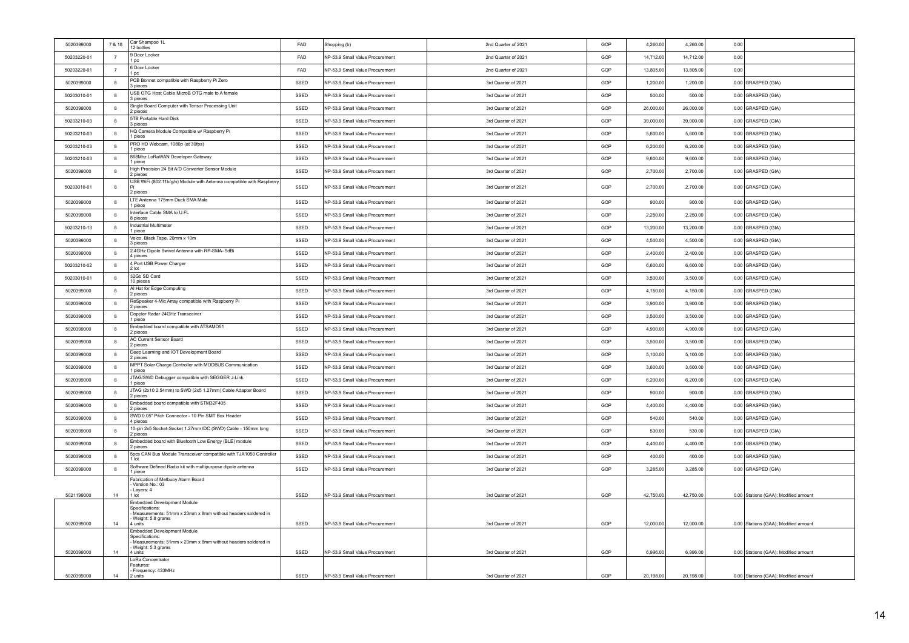| 5020399000  | 7 & 18         | Car Shampoo 1L<br>12 bottles                                                                                  | FAD  | Shopping (b)                    | 2nd Quarter of 2021 | GOP | 4,260.00  | 4,260.00  | 0.00 |                                      |
|-------------|----------------|---------------------------------------------------------------------------------------------------------------|------|---------------------------------|---------------------|-----|-----------|-----------|------|--------------------------------------|
| 50203220-01 | $\overline{7}$ | <b>Door Locker</b><br>l pc.                                                                                   | FAD  | NP-53.9 Small Value Procurement | 2nd Quarter of 2021 | GOP | 14,712.00 | 14,712.00 | 0.00 |                                      |
| 50203220-01 | $\overline{7}$ | 6 Door Locker<br>l pc                                                                                         | FAD  | NP-53.9 Small Value Procurement | 2nd Quarter of 2021 | GOP | 13,805.00 | 13,805.00 | 0.00 |                                      |
| 5020399000  | 8              | PCB Bonnet compatible with Raspberry Pi Zero<br>3 pieces                                                      | SSED | NP-53.9 Small Value Procurement | 3rd Quarter of 2021 | GOP | 1.200.00  | 1,200.00  |      | 0.00 GRASPED (GIA)                   |
| 50203010-01 | 8              | USB OTG Host Cable MicroB OTG male to A female<br>3 pieces                                                    | SSED | NP-53.9 Small Value Procurement | 3rd Quarter of 2021 | GOP | 500.00    | 500.00    |      | 0.00 GRASPED (GIA)                   |
| 5020399000  | 8              | Single Board Computer with Tensor Processing Unit<br>2 pieces                                                 | SSED | NP-53.9 Small Value Procurement | 3rd Quarter of 2021 | GOP | 26,000.00 | 26,000.00 |      | 0.00 GRASPED (GIA)                   |
| 50203210-03 | 8              | 5TB Portable Hard Disk<br>3 pieces                                                                            | SSED | NP-53.9 Small Value Procurement | 3rd Quarter of 2021 | GOP | 39,000.00 | 39,000.00 |      | 0.00 GRASPED (GIA)                   |
| 50203210-03 | 8              | HQ Camera Module Compatible w/ Raspberry Pi<br>1 piece                                                        | SSED | NP-53.9 Small Value Procurement | 3rd Quarter of 2021 | GOP | 5,600.00  | 5,600.00  |      | 0.00 GRASPED (GIA)                   |
| 50203210-03 | 8              | PRO HD Webcam, 1080p (at 30fps)<br>1 piece                                                                    | SSED | NP-53.9 Small Value Procurement | 3rd Quarter of 2021 | GOP | 6.200.00  | 6.200.00  |      | 0.00 GRASPED (GIA)                   |
| 50203210-03 | 8              | 868Mhz LoRaWAN Developer Gateway<br>1 piece                                                                   | SSED | NP-53.9 Small Value Procurement | 3rd Quarter of 2021 | GOP | 9,600.00  | 9,600.00  |      | 0.00 GRASPED (GIA)                   |
| 5020399000  | 8              | High Precision 24 Bit A/D Converter Sensor Module<br>2 pieces                                                 | SSED | NP-53.9 Small Value Procurement | 3rd Quarter of 2021 | GOP | 2.700.00  | 2,700.00  |      | 0.00 GRASPED (GIA)                   |
| 50203010-01 | 8              | USB WiFi (802.11b/g/n) Module with Antenna compatible with Raspberry<br>2 pieces                              | SSED | NP-53.9 Small Value Procurement | 3rd Quarter of 2021 | GOP | 2,700.00  | 2,700.00  |      | 0.00 GRASPED (GIA)                   |
| 5020399000  | 8              | LTE Antenna 175mm Duck SMA Male<br>1 piece                                                                    | SSED | NP-53.9 Small Value Procurement | 3rd Quarter of 2021 | GOP | 900.00    | 900.00    |      | 0.00 GRASPED (GIA)                   |
| 5020399000  | 8              | Interface Cable SMA to U.FL<br>8 pieces                                                                       | SSED | NP-53.9 Small Value Procurement | 3rd Quarter of 2021 | GOP | 2,250.00  | 2,250.00  |      | 0.00 GRASPED (GIA)                   |
| 50203210-13 | 8              | <b>Industrial Multimeter</b><br>1 piece                                                                       | SSED | NP-53.9 Small Value Procurement | 3rd Quarter of 2021 | GOP | 13,200.00 | 13,200.00 |      | 0.00 GRASPED (GIA)                   |
| 5020399000  | 8              | Velco, Black Tape, 20mm x 10m<br>3 pieces                                                                     | SSED | NP-53.9 Small Value Procurement | 3rd Quarter of 2021 | GOP | 4.500.00  | 4,500.00  |      | 0.00 GRASPED (GIA)                   |
| 5020399000  | 8              | 2.4GHz Dipole Swivel Antenna with RP-SMA- 5dBi<br>4 pieces                                                    | SSED | NP-53.9 Small Value Procurement | 3rd Quarter of 2021 | GOP | 2,400.00  | 2,400.00  |      | 0.00 GRASPED (GIA)                   |
| 50203210-02 | 8              | 4 Port USB Power Charger<br>2 lot                                                                             | SSED | NP-53.9 Small Value Procurement | 3rd Quarter of 2021 | GOP | 6,600.00  | 6,600.00  |      | 0.00 GRASPED (GIA)                   |
| 50203010-01 | 8              | 32Gb SD Card<br>10 pieces                                                                                     | SSED | NP-53.9 Small Value Procurement | 3rd Quarter of 2021 | GOP | 3,500.00  | 3.500.00  |      | 0.00 GRASPED (GIA)                   |
| 5020399000  | 8              | AI Hat for Edge Computing<br>2 pieces                                                                         | SSED | NP-53.9 Small Value Procurement | 3rd Quarter of 2021 | GOP | 4,150.00  | 4,150.00  |      | 0.00 GRASPED (GIA)                   |
| 5020399000  | 8              | ReSpeaker 4-Mic Array compatible with Raspberry Pi<br>2 pieces                                                | SSED | NP-53.9 Small Value Procurement | 3rd Quarter of 2021 | GOP | 3,900.00  | 3,900.00  |      | 0.00 GRASPED (GIA)                   |
| 5020399000  | 8              | Doppler Radar 24GHz Transceiver<br>1 piece                                                                    | SSED | NP-53.9 Small Value Procurement | 3rd Quarter of 2021 | GOP | 3,500.00  | 3,500.00  |      | 0.00 GRASPED (GIA)                   |
| 5020399000  | 8              | Embedded board compatible with ATSAMD51<br>2 pieces                                                           | SSED | NP-53.9 Small Value Procurement | 3rd Quarter of 2021 | GOP | 4,900.00  | 4,900.00  |      | 0.00 GRASPED (GIA)                   |
| 5020399000  | 8              | AC Current Sensor Board<br>2 pieces                                                                           | SSED | NP-53.9 Small Value Procurement | 3rd Quarter of 2021 | GOP | 3,500.00  | 3,500.00  |      | 0.00 GRASPED (GIA)                   |
| 5020399000  | 8              | Deep Learning and IOT Development Board<br>2 pieces                                                           | SSED | NP-53.9 Small Value Procurement | 3rd Quarter of 2021 | GOP | 5,100.00  | 5,100.00  |      | 0.00 GRASPED (GIA)                   |
| 5020399000  | 8              | MPPT Solar Charge Controller with MODBUS Communication<br>1 piece                                             | SSED | NP-53.9 Small Value Procurement | 3rd Quarter of 2021 | GOP | 3,600.00  | 3,600.00  |      | 0.00 GRASPED (GIA)                   |
| 5020399000  | 8              | JTAG/SWD Debugger compatible with SEGGER J-Link<br>1 piece                                                    | SSED | NP-53.9 Small Value Procurement | 3rd Quarter of 2021 | GOP | 6,200.00  | 6,200.00  |      | 0.00 GRASPED (GIA)                   |
| 5020399000  | 8              | JTAG (2x10 2.54mm) to SWD (2x5 1.27mm) Cable Adapter Board<br>2 pieces                                        | SSED | NP-53.9 Small Value Procurement | 3rd Quarter of 2021 | GOP | 900.00    | 900.00    |      | 0.00 GRASPED (GIA)                   |
| 5020399000  | 8              | Embedded board compatible with STM32F405<br>2 pieces                                                          | SSED | NP-53.9 Small Value Procurement | 3rd Quarter of 2021 | GOP | 4,400.00  | 4,400.00  |      | 0.00 GRASPED (GIA)                   |
| 5020399000  | 8              | SWD 0.05" Pitch Connector - 10 Pin SMT Box Header<br>4 pieces                                                 | SSED | NP-53.9 Small Value Procurement | 3rd Quarter of 2021 | GOP | 540.00    | 540.00    |      | 0.00 GRASPED (GIA)                   |
| 5020399000  | 8              | 10-pin 2x5 Socket-Socket 1.27mm IDC (SWD) Cable - 150mm long<br>2 pieces                                      | SSED | NP-53.9 Small Value Procurement | 3rd Quarter of 2021 | GOP | 530.00    | 530.00    |      | 0.00 GRASPED (GIA)                   |
| 5020399000  | 8              | Embedded board with Bluetooth Low Energy (BLE) module<br>2 pieces                                             | SSED | NP-53.9 Small Value Procurement | 3rd Quarter of 2021 | GOP | 4,400.00  | 4,400.00  |      | 0.00 GRASPED (GIA)                   |
| 5020399000  | 8              | 5pcs CAN Bus Module Transceiver compatible with TJA1050 Controller<br>1 lot                                   | SSED | NP-53.9 Small Value Procurement | 3rd Quarter of 2021 | GOP | 400.00    | 400.00    |      | 0.00 GRASPED (GIA)                   |
| 5020399000  | 8              | Software Defined Radio kit with multipurpose dipole antenna<br>1 piece                                        | SSED | NP-53.9 Small Value Procurement | 3rd Quarter of 2021 | GOP | 3,285.00  | 3,285.00  |      | 0.00 GRASPED (GIA)                   |
|             |                | Fabrication of Metbuoy Alarm Board<br>Version No.: 03                                                         |      |                                 |                     |     |           |           |      |                                      |
| 5021199000  | 14             | Layers: 4<br>1 lot                                                                                            | SSED | NP-53.9 Small Value Procurement | 3rd Quarter of 2021 | GOP | 42,750.00 | 42,750.00 |      | 0.00 Stations (GAA); Modified amount |
|             |                | Embedded Development Module<br>Specifications:<br>Measurements: 51mm x 23mm x 8mm without headers soldered in |      |                                 |                     |     |           |           |      |                                      |
| 5020399000  | 14             | Weight: 5.8 grams<br>4 units                                                                                  | SSED | NP-53.9 Small Value Procurement | 3rd Quarter of 2021 | GOP | 12,000.00 | 12,000.00 |      | 0.00 Stations (GAA); Modified amount |
|             |                | <b>Embedded Development Module</b><br>Specifications:                                                         |      |                                 |                     |     |           |           |      |                                      |
| 5020399000  | 14             | Measurements: 51mm x 23mm x 8mm without headers soldered in<br>Weight: 5.3 grams<br>4 units                   | SSED | NP-53.9 Small Value Procurement | 3rd Quarter of 2021 | GOP | 6,996.00  | 6,996.00  |      | 0.00 Stations (GAA); Modified amount |
|             |                | LoRa Concentrator                                                                                             |      |                                 |                     |     |           |           |      |                                      |
| 5020399000  | 14             | Features:<br>Frequency: 433MHz<br>2 units                                                                     | SSED | NP-53.9 Small Value Procurement | 3rd Quarter of 2021 | GOP | 20,198.00 | 20,198.00 |      | 0.00 Stations (GAA); Modified amount |
|             |                |                                                                                                               |      |                                 |                     |     |           |           |      |                                      |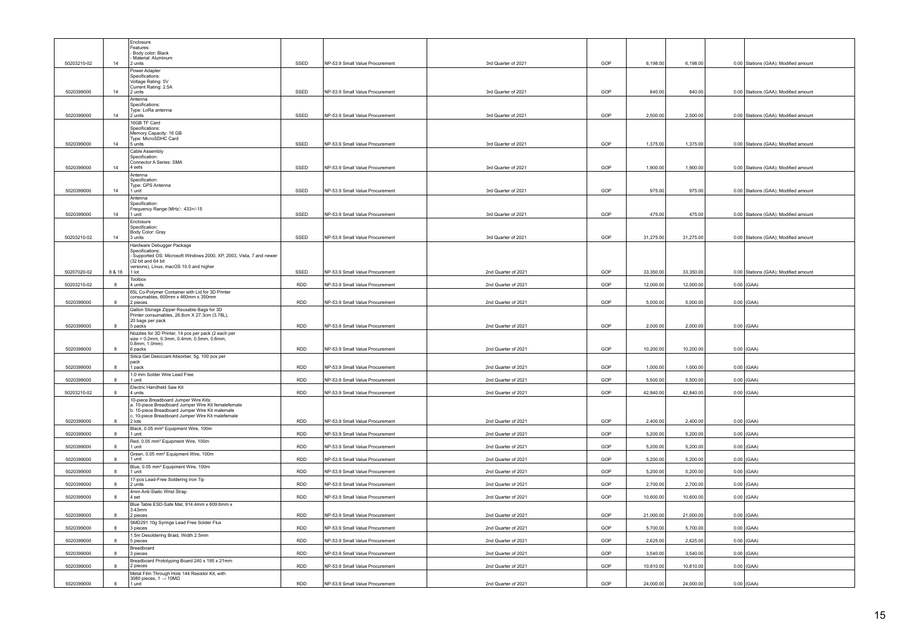|             |              | Enclosure                                                                                        |            |                                 |                     |     |           |           |                                      |
|-------------|--------------|--------------------------------------------------------------------------------------------------|------------|---------------------------------|---------------------|-----|-----------|-----------|--------------------------------------|
|             |              | Features:                                                                                        |            |                                 |                     |     |           |           |                                      |
|             |              | - Body color: Black<br>Material: Aluminum                                                        |            |                                 |                     |     |           |           |                                      |
| 50203210-02 | 14           | 2 units                                                                                          | SSED       | NP-53.9 Small Value Procurement | 3rd Quarter of 2021 | GOP | 6,198.00  | 6.198.00  | 0.00 Stations (GAA): Modified amount |
|             |              | Power Adapter<br>Specifications:                                                                 |            |                                 |                     |     |           |           |                                      |
|             |              | Voltage Rating: 5V                                                                               |            |                                 |                     |     |           |           |                                      |
| 5020399000  | 14           | Current Rating: 2.5A<br>2 units                                                                  | SSED       | NP-53.9 Small Value Procurement | 3rd Quarter of 2021 | GOP | 840.00    | 840.00    | 0.00 Stations (GAA); Modified amount |
|             |              | Antenna                                                                                          |            |                                 |                     |     |           |           |                                      |
|             |              | Specifications:                                                                                  |            |                                 |                     |     |           |           |                                      |
| 5020399000  | 14           | Type: LoRa antenna<br>2 units                                                                    | SSED       | NP-53.9 Small Value Procurement | 3rd Quarter of 2021 | GOP | 2,500.00  | 2,500.00  | 0.00 Stations (GAA); Modified amount |
|             |              | 16GB TF Card                                                                                     |            |                                 |                     |     |           |           |                                      |
|             |              | Specifications:                                                                                  |            |                                 |                     |     |           |           |                                      |
|             |              | Memory Capacity: 16 GB<br>Tvpe: MicroSDHC Card                                                   |            |                                 |                     |     |           |           |                                      |
| 5020399000  | 14           | 5 units                                                                                          | SSED       | NP-53.9 Small Value Procurement | 3rd Quarter of 2021 | GOP | 1,375.00  | 1,375.00  | 0.00 Stations (GAA); Modified amount |
|             |              | Cable Assembly<br>Specification:                                                                 |            |                                 |                     |     |           |           |                                      |
|             |              | Connector A Series: SMA                                                                          |            |                                 |                     |     |           |           |                                      |
| 5020399000  | 14           | 4 sets                                                                                           | SSED       | NP-53.9 Small Value Procurement | 3rd Quarter of 2021 | GOP | 1,900.00  | 1,900.00  | 0.00 Stations (GAA); Modified amount |
|             |              | Antenna<br>Specification:                                                                        |            |                                 |                     |     |           |           |                                      |
|             |              | Type: GPS Antenna                                                                                |            |                                 |                     |     |           |           |                                      |
| 5020399000  | 14           | 1 unit<br>Antenna                                                                                | SSED       | NP-53.9 Small Value Procurement | 3rd Quarter of 2021 | GOP | 975.00    | 975.00    | 0.00 Stations (GAA); Modified amount |
|             |              | Specification:                                                                                   |            |                                 |                     |     |           |           |                                      |
| 5020399000  | 14           | Frequency Range (MHz): 433+/-15<br>1 unit                                                        | SSED       | NP-53.9 Small Value Procurement | 3rd Quarter of 2021 | GOP | 475.00    | 475.00    | 0.00 Stations (GAA); Modified amount |
|             |              | Enclosure                                                                                        |            |                                 |                     |     |           |           |                                      |
|             |              | Specification                                                                                    |            |                                 |                     |     |           |           |                                      |
| 50203210-02 | 14           | Body Color: Gray<br>3 units                                                                      | SSED       | NP-53.9 Small Value Procurement | 3rd Quarter of 2021 | GOP | 31,275.00 | 31,275.00 | 0.00 Stations (GAA); Modified amount |
|             |              | Hardware Debugger Package                                                                        |            |                                 |                     |     |           |           |                                      |
|             |              | Specifications:<br>Supported OS: Microsoft Windows 2000, XP, 2003, Vista, 7 and newer            |            |                                 |                     |     |           |           |                                      |
|             |              | (32 bit and 64 bit                                                                               |            |                                 |                     |     |           |           |                                      |
| 50207020-02 | 8 & 18       | versions), Linux, macOS 10.5 and higher<br>1 lot                                                 | SSED       | NP-53.9 Small Value Procurement | 2nd Quarter of 2021 | GOP | 33,350.00 | 33,350.00 | 0.00 Stations (GAA); Modified amount |
|             |              | Toolbox                                                                                          |            |                                 |                     |     |           |           |                                      |
| 50203210-02 | $\mathbf{R}$ | 4 units                                                                                          | <b>RDD</b> | NP-53.9 Small Value Procurement | 2nd Quarter of 2021 | GOP | 12,000.00 | 12,000.00 | $0.00$ (GAA)                         |
|             |              | 65L Co-Polymer Container with Lid for 3D Printer<br>consumables, 600mm x 460mm x 350mm           |            |                                 |                     |     |           |           |                                      |
| 5020399000  | 8            | 2 pieces                                                                                         | RDD        | NP-53.9 Small Value Procurement | 2nd Quarter of 2021 | GOP | 5,000.00  | 5,000.00  | $0.00$ (GAA)                         |
|             |              | Gallon Storage Zipper Reusable Bags for 3D                                                       |            |                                 |                     |     |           |           |                                      |
|             |              | Printer consumables, 26.8cm X 27.3cm (3.78L),<br>20 bags per pack                                |            |                                 |                     |     |           |           |                                      |
| 5020399000  |              | 5 packs                                                                                          | RDD        | NP-53.9 Small Value Procurement | 2nd Quarter of 2021 | GOP | 2,000.00  | 2,000.00  | $0.00$ (GAA)                         |
|             |              | Nozzles for 3D Printer, 14 pcs per pack (2 each per<br>size = 0.2mm, 0.3mm, 0.4mm, 0.5mm, 0.6mm, |            |                                 |                     |     |           |           |                                      |
|             |              | $0.8$ mm. $1.0$ mm $)$                                                                           |            |                                 |                     |     |           |           |                                      |
| 5020399000  | R            | 6 packs                                                                                          | <b>RDD</b> | NP-53.9 Small Value Procurement | 2nd Quarter of 2021 | GOP | 10,200.00 | 10,200.00 | $0.00$ (GAA)                         |
|             |              | Silica Gel Desiccant Absorber, 5g, 100 pcs per<br>pack                                           |            |                                 |                     |     |           |           |                                      |
| 5020399000  | 8            | 1 pack                                                                                           | RDD        | NP-53.9 Small Value Procurement | 2nd Quarter of 2021 | GOP | 1,000.00  | 1,000.00  | $0.00$ (GAA)                         |
| 5020399000  |              | 1.0 mm Solder Wire Lead Free<br>unit                                                             | <b>RDD</b> | NP-53.9 Small Value Procurement | 2nd Quarter of 2021 | GOP | 5,500.00  | 5,500.00  | $0.00$ (GAA)                         |
|             |              | Electric Handheld Saw Kit                                                                        |            |                                 |                     |     |           |           |                                      |
| 50203210-02 | 8            | 4 units                                                                                          | <b>RDD</b> | NP-53.9 Small Value Procurement | 2nd Quarter of 2021 | GOP | 42,840.00 | 42,840.00 | $0.00$ (GAA)                         |
|             |              | 10-piece Breadboard Jumper Wire Kits:<br>a. 10-piece Breadboard Jumper Wire Kit femalefemale     |            |                                 |                     |     |           |           |                                      |
|             |              | b. 10-piece Breadboard Jumper Wire Kit malemale                                                  |            |                                 |                     |     |           |           |                                      |
| 5020399000  | 8            | c. 10-piece Breadboard Jumper Wire Kit malefemale<br>2 lots                                      | <b>RDD</b> | NP-53.9 Small Value Procurement | 2nd Quarter of 2021 | GOP | 2400.00   | 2,400.00  | $0.00$ (GAA)                         |
|             |              | Black, 0.05 mm <sup>2</sup> Equipment Wire, 100m                                                 |            |                                 |                     |     |           |           |                                      |
| 5020399000  | 8            | 1 unit<br>Red, 0.05 mm <sup>2</sup> Equipment Wire, 100m                                         | <b>RDD</b> | NP-53.9 Small Value Procurement | 2nd Quarter of 2021 | GOP | 5,200.00  | 5,200.00  | $0.00$ (GAA)                         |
| 5020399000  | 8            | 1 unit                                                                                           | RDD        | NP-53.9 Small Value Procurement | 2nd Quarter of 2021 | GOP | 5,200.00  | 5,200.00  | $0.00$ (GAA)                         |
|             |              | Green, 0.05 mm <sup>2</sup> Equipment Wire, 100m                                                 |            |                                 |                     |     |           |           |                                      |
| 5020399000  |              | 1 unit<br>Blue, 0.05 mm <sup>2</sup> Equipment Wire, 100m                                        | RDD        | NP-53.9 Small Value Procurement | 2nd Quarter of 2021 | GOP | 5,200.00  | 5,200.00  | $0.00$ (GAA)                         |
| 5020399000  | 8            | 1 unit                                                                                           | <b>RDD</b> | NP-53.9 Small Value Procurement | 2nd Quarter of 2021 | GOP | 5,200.00  | 5,200.00  | $0.00$ (GAA)                         |
|             |              | 17-pcs Lead-Free Soldering Iron Tip                                                              |            |                                 |                     |     |           |           |                                      |
| 5020399000  |              | 2 units<br>4mm Anti-Static Wrist Strap                                                           | <b>RDD</b> | NP-53.9 Small Value Procurement | 2nd Quarter of 2021 | GOP | 2,700.00  | 2,700.00  | $0.00$ (GAA)                         |
| 5020399000  | 8            | 4 set                                                                                            | <b>RDD</b> | NP-53.9 Small Value Procurement | 2nd Quarter of 2021 | GOP | 10,600.00 | 10,600.00 | $0.00$ (GAA)                         |
|             |              | Blue Table ESD-Safe Mat, 914.4mm x 609.6mm x                                                     |            |                                 |                     |     |           |           |                                      |
| 5020399000  | 8            | 3.43mm<br>2 pieces                                                                               | <b>RDD</b> | NP-53.9 Small Value Procurement | 2nd Quarter of 2021 | GOP | 21,000.00 | 21,000.00 | $0.00$ (GAA)                         |
|             |              | SMD291 10g Syringe Lead Free Solder Flux                                                         |            |                                 |                     |     |           |           |                                      |
| 5020399000  | 8            | 3 pieces                                                                                         | RDD        | NP-53.9 Small Value Procurement | 2nd Quarter of 2021 | GOP | 5,700.00  | 5,700.00  | $0.00$ (GAA)                         |
| 5020399000  | 8            | .5m Desoldering Braid, Width 2.5mm<br>5 pieces                                                   | RDD        | NP-53.9 Small Value Procurement | 2nd Quarter of 2021 | GOP | 2,625.00  | 2,625.00  | $0.00$ (GAA)                         |
|             |              | Breadboard                                                                                       |            |                                 |                     |     |           |           |                                      |
| 5020399000  | 8            | 3 pieces                                                                                         | <b>RDD</b> | NP-53.9 Small Value Procurement | 2nd Quarter of 2021 | GOP | 3,540.00  | 3,540.00  | $0.00$ (GAA)                         |
| 5020399000  |              | Breadboard Prototyping Board 240 x 195 x 21mm<br>2 pieces                                        | <b>RDD</b> | NP-53.9 Small Value Procurement | 2nd Quarter of 2021 | GOP | 10,810.00 | 10,810.00 | $0.00$ (GAA)                         |
|             |              | Metal Film Through Hole 144 Resistor Kit, with                                                   |            |                                 |                     |     |           |           |                                      |
| 5020399000  |              | 3080 pieces, $1 \rightarrow 10M\Omega$<br>1 unit                                                 | <b>RDD</b> | NP-53.9 Small Value Procurement | 2nd Quarter of 2021 | GOP | 24,000.00 | 24,000.00 | $0.00$ (GAA)                         |
|             |              |                                                                                                  |            |                                 |                     |     |           |           |                                      |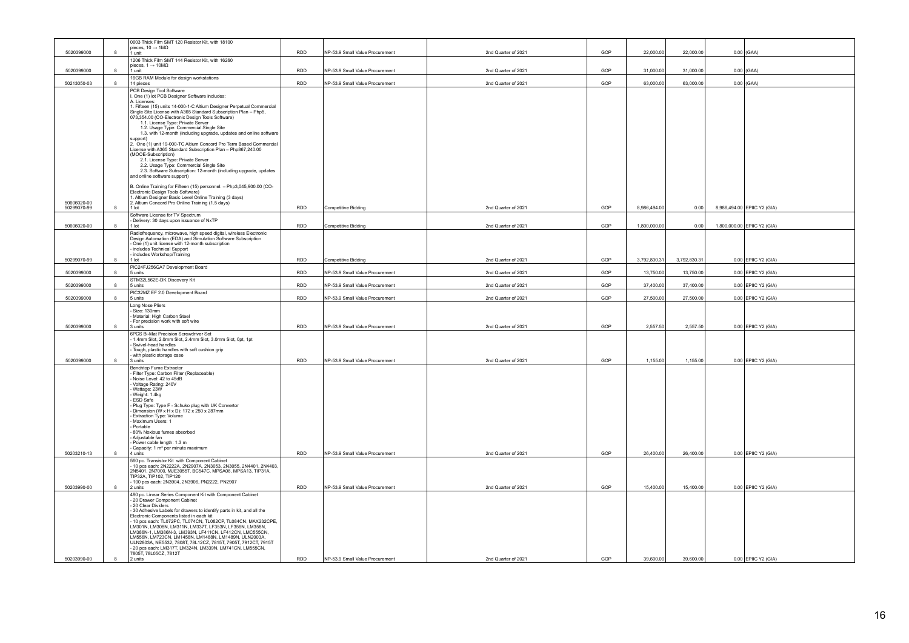|             |              | 0603 Thick Film SMT 120 Resistor Kit, with 18100                                                                                         |            |                                 |                     |     |              |              |                             |
|-------------|--------------|------------------------------------------------------------------------------------------------------------------------------------------|------------|---------------------------------|---------------------|-----|--------------|--------------|-----------------------------|
| 5020399000  | $\mathbf{g}$ | pieces, $10 \rightarrow 1 \text{M}\Omega$<br>1 unit                                                                                      | <b>RDD</b> | NP-53.9 Small Value Procurement | 2nd Quarter of 2021 | GOP | 22,000.00    | 22,000.00    | $0.00$ (GAA)                |
|             |              | 1206 Thick Film SMT 144 Resistor Kit, with 16260                                                                                         |            |                                 |                     |     |              |              |                             |
|             | $\mathbf{R}$ | pieces. $1 \rightarrow 10 \text{M}\Omega$                                                                                                | <b>RDD</b> |                                 |                     |     |              | 31,000.00    |                             |
| 5020399000  |              | 1 unit<br>16GB RAM Module for design workstations                                                                                        |            | NP-53.9 Small Value Procurement | 2nd Quarter of 2021 | GOP | 31,000.00    |              | $0.00$ (GAA)                |
| 50213050-03 | 8            | 14 pieces                                                                                                                                | <b>RDD</b> | NP-53.9 Small Value Procurement | 2nd Quarter of 2021 | GOP | 63,000.00    | 63,000.00    | $0.00$ (GAA)                |
|             |              | PCB Design Tool Software<br>. One (1) lot PCB Designer Software includes:                                                                |            |                                 |                     |     |              |              |                             |
|             |              | A. Licenses:                                                                                                                             |            |                                 |                     |     |              |              |                             |
|             |              | . Fifteen (15) units 14-000-1-C Altium Designer Perpetual Commercial<br>Single Site License with A365 Standard Subscription Plan - Php5, |            |                                 |                     |     |              |              |                             |
|             |              | 073,354.00 (CO-Electronic Design Tools Software)                                                                                         |            |                                 |                     |     |              |              |                             |
|             |              | 1.1. License Type: Private Server<br>1.2. Usage Type: Commercial Single Site                                                             |            |                                 |                     |     |              |              |                             |
|             |              | 1.3. with 12-month (including upgrade, updates and online software                                                                       |            |                                 |                     |     |              |              |                             |
|             |              | supporti<br>2. One (1) unit 19-000-TC Altium Concord Pro Term Based Commercial                                                           |            |                                 |                     |     |              |              |                             |
|             |              | License with A365 Standard Subscription Plan - Php867,240.00<br>(MOOE-Subscription)                                                      |            |                                 |                     |     |              |              |                             |
|             |              | 2.1. License Type: Private Server                                                                                                        |            |                                 |                     |     |              |              |                             |
|             |              | 2.2. Usage Type: Commercial Single Site<br>2.3. Software Subscription: 12-month (including upgrade, updates                              |            |                                 |                     |     |              |              |                             |
|             |              | and online software support)                                                                                                             |            |                                 |                     |     |              |              |                             |
|             |              | B. Online Training for Fifteen (15) personnel: - Php3,045,900.00 (CO-                                                                    |            |                                 |                     |     |              |              |                             |
|             |              | Electronic Design Tools Software)<br>1. Altium Designer Basic Level Online Training (3 days)                                             |            |                                 |                     |     |              |              |                             |
| 50606020-00 | $\mathbf{R}$ | 2. Altium Concord Pro Online Training (1.5 days)                                                                                         |            |                                 |                     |     |              |              |                             |
| 50299070-99 |              | 1 lot<br>Software License for TV Spectrum                                                                                                | RDD        | <b>Competitive Bidding</b>      | 2nd Quarter of 2021 | GOP | 8,986,494.00 | 0.00         | 8,986,494.00 EPIIC Y2 (GIA) |
|             |              | Delivery: 30 days upon issuance of NxTP                                                                                                  |            |                                 |                     |     |              |              |                             |
| 50606020-00 | 8            | 1 lot<br>Radiofrequency, microwave, high speed digital, wireless Electronic                                                              | <b>RDD</b> | <b>Competitive Bidding</b>      | 2nd Quarter of 2021 | GOP | 1,800,000.00 | 0.00         | 1,800,000.00 EPIIC Y2 (GIA) |
|             |              | Design Automation (EDA) and Simulation Software Subscription                                                                             |            |                                 |                     |     |              |              |                             |
|             |              | One (1) unit license with 12-month subscription<br>includes Technical Support                                                            |            |                                 |                     |     |              |              |                             |
| 50299070-99 | 8            | includes Workshop/Training<br>$1$ lot                                                                                                    | <b>RDD</b> | Competitive Bidding             | 2nd Quarter of 2021 | GOP | 3,792,830.31 | 3,792,830.31 | 0.00 EPIIC Y2 (GIA)         |
|             |              | PIC24FJ256GA7 Development Board                                                                                                          |            |                                 |                     |     |              |              |                             |
| 5020399000  | 8            | 5 units                                                                                                                                  | <b>RDD</b> | NP-53.9 Small Value Procurement | 2nd Quarter of 2021 | GOP | 13,750.00    | 13,750.00    | 0.00 EPIIC Y2 (GIA)         |
| 5020399000  | 8            | STM32L562E-DK Discovery Kit<br>5 units                                                                                                   | <b>RDD</b> | NP-53.9 Small Value Procurement | 2nd Quarter of 2021 | GOP | 37,400.00    | 37,400.00    | 0.00 EPIIC Y2 (GIA)         |
|             |              | PIC32MZ EF 2.0 Development Board                                                                                                         |            |                                 |                     |     |              |              |                             |
| 5020399000  | 8            | 5 units<br>Long Nose Pliers                                                                                                              | <b>RDD</b> | NP-53.9 Small Value Procurement | 2nd Quarter of 2021 | GOP | 27,500.00    | 27,500.00    | 0.00 EPIIC Y2 (GIA)         |
|             |              | Size: 130mm                                                                                                                              |            |                                 |                     |     |              |              |                             |
|             |              | Material: High Carbon Steel<br>For precision work with soft wire                                                                         |            |                                 |                     |     |              |              |                             |
| 5020399000  | $\mathbf{g}$ | 3 units                                                                                                                                  | <b>RDD</b> | NP-53.9 Small Value Procurement | 2nd Quarter of 2021 | GOP | 2,557.50     | 2,557.50     | 0.00 EPIIC Y2 (GIA)         |
|             |              | 6PCS Bi-Mat Precision Screwdriver Set<br>1.4mm Slot, 2.0mm Slot, 2.4mm Slot, 3.0mm Slot, 0pt, 1pt                                        |            |                                 |                     |     |              |              |                             |
|             |              | Swivel-head handles<br>Tough, plastic handles with soft cushion grip                                                                     |            |                                 |                     |     |              |              |                             |
|             |              | with plastic storage case                                                                                                                |            |                                 |                     |     |              |              |                             |
| 5020399000  | 8            | 3 units                                                                                                                                  | RDD        | NP-53.9 Small Value Procurement | 2nd Quarter of 2021 | GOP | 1,155.00     | 1,155.00     | 0.00 EPIIC Y2 (GIA)         |
|             |              | Benchtop Fume Extractor<br>Filter Type: Carbon Filter (Replaceable)                                                                      |            |                                 |                     |     |              |              |                             |
|             |              | Noise Level: 42 to 45dB<br>Voltage Rating: 240V                                                                                          |            |                                 |                     |     |              |              |                             |
|             |              | Wattage: 23W                                                                                                                             |            |                                 |                     |     |              |              |                             |
|             |              | Weight: 1.4kg<br>ESD Safe                                                                                                                |            |                                 |                     |     |              |              |                             |
|             |              | Plug Type: Type F - Schuko plug with UK Convertor<br>Dimension (W x H x D): 172 x 250 x 287mm                                            |            |                                 |                     |     |              |              |                             |
|             |              | Extraction Type: Volume                                                                                                                  |            |                                 |                     |     |              |              |                             |
|             |              | Maximum Users: 1<br>Portable                                                                                                             |            |                                 |                     |     |              |              |                             |
|             |              | 80% Noxious fumes absorbed                                                                                                               |            |                                 |                     |     |              |              |                             |
|             |              | Adjustable fan<br>Power cable length: 1.3 m                                                                                              |            |                                 |                     |     |              |              |                             |
| 50203210-13 | 8            | Capacity: 1 m <sup>3</sup> per minute maximum<br>4 units                                                                                 | <b>RDD</b> | NP-53.9 Small Value Procurement | 2nd Quarter of 2021 | GOP | 26,400.00    | 26,400.00    | 0.00 EPIIC Y2 (GIA)         |
|             |              | 560 pc. Transistor Kit with Component Cabinet                                                                                            |            |                                 |                     |     |              |              |                             |
|             |              | 10 pcs each: 2N2222A, 2N2907A, 2N3053, 2N3055, 2N4401, 2N4403,<br>2N5401, 2N7000, MJE3055T, BC547C, MPSA06, MPSA13, TIP31A,              |            |                                 |                     |     |              |              |                             |
|             |              | TIP32A, TIP102, TIP120                                                                                                                   |            |                                 |                     |     |              |              |                             |
| 50203990-00 | $\mathbf{g}$ | 100 pcs each: 2N3904, 2N3906, PN2222, PN2907<br>2 units                                                                                  | RDD        | NP-53.9 Small Value Procurement | 2nd Quarter of 2021 | GOP | 15,400.00    | 15,400.00    | 0.00 EPIIC Y2 (GIA)         |
|             |              | 480 pc. Linear Series Component Kit with Component Cabinet                                                                               |            |                                 |                     |     |              |              |                             |
|             |              | 20 Drawer Component Cabinet<br>20 Clear Dividers                                                                                         |            |                                 |                     |     |              |              |                             |
|             |              | 30 Adhesive Labels for drawers to identify parts in kit, and all the<br>Electronic Components listed in each kit                         |            |                                 |                     |     |              |              |                             |
|             |              | 10 pcs each: TL072PC, TL074CN, TL082CP, TL084CN, MAX232CPE,                                                                              |            |                                 |                     |     |              |              |                             |
|             |              | LM301N, LM308N, LM311N, LM337T, LF353N, LF356N, LM358N,<br>LM386N-1, LM386N-3, LM393N, LF411CN, LF412CN, LMC555CN,                       |            |                                 |                     |     |              |              |                             |
|             |              | LM556N, LM723CN, LM1458N, LM1488N, LM1489N, ULN2003A,<br>ULN2803A, NE5532, 7808T, 78L12CZ, 7815T, 7905T, 7912CT, 7915T                   |            |                                 |                     |     |              |              |                             |
|             |              | - 20 pcs each: LM317T, LM324N, LM339N, LM741CN, LM555CN,                                                                                 |            |                                 |                     |     |              |              |                             |
| 50203990-00 | $\mathbf{R}$ | 7805T. 78L05CZ. 7812T<br>2 units                                                                                                         | <b>RDD</b> | NP-53.9 Small Value Procurement | 2nd Quarter of 2021 | GOP | 39,600.00    | 39,600.00    | 0.00 EPIIC Y2 (GIA)         |
|             |              |                                                                                                                                          |            |                                 |                     |     |              |              |                             |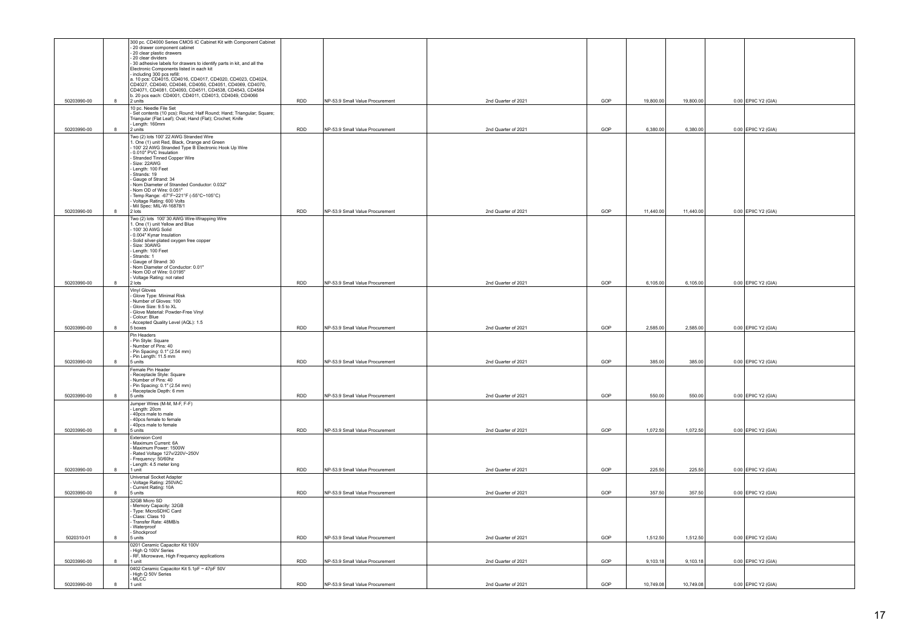|             |              | 300 pc. CD4000 Series CMOS IC Cabinet Kit with Component Cabinet                                                                                                            |            |                                 |                     |     |           |           |                     |  |
|-------------|--------------|-----------------------------------------------------------------------------------------------------------------------------------------------------------------------------|------------|---------------------------------|---------------------|-----|-----------|-----------|---------------------|--|
|             |              | - 20 drawer component cabinet<br>- 20 clear plastic drawers                                                                                                                 |            |                                 |                     |     |           |           |                     |  |
|             |              | 20 clear dividers<br>- 30 adhesive labels for drawers to identify parts in kit, and all the                                                                                 |            |                                 |                     |     |           |           |                     |  |
|             |              | Electronic Components listed in each kit                                                                                                                                    |            |                                 |                     |     |           |           |                     |  |
|             |              | including 300 pcs refill:<br>a. 10 pcs: CD4015, CD4016, CD4017, CD4020, CD4023, CD4024,                                                                                     |            |                                 |                     |     |           |           |                     |  |
|             |              |                                                                                                                                                                             |            |                                 |                     |     |           |           |                     |  |
|             |              | CD4027, CD4040, CD4046, CD4050, CD4051, CD4069, CD4070,<br>CD4071, CD4081, CD4093, CD4511, CD4538, CD4543, CD4584<br>b. 20 pcs each: CD4001, CD4011, CD4013, CD4049, CD4066 |            |                                 |                     |     |           |           |                     |  |
| 50203990-00 | 8            | 2 units<br>10 pc. Needle File Set                                                                                                                                           | <b>RDD</b> | NP-53.9 Small Value Procurement | 2nd Quarter of 2021 | GOP | 19,800.00 | 19,800.00 | 0.00 EPIIC Y2 (GIA) |  |
|             |              | - Set contents (10 pcs): Round; Half Round; Hand; Triangular; Square;                                                                                                       |            |                                 |                     |     |           |           |                     |  |
|             |              | Triangular (Flat Leaf); Oval; Hand (Flat); Crochet; Knife<br>- Length: 160mm                                                                                                |            |                                 |                     |     |           |           |                     |  |
| 50203990-00 | 8            | 2 units                                                                                                                                                                     | RDD        | NP-53.9 Small Value Procurement | 2nd Quarter of 2021 | GOP | 6,380.00  | 6,380.00  | 0.00 EPIIC Y2 (GIA) |  |
|             |              | Two (2) lots 100' 22 AWG Stranded Wire                                                                                                                                      |            |                                 |                     |     |           |           |                     |  |
|             |              | . One (1) unit Red, Black, Orange and Green<br>100' 22 AWG Stranded Type B Electronic Hook Up Wire                                                                          |            |                                 |                     |     |           |           |                     |  |
|             |              | - 0.010" PVC Insulation                                                                                                                                                     |            |                                 |                     |     |           |           |                     |  |
|             |              | Stranded Tinned Copper Wire<br>Size: 22AWG                                                                                                                                  |            |                                 |                     |     |           |           |                     |  |
|             |              | Length: 100 Feet<br>Strands: 19                                                                                                                                             |            |                                 |                     |     |           |           |                     |  |
|             |              | Gauge of Strand: 34                                                                                                                                                         |            |                                 |                     |     |           |           |                     |  |
|             |              | Nom Diameter of Stranded Conductor: 0.032"<br>Nom OD of Wire: 0.051"                                                                                                        |            |                                 |                     |     |           |           |                     |  |
|             |              | Temp Range: -67°F~221°F (-55°C~105°C)                                                                                                                                       |            |                                 |                     |     |           |           |                     |  |
|             |              | Voltage Rating: 600 Volts<br>- Voltage Rating: 600 Volts<br>- Mil Spec: MIL-W-16878/1                                                                                       |            |                                 |                     |     |           |           |                     |  |
| 50203990-00 | 8            | 2 lots                                                                                                                                                                      | <b>RDD</b> | NP-53.9 Small Value Procurement | 2nd Quarter of 2021 | GOP | 11,440.00 | 11,440.00 | 0.00 EPIIC Y2 (GIA) |  |
|             |              | Two (2) lots 100' 30 AWG Wire-Wrapping Wire<br>1. One (1) unit Yellow and Blue                                                                                              |            |                                 |                     |     |           |           |                     |  |
|             |              | 100' 30 AWG Solid<br>0.004" Kynar Insulation                                                                                                                                |            |                                 |                     |     |           |           |                     |  |
|             |              | Solid silver-plated oxygen free copper                                                                                                                                      |            |                                 |                     |     |           |           |                     |  |
|             |              | Size: 30AWG<br>- Length: 100 Feet                                                                                                                                           |            |                                 |                     |     |           |           |                     |  |
|             |              | Strands: 1<br>Gauge of Strand: 30                                                                                                                                           |            |                                 |                     |     |           |           |                     |  |
|             |              | Nom Diameter of Conductor: 0.01"                                                                                                                                            |            |                                 |                     |     |           |           |                     |  |
|             |              | Nom OD of Wire: 0.0195"<br>Voltage Rating: not rated                                                                                                                        |            |                                 |                     |     |           |           |                     |  |
| 50203990-00 | 8            | 2 lots                                                                                                                                                                      | <b>RDD</b> | NP-53.9 Small Value Procurement | 2nd Quarter of 2021 | GOP | 6,105.00  | 6,105.00  | 0.00 EPIIC Y2 (GIA) |  |
|             |              | Vinyl Gloves                                                                                                                                                                |            |                                 |                     |     |           |           |                     |  |
|             |              | Glove Type: Minimal Risk<br>Number of Gloves: 100                                                                                                                           |            |                                 |                     |     |           |           |                     |  |
|             |              | Glove Size: 9.5 to XL<br>Glove Material: Powder-Free Vinyl                                                                                                                  |            |                                 |                     |     |           |           |                     |  |
|             |              | Colour: Blue                                                                                                                                                                |            |                                 |                     |     |           |           |                     |  |
| 50203990-00 | 8            | - Accepted Quality Level (AQL): 1.5<br>5 boxes                                                                                                                              | <b>RDD</b> | NP-53.9 Small Value Procurement | 2nd Quarter of 2021 | GOP | 2,585.00  | 2,585.00  | 0.00 EPIIC Y2 (GIA) |  |
|             |              | Pin Headers                                                                                                                                                                 |            |                                 |                     |     |           |           |                     |  |
|             |              | Pin Style: Square<br>Number of Pins: 40                                                                                                                                     |            |                                 |                     |     |           |           |                     |  |
|             |              | Pin Spacing: 0.1" (2.54 mm)                                                                                                                                                 |            |                                 |                     |     |           |           |                     |  |
| 50203990-00 | 8            | Pin Length: 11.5 mm<br>5 units                                                                                                                                              | RDD        | NP-53.9 Small Value Procurement | 2nd Quarter of 2021 | GOP | 385.00    | 385.00    | 0.00 EPIIC Y2 (GIA) |  |
|             |              | Female Pin Header                                                                                                                                                           |            |                                 |                     |     |           |           |                     |  |
|             |              | - Receptacle Style: Square<br>Number of Pins: 40                                                                                                                            |            |                                 |                     |     |           |           |                     |  |
|             |              | Pin Spacing: 0.1" (2.54 mm)                                                                                                                                                 |            |                                 |                     |     |           |           |                     |  |
| 50203990-00 | 8            | Receptacle Depth: 6 mm<br>5 units                                                                                                                                           | <b>RDD</b> | NP-53.9 Small Value Procurement | 2nd Quarter of 2021 | GOP | 550.00    | 550.00    | 0.00 EPIIC Y2 (GIA) |  |
|             |              | Jumper Wires (M-M, M-F, F-F)                                                                                                                                                |            |                                 |                     |     |           |           |                     |  |
|             |              | - Lenath: 20cm<br>40pcs male to male                                                                                                                                        |            |                                 |                     |     |           |           |                     |  |
|             |              | 40pcs female to female<br>40pcs male to female                                                                                                                              |            |                                 |                     |     |           |           |                     |  |
| 50203990-00 | 8            | 5 units                                                                                                                                                                     | RDD        | NP-53.9 Small Value Procurement | 2nd Quarter of 2021 | GOP | 1,072.50  | 1,072.50  | 0.00 EPIIC Y2 (GIA) |  |
|             |              | <b>Extension Cord</b>                                                                                                                                                       |            |                                 |                     |     |           |           |                     |  |
|             |              | Maximum Current: 6A<br>- Maximum Power: 1500W                                                                                                                               |            |                                 |                     |     |           |           |                     |  |
|             |              | Rated Voltage 127v/220V~250V<br>Frequency: 50/60hz                                                                                                                          |            |                                 |                     |     |           |           |                     |  |
|             |              | Length: 4.5 meter long                                                                                                                                                      |            |                                 |                     |     |           |           |                     |  |
| 50203990-00 | $\mathbf{8}$ | 1 unit                                                                                                                                                                      | RDD        | NP-53.9 Small Value Procurement | 2nd Quarter of 2021 | GOP | 225.50    | 225.50    | 0.00 EPIIC Y2 (GIA) |  |
|             |              | Universal Socket Adapter<br>Voltage Rating: 250VAC                                                                                                                          |            |                                 |                     |     |           |           |                     |  |
| 50203990-00 | 8            | Current Rating: 10A<br>5 units                                                                                                                                              | RDD        | NP-53.9 Small Value Procurement | 2nd Quarter of 2021 | GOP | 357.50    | 357.50    | 0.00 EPIIC Y2 (GIA) |  |
|             |              | 32GB Micro SD                                                                                                                                                               |            |                                 |                     |     |           |           |                     |  |
|             |              | Memory Capacity: 32GB<br>Type: MicroSDHC Card                                                                                                                               |            |                                 |                     |     |           |           |                     |  |
|             |              | Class: Class 10                                                                                                                                                             |            |                                 |                     |     |           |           |                     |  |
|             |              | Transfer Rate: 48MB/s<br>Waternroof                                                                                                                                         |            |                                 |                     |     |           |           |                     |  |
|             |              | - Shockproof                                                                                                                                                                |            |                                 |                     |     |           |           |                     |  |
| 5020310-01  | 8            | 5 units<br>0201 Ceramic Capacitor Kit 100V                                                                                                                                  | <b>RDD</b> | NP-53.9 Small Value Procurement | 2nd Quarter of 2021 | GOP | 1,512.50  | 1,512.50  | 0.00 EPIIC Y2 (GIA) |  |
|             |              | - High Q 100V Series                                                                                                                                                        |            |                                 |                     |     |           |           |                     |  |
| 50203990-00 |              | RF, Microwave, High Frequency applications<br>1 unit                                                                                                                        | RDD        | NP-53.9 Small Value Procurement | 2nd Quarter of 2021 | GOP | 9,103.18  | 9,103.18  | 0.00 EPIIC Y2 (GIA) |  |
|             |              | 0402 Ceramic Capacitor Kit 5.1pF ~ 47pF 50V                                                                                                                                 |            |                                 |                     |     |           |           |                     |  |
|             |              | High Q 50V Series<br>- MLCC                                                                                                                                                 |            |                                 |                     |     |           |           |                     |  |
| 50203990-00 | $\mathbf{g}$ | 1 unit                                                                                                                                                                      | <b>RDD</b> | NP-53.9 Small Value Procurement | 2nd Quarter of 2021 | GOP | 10.749.08 | 10.749.08 | 0.00 EPIIC Y2 (GIA) |  |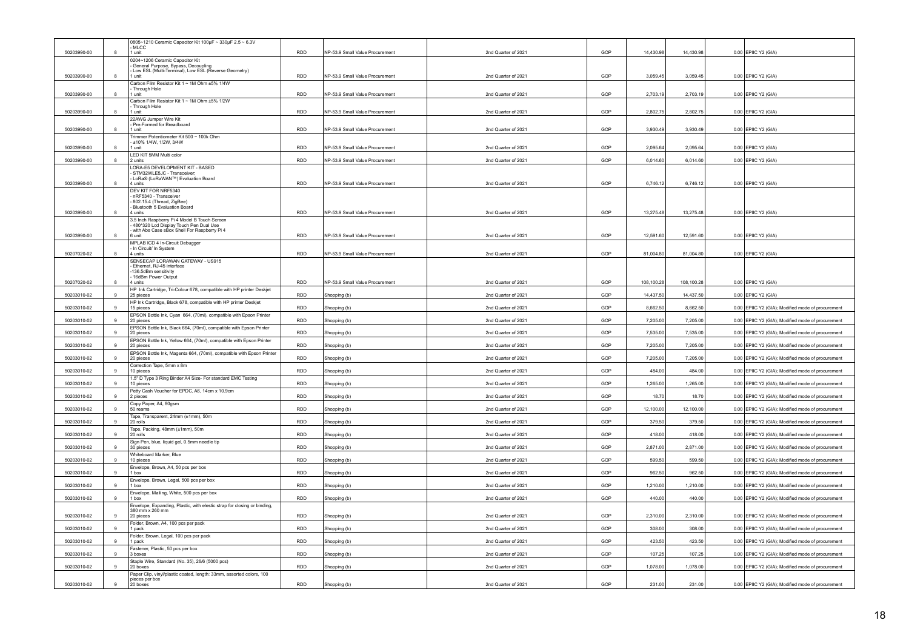|             |              | 0805~1210 Ceramic Capacitor Kit 100µF ~ 330µF 2.5 ~ 6.3V                                    |            |                                 |                     |     |            |            |                                                   |
|-------------|--------------|---------------------------------------------------------------------------------------------|------------|---------------------------------|---------------------|-----|------------|------------|---------------------------------------------------|
| 50203990-00 |              | MLCC<br>I unit                                                                              | <b>RDD</b> | NP-53.9 Small Value Procurement | 2nd Quarter of 2021 | GOP | 14,430.98  | 14,430.98  | 0.00 EPIIC Y2 (GIA)                               |
|             |              | 0204~1206 Ceramic Capacitor Kit                                                             |            |                                 |                     |     |            |            |                                                   |
|             |              | General Purpose, Bypass, Decoupling<br>Low ESL (Multi-Terminal), Low ESL (Reverse Geometry) |            |                                 |                     |     |            |            |                                                   |
| 50203990-00 | 8            | 1 unit                                                                                      | <b>RDD</b> | NP-53.9 Small Value Procurement | 2nd Quarter of 2021 | GOP | 3.059.45   | 3,059.45   | 0.00 EPIIC Y2 (GIA)                               |
|             |              | Carbon Film Resistor Kit 1 ~ 1M Ohm ±5% 1/4W<br>Through Hole                                |            |                                 |                     |     |            |            |                                                   |
| 50203990-00 | 8            | 1 unit                                                                                      | <b>RDD</b> | NP-53.9 Small Value Procurement | 2nd Quarter of 2021 | GOP | 2,703.19   | 2,703.19   | 0.00 EPIIC Y2 (GIA)                               |
|             |              | Carbon Film Resistor Kit 1 ~ 1M Ohm ±5% 1/2W<br>Through Hole                                |            |                                 |                     |     |            |            |                                                   |
| 50203990-00 |              | I unit                                                                                      | <b>RDD</b> | NP-53.9 Small Value Procurement | 2nd Quarter of 2021 | GOP | 2,802.75   | 2,802.75   | 0.00 EPIIC Y2 (GIA)                               |
|             |              | 22AWG Jumper Wire Kit<br>Pre-Formed for Breadboard                                          |            |                                 |                     |     |            |            |                                                   |
| 50203990-00 | 8            | 1 unit                                                                                      | <b>RDD</b> | NP-53.9 Small Value Procurement | 2nd Quarter of 2021 | GOP | 3.930.49   | 3,930.49   | 0.00 EPIIC Y2 (GIA)                               |
|             |              | Frimmer Potentiometer Kit 500 ~ 100k Ohm<br>±10% 1/4W, 1/2W, 3/4W                           |            |                                 |                     |     |            |            |                                                   |
| 50203990-00 |              | I unit                                                                                      | <b>RDD</b> | NP-53.9 Small Value Procurement | 2nd Quarter of 2021 | GOP | 2,095.64   | 2,095.64   | 0.00 EPIIC Y2 (GIA)                               |
| 50203990-00 |              | LED KIT 5MM Multi color<br>2 units                                                          | <b>RDD</b> | NP-53.9 Small Value Procurement | 2nd Quarter of 2021 | GOP | 6,014.60   | 6,014.60   | 0.00 EPIIC Y2 (GIA)                               |
|             |              | LORA-E5 DEVELOPMENT KIT - BASED                                                             |            |                                 |                     |     |            |            |                                                   |
|             |              | STM32WLE5JC - Transceiver:<br>LoRa® (LoRaWAN™) Evaluation Board                             |            |                                 |                     |     |            |            |                                                   |
| 50203990-00 |              | 4 units                                                                                     | <b>RDD</b> | NP-53.9 Small Value Procurement | 2nd Quarter of 2021 | GOP | 6,746.12   | 6,746.12   | 0.00 EPIIC Y2 (GIA)                               |
|             |              | <b>DEV KIT FOR NRE5340</b><br>nRF5340 - Transceiver                                         |            |                                 |                     |     |            |            |                                                   |
|             |              | 802.15.4 (Thread, ZigBee)                                                                   |            |                                 |                     |     |            |            |                                                   |
| 50203990-00 | 8            | Bluetooth 5 Evaluation Board<br>4 units                                                     | <b>RDD</b> | NP-53.9 Small Value Procurement | 2nd Quarter of 2021 | GOP | 13,275.48  | 13,275.48  | 0.00 EPIIC Y2 (GIA)                               |
|             |              | 3.5 Inch Raspberry Pi 4 Model B Touch Screen                                                |            |                                 |                     |     |            |            |                                                   |
|             |              | 480*320 Lcd Display Touch Pen Dual Use<br>with Abs Case sBox Shell For Raspberry Pi 4       |            |                                 |                     |     |            |            |                                                   |
| 50203990-00 |              | 6 unit                                                                                      | <b>RDD</b> | NP-53.9 Small Value Procurement | 2nd Quarter of 2021 | GOP | 12,591.60  | 12,591.60  | 0.00 EPIIC Y2 (GIA)                               |
|             |              | MPLAB ICD 4 In-Circuit Debugger<br>In Circuit/ In System                                    |            |                                 |                     |     |            |            |                                                   |
| 50207020-02 | 8            | 4 units                                                                                     | <b>RDD</b> | NP-53.9 Small Value Procurement | 2nd Quarter of 2021 | GOP | 81.004.80  | 81,004.80  | 0.00 EPIIC Y2 (GIA)                               |
|             |              | SENSECAP LORAWAN GATEWAY - US915<br>Ethernet, RJ-45 interface                               |            |                                 |                     |     |            |            |                                                   |
|             |              | 136 5dBm sensitivity                                                                        |            |                                 |                     |     |            |            |                                                   |
| 50207020-02 |              | 16dBm Power Output<br>4 units                                                               | <b>RDD</b> | NP-53.9 Small Value Procurement | 2nd Quarter of 2021 | GOP | 108,100.28 | 108,100.28 | 0.00 EPIIC Y2 (GIA)                               |
|             |              | HP Ink Cartridge, Tri-Colour 678, compatible with HP printer Deskjet                        |            |                                 |                     |     |            |            |                                                   |
| 50203010-02 | 9            | 25 pieces<br>HP Ink Cartridge, Black 678, compatible with HP printer Deskjet                | <b>RDD</b> | Shopping (b)                    | 2nd Quarter of 2021 | GOP | 14,437.50  | 14,437.50  | 0.00 EPIIC Y2 (GIA)                               |
| 50203010-02 |              | 15 pieces                                                                                   | <b>RDD</b> | Shopping (b)                    | 2nd Quarter of 2021 | GOP | 8,662.50   | 8,662.50   | 0.00 EPIIC Y2 (GIA); Modified mode of procurement |
| 50203010-02 | $\mathbf{Q}$ | EPSON Bottle Ink, Cyan 664, (70ml), compatible with Epson Printer<br>20 pieces              | <b>RDD</b> |                                 | 2nd Quarter of 2021 | GOP | 7,205.00   | 7,205.00   | 0.00 EPIIC Y2 (GIA); Modified mode of procurement |
|             |              | EPSON Bottle Ink, Black 664, (70ml), compatible with Epson Printer                          |            | Shopping (b)                    |                     |     |            |            |                                                   |
| 50203010-02 | 9            | 20 pieces                                                                                   | <b>RDD</b> | Shopping (b)                    | 2nd Quarter of 2021 | GOP | 7.535.00   | 7,535.00   | 0.00 EPIIC Y2 (GIA); Modified mode of procurement |
| 50203010-02 | 9            | EPSON Bottle Ink, Yellow 664, (70ml), compatible with Epson Printer<br>20 pieces            | <b>RDD</b> | Shopping (b)                    | 2nd Quarter of 2021 | GOP | 7,205.00   | 7,205.00   | 0.00 EPIIC Y2 (GIA); Modified mode of procurement |
|             |              | EPSON Bottle Ink, Magenta 664, (70ml), compatible with Epson Printer                        |            |                                 |                     |     |            |            |                                                   |
| 50203010-02 | $\mathbf{Q}$ | 20 pieces                                                                                   | <b>RDD</b> | Shopping (b)                    | 2nd Quarter of 2021 | GOP | 7,205.00   | 7,205.00   | 0.00 EPIIC Y2 (GIA); Modified mode of procurement |
| 50203010-02 | $\mathbf{g}$ | Correction Tape, 5mm x 8m<br>10 pieces                                                      | <b>RDD</b> | Shopping (b)                    | 2nd Quarter of 2021 | GOP | 484.00     | 484.00     | 0.00 EPIIC Y2 (GIA); Modified mode of procurement |
|             |              | 1.5" D Type 3 Ring Binder A4 Size- For standard EMC Testing                                 |            |                                 |                     |     |            |            |                                                   |
| 50203010-02 |              | 10 pieces<br>Petty Cash Voucher for EPDC, A6, 14cm x 10.9cm                                 | <b>RDD</b> | Shopping (b)                    | 2nd Quarter of 2021 | GOP | 1,265.00   | 1,265.00   | 0.00 EPIIC Y2 (GIA); Modified mode of procurement |
| 50203010-02 |              | 2 pieces                                                                                    | <b>RDD</b> | Shopping (b)                    | 2nd Quarter of 2021 | GOP | 18.70      | 18.70      | 0.00 EPIIC Y2 (GIA); Modified mode of procurement |
| 50203010-02 | $\mathbf{q}$ | Copy Paper, A4, 80gsm<br>50 reams                                                           | <b>RDD</b> |                                 | 2nd Quarter of 2021 | GOP | 12,100.00  | 12,100.00  | 0.00 EPIIC Y2 (GIA); Modified mode of procurement |
|             |              | Tape, Transparent, 24mm (±1mm), 50m                                                         |            | Shopping (b)                    |                     |     |            |            |                                                   |
| 50203010-02 | $\alpha$     | 20 rolls                                                                                    | <b>RDD</b> | Shopping (b)                    | 2nd Quarter of 2021 | GOP | 379.50     | 379.50     | 0.00 EPIIC Y2 (GIA); Modified mode of procurement |
| 50203010-02 | $\alpha$     | Tape, Packing, 48mm (±1mm), 50m<br>20 rolls                                                 | <b>RDD</b> | Shopping (b)                    | 2nd Quarter of 2021 | GOP | 418.00     | 418.00     | 0.00 EPIIC Y2 (GIA); Modified mode of procurement |
|             |              | Sign Pen, blue, liquid gel, 0.5mm needle tip                                                |            |                                 |                     |     |            |            |                                                   |
| 50203010-02 | $\alpha$     | 30 pieces                                                                                   | <b>RDD</b> | Shopping (b)                    | 2nd Quarter of 2021 | GOP | 2,871.00   | 2.871.00   | 0.00 EPIIC Y2 (GIA); Modified mode of procurement |
| 50203010-02 | 9            | Whiteboard Marker, Blue<br>10 pieces                                                        | <b>RDD</b> | Shopping (b)                    | 2nd Quarter of 2021 | GOP | 599.50     | 599.5      | 0.00 EPIIC Y2 (GIA); Modified mode of procurement |
|             |              | Envelope, Brown, A4, 50 pcs per box                                                         |            |                                 |                     |     |            |            |                                                   |
| 50203010-02 | 9            | box<br>Envelope, Brown, Legal, 500 pcs per box                                              | <b>RDD</b> | Shopping (b)                    | 2nd Quarter of 2021 | GOP | 962.50     | 962.50     | 0.00 EPIIC Y2 (GIA); Modified mode of procurement |
| 50203010-02 | 9            | 1 box                                                                                       | <b>RDD</b> | Shopping (b)                    | 2nd Quarter of 2021 | GOP | 1,210.00   | 1,210.00   | 0.00 EPIIC Y2 (GIA); Modified mode of procurement |
| 50203010-02 | 9            | Envelope, Mailing, White, 500 pcs per box<br>box                                            | <b>RDD</b> |                                 | 2nd Quarter of 2021 | GOP | 440.00     | 440.00     | 0.00 EPIIC Y2 (GIA); Modified mode of procurement |
|             |              | Envelope, Expanding, Plastic, with elestic strap for closing or binding,                    |            | Shopping (b)                    |                     |     |            |            |                                                   |
|             | 9            | 380 mm x 260 mm                                                                             |            |                                 |                     |     |            |            |                                                   |
| 50203010-02 |              | 20 pieces<br>Folder, Brown, A4, 100 pcs per pack                                            | <b>RDD</b> | Shopping (b)                    | 2nd Quarter of 2021 | GOP | 2,310.00   | 2,310.00   | 0.00 EPIIC Y2 (GIA); Modified mode of procurement |
| 50203010-02 | $\mathbf{Q}$ | 1 pack                                                                                      | <b>RDD</b> | Shopping (b)                    | 2nd Quarter of 2021 | GOP | 308.00     | 308.00     | 0.00 EPIIC Y2 (GIA); Modified mode of procurement |
| 50203010-02 | $\mathbf{Q}$ | Folder, Brown, Legal, 100 pcs per pack<br>1 pack                                            | <b>RDD</b> | Shopping (b)                    | 2nd Quarter of 2021 | GOP | 423.50     | 423.50     | 0.00 EPIIC Y2 (GIA); Modified mode of procurement |
|             |              | Fastener, Plastic, 50 pcs per box                                                           |            |                                 |                     |     |            |            |                                                   |
| 50203010-02 | 9            | 3 hoxes                                                                                     | <b>RDD</b> | Shopping (b)                    | 2nd Quarter of 2021 | GOP | 107.25     | 107.25     | 0.00 EPIIC Y2 (GIA): Modified mode of procurement |
| 50203010-02 |              | Staple Wire, Standard (No. 35), 26/6 (5000 pcs)<br>20 boxes                                 | <b>RDD</b> | Shopping (b)                    | 2nd Quarter of 2021 | GOP | 1,078.00   | 1,078.00   | 0.00 EPIIC Y2 (GIA); Modified mode of procurement |
|             |              | Paper Clip, vinyl/plastic coated, length: 33mm, assorted colors, 100                        |            |                                 |                     |     |            |            |                                                   |
| 50203010-02 | 9            | pieces per box<br>20 boxes                                                                  | RDD        | Shopping (b)                    | 2nd Quarter of 2021 | GOP | 231.00     | 231.00     | 0.00 EPIIC Y2 (GIA); Modified mode of procurement |
|             |              |                                                                                             |            |                                 |                     |     |            |            |                                                   |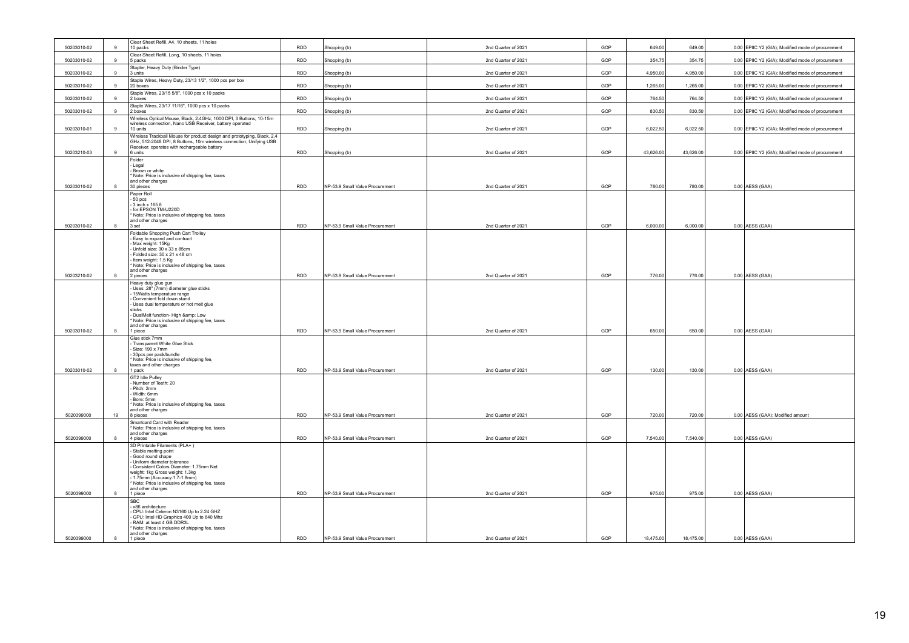| 50203010-02 | Clear Sheet Refill, A4, 10 sheets, 11 holes<br>10 packs<br>9                                                                                                                                                                                                                              | <b>RDD</b> | Shopping (b)                    | 2nd Quarter of 2021 | GOP | 649.00    | 649.00    | 0.00 EPIIC Y2 (GIA); Modified mode of procurement |
|-------------|-------------------------------------------------------------------------------------------------------------------------------------------------------------------------------------------------------------------------------------------------------------------------------------------|------------|---------------------------------|---------------------|-----|-----------|-----------|---------------------------------------------------|
| 50203010-02 | Clear Sheet Refill, Long, 10 sheets, 11 holes<br>9<br>5 packs                                                                                                                                                                                                                             | <b>RDD</b> | Shopping (b)                    | 2nd Quarter of 2021 | GOP | 354.75    | 354.75    | 0.00 EPIIC Y2 (GIA); Modified mode of procurement |
| 50203010-02 | Stapler, Heavy Duty (Binder Type)<br>9<br>3 units                                                                                                                                                                                                                                         | <b>RDD</b> | Shopping (b)                    | 2nd Quarter of 2021 | GOP | 4.950.00  | 4,950.00  | 0.00 EPIIC Y2 (GIA); Modified mode of procurement |
| 50203010-02 | Staple Wires, Heavy Duty, 23/13 1/2", 1000 pcs per box<br>9<br>20 boxes                                                                                                                                                                                                                   | <b>RDD</b> | Shopping (b)                    | 2nd Quarter of 2021 | GOP | 1,265.00  | 1,265.00  | 0.00 EPIIC Y2 (GIA); Modified mode of procurement |
| 50203010-02 | Staple Wires, 23/15 5/8", 1000 pcs x 10 packs<br>2 boxes<br>9                                                                                                                                                                                                                             | RDD        | Shopping (b)                    | 2nd Quarter of 2021 | GOP | 764.50    | 764.50    | 0.00 EPIIC Y2 (GIA); Modified mode of procurement |
|             | Staple Wires, 23/17 11/16", 1000 pcs x 10 packs                                                                                                                                                                                                                                           |            |                                 |                     |     |           |           |                                                   |
| 50203010-02 | $\alpha$<br>2 boxes<br>Wireless Optical Mouse, Black, 2.4GHz, 1000 DPI, 3 Buttons, 10-15m                                                                                                                                                                                                 | <b>RDD</b> | Shopping (b)                    | 2nd Quarter of 2021 | GOP | 830.50    | 830.50    | 0.00 EPIIC Y2 (GIA); Modified mode of procurement |
| 50203010-01 | wireless connection, Nano USB Receiver, battery operated<br>9<br>10 units                                                                                                                                                                                                                 | RDD        | Shopping (b)                    | 2nd Quarter of 2021 | GOP | 6,022.50  | 6,022.50  | 0.00 EPIIC Y2 (GIA); Modified mode of procurement |
|             | Wireless Trackball Mouse for product design and prototyping, Black, 2.4<br>GHz, 512-2048 DPI, 8 Buttons, 10m wireless connection, Unifying USB                                                                                                                                            |            |                                 |                     |     |           |           |                                                   |
| 50203210-03 | Receiver, operates with rechargeable battery<br>9<br>6 units                                                                                                                                                                                                                              | RDD        | Shopping (b)                    | 2nd Quarter of 2021 | GOP | 43,626.00 | 43,626.00 | 0.00 EPIIC Y2 (GIA); Modified mode of procurement |
| 50203010-02 | Folder<br>Legal<br>- Brown or white<br>* Note: Price is inclusive of shipping fee, taxes<br>and other charges<br>30 pieces<br>8                                                                                                                                                           | <b>RDD</b> | NP-53.9 Small Value Procurement | 2nd Quarter of 2021 | GOP | 780.00    | 780.00    | $0.00$ AESS (GAA)                                 |
|             | Paper Roll                                                                                                                                                                                                                                                                                |            |                                 |                     |     |           |           |                                                   |
| 50203010-02 | - 50 pcs<br>- 3 inch x 165 ft<br>for EPSON TM-U220D<br>Note: Price is inclusive of shipping fee, taxes<br>and other charges<br>8<br>3 set                                                                                                                                                 | <b>RDD</b> | NP-53.9 Small Value Procurement | 2nd Quarter of 2021 | GOP | 6,000.00  | 6,000.00  | 0.00 AESS (GAA)                                   |
|             | Foldable Shopping Push Cart Trolley                                                                                                                                                                                                                                                       |            |                                 |                     |     |           |           |                                                   |
|             | - Easy to expand and contract<br>Max weight: 15Kg<br>Unfold size: 30 x 33 x 85cm<br>Folded size: 30 x 21 x 48 cm<br>Item weight: 1.5 Kg<br>* Note: Price is inclusive of shipping fee, taxes<br>and other charges                                                                         |            |                                 |                     |     |           |           |                                                   |
| 50203210-02 | 8<br>2 pieces                                                                                                                                                                                                                                                                             | <b>RDD</b> | NP-53.9 Small Value Procurement | 2nd Quarter of 2021 | GOP | 776.00    | 776.00    | $0.00$ AESS (GAA)                                 |
|             | Heavy duty glue gun<br>- Uses .28" (7mm) diameter glue sticks<br>15Watts temperature range<br>Convenient fold down stand<br>- Uses dual temperature or hot melt glue<br>sticks<br>- DualMelt function- High & Low<br>Note: Price is inclusive of shipping fee, taxes<br>and other charges |            |                                 |                     |     |           |           |                                                   |
| 50203010-02 | 8<br>1 piece                                                                                                                                                                                                                                                                              | <b>RDD</b> | NP-53.9 Small Value Procurement | 2nd Quarter of 2021 | GOP | 650.00    | 650.00    | $0.00$ AESS (GAA)                                 |
| 50203010-02 | Glue stick 7mm<br>Transparent White Glue Stick<br>Size: 190 x 7mm<br>30pcs per pack/bundle<br>Note: Price is inclusive of shipping fee,<br>taxes and other charges<br>8<br>1 pack                                                                                                         | <b>RDD</b> | NP-53.9 Small Value Procurement | 2nd Quarter of 2021 | GOP | 130.00    | 130.00    | $0.00$ AESS (GAA)                                 |
|             | GT2 Idle Pulley                                                                                                                                                                                                                                                                           |            |                                 |                     |     |           |           |                                                   |
|             | Number of Teeth: 20<br>Pitch: 2mm<br>Width: 6mm<br>Bore: 5mm<br>Note: Price is inclusive of shipping fee, taxes<br>and other charges                                                                                                                                                      |            |                                 |                     |     |           |           |                                                   |
| 5020399000  | 19<br>8 pieces<br>Smartcard Card with Reader                                                                                                                                                                                                                                              | <b>RDD</b> | NP-53.9 Small Value Procurement | 2nd Quarter of 2021 | GOP | 720.00    | 720.00    | 0.00 AESS (GAA); Modified amount                  |
| 5020399000  | * Note: Price is inclusive of shipping fee, taxes<br>and other charges<br>8<br>4 nieces<br>3D Printable Filaments (PLA+)                                                                                                                                                                  | <b>RDD</b> | NP-53.9 Small Value Procurement | 2nd Quarter of 2021 | GOP | 7.540.00  | 7.540.00  | 0.00 AESS (GAA)                                   |
|             | Stable melting point<br>Good round shape<br>Uniform diameter tolerance<br>- Consistent Colors Diameter: 1.75mm Net<br>weight: 1kg Gross weight: 1.3kg<br>- 1.75mm (Accuracy: 1.7-1.8mm)<br>Note: Price is inclusive of shipping fee, taxes<br>and other charges                           |            |                                 |                     |     |           |           |                                                   |
| 5020399000  | 8<br>1 piece<br>SRC.                                                                                                                                                                                                                                                                      | RDD        | NP-53.9 Small Value Procurement | 2nd Quarter of 2021 | GOP | 975.00    | 975.00    | 0.00 AESS (GAA)                                   |
|             | x86 architecture<br>- CPU: Intel Celeron N3160 Up to 2.24 GHZ<br>GPU: Intel HD Graphics 400 Up to 640 Mhz<br>RAM: at least 4 GB DDR3L<br>Note: Price is inclusive of shipping fee, taxes<br>and other charges                                                                             |            |                                 |                     |     |           |           |                                                   |
| 5020399000  | $\mathbf{R}$<br>1 piece                                                                                                                                                                                                                                                                   | RDD        | NP-53.9 Small Value Procurement | 2nd Quarter of 2021 | GOP | 18,475.00 | 18,475.00 | $0.00$ AESS (GAA)                                 |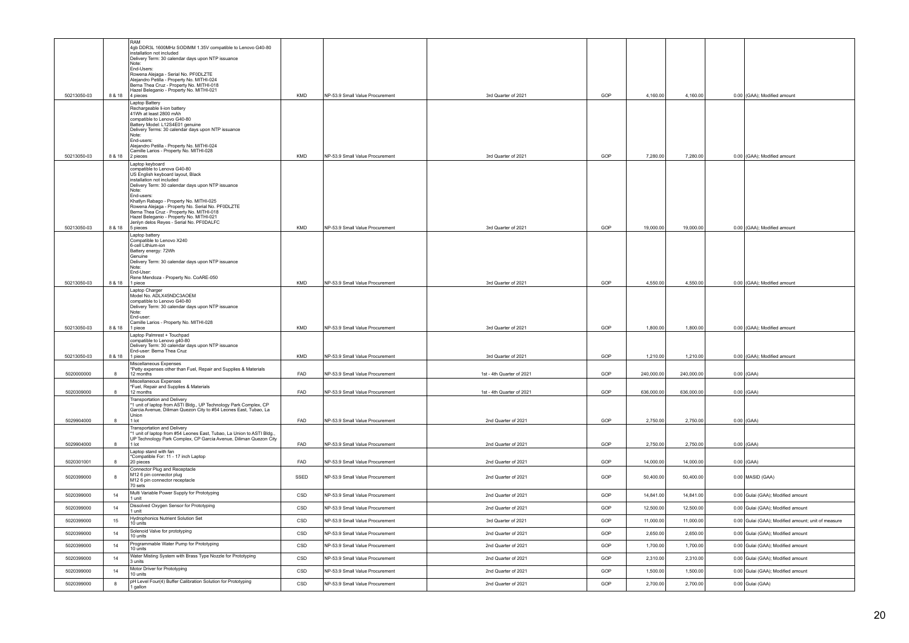|             |        | RAM<br>4gb DDR3L 1600MHz SODIMM 1.35V compatible to Lenovo G40-80                                                                          |            |                                 |                           |     |            |            |                                                    |
|-------------|--------|--------------------------------------------------------------------------------------------------------------------------------------------|------------|---------------------------------|---------------------------|-----|------------|------------|----------------------------------------------------|
|             |        | installation not included<br>Delivery Term: 30 calendar days upon NTP issuance                                                             |            |                                 |                           |     |            |            |                                                    |
|             |        | Note<br>End-Users:                                                                                                                         |            |                                 |                           |     |            |            |                                                    |
|             |        | Rowena Aleiaga - Serial No. PFODLZTE<br>Alejandro Petilla - Property No. MITHI-024<br>Berna Thea Cruz - Property No. MITHI-018             |            |                                 |                           |     |            |            |                                                    |
|             |        | Hazel Beleganio - Property No. MITHI-021                                                                                                   |            |                                 |                           |     |            |            |                                                    |
| 50213050-03 | 8 & 18 | 4 pieces<br>Laptop Battery                                                                                                                 | <b>KMD</b> | NP-53.9 Small Value Procurement | 3rd Quarter of 2021       | GOP | 4,160.00   | 4,160.00   | 0.00 (GAA); Modified amount                        |
|             |        | Rechargeable li-ion battery<br>41Wh at least 2800 mAh                                                                                      |            |                                 |                           |     |            |            |                                                    |
|             |        | compatible to Lenovo G40-80<br>Battery Model: L12S4E01 genuine                                                                             |            |                                 |                           |     |            |            |                                                    |
|             |        | Delivery Terms: 30 calendar days upon NTP issuance<br>Note:<br>End-users:                                                                  |            |                                 |                           |     |            |            |                                                    |
|             |        | Alejandro Petilla - Property No. MITHI-024<br>Camille Larios - Property No. MITHI-028                                                      |            |                                 |                           |     |            |            |                                                    |
| 50213050-03 |        | 8 & 18 2 pieces<br>Laptop keyboard                                                                                                         | <b>KMD</b> | NP-53.9 Small Value Procurement | 3rd Quarter of 2021       | GOP | 7,280.00   | 7.280.00   | 0.00 (GAA); Modified amount                        |
|             |        | compatible to Lenova G40-80<br>US English keyboard layout, Black                                                                           |            |                                 |                           |     |            |            |                                                    |
|             |        | installation not included<br>Delivery Term: 30 calendar days upon NTP issuance                                                             |            |                                 |                           |     |            |            |                                                    |
|             |        | Note:<br>End-users:                                                                                                                        |            |                                 |                           |     |            |            |                                                    |
|             |        | Khatlyn Rabago - Property No. MITHI-025<br>Rowena Alejaga - Property No. Serial No. PF0DLZTE<br>Berna Thea Cruz - Property No. MITHI-018   |            |                                 |                           |     |            |            |                                                    |
|             |        | Hazel Beleganio - Property No. MITHI-021<br>Jenlyn delos Reyes - Serial No. PF0DALFC                                                       |            |                                 |                           |     |            |            |                                                    |
| 50213050-03 |        | 8 & 18 5 pieces<br>Laptop battery                                                                                                          | KMD        | NP-53.9 Small Value Procurement | 3rd Quarter of 2021       | GOP | 19,000.00  | 19,000.00  | 0.00 (GAA); Modified amount                        |
|             |        | Compatible to Lenovo X240<br>6-cell Lithium-ion                                                                                            |            |                                 |                           |     |            |            |                                                    |
|             |        | Battery energy: 72Wh<br>Genuine                                                                                                            |            |                                 |                           |     |            |            |                                                    |
|             |        | Delivery Term: 30 calendar days upon NTP issuance<br>Note:<br>End-User                                                                     |            |                                 |                           |     |            |            |                                                    |
| 50213050-03 |        | Rene Mendoza - Property No. CoARE-050<br>8 & 18   1 piece                                                                                  | KMD        | NP-53.9 Small Value Procurement | 3rd Quarter of 2021       | GOP | 4,550.00   | 4,550.00   | 0.00 (GAA); Modified amount                        |
|             |        | Laptop Charger<br>Model No. ADLX45NDC3AOEM                                                                                                 |            |                                 |                           |     |            |            |                                                    |
|             |        | compatible to Lenovo G40-80<br>Delivery Term: 30 calendar days upon NTP issuance                                                           |            |                                 |                           |     |            |            |                                                    |
|             |        | Note:<br>End-user                                                                                                                          |            |                                 |                           |     |            |            |                                                    |
| 50213050-03 |        | Camille Larios - Property No. MITHI-028<br>8 & 18 1 piece                                                                                  | <b>KMD</b> | NP-53.9 Small Value Procurement | 3rd Quarter of 2021       | GOP | 1,800.00   | 1,800.00   | 0.00 (GAA); Modified amount                        |
|             |        | Laptop Palmrest + Touchpad<br>compatible to Lenovo g40-80                                                                                  |            |                                 |                           |     |            |            |                                                    |
| 50213050-03 | 8 & 18 | Delivery Term: 30 calendar days upon NTP issuance<br>End-user: Berna Thea Cruz<br>1 piece                                                  | KMD        | NP-53.9 Small Value Procurement | 3rd Quarter of 2021       | GOP | 1,210.00   | 1,210.00   | 0.00 (GAA); Modified amount                        |
|             |        | Miscellaneous Expenses<br>*Petty expenses other than Fuel, Repair and Supplies & Materials                                                 |            |                                 |                           |     |            |            |                                                    |
| 5020000000  | 8      | 12 months<br>Miscellaneous Expenses                                                                                                        | FAD        | NP-53.9 Small Value Procurement | 1st - 4th Quarter of 2021 | GOP | 240,000.00 | 240,000.00 | $0.00$ (GAA)                                       |
| 5020309000  | 8      | *Fuel, Repair and Supplies & Materials<br>12 months                                                                                        | FAD        | NP-53.9 Small Value Procurement | 1st - 4th Quarter of 2021 | GOP | 636,000.00 | 636,000.00 | $0.00$ (GAA)                                       |
|             |        | Transportation and Delivery<br>1 unit of laptop from ASTI Bldg., UP Technology Park Complex, CP                                            |            |                                 |                           |     |            |            |                                                    |
|             |        | Garcia Avenue, Diliman Quezon City to #54 Leones East, Tubao, La<br>Union                                                                  |            |                                 |                           |     |            |            |                                                    |
| 5029904000  | 8      | $1$ lot<br>Transportation and Delivery                                                                                                     | FAD        | NP-53.9 Small Value Procurement | 2nd Quarter of 2021       | GOP | 2,750.00   | 2,750.00   | $0.00$ (GAA)                                       |
|             |        | 1 unit of laptop from #54 Leones East, Tubao, La Union to ASTI Bldg.,<br>UP Technology Park Complex, CP Garcia Avenue, Diliman Quezon City |            |                                 |                           |     |            |            |                                                    |
| 5029904000  | 8      | 1 lot<br>Laptop stand with fan                                                                                                             | FAD        | NP-53.9 Small Value Procurement | 2nd Quarter of 2021       | GOP | 2,750.00   | 2,750.00   | $0.00$ (GAA)                                       |
| 5020301001  | 8      | *Compatible For: 11 - 17 inch Laptop<br>20 pieces                                                                                          | FAD        | NP-53.9 Small Value Procurement | 2nd Quarter of 2021       | GOP | 14,000.00  | 14,000.00  | $0.00$ (GAA)                                       |
| 5020399000  | 8      | Connector Plug and Receptacle<br>M12 6 pin connector plug                                                                                  | SSED       | NP-53.9 Small Value Procurement | 2nd Quarter of 2021       | GOP | 50,400.00  | 50,400.00  | 0.00 MASID (GAA)                                   |
|             |        | M12 6 pin connector receptacle<br>70 sets                                                                                                  |            |                                 |                           |     |            |            |                                                    |
| 5020399000  | 14     | Multi Variable Power Supply for Prototyping<br>1 unit                                                                                      | CSD        | NP-53.9 Small Value Procurement | 2nd Quarter of 2021       | GOP | 14,841.00  | 14,841.00  | 0.00 Gulai (GAA); Modified amount                  |
| 5020399000  | 14     | Dissolved Oxygen Sensor for Prototyping<br>1 unit                                                                                          | CSD        | NP-53.9 Small Value Procurement | 2nd Quarter of 2021       | GOP | 12,500.00  | 12,500.00  | 0.00 Gulai (GAA); Modified amount                  |
| 5020399000  | 15     | Hydrophonics Nutrient Solution Set<br>10 units                                                                                             | CSD        | NP-53.9 Small Value Procurement | 3rd Quarter of 2021       | GOP | 11,000.00  | 11,000.00  | 0.00 Gulai (GAA); Modified amount; unit of measure |
| 5020399000  | 14     | Solenoid Valve for prototyping<br>10 units                                                                                                 | CSD        | NP-53.9 Small Value Procurement | 2nd Quarter of 2021       | GOP | 2,650.00   | 2,650.00   | 0.00 Gulai (GAA); Modified amount                  |
| 5020399000  | 14     | Programmable Water Pump for Prototyping<br>10 units                                                                                        | CSD        | NP-53.9 Small Value Procurement | 2nd Quarter of 2021       | GOP | 1,700.00   | 1,700.00   | 0.00 Gulai (GAA); Modified amount                  |
| 5020399000  | 14     | Water Misting System with Brass Type Nozzle for Prototyping<br>3 units                                                                     | CSD        | NP-53.9 Small Value Procurement | 2nd Quarter of 2021       | GOP | 2,310.00   | 2,310.00   | 0.00 Gulai (GAA); Modified amount                  |
| 5020399000  | 14     | Motor Driver for Prototyping<br>10 units                                                                                                   | CSD        | NP-53.9 Small Value Procurement | 2nd Quarter of 2021       | GOP | 1,500.00   | 1,500.00   | 0.00 Gulai (GAA); Modified amount                  |
| 5020399000  | 8      | pH Level Four(4) Buffer Calibration Solution for Prototyping<br>1 gallon                                                                   | CSD        | NP-53.9 Small Value Procurement | 2nd Quarter of 2021       | GOP | 2,700.00   | 2,700.00   | 0.00 Gulai (GAA)                                   |
|             |        |                                                                                                                                            |            |                                 |                           |     |            |            |                                                    |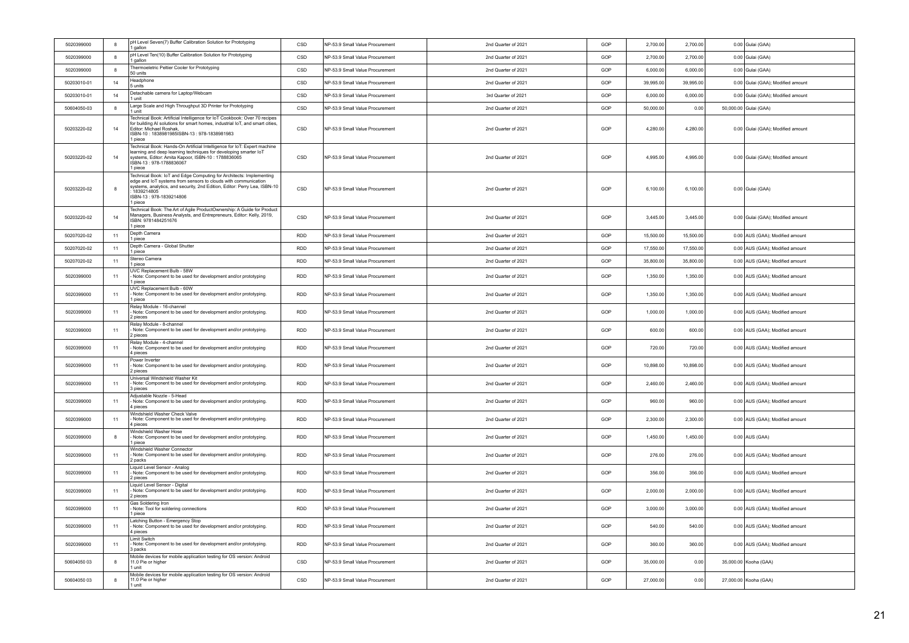| 5020399000  | 8                | pH Level Seven(7) Buffer Calibration Solution for Prototyping<br>I gallon                                                                                                                                                                                           | CSD        | NP-53.9 Small Value Procurement | 2nd Quarter of 2021 | GOP | 2,700.00    | 2,700.00  | 0.00 Gulai (GAA)                  |
|-------------|------------------|---------------------------------------------------------------------------------------------------------------------------------------------------------------------------------------------------------------------------------------------------------------------|------------|---------------------------------|---------------------|-----|-------------|-----------|-----------------------------------|
| 5020399000  | $\boldsymbol{8}$ | pH Level Ten(10) Buffer Calibration Solution for Prototyping<br>I gallon                                                                                                                                                                                            | CSD        | NP-53.9 Small Value Procurement | 2nd Quarter of 2021 | GOP | 2,700.00    | 2,700.00  | 0.00 Gulai (GAA)                  |
| 5020399000  | $\boldsymbol{8}$ | Thermoeletric Peltier Cooler for Prototyping<br>50 units                                                                                                                                                                                                            | CSD        | NP-53.9 Small Value Procurement | 2nd Quarter of 2021 | GOP | 6,000.00    | 6,000.00  | 0.00 Gulai (GAA)                  |
| 50203010-01 | 14               | Headphone<br>5 units                                                                                                                                                                                                                                                | CSD        | NP-53.9 Small Value Procurement | 2nd Quarter of 2021 | GOP | 39,995.00   | 39,995.00 | 0.00 Gulai (GAA); Modified amount |
| 50203010-01 | 14               | Detachable camera for Laptop/Webcam<br>1 unit                                                                                                                                                                                                                       | CSD        | NP-53.9 Small Value Procurement | 3rd Quarter of 2021 | GOP | 6,000.00    | 6,000.00  | 0.00 Gulai (GAA); Modified amount |
| 50604050-03 | $\boldsymbol{8}$ | Large Scale and High Throughput 3D Printer for Prototyping<br>1 unit                                                                                                                                                                                                | CSD        | NP-53.9 Small Value Procurement | 2nd Quarter of 2021 | GOP | 50,000.00   | 0.00      | 50,000.00 Gulai (GAA)             |
| 50203220-02 | 14               | Technical Book: Artificial Intelligence for IoT Cookbook: Over 70 recipes<br>for building AI solutions for smart homes, industrial IoT, and smart cities<br>Editor: Michael Roshak,<br>ISBN-10: 1838981985ISBN-13: 978-1838981983<br>1 piece                        | CSD        | NP-53.9 Small Value Procurement | 2nd Quarter of 2021 | GOP | 4,280.00    | 4,280.00  | 0.00 Gulai (GAA); Modified amount |
| 50203220-02 | 14               | Technical Book: Hands-On Artificial Intelligence for IoT: Expert machine<br>learning and deep learning techniques for developing smarter IoT<br>systems, Editor: Amita Kapoor, ISBN-10: 1788836065<br>ISBN-13: 978-1788836067<br>1 piece                            | CSD        | NP-53.9 Small Value Procurement | 2nd Quarter of 2021 | GOP | 4 9 9 5 0 0 | 4.995.00  | 0.00 Gulai (GAA); Modified amount |
| 50203220-02 | 8                | Technical Book: IoT and Edge Computing for Architects: Implementing<br>edge and IoT systems from sensors to clouds with communication<br>systems, analytics, and security, 2nd Edition, Editor: Perry Lea, ISBN-10<br>1839214805<br>ISBN-13:978-1839214806<br>piece | CSD        | NP-53.9 Small Value Procurement | 2nd Quarter of 2021 | GOP | 6.100.00    | 6.100.00  | 0.00 Gulai (GAA)                  |
| 50203220-02 | 14               | Technical Book: The Art of Agile ProductOwnership: A Guide for Product<br>Managers, Business Analysts, and Entrepreneurs, Editor: Kelly, 2019,<br>ISBN: 9781484251676<br>1 piece                                                                                    | CSD        | NP-53.9 Small Value Procurement | 2nd Quarter of 2021 | GOP | 3,445.00    | 3,445.00  | 0.00 Gulai (GAA); Modified amount |
| 50207020-02 | 11               | Depth Camera<br>1 piece                                                                                                                                                                                                                                             | <b>RDD</b> | NP-53.9 Small Value Procurement | 2nd Quarter of 2021 | GOP | 15,500.00   | 15,500.00 | 0.00 AUS (GAA); Modified amount   |
| 50207020-02 | 11               | Depth Camera - Global Shutter<br>1 piece                                                                                                                                                                                                                            | <b>RDD</b> | NP-53.9 Small Value Procurement | 2nd Quarter of 2021 | GOP | 17,550.00   | 17,550.00 | 0.00 AUS (GAA); Modified amount   |
| 50207020-02 | 11               | Stereo Camera<br>1 piece                                                                                                                                                                                                                                            | <b>RDD</b> | NP-53.9 Small Value Procurement | 2nd Quarter of 2021 | GOP | 35,800.00   | 35,800.00 | 0.00 AUS (GAA); Modified amount   |
| 5020399000  | 11               | UVC Replacement Bulb - 58W<br>Note: Component to be used for development and/or prototyping<br>1 piece                                                                                                                                                              | RDD        | NP-53.9 Small Value Procurement | 2nd Quarter of 2021 | GOP | 1,350.00    | 1,350.00  | 0.00 AUS (GAA); Modified amount   |
| 5020399000  | 11               | UVC Replacement Bulb - 60W<br>Note: Component to be used for development and/or prototyping.<br>1 niece                                                                                                                                                             | <b>RDD</b> | NP-53.9 Small Value Procurement | 2nd Quarter of 2021 | GOP | 1,350.00    | 1,350.00  | 0.00 AUS (GAA); Modified amount   |
| 5020399000  | 11               | Relay Module - 16-channel<br>Note: Component to be used for development and/or prototyping.<br>2 pieces                                                                                                                                                             | <b>RDD</b> | NP-53.9 Small Value Procurement | 2nd Quarter of 2021 | GOP | 1,000.00    | 1,000.00  | 0.00 AUS (GAA); Modified amount   |
| 5020399000  | 11               | Relay Module - 8-channel<br>Note: Component to be used for development and/or prototyping.<br>2 pieces                                                                                                                                                              | <b>RDD</b> | NP-53.9 Small Value Procurement | 2nd Quarter of 2021 | GOP | 600.00      | 600.00    | 0.00 AUS (GAA); Modified amount   |
| 5020399000  | 11               | Relay Module - 4-channel<br>Note: Component to be used for development and/or prototyping<br>4 pieces                                                                                                                                                               | RDD        | NP-53.9 Small Value Procurement | 2nd Quarter of 2021 | GOP | 720.00      | 720.00    | 0.00 AUS (GAA); Modified amount   |
| 5020399000  | 11               | Power Inverter<br>Note: Component to be used for development and/or prototyping.<br>2 pieces                                                                                                                                                                        | <b>RDD</b> | NP-53.9 Small Value Procurement | 2nd Quarter of 2021 | GOP | 10,898.00   | 10,898.00 | 0.00 AUS (GAA); Modified amount   |
| 5020399000  | 11               | Universal Windshield Washer Kit<br>Note: Component to be used for development and/or prototyping.<br>3 pieces                                                                                                                                                       | RDD        | NP-53.9 Small Value Procurement | 2nd Quarter of 2021 | GOP | 2,460.00    | 2,460.00  | 0.00 AUS (GAA); Modified amount   |
| 5020399000  | 11               | Adjustable Nozzle - 5-Head<br>Note: Component to be used for development and/or prototyping.<br>4 pieces                                                                                                                                                            | <b>RDD</b> | NP-53.9 Small Value Procurement | 2nd Quarter of 2021 | GOP | 960.00      | 960.00    | 0.00 AUS (GAA); Modified amount   |
| 5020399000  | 11               | Windshield Washer Check Valve<br>Note: Component to be used for development and/or prototyping.<br>4 pieces                                                                                                                                                         | <b>RDD</b> | NP-53.9 Small Value Procurement | 2nd Quarter of 2021 | GOP | 2,300.00    | 2,300.00  | 0.00 AUS (GAA); Modified amount   |
| 5020399000  | $\boldsymbol{8}$ | Windshield Washer Hose<br>Note: Component to be used for development and/or prototyping.<br>piece                                                                                                                                                                   | <b>RDD</b> | NP-53.9 Small Value Procurement | 2nd Quarter of 2021 | GOP | 1,450.00    | 1,450.00  | 0.00 AUS (GAA)                    |
| 5020399000  | 11               | Windshield Washer Connector<br>Note: Component to be used for development and/or prototyping.<br>2 packs                                                                                                                                                            | <b>RDD</b> | NP-53.9 Small Value Procurement | 2nd Quarter of 2021 | GOP | 276.00      | 276.00    | 0.00 AUS (GAA); Modified amount   |
| 5020399000  | 11               | Liquid Level Sensor - Analog<br>Note: Component to be used for development and/or prototyping.<br>2 pieces                                                                                                                                                          | <b>RDD</b> | NP-53.9 Small Value Procurement | 2nd Quarter of 2021 | GOP | 356.00      | 356.00    | 0.00 AUS (GAA); Modified amount   |
| 5020399000  | 11               | Liquid Level Sensor - Digital<br>Note: Component to be used for development and/or prototyping.<br>2 pieces                                                                                                                                                         | <b>RDD</b> | NP-53.9 Small Value Procurement | 2nd Quarter of 2021 | GOP | 2,000.00    | 2,000.00  | 0.00 AUS (GAA); Modified amount   |
| 5020399000  | 11               | Gas Soldering Iron<br>Note: Tool for soldering connections<br>1 piece                                                                                                                                                                                               | <b>RDD</b> | NP-53.9 Small Value Procurement | 2nd Quarter of 2021 | GOP | 3,000.00    | 3,000.00  | 0.00 AUS (GAA); Modified amount   |
| 5020399000  | 11               | Latching Button - Emergency Stop<br>Note: Component to be used for development and/or prototyping.<br>4 pieces                                                                                                                                                      | <b>RDD</b> | NP-53.9 Small Value Procurement | 2nd Quarter of 2021 | GOP | 540.00      | 540.00    | 0.00 AUS (GAA); Modified amount   |
| 5020399000  | 11               | Limit Switch<br>Note: Component to be used for development and/or prototyping.<br>3 packs                                                                                                                                                                           | <b>RDD</b> | NP-53.9 Small Value Procurement | 2nd Quarter of 2021 | GOP | 360.00      | 360.00    | 0.00 AUS (GAA); Modified amount   |
| 50604050 03 | 8                | Mobile devices for mobile application testing for OS version: Android<br>11.0 Pie or higher<br>I unit                                                                                                                                                               | CSD        | NP-53.9 Small Value Procurement | 2nd Quarter of 2021 | GOP | 35,000.00   | 0.00      | 35,000.00 Kooha (GAA)             |
| 50604050 03 | 8                | Mobile devices for mobile application testing for OS version: Android<br>11.0 Pie or higher<br>1 unit                                                                                                                                                               | CSD        | NP-53.9 Small Value Procurement | 2nd Quarter of 2021 | GOP | 27,000.00   | 0.00      | 27,000.00 Kooha (GAA)             |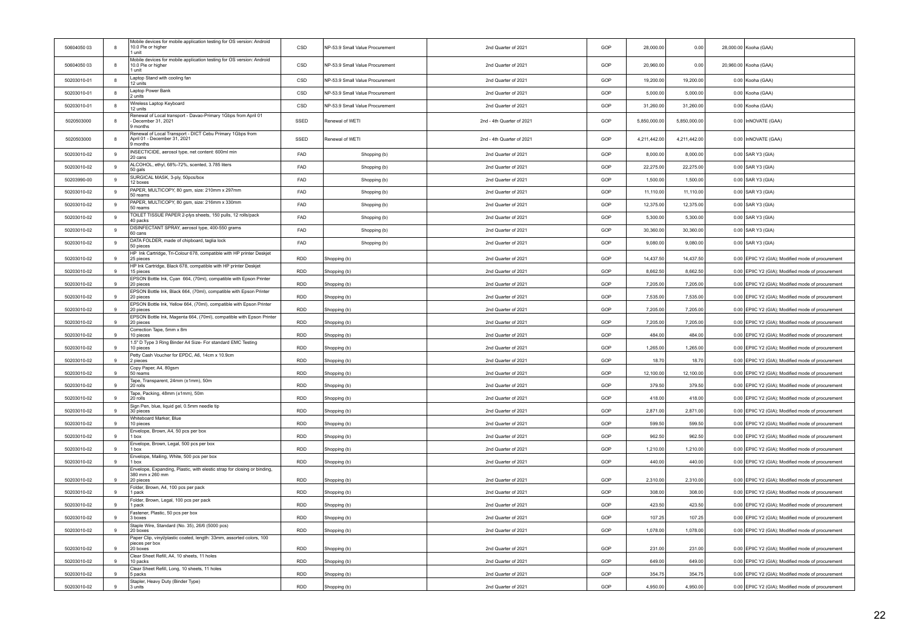| 50604050 03 | 8        | Mobile devices for mobile application testing for OS version: Android<br>10.0 Pie or higher<br>1 unit | CSD        | NP-53.9 Small Value Procurement | 2nd Quarter of 2021       | GOP | 28,000.00    | 0.00         | 28,000.00 Kooha (GAA)                             |
|-------------|----------|-------------------------------------------------------------------------------------------------------|------------|---------------------------------|---------------------------|-----|--------------|--------------|---------------------------------------------------|
| 50604050 03 | 8        | Mobile devices for mobile application testing for OS version: Android<br>10.0 Pie or higher<br>l unit | CSD        | NP-53.9 Small Value Procuremen  | 2nd Quarter of 2021       | GOP | 20,960.00    | 0.00         | 20,960.00 Kooha (GAA)                             |
| 50203010-01 | 8        | Laptop Stand with cooling fan<br>12 units                                                             | CSD        | NP-53.9 Small Value Procurement | 2nd Quarter of 2021       | GOP | 19,200.00    | 19,200.00    | 0.00 Kooha (GAA)                                  |
| 50203010-01 | 8        | Laptop Power Bank<br>2 units                                                                          | CSD        | NP-53.9 Small Value Procurement | 2nd Quarter of 2021       | GOP | 5,000.00     | 5,000.00     | 0.00 Kooha (GAA)                                  |
| 50203010-01 | 8        | Wireless Laptop Keyboard<br>12 units                                                                  | CSD        | NP-53.9 Small Value Procurement | 2nd Quarter of 2021       | GOP | 31,260.00    | 31,260.00    | 0.00 Kooha (GAA)                                  |
| 5020503000  | 8        | Renewal of Local transport - Davao-Primary 1Gbps from April 01<br>December 31, 2021<br>9 months       | SSED       | Renewal of WETI                 | 2nd - 4th Quarter of 2021 | GOP | 5,850,000.00 | 5,850,000.00 | 0.00 InNOVATE (GAA)                               |
| 5020503000  | 8        | Renewal of Local Transport - DICT Cebu Primary 1Gbps from<br>April 01 - December 31, 2021<br>9 months | SSED       | Renewal of WETI                 | 2nd - 4th Quarter of 2021 | GOP | 4,211,442.00 | 4,211,442.00 | 0.00 InNOVATE (GAA)                               |
| 50203010-02 | 9        | INSECTICIDE, aerosol type, net content: 600ml min<br>20 cans                                          | FAD        | Shopping (b)                    | 2nd Quarter of 2021       | GOP | 8,000.00     | 8,000.00     | 0.00 SAR Y3 (GIA)                                 |
| 50203010-02 | 9        | ALCOHOL, ethyl, 68%-72%, scented, 3.785 liters<br>50 gals                                             | FAD        | Shopping (b)                    | 2nd Quarter of 2021       | GOP | 22,275.00    | 22,275.00    | 0.00 SAR Y3 (GIA)                                 |
| 50203990-00 | 9        | SURGICAL MASK, 3-ply, 50pcs/box<br>12 boxes                                                           | FAD        | Shopping (b)                    | 2nd Quarter of 2021       | GOP | 1,500.00     | 1,500.00     | 0.00 SAR Y3 (GIA)                                 |
| 50203010-02 | 9        | PAPER, MULTICOPY, 80 gsm, size: 210mm x 297mm<br>50 reams                                             | <b>FAD</b> | Shopping (b)                    | 2nd Quarter of 2021       | GOP | 11.110.00    | 11.110.00    | 0.00 SAR Y3 (GIA)                                 |
| 50203010-02 | 9        | PAPER, MULTICOPY, 80 gsm, size: 216mm x 330mm<br>50 reams                                             | FAD        | Shopping (b)                    | 2nd Quarter of 2021       | GOP | 12,375.00    | 12,375.00    | 0.00 SAR Y3 (GIA)                                 |
| 50203010-02 | 9        | TOILET TISSUE PAPER 2-plys sheets, 150 pulls, 12 rolls/pack<br>40 packs                               | FAD        | Shopping (b)                    | 2nd Quarter of 2021       | GOP | 5,300.00     | 5,300.00     | 0.00 SAR Y3 (GIA)                                 |
| 50203010-02 | 9        | DISINFECTANT SPRAY, aerosol type, 400-550 grams<br>60 cans                                            | FAD        | Shopping (b)                    | 2nd Quarter of 2021       | GOP | 30,360.00    | 30,360.00    | 0.00 SAR Y3 (GIA)                                 |
| 50203010-02 | $9\,$    | DATA FOLDER, made of chipboard, taglia lock<br>50 pieces                                              | FAD        | Shopping (b)                    | 2nd Quarter of 2021       | GOP | 9,080.00     | 9,080.00     | 0.00 SAR Y3 (GIA)                                 |
| 50203010-02 | $\alpha$ | HP Ink Cartridge, Tri-Colour 678, compatible with HP printer Deskjet<br>25 pieces                     | <b>RDD</b> | Shopping (b)                    | 2nd Quarter of 2021       | GOP | 14,437.50    | 14,437.50    | 0.00 EPIIC Y2 (GIA); Modified mode of procurement |
| 50203010-02 | $\alpha$ | HP Ink Cartridge, Black 678, compatible with HP printer Deskjet<br>15 nieces                          | <b>RDD</b> | Shopping (b)                    | 2nd Quarter of 2021       | GOP | 8,662.50     | 8.662.50     | 0.00 FPIIC Y2 (GIA): Modified mode of procurement |
| 50203010-02 | 9        | EPSON Bottle Ink, Cyan 664, (70ml), compatible with Epson Printer<br>20 pieces                        | RDD        | Shopping (b)                    | 2nd Quarter of 2021       | GOP | 7,205.00     | 7,205.00     | 0.00 EPIIC Y2 (GIA); Modified mode of procurement |
| 50203010-02 | 9        | EPSON Bottle Ink, Black 664, (70ml), compatible with Epson Printer<br>20 pieces                       | RDD        | Shopping (b)                    | 2nd Quarter of 2021       | GOP | 7,535.00     | 7,535.00     | 0.00 EPIIC Y2 (GIA); Modified mode of procurement |
|             |          | EPSON Bottle Ink, Yellow 664, (70ml), compatible with Epson Printer                                   |            |                                 |                           |     |              |              |                                                   |
| 50203010-02 |          | 20 pieces<br>EPSON Bottle Ink, Magenta 664, (70ml), compatible with Epson Printer                     | RDD        | Shopping (b)                    | 2nd Quarter of 2021       | GOP | 7,205.00     | 7,205.00     | 0.00 EPIIC Y2 (GIA); Modified mode of procurement |
| 50203010-02 | $\alpha$ | 20 pieces<br>Correction Tape, 5mm x 8m                                                                | <b>RDD</b> | Shopping (b)                    | 2nd Quarter of 2021       | GOP | 7,205.00     | 7,205.00     | 0.00 EPIIC Y2 (GIA); Modified mode of procurement |
| 50203010-02 | 9        | 10 pieces<br>1.5" D Type 3 Ring Binder A4 Size- For standard EMC Testing                              | <b>RDD</b> | Shopping (b)                    | 2nd Quarter of 2021       | GOP | 484.00       | 484.00       | 0.00 EPIIC Y2 (GIA); Modified mode of procurement |
| 50203010-02 | $\alpha$ | 10 pieces<br>Petty Cash Voucher for EPDC, A6, 14cm x 10.9cm                                           | <b>RDD</b> | Shopping (b)                    | 2nd Quarter of 2021       | GOP | 1,265.00     | 1,265.00     | 0.00 EPIIC Y2 (GIA); Modified mode of procurement |
| 50203010-02 | 9        | 2 pieces<br>Copy Paper, A4, 80gsm                                                                     | RDD        | Shopping (b)                    | 2nd Quarter of 2021       | GOP | 18.70        | 18.70        | 0.00 EPIIC Y2 (GIA); Modified mode of procurement |
| 50203010-02 | 9        | 50 reams<br>Tape, Transparent, 24mm (±1mm), 50m                                                       | <b>RDD</b> | Shopping (b)                    | 2nd Quarter of 2021       | GOP | 12,100.00    | 12,100.00    | 0.00 EPIIC Y2 (GIA); Modified mode of procurement |
| 50203010-02 |          | 20 rolls<br>Tape, Packing, 48mm (±1mm), 50m                                                           | RDD        | Shopping (b)                    | 2nd Quarter of 2021       | GOP | 379.50       | 379.50       | 0.00 EPIIC Y2 (GIA); Modified mode of procurement |
| 50203010-02 | 9        | 20 rolls<br>Sign Pen, blue, liquid gel, 0.5mm needle tip                                              | <b>RDD</b> | Shopping (b)                    | 2nd Quarter of 2021       | GOP | 418.00       | 418.00       | 0.00 EPIIC Y2 (GIA); Modified mode of procurement |
| 50203010-02 | $\alpha$ | 30 pieces                                                                                             | <b>RDD</b> | Shopping (b)                    | 2nd Quarter of 2021       | GOP | 2.871.00     | 2.871.00     | 0.00 EPIIC Y2 (GIA); Modified mode of procurement |
| 50203010-02 | $\alpha$ | Whiteboard Marker, Blue<br>10 pieces                                                                  | <b>RDD</b> | Shopping (b)                    | 2nd Quarter of 2021       | GOP | 599.50       | 599.50       | 0.00 EPIIC Y2 (GIA); Modified mode of procurement |
| 50203010-02 | $\alpha$ | Envelope, Brown, A4, 50 pcs per box<br>1 hox                                                          | <b>RDD</b> | Shopping (b)                    | 2nd Quarter of 2021       | GOP | 962.50       | 962.50       | 0.00 EPIIC Y2 (GIA); Modified mode of procurement |
| 50203010-02 | 9        | Envelope, Brown, Legal, 500 pcs per box<br>1 box                                                      | <b>RDD</b> | Shopping (b)                    | 2nd Quarter of 2021       | GOP | 1,210.00     | 1,210.00     | 0.00 EPIIC Y2 (GIA); Modified mode of procurement |
| 50203010-02 | 9        | Envelope, Mailing, White, 500 pcs per box<br>1 box                                                    | RDD        | Shopping (b)                    | 2nd Quarter of 2021       | GOP | 440.00       | 440.00       | 0.00 EPIIC Y2 (GIA); Modified mode of procurement |
|             |          | Envelope, Expanding, Plastic, with elestic strap for closing or binding,<br>380 mm x 260 mm           |            |                                 |                           |     |              |              |                                                   |
| 50203010-02 |          | 20 pieces<br>Folder, Brown, A4, 100 pcs per pack                                                      | RDD        | Shopping (b)                    | 2nd Quarter of 2021       | GOP | 2,310.00     | 2,310.00     | 0.00 EPIIC Y2 (GIA); Modified mode of procurement |
| 50203010-02 | 9        | 1 pack<br>Folder, Brown, Legal, 100 pcs per pack                                                      | <b>RDD</b> | Shopping (b)                    | 2nd Quarter of 2021       | GOP | 308.00       | 308.00       | 0.00 EPIIC Y2 (GIA); Modified mode of procurement |
| 50203010-02 | 9        | 1 pack<br>Fastener, Plastic, 50 pcs per box                                                           | <b>RDD</b> | Shopping (b)                    | 2nd Quarter of 2021       | GOP | 423.50       | 423.50       | 0.00 EPIIC Y2 (GIA); Modified mode of procurement |
| 50203010-02 | 9        | 3 boxes<br>Staple Wire, Standard (No. 35), 26/6 (5000 pcs)                                            | <b>RDD</b> | Shopping (b)                    | 2nd Quarter of 2021       | GOP | 107.25       | 107.25       | 0.00 EPIIC Y2 (GIA): Modified mode of procurement |
| 50203010-02 | $_{9}$   | 20 boxes<br>Paper Clip, vinyl/plastic coated, length: 33mm, assorted colors, 100                      | RDD        | Shopping (b)                    | 2nd Quarter of 2021       | GOP | 1,078.00     | 1,078.00     | 0.00 EPIIC Y2 (GIA); Modified mode of procurement |
| 50203010-02 | 9        | pieces per box<br>20 boxes                                                                            | RDD        | Shopping (b)                    | 2nd Quarter of 2021       | GOP | 231.00       | 231.00       | 0.00 EPIIC Y2 (GIA); Modified mode of procurement |
| 50203010-02 | $\alpha$ | Clear Sheet Refill, A4, 10 sheets, 11 holes<br>10 packs                                               | RDD        | Shopping (b)                    | 2nd Quarter of 2021       | GOP | 649.00       | 649.00       | 0.00 EPIIC Y2 (GIA); Modified mode of procurement |
| 50203010-02 | $\alpha$ | Clear Sheet Refill, Long, 10 sheets, 11 holes<br>5 packs                                              | <b>RDD</b> | Shopping (b)                    | 2nd Quarter of 2021       | GOP | 354.75       | 354.75       | 0.00 EPIIC Y2 (GIA); Modified mode of procurement |
| 50203010-02 | $_{9}$   | Stapler, Heavy Duty (Binder Type)<br>3 units                                                          | <b>RDD</b> | Shopping (b)                    | 2nd Quarter of 2021       | GOP | 4,950.00     | 4,950.00     | 0.00 EPIIC Y2 (GIA); Modified mode of procurement |
|             |          |                                                                                                       |            |                                 |                           |     |              |              |                                                   |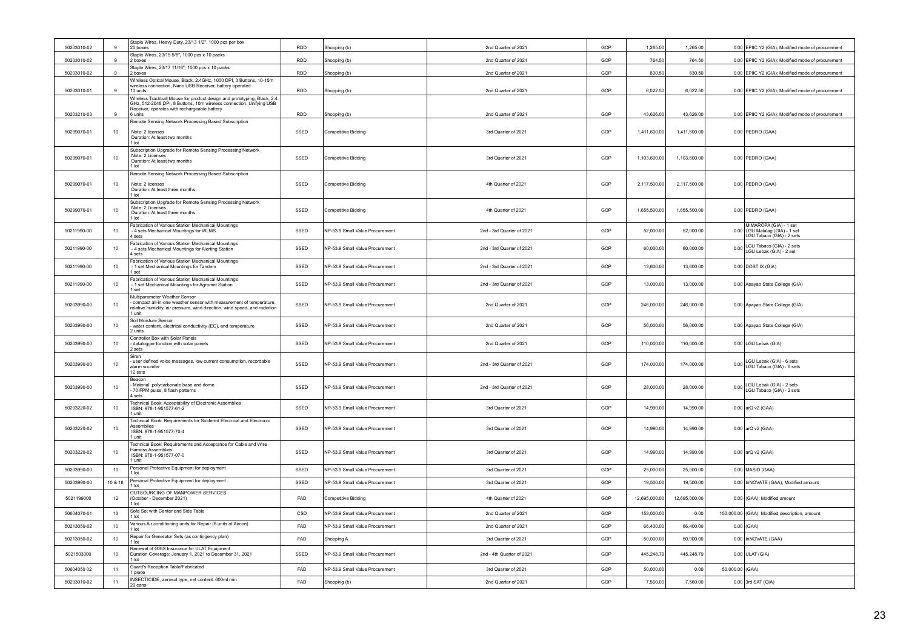| 50203010-02 | $\mathbf{Q}$   | Staple Wires, Heavy Duty, 23/13 1/2", 1000 pcs per box<br>20 boxes                                                                                                                          | <b>RDD</b> | Shopping (b)                    | 2nd Quarter of 2021       | GOP | 1,265.00      | 1,265.00      |                 | 0.00 EPIIC Y2 (GIA); Modified mode of procurement                                     |
|-------------|----------------|---------------------------------------------------------------------------------------------------------------------------------------------------------------------------------------------|------------|---------------------------------|---------------------------|-----|---------------|---------------|-----------------|---------------------------------------------------------------------------------------|
| 50203010-02 | $\overline{9}$ | Staple Wires, 23/15 5/8", 1000 pcs x 10 packs<br>2 boxes                                                                                                                                    | <b>RDD</b> | Shopping (b)                    | 2nd Quarter of 2021       | GOP | 764.50        | 764.50        |                 | 0.00 EPIIC Y2 (GIA): Modified mode of procurement                                     |
| 50203010-02 | $\mathbf{g}$   | Staple Wires, 23/17 11/16", 1000 pcs x 10 packs<br>2 boxes                                                                                                                                  | <b>RDD</b> | Shopping (b)                    | 2nd Quarter of 2021       | GOP | 830.50        | 830.50        |                 | 0.00 EPIIC Y2 (GIA); Modified mode of procurement                                     |
|             |                | Wireless Optical Mouse, Black, 2.4GHz, 1000 DPI, 3 Buttons, 10-15m<br>wireless connection, Nano USB Receiver, battery operated                                                              |            |                                 |                           |     |               |               |                 |                                                                                       |
| 50203010-01 | $\mathbf{g}$   | 10 units<br>Wireless Trackball Mouse for product design and prototyping, Black, 2.4                                                                                                         | RDD        | Shopping (b)                    | 2nd Quarter of 2021       | GOP | 6,022.50      | 6,022.50      |                 | 0.00 EPIIC Y2 (GIA); Modified mode of procurement                                     |
| 50203210-03 | 9              | GHz, 512-2048 DPI, 8 Buttons, 10m wireless connection, Unifying USB<br>Receiver, operates with rechargeable battery<br>6 units                                                              | <b>RDD</b> |                                 | 2nd Quarter of 2021       | GOP | 43,626.00     | 43,626.00     |                 | 0.00 EPIIC Y2 (GIA); Modified mode of procurement                                     |
|             |                | Remote Sensing Network Processing Based Subscription                                                                                                                                        |            | Shopping (b)                    |                           |     |               |               |                 |                                                                                       |
| 50299070-01 | 10             | Note: 2 licenses<br>Duration: At least two months<br>1 lot                                                                                                                                  | SSED       | Competitive Bidding             | 3rd Quarter of 2021       | GOP | 1,411,600.00  | 1,411,600.00  |                 | 0.00 PEDRO (GAA)                                                                      |
| 50299070-01 | 10             | Subscription Upgrade for Remote Sensing Processing Network<br>Note: 2 Licenses<br>Duration: At least two months<br>1 lot                                                                    | SSED       | Competitive Bidding             | 3rd Quarter of 2021       | GOP | 1,103,600.00  | 1,103,600.00  |                 | 0.00 PEDRO (GAA)                                                                      |
| 50299070-01 | 10             | Remote Sensing Network Processing Based Subscription<br>Note: 2 licenses<br>Duration: At least three months<br>1 lot                                                                        | SSED       | <b>Competitive Bidding</b>      | 4th Quarter of 2021       | GOP | 2,117,500.00  | 2,117,500.00  |                 | 0.00 PEDRO (GAA)                                                                      |
| 50299070-01 | 10             | Subscription Upgrade for Remote Sensing Processing Network<br>Note: 2 Licenses<br>Duration: At least three months<br>I lot                                                                  | SSED       | <b>Competitive Bidding</b>      | 4th Quarter of 2021       | GOP | 1,655,500.00  | 1,655,500.00  |                 | 0.00 PEDRO (GAA)                                                                      |
| 50211990-00 | 10             | Fabrication of Various Station Mechanical Mountings<br>- 4 sets Mechanical Mountings for WLMS<br>4 sets                                                                                     | SSED       | NP-53.9 Small Value Procurement | 2nd - 3rd Quarter of 2021 | GOP | 52,000.00     | 52,000.00     |                 | MIMAROPA (GIA) - 1 set<br>0.00 LGU Malalag (GIA) - 1 set<br>LGU Tabaco (GIA) - 2 sets |
| 50211990-00 | 10             | Fabrication of Various Station Mechanical Mountings<br>- 4 sets Mechanical Mountings for Alerting Station<br>4 sets                                                                         | SSED       | NP-53.9 Small Value Procurement | 2nd - 3rd Quarter of 2021 | GOP | 60,000.00     | 60,000.00     | 0.00            | LGU Tabaco (GIA) - 2 sets<br>LGU Lebak (GIA) - 2 set                                  |
| 50211990-00 | 10             | Fabrication of Various Station Mechanical Mountings<br>- 1 set Mechanical Mountings for Tandem<br>I set                                                                                     | SSED       | NP-53.9 Small Value Procurement | 2nd - 3rd Quarter of 2021 | GOP | 13,600.00     | 13,600.00     |                 | $0.00$ DOST IX (GIA)                                                                  |
| 50211990-00 | 10             | Fabrication of Various Station Mechanical Mountings<br>1 set Mechanical Mountings for Agromet Station<br>I set                                                                              | SSED       | NP-53.9 Small Value Procurement | 2nd - 3rd Quarter of 2021 | GOP | 13,000.00     | 13,000.00     |                 | 0.00 Apayao State College (GIA)                                                       |
| 50203990-00 | 10             | Multiparameter Weather Sensor<br>compact all-in-one weather sensor with measurement of temperature,<br>relative humidity, air pressure, wind direction, wind speed, and radiation<br>1 unit | SSED       | NP-53.9 Small Value Procurement | 2nd Quarter of 2021       | GOP | 246,000.00    | 246,000.00    |                 | 0.00 Apayao State College (GIA)                                                       |
| 50203990-00 | 10             | Soil Moisture Sensor<br>water content, electrical conductivity (EC), and temperature<br>2 units                                                                                             | SSED       | NP-53.9 Small Value Procurement | 2nd Quarter of 2021       | GOP | 56,000.00     | 56,000.00     |                 | 0.00 Apayao State College (GIA)                                                       |
| 50203990-00 | 10             | Controller Box with Solar Panels<br>datalogger function with solar panels<br>2 sets                                                                                                         | SSED       | NP-53.9 Small Value Procurement | 2nd Quarter of 2021       | GOP | 110,000.00    | 110,000.00    |                 | 0.00 LGU Lebak (GIA)                                                                  |
| 50203990-00 | 10             | Siren<br>user defined voice messages, low current consumption, recordable<br>alarm sounder<br>12 sets                                                                                       | SSED       | NP-53.9 Small Value Procurement | 2nd - 3rd Quarter of 2021 | GOP | 174,000.00    | 174,000.00    | 0.00            | LGU Lebak (GIA) - 6 sets<br>LGU Tabaco (GIA) - 6 sets                                 |
| 50203990-00 | 10             | Beacon<br>Material: polycarbonate base and dome<br>70 FPM pulse, 8 flash patterns<br>4 sets                                                                                                 | SSED       | NP-53.9 Small Value Procurement | 2nd - 3rd Quarter of 2021 | GOP | 28,000.00     | 28,000.00     | 0.00            | LGU Lebak (GIA) - 2 sets<br>LGU Tabaco (GIA) - 2 sets                                 |
| 50203220-02 | 10             | Technical Book: Acceptability of Electronic Assemblies<br>ISBN: 978-1-951577-61-2<br>1 unit                                                                                                 | SSED       | NP-53.9 Small Value Procurement | 3rd Quarter of 2021       | GOP | 14,990.00     | 14,990.00     |                 | 0.00 arQ v2 (GAA)                                                                     |
| 50203220-02 | 10             | Technical Book: Requirements for Soldered Electrical and Electronic<br>Assemblies<br>ISBN: 978-1-951577-70-4<br>1 unit                                                                      | SSED       | NP-53.9 Small Value Procurement | 3rd Quarter of 2021       | GOP | 14,990.00     | 14,990.00     |                 | 0.00 arQ v2 (GAA)                                                                     |
| 50203220-02 | 10             | Technical Book: Requirements and Acceptance for Cable and Wire<br><b>Harness Assemblies</b><br>ISBN: 978-1-951577-07-0<br>1 unit                                                            | SSED       | NP-53.9 Small Value Procurement | 3rd Quarter of 2021       | GOP | 14,990.00     | 14,990.00     |                 | 0.00 arQ v2 (GAA)                                                                     |
| 50203990-00 | 10             | Personal Protective Equipment for deployment<br>1 lot                                                                                                                                       | SSED       | NP-53.9 Small Value Procurement | 3rd Quarter of 2021       | GOP | 25,000.00     | 25,000.00     |                 | 0.00 MASID (GAA)                                                                      |
| 50203990-00 | 10 & 18        | Personal Protective Equipment for deployment<br>1 lot                                                                                                                                       | SSED       | NP-53.9 Small Value Procurement | 3rd Quarter of 2021       | GOP | 19,500.00     | 19,500.00     |                 | 0.00 InNOVATE (GAA); Modified amount                                                  |
| 5021199000  | $12\,$         | OUTSOURCING OF MANPOWER SERVICES<br>(October - December 2021)<br>1 lot                                                                                                                      | FAD        | <b>Competitive Bidding</b>      | 4th Quarter of 2021       | GOP | 12,695,000.00 | 12,695,000.00 |                 | 0.00 (GAA); Modified amount                                                           |
| 50604070-01 | 13             | Sofa Set with Center and Side Table<br>1 lot                                                                                                                                                | CSD        | NP-53.9 Small Value Procurement | 2nd Quarter of 2021       | GOP | 153,000.00    | 0.00          |                 | 153,000.00 (GAA); Modified description, amount                                        |
| 50213050-02 | 10             | Various Air conditioning units for Repair (6 units of Aircon)<br>1 lot                                                                                                                      | FAD        | NP-53.9 Small Value Procurement | 2nd Quarter of 2021       | GOP | 66,400.00     | 66,400.00     |                 | $0.00$ (GAA)                                                                          |
| 50213050-02 | 10             | Repair for Generator Sets (as contingency plan)<br>1 lot                                                                                                                                    | FAD        | Shopping A                      | 3rd Quarter of 2021       | GOP | 50,000.00     | 50,000.00     |                 | 0.00 InNOVATE (GAA)                                                                   |
| 5021503000  | 10             | Renewal of GSIS Insurance for ULAT Equipment<br>Duration Coverage: January 1, 2021 to December 31, 2021<br>1 lot                                                                            | SSED       | NP-53.9 Small Value Procurement | 2nd - 4th Quarter of 2021 | GOP | 445,248.79    | 445,248.79    |                 | $0.00$ ULAT (GIA)                                                                     |
| 50604050 02 | 11             | Guard's Reception Table/Fabricated<br>1 piece                                                                                                                                               | <b>FAD</b> | NP-53.9 Small Value Procurement | 3rd Quarter of 2021       | GOP | 50,000.00     | 0.00          | 50,000.00 (GAA) |                                                                                       |
| 50203010-02 | 11             | INSECTICIDE, aerosol type, net content: 600ml min<br>20 cans                                                                                                                                | FAD        | Shopping (b)                    | 2nd Quarter of 2021       | GOP | 7,560.00      | 7,560.00      |                 | $0.00$ 3rd SAT (GIA)                                                                  |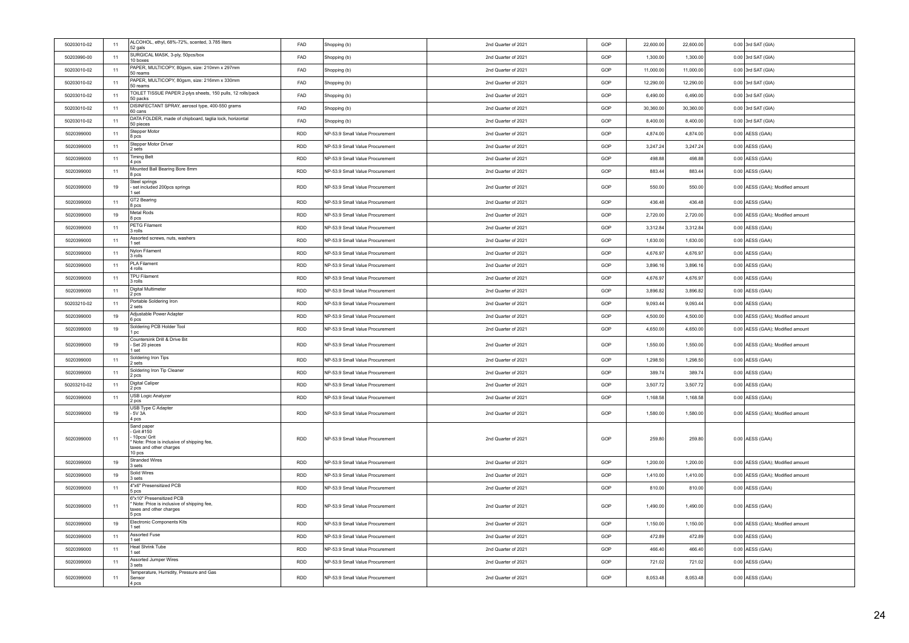| 50203010-02 | 11 | ALCOHOL, ethyl, 68%-72%, scented, 3.785 liters<br>52 gals                                                                | <b>FAD</b> | Shopping (b)                    | 2nd Quarter of 2021 | GOP | 22,600.00 | 22,600.00 | $0.00$ 3rd SAT (GIA)             |
|-------------|----|--------------------------------------------------------------------------------------------------------------------------|------------|---------------------------------|---------------------|-----|-----------|-----------|----------------------------------|
| 50203990-00 | 11 | SURGICAL MASK, 3-ply, 50pcs/box<br>10 boxes                                                                              | FAD        | Shopping (b)                    | 2nd Quarter of 2021 | GOP | 1,300.00  | 1,300.00  | $0.00$ 3rd SAT (GIA)             |
| 50203010-02 | 11 | PAPER, MULTICOPY, 80gsm, size: 210mm x 297mm<br>50 reams                                                                 | FAD        | Shopping (b)                    | 2nd Quarter of 2021 | GOP | 11,000.00 | 11,000.00 | $0.00$ 3rd SAT (GIA)             |
| 50203010-02 | 11 | PAPER, MULTICOPY, 80gsm, size: 216mm x 330mm<br>50 reams                                                                 | <b>FAD</b> | Shopping (b)                    | 2nd Quarter of 2021 | GOP | 12,290.00 | 12,290.00 | $0.00$ 3rd SAT (GIA)             |
| 50203010-02 | 11 | TOILET TISSUE PAPER 2-plys sheets, 150 pulls, 12 rolls/pack<br>50 packs                                                  | FAD        | Shopping (b)                    | 2nd Quarter of 2021 | GOP | 6,490.00  | 6,490.00  | $0.00$ 3rd SAT (GIA)             |
| 50203010-02 | 11 | DISINFECTANT SPRAY, aerosol type, 400-550 grams<br>60 cans                                                               | FAD        | Shopping (b)                    | 2nd Quarter of 2021 | GOP | 30,360.00 | 30,360.00 | $0.00$ 3rd SAT (GIA)             |
| 50203010-02 | 11 | DATA FOLDER, made of chipboard, taglia lock, horizontal<br>50 pieces                                                     | FAD        | Shopping (b)                    | 2nd Quarter of 2021 | GOP | 8,400.00  | 8,400.00  | $0.00$ 3rd SAT (GIA)             |
| 5020399000  | 11 | Stepper Motor<br>8 pcs                                                                                                   | <b>RDD</b> | NP-53.9 Small Value Procurement | 2nd Quarter of 2021 | GOP | 4,874.00  | 4,874.00  | 0.00 AESS (GAA)                  |
| 5020399000  | 11 | Stepper Motor Driver<br>2 sets                                                                                           | <b>RDD</b> | NP-53.9 Small Value Procurement | 2nd Quarter of 2021 | GOP | 3,247.24  | 3,247.24  | 0.00 AESS (GAA)                  |
| 5020399000  | 11 | <b>Timing Belt</b><br>4 pcs                                                                                              | <b>RDD</b> | NP-53.9 Small Value Procurement | 2nd Quarter of 2021 | GOP | 498.88    | 498.88    | 0.00 AESS (GAA)                  |
| 5020399000  | 11 | Mounted Ball Bearing Bore 8mm<br>8 pcs                                                                                   | <b>RDD</b> | NP-53.9 Small Value Procurement | 2nd Quarter of 2021 | GOP | 883.44    | 883.44    | 0.00 AESS (GAA)                  |
| 5020399000  | 19 | Steel springs<br>set included 200pcs springs<br>1 set                                                                    | <b>RDD</b> | NP-53.9 Small Value Procurement | 2nd Quarter of 2021 | GOP | 550.00    | 550.00    | 0.00 AESS (GAA); Modified amount |
| 5020399000  | 11 | GT2 Bearing<br>8 pcs                                                                                                     | <b>RDD</b> | NP-53.9 Small Value Procurement | 2nd Quarter of 2021 | GOP | 436.48    | 436.48    | $0.00$ AESS (GAA)                |
| 5020399000  | 19 | Metal Rods<br>8 pcs                                                                                                      | <b>RDD</b> | NP-53.9 Small Value Procurement | 2nd Quarter of 2021 | GOP | 2,720.00  | 2.720.00  | 0.00 AESS (GAA); Modified amount |
| 5020399000  | 11 | PETG Filament<br>3 rolls                                                                                                 | <b>RDD</b> | NP-53.9 Small Value Procurement | 2nd Quarter of 2021 | GOP | 3,312.84  | 3,312.84  | $0.00$ AESS (GAA)                |
| 5020399000  | 11 | Assorted screws, nuts, washers<br>1 set                                                                                  | <b>RDD</b> | NP-53.9 Small Value Procurement | 2nd Quarter of 2021 | GOP | 1,630.00  | 1,630.00  | $0.00$ AESS (GAA)                |
| 5020399000  | 11 | Nylon Filament<br>3 rolls                                                                                                | RDD        | NP-53.9 Small Value Procurement | 2nd Quarter of 2021 | GOP | 4,676.97  | 4,676.97  | $0.00$ AESS (GAA)                |
| 5020399000  | 11 | <b>PLA Filament</b><br>4 rolls                                                                                           | <b>RDD</b> | NP-53.9 Small Value Procurement | 2nd Quarter of 2021 | GOP | 3,896.16  | 3,896.16  | 0.00 AESS (GAA)                  |
| 5020399000  | 11 | TPU Filament<br>3 rolls                                                                                                  | <b>RDD</b> | NP-53.9 Small Value Procurement | 2nd Quarter of 2021 | GOP | 4,676.97  | 4,676.97  | 0.00 AESS (GAA)                  |
| 5020399000  | 11 | <b>Digital Multimeter</b><br>2 pcs                                                                                       | RDD        | NP-53.9 Small Value Procurement | 2nd Quarter of 2021 | GOP | 3,896.82  | 3,896.82  | 0.00 AESS (GAA)                  |
| 50203210-02 | 11 | Portable Soldering Iron<br>2 sets                                                                                        | <b>RDD</b> | NP-53.9 Small Value Procurement | 2nd Quarter of 2021 | GOP | 9,093.44  | 9,093.44  | $0.00$ AESS (GAA)                |
| 5020399000  | 19 | Adiustable Power Adapter<br>6 pcs                                                                                        | <b>RDD</b> | NP-53.9 Small Value Procurement | 2nd Quarter of 2021 | GOP | 4,500.00  | 4,500.00  | 0.00 AESS (GAA); Modified amount |
| 5020399000  | 19 | Soldering PCB Holder Tool<br>1 pc                                                                                        | <b>RDD</b> | NP-53.9 Small Value Procurement | 2nd Quarter of 2021 | GOP | 4,650.00  | 4,650.00  | 0.00 AESS (GAA); Modified amount |
| 5020399000  | 19 | Countersink Drill & Drive Bit<br>Set 20 pieces<br>1 set                                                                  | <b>RDD</b> | NP-53.9 Small Value Procurement | 2nd Quarter of 2021 | GOP | 1,550.00  | 1,550.00  | 0.00 AESS (GAA); Modified amount |
| 5020399000  | 11 | Soldering Iron Tips<br>2 sets                                                                                            | <b>RDD</b> | NP-53.9 Small Value Procurement | 2nd Quarter of 2021 | GOP | 1,298.50  | 1,298.50  | 0.00 AESS (GAA)                  |
| 5020399000  | 11 | Soldering Iron Tip Cleaner<br>2 pcs                                                                                      | <b>RDD</b> | NP-53.9 Small Value Procurement | 2nd Quarter of 2021 | GOP | 389.74    | 389.74    | 0.00 AESS (GAA)                  |
| 50203210-02 | 11 | Digital Caliper<br>2 pcs                                                                                                 | <b>RDD</b> | NP-53.9 Small Value Procurement | 2nd Quarter of 2021 | GOP | 3,507.72  | 3,507.72  | 0.00 AESS (GAA)                  |
| 5020399000  | 11 | USB Logic Analyzer<br>2 pcs                                                                                              | <b>RDD</b> | NP-53.9 Small Value Procurement | 2nd Quarter of 2021 | GOP | 1,168.58  | 1,168.58  | 0.00 AESS (GAA)                  |
| 5020399000  | 19 | USB Type C Adapter<br>- 5V 3A<br>4 pcs                                                                                   | <b>RDD</b> | NP-53.9 Small Value Procurement | 2nd Quarter of 2021 | GOP | 1,580.00  | 1,580.00  | 0.00 AESS (GAA); Modified amount |
| 5020399000  | 11 | Sand paper<br>Grit #150<br>10pcs/ Grit<br>Note: Price is inclusive of shipping fee,<br>taxes and other charges<br>10 pcs | RDD        | NP-53.9 Small Value Procurement | 2nd Quarter of 2021 | GOP | 259.80    | 259.80    | $0.00$ AESS (GAA)                |
| 5020399000  | 19 | <b>Stranded Wires</b><br>3 sets                                                                                          | <b>RDD</b> | NP-53.9 Small Value Procurement | 2nd Quarter of 2021 | GOP | 1,200.00  | 1,200.00  | 0.00 AESS (GAA); Modified amount |
| 5020399000  | 19 | Solid Wires<br>3 sets                                                                                                    | <b>RDD</b> | NP-53.9 Small Value Procurement | 2nd Quarter of 2021 | GOP | 1,410.00  | 1,410.00  | 0.00 AESS (GAA); Modified amount |
| 5020399000  | 11 | 4"x6" Presensitized PCB<br>5 pcs                                                                                         | RDD        | NP-53.9 Small Value Procurement | 2nd Quarter of 2021 | GOP | 810.00    | 810.00    | 0.00 AESS (GAA)                  |
| 5020399000  | 11 | 6"x10" Presensitized PCB<br>Note: Price is inclusive of shipping fee,<br>taxes and other charges<br>5 pcs                | <b>RDD</b> | NP-53.9 Small Value Procurement | 2nd Quarter of 2021 | GOP | 1,490.00  | 1,490.00  | 0.00 AESS (GAA)                  |
| 5020399000  | 19 | <b>Electronic Components Kits</b><br>1 set                                                                               | <b>RDD</b> | NP-53.9 Small Value Procurement | 2nd Quarter of 2021 | GOP | 1,150.00  | 1.150.00  | 0.00 AESS (GAA); Modified amount |
| 5020399000  | 11 | Assorted Fuse<br>1 set                                                                                                   | <b>RDD</b> | NP-53.9 Small Value Procurement | 2nd Quarter of 2021 | GOP | 472.89    | 472.89    | $0.00$ AESS (GAA)                |
| 5020399000  | 11 | <b>Heat Shrink Tube</b><br>1 set                                                                                         | <b>RDD</b> | NP-53.9 Small Value Procurement | 2nd Quarter of 2021 | GOP | 466.40    | 466.40    | $0.00$ AESS (GAA)                |
| 5020399000  | 11 | Assorted Jumper Wires<br>3 sets                                                                                          | <b>RDD</b> | NP-53.9 Small Value Procurement | 2nd Quarter of 2021 | GOP | 721.02    | 721.02    | 0.00 AESS (GAA)                  |
| 5020399000  | 11 | Temperature, Humidity, Pressure and Gas<br>Sensor<br>4 pcs                                                               | RDD        | NP-53.9 Small Value Procurement | 2nd Quarter of 2021 | GOP | 8,053.48  | 8,053.48  | $0.00$ AESS (GAA)                |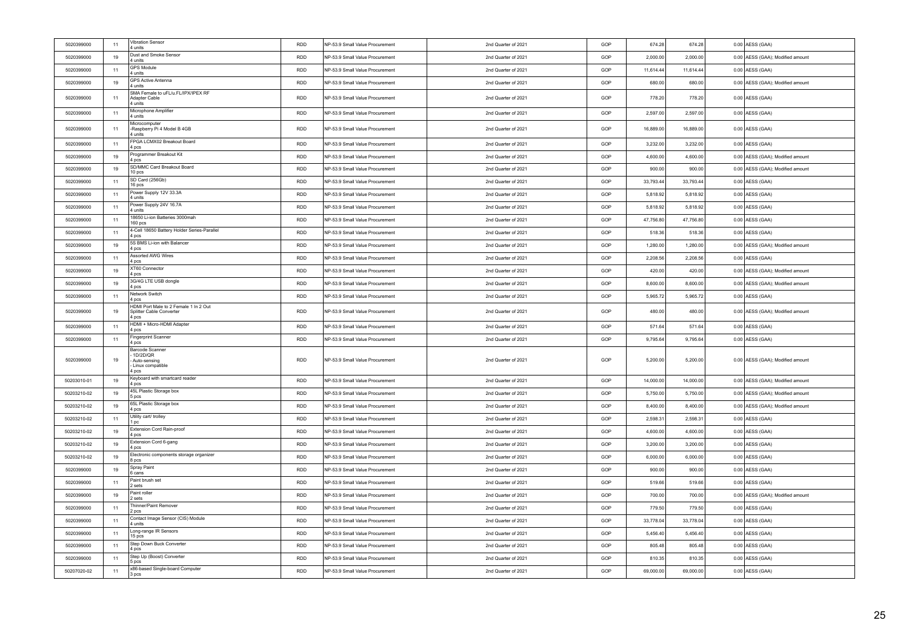| 5020399000  | 11 | Vibration Sensor<br>4 units                                                   | <b>RDD</b> | NP-53.9 Small Value Procurement | 2nd Quarter of 2021 | GOP | 674.28    | 674.28    | $0.00$ AESS (GAA)                |
|-------------|----|-------------------------------------------------------------------------------|------------|---------------------------------|---------------------|-----|-----------|-----------|----------------------------------|
| 5020399000  | 19 | Dust and Smoke Sensor<br>4 units                                              | <b>RDD</b> | NP-53.9 Small Value Procurement | 2nd Quarter of 2021 | GOP | 2,000.00  | 2,000.00  | 0.00 AESS (GAA); Modified amount |
| 5020399000  | 11 | <b>GPS Module</b><br>4 units                                                  | <b>RDD</b> | NP-53.9 Small Value Procurement | 2nd Quarter of 2021 | GOP | 11,614.44 | 11,614.44 | $0.00$ AESS (GAA)                |
| 5020399000  | 19 | GPS Active Antenna<br>4 units                                                 | <b>RDD</b> | NP-53.9 Small Value Procurement | 2nd Quarter of 2021 | GOP | 680.00    | 680.00    | 0.00 AESS (GAA); Modified amount |
| 5020399000  | 11 | SMA Female to uFL/u.FL/IPX/IPEX RF<br>Adapter Cable<br>units                  | RDD        | NP-53.9 Small Value Procurement | 2nd Quarter of 2021 | GOP | 778.20    | 778.20    | $0.00$ AESS (GAA)                |
| 5020399000  | 11 | Microphone Amplifier<br>4 units                                               | <b>RDD</b> | NP-53.9 Small Value Procurement | 2nd Quarter of 2021 | GOP | 2,597.00  | 2,597.00  | $0.00$ AESS (GAA)                |
| 5020399000  | 11 | Microcomputer<br>Raspberry Pi 4 Model B 4GB<br>4 units                        | RDD        | NP-53.9 Small Value Procurement | 2nd Quarter of 2021 | GOP | 16,889.00 | 16,889.00 | 0.00 AESS (GAA)                  |
| 5020399000  | 11 | FPGA LCMX02 Breakout Board<br>4 pcs                                           | <b>RDD</b> | NP-53.9 Small Value Procurement | 2nd Quarter of 2021 | GOP | 3,232.00  | 3,232.00  | 0.00 AESS (GAA)                  |
| 5020399000  | 19 | Programmer Breakout Kit<br>4 pcs                                              | <b>RDD</b> | NP-53.9 Small Value Procurement | 2nd Quarter of 2021 | GOP | 4,600.00  | 4,600.00  | 0.00 AESS (GAA); Modified amount |
| 5020399000  | 19 | SD/MMC Card Breakout Board<br>10 pcs                                          | <b>RDD</b> | NP-53.9 Small Value Procurement | 2nd Quarter of 2021 | GOP | 900.00    | 900.00    | 0.00 AESS (GAA); Modified amount |
| 5020399000  | 11 | SD Card (256Gb)<br>16 pcs                                                     | <b>RDD</b> | NP-53.9 Small Value Procurement | 2nd Quarter of 2021 | GOP | 33,793.44 | 33,793.44 | $0.00$ AESS (GAA)                |
| 5020399000  | 11 | Power Supply 12V 33.3A<br>4 units                                             | <b>RDD</b> | NP-53.9 Small Value Procurement | 2nd Quarter of 2021 | GOP | 5,818.92  | 5,818.92  | $0.00$ AESS (GAA)                |
| 5020399000  | 11 | Power Supply 24V 16.7A<br>4 units                                             | <b>RDD</b> | NP-53.9 Small Value Procurement | 2nd Quarter of 2021 | GOP | 5,818.92  | 5,818.92  | $0.00$ AESS (GAA)                |
| 5020399000  | 11 | 18650 Li-ion Batteries 3000mah<br>160 pcs                                     | <b>RDD</b> | NP-53.9 Small Value Procurement | 2nd Quarter of 2021 | GOP | 47,756.80 | 47,756.80 | $0.00$ AESS (GAA)                |
| 5020399000  | 11 | 4-Cell 18650 Battery Holder Series-Parallel<br>1 pcs                          | <b>RDD</b> | NP-53.9 Small Value Procurement | 2nd Quarter of 2021 | GOP | 518.36    | 518.36    | $0.00$ AESS (GAA)                |
| 5020399000  | 19 | 5S BMS Li-ion with Balancer<br>pcs                                            | <b>RDD</b> | NP-53.9 Small Value Procurement | 2nd Quarter of 2021 | GOP | 1,280.00  | 1,280.00  | 0.00 AESS (GAA); Modified amount |
| 5020399000  | 11 | Assorted AWG Wires<br>f pcs                                                   | <b>RDD</b> | NP-53.9 Small Value Procurement | 2nd Quarter of 2021 | GOP | 2.208.56  | 2.208.56  | $0.00$ AESS (GAA)                |
| 5020399000  | 19 | XT60 Connector<br>4 pcs                                                       | <b>RDD</b> | NP-53.9 Small Value Procurement | 2nd Quarter of 2021 | GOP | 420.00    | 420.00    | 0.00 AESS (GAA); Modified amount |
| 5020399000  | 19 | 3G/4G LTE USB dongle<br>1 pcs                                                 | <b>RDD</b> | NP-53.9 Small Value Procurement | 2nd Quarter of 2021 | GOP | 8,600.00  | 8,600.00  | 0.00 AESS (GAA); Modified amount |
| 5020399000  | 11 | Network Switch<br>4 pcs                                                       | <b>RDD</b> | NP-53.9 Small Value Procurement | 2nd Quarter of 2021 | GOP | 5.965.72  | 5 965 72  | $0.00$ AESS (GAA)                |
| 5020399000  | 19 | HDMI Port Male to 2 Female 1 In 2 Out<br>Splitter Cable Converter<br>1 pcs    | RDD        | NP-53.9 Small Value Procurement | 2nd Quarter of 2021 | GOP | 480.00    | 480.00    | 0.00 AESS (GAA); Modified amount |
| 5020399000  | 11 | HDMI + Micro-HDMI Adapter<br>4 pcs                                            | <b>RDD</b> | NP-53.9 Small Value Procurement | 2nd Quarter of 2021 | GOP | 571.64    | 571.64    | $0.00$ AESS (GAA)                |
| 5020399000  | 11 | Fingerprint Scanner<br>4 pcs                                                  | RDD        | NP-53.9 Small Value Procurement | 2nd Quarter of 2021 | GOP | 9,795.64  | 9,795.64  | $0.00$ AESS (GAA)                |
| 5020399000  | 19 | <b>Barcode Scanner</b><br>1D/2D/QR<br>Auto-sensing<br>Linux compatible<br>pcs | RDD        | NP-53.9 Small Value Procurement | 2nd Quarter of 2021 | GOP | 5,200.00  | 5,200.00  | 0.00 AESS (GAA); Modified amount |
| 50203010-01 | 19 | Keyboard with smartcard reader<br>4 pcs                                       | <b>RDD</b> | NP-53.9 Small Value Procurement | 2nd Quarter of 2021 | GOP | 14,000.00 | 14,000.00 | 0.00 AESS (GAA); Modified amount |
| 50203210-02 | 19 | 45L Plastic Storage box<br>5 pcs                                              | RDD        | NP-53.9 Small Value Procurement | 2nd Quarter of 2021 | GOP | 5,750.00  | 5,750.00  | 0.00 AESS (GAA); Modified amount |
| 50203210-02 | 19 | 65L Plastic Storage box<br>4 pcs                                              | <b>RDD</b> | NP-53.9 Small Value Procurement | 2nd Quarter of 2021 | GOP | 8,400.00  | 8,400.00  | 0.00 AESS (GAA); Modified amount |
| 50203210-02 | 11 | Utility cart/ trolley<br>l pc                                                 | <b>RDD</b> | NP-53.9 Small Value Procurement | 2nd Quarter of 2021 | GOP | 2,598.31  | 2,598.31  | $0.00$ AESS (GAA)                |
| 50203210-02 | 19 | Extension Cord Rain-proof<br>4 pcs                                            | <b>RDD</b> | NP-53.9 Small Value Procurement | 2nd Quarter of 2021 | GOP | 4,600.00  | 4,600.00  | 0.00 AESS (GAA)                  |
| 50203210-02 | 19 | Extension Cord 6-gang<br>l pcs                                                | <b>RDD</b> | NP-53.9 Small Value Procurement | 2nd Quarter of 2021 | GOP | 3,200.00  | 3,200.00  | 0.00 AESS (GAA)                  |
| 50203210-02 | 19 | Electronic components storage organizer<br>8 pcs                              | <b>RDD</b> | NP-53.9 Small Value Procurement | 2nd Quarter of 2021 | GOP | 6,000.00  | 6,000.00  | 0.00 AESS (GAA)                  |
| 5020399000  | 19 | Spray Paint<br>6 cans                                                         | RDD        | NP-53.9 Small Value Procurement | 2nd Quarter of 2021 | GOP | 900.00    | 900.00    | $0.00$ AESS (GAA)                |
| 5020399000  | 11 | Paint brush set<br>2 sets                                                     | <b>RDD</b> | NP-53.9 Small Value Procurement | 2nd Quarter of 2021 | GOP | 519.66    | 519.66    | 0.00 AESS (GAA)                  |
| 5020399000  | 19 | Paint roller<br>2 sets                                                        | <b>RDD</b> | NP-53.9 Small Value Procurement | 2nd Quarter of 2021 | GOP | 700.00    | 700.00    | 0.00 AESS (GAA); Modified amount |
| 5020399000  | 11 | Thinner/Paint Remover<br>2 pcs                                                | RDD        | NP-53.9 Small Value Procurement | 2nd Quarter of 2021 | GOP | 779.50    | 779.50    | $0.00$ AESS (GAA)                |
| 5020399000  | 11 | Contact Image Sensor (CIS) Module<br>l units                                  | <b>RDD</b> | NP-53.9 Small Value Procurement | 2nd Quarter of 2021 | GOP | 33,778.04 | 33,778.04 | 0.00 AESS (GAA)                  |
| 5020399000  | 11 | Long-range IR Sensors<br>15 pcs                                               | <b>RDD</b> | NP-53.9 Small Value Procurement | 2nd Quarter of 2021 | GOP | 5,456.40  | 5,456.40  | $0.00$ AESS (GAA)                |
| 5020399000  | 11 | Step Down Buck Converter<br>4 pcs                                             | RDD        | NP-53.9 Small Value Procurement | 2nd Quarter of 2021 | GOP | 805.48    | 805.48    | $0.00$ AESS (GAA)                |
| 5020399000  | 11 | Step Up (Boost) Converter<br>5 pcs                                            | <b>RDD</b> | NP-53.9 Small Value Procurement | 2nd Quarter of 2021 | GOP | 810.35    | 810.35    | 0.00 AESS (GAA)                  |
| 50207020-02 | 11 | x86-based Single-board Computer<br>3 pcs                                      | <b>RDD</b> | NP-53.9 Small Value Procurement | 2nd Quarter of 2021 | GOP | 69,000.00 | 69,000.00 | 0.00 AESS (GAA)                  |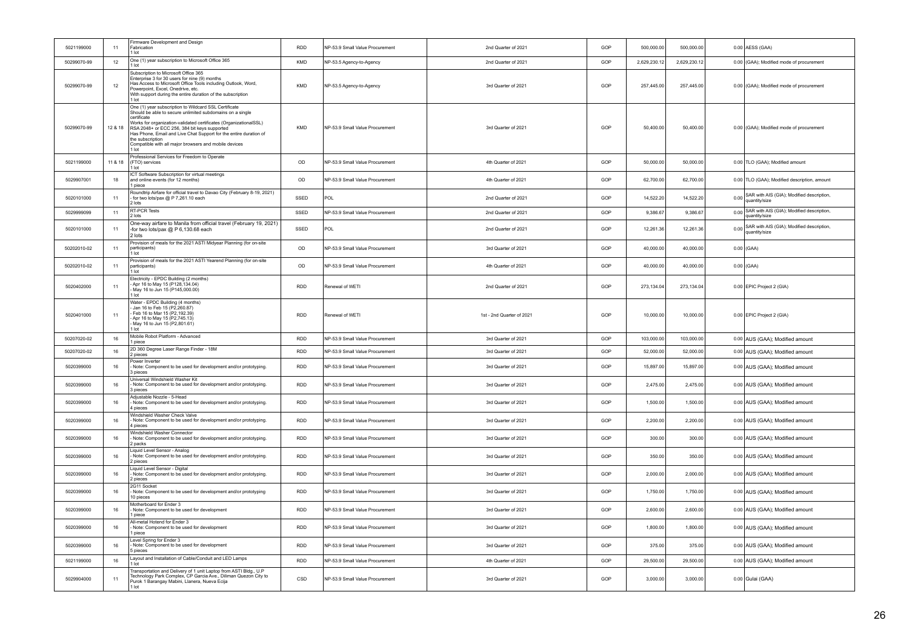| 5021199000  | 11      | Firmware Development and Design<br>Fabrication<br>1 lot                                                                                                                                                                                                                                                                                                                                                           | <b>RDD</b> | NP-53.9 Small Value Procurement | 2nd Quarter of 2021       | GOP | 500,000.00   | 500,000.00  | 0.00 AESS (GAA)                                                 |
|-------------|---------|-------------------------------------------------------------------------------------------------------------------------------------------------------------------------------------------------------------------------------------------------------------------------------------------------------------------------------------------------------------------------------------------------------------------|------------|---------------------------------|---------------------------|-----|--------------|-------------|-----------------------------------------------------------------|
| 50299070-99 | 12      | One (1) year subscription to Microsoft Office 365<br>$1$ lot                                                                                                                                                                                                                                                                                                                                                      | KMD        | NP-53.5 Agency-to-Agency        | 2nd Quarter of 2021       | GOP | 2.629.230.12 | 2.629.230.1 | 0.00 (GAA); Modified mode of procurement                        |
| 50299070-99 | 12      | Subscription to Microsoft Office 365<br>Enterprise 3 for 30 users for nine (9) months<br>Has Access to Microsoft Office Tools including Outlook, Word,<br>Powerpoint, Excel, Onedrive, etc.<br>With support during the entire duration of the subscription<br>1 lot                                                                                                                                               | KMD        | NP-53.5 Agency-to-Agency        | 3rd Quarter of 2021       | GOP | 257,445.00   | 257,445.00  | 0.00 (GAA); Modified mode of procurement                        |
| 50299070-99 | 12 & 18 | One (1) year subscription to Wildcard SSL Certificate<br>Should be able to secure unlimited subdomains on a single<br>certificate<br>Works for organization-validated certificates (OrganizationalSSL)<br>RSA 2048+ or ECC 256, 384 bit keys supported<br>Has Phone, Email and Live Chat Support for the entire duration of<br>the subscription<br>Compatible with all major browsers and mobile devices<br>1 lot | KMD        | NP-53.9 Small Value Procurement | 3rd Quarter of 2021       | GOP | 50,400.00    | 50,400.00   | 0.00 (GAA); Modified mode of procurement                        |
| 5021199000  | 11 & 18 | Professional Services for Freedom to Operate<br>(FTO) services<br>$1$ lot                                                                                                                                                                                                                                                                                                                                         | OD         | NP-53.9 Small Value Procurement | 4th Quarter of 2021       | GOP | 50,000.00    | 50,000.00   | 0.00 TLO (GAA); Modified amount                                 |
| 5029907001  | 18      | ICT Software Subscription for virtual meetings<br>and online events (for 12 months)<br>1 piece                                                                                                                                                                                                                                                                                                                    | OD         | NP-53.9 Small Value Procurement | 4th Quarter of 2021       | GOP | 62,700.00    | 62,700.00   | 0.00 TLO (GAA); Modified description, amount                    |
| 5020101000  | 11      | Roundtrip Airfare for official travel to Davao City (February 8-19, 2021)<br>for two lots/pax @ P 7,261.10 each<br>2 lots                                                                                                                                                                                                                                                                                         | SSED       | POL                             | 2nd Quarter of 2021       | GOP | 14,522.20    | 14,522.20   | 0.00 SAR with AIS (GIA); Modified description,<br>quantity/size |
| 5029999099  | 11      | <b>RT-PCR Tests</b><br>2 lots                                                                                                                                                                                                                                                                                                                                                                                     | SSED       | NP-53.9 Small Value Procurement | 2nd Quarter of 2021       | GOP | 9,386.67     | 9,386.67    | 0.00 SAR with AIS (GIA); Modified description,<br>quantity/size |
| 5020101000  | 11      | One-way airfare to Manila from official travel (February 19, 2021)<br>-for two lots/pax @ P 6,130.68 each<br>2 lots                                                                                                                                                                                                                                                                                               | SSED       | POL                             | 2nd Quarter of 2021       | GOP | 12.261.36    | 12,261.36   | 0.00 SAR with AIS (GIA); Modified description,<br>quantity/size |
| 50202010-02 | 11      | Provision of meals for the 2021 ASTI Midyear Planning (for on-site<br>participants)<br>1 lot                                                                                                                                                                                                                                                                                                                      | OD         | NP-53.9 Small Value Procurement | 3rd Quarter of 2021       | GOP | 40,000.00    | 40,000.00   | $0.00$ (GAA)                                                    |
| 50202010-02 | 11      | Provision of meals for the 2021 ASTI Yearend Planning (for on-site<br>participants)<br>1 lot                                                                                                                                                                                                                                                                                                                      | OD         | NP-53.9 Small Value Procurement | 4th Quarter of 2021       | GOP | 40.000.00    | 40,000.00   | $0.00$ (GAA)                                                    |
| 5020402000  | 11      | Electricity - EPDC Building (2 months)<br>- Apr 16 to May 15 (P128, 134.04)<br>- May 16 to Jun 15 (P128, 134.04)<br>1 lot                                                                                                                                                                                                                                                                                         | <b>RDD</b> | Renewal of WETI                 | 2nd Quarter of 2021       | GOP | 273,134.04   | 273,134.04  | 0.00 EPIC Project 2 (GIA)                                       |
| 5020401000  | 11      | Water - EPDC Building (4 months)<br>- Jan 16 to Feb 15 (P2,260.87)<br>Feb 16 to Mar 15 (P2,192.39)<br>- Apr 16 to May 15 (P2,745.13)<br>May 16 to Jun 15 (P2,801.61)<br>1 lot                                                                                                                                                                                                                                     | <b>RDD</b> | Renewal of WFTI                 | 1st - 2nd Quarter of 2021 | GOP | 10,000.00    | 10,000.00   | 0.00 EPIC Project 2 (GIA)                                       |
| 50207020-02 | 16      | Mobile Robot Platform - Advanced<br>1 piece                                                                                                                                                                                                                                                                                                                                                                       | <b>RDD</b> | NP-53.9 Small Value Procurement | 3rd Quarter of 2021       | GOP | 103,000.00   | 103,000.00  | 0.00 AUS (GAA); Modified amount                                 |
| 50207020-02 | 16      | 2D 360 Degree Laser Range Finder - 18M<br>2 pieces                                                                                                                                                                                                                                                                                                                                                                | <b>RDD</b> | NP-53.9 Small Value Procurement | 3rd Quarter of 2021       | GOP | 52,000.00    | 52,000.00   | 0.00 AUS (GAA); Modified amount                                 |
| 5020399000  | 16      | Power Inverter<br>- Note: Component to be used for development and/or prototyping.<br>3 pieces                                                                                                                                                                                                                                                                                                                    | <b>RDD</b> | NP-53.9 Small Value Procurement | 3rd Quarter of 2021       | GOP | 15,897.00    | 15,897.00   | 0.00 AUS (GAA); Modified amount                                 |
| 5020399000  | 16      | Universal Windshield Washer Kit<br>Note: Component to be used for development and/or prototyping.<br>bieces                                                                                                                                                                                                                                                                                                       | <b>RDD</b> | NP-53.9 Small Value Procurement | 3rd Quarter of 2021       | GOP | 2,475.00     | 2,475.00    | 0.00 AUS (GAA); Modified amount                                 |
| 5020399000  | 16      | Adjustable Nozzle - 5-Head<br>- Note: Component to be used for development and/or prototyping.<br>4 nieces                                                                                                                                                                                                                                                                                                        | <b>RDD</b> | NP-53.9 Small Value Procurement | 3rd Quarter of 2021       | GOP | 1.500.00     | 1,500.00    | 0.00 AUS (GAA); Modified amount                                 |
| 5020399000  | 16      | Windshield Washer Check Valve<br>Note: Component to be used for development and/or prototyping.<br>4 pieces                                                                                                                                                                                                                                                                                                       | <b>RDD</b> | NP-53.9 Small Value Procurement | 3rd Quarter of 2021       | GOP | 2,200.00     | 2,200.00    | 0.00 AUS (GAA); Modified amount                                 |
| 5020399000  | $16\,$  | Windshield Washer Connector<br>- Note: Component to be used for development and/or prototyping.<br>2 packs                                                                                                                                                                                                                                                                                                        | <b>RDD</b> | NP-53.9 Small Value Procurement | 3rd Quarter of 2021       | GOP | 300.00       | 300.00      | 0.00 AUS (GAA); Modified amount                                 |
| 5020399000  | 16      | Liquid Level Sensor - Analog<br>- Note: Component to be used for development and/or prototyping.<br>2 pieces                                                                                                                                                                                                                                                                                                      | <b>RDD</b> | NP-53.9 Small Value Procurement | 3rd Quarter of 2021       | GOP | 350.00       | 350.00      | 0.00 AUS (GAA); Modified amount                                 |
| 5020399000  | 16      | Liguid Level Sensor - Digital<br>Note: Component to be used for development and/or prototyping.<br>2 pieces                                                                                                                                                                                                                                                                                                       | <b>RDD</b> | NP-53.9 Small Value Procurement | 3rd Quarter of 2021       | GOP | 2,000.00     | 2,000.00    | 0.00 AUS (GAA); Modified amount                                 |
| 5020399000  | 16      | 2G11 Socket<br>Note: Component to be used for development and/or prototyping<br>10 pieces                                                                                                                                                                                                                                                                                                                         | <b>RDD</b> | NP-53.9 Small Value Procurement | 3rd Quarter of 2021       | GOP | 1,750.00     | 1,750.00    | 0.00 AUS (GAA); Modified amount                                 |
| 5020399000  | 16      | Motherboard for Ender 3<br>- Note: Component to be used for development<br>1 piece                                                                                                                                                                                                                                                                                                                                | <b>RDD</b> | NP-53.9 Small Value Procurement | 3rd Quarter of 2021       | GOP | 2.600.00     | 2,600.00    | 0.00 AUS (GAA); Modified amount                                 |
| 5020399000  | 16      | All-metal Hotend for Ender 3<br>Note: Component to be used for development<br>1 piece                                                                                                                                                                                                                                                                                                                             | <b>RDD</b> | NP-53.9 Small Value Procurement | 3rd Quarter of 2021       | GOP | 1,800.00     | 1,800.00    | 0.00 AUS (GAA); Modified amount                                 |
| 5020399000  | 16      | Level Spring for Ender 3<br>Note: Component to be used for development<br>pieces                                                                                                                                                                                                                                                                                                                                  | <b>RDD</b> | NP-53.9 Small Value Procurement | 3rd Quarter of 2021       | GOP | 375.00       | 375.00      | 0.00 AUS (GAA); Modified amount                                 |
| 5021199000  | 16      | Layout and Installation of Cable/Conduit and LED Lamps<br>1 lot                                                                                                                                                                                                                                                                                                                                                   | <b>RDD</b> | NP-53.9 Small Value Procurement | 4th Quarter of 2021       | GOP | 29,500.00    | 29,500.00   | 0.00 AUS (GAA); Modified amount                                 |
| 5029904000  | 11      | Transportation and Delivery of 1 unit Laptop from ASTI Bldg., U.P<br>Technology Park Complex, CP Garcia Ave., Diliman Quezon City to<br>Purok 1 Barangay Mabini, Llanera, Nueva Ecija<br>1 lot                                                                                                                                                                                                                    | CSD        | NP-53.9 Small Value Procurement | 3rd Quarter of 2021       | GOP | 3,000.00     | 3,000.00    | 0.00 Gulai (GAA)                                                |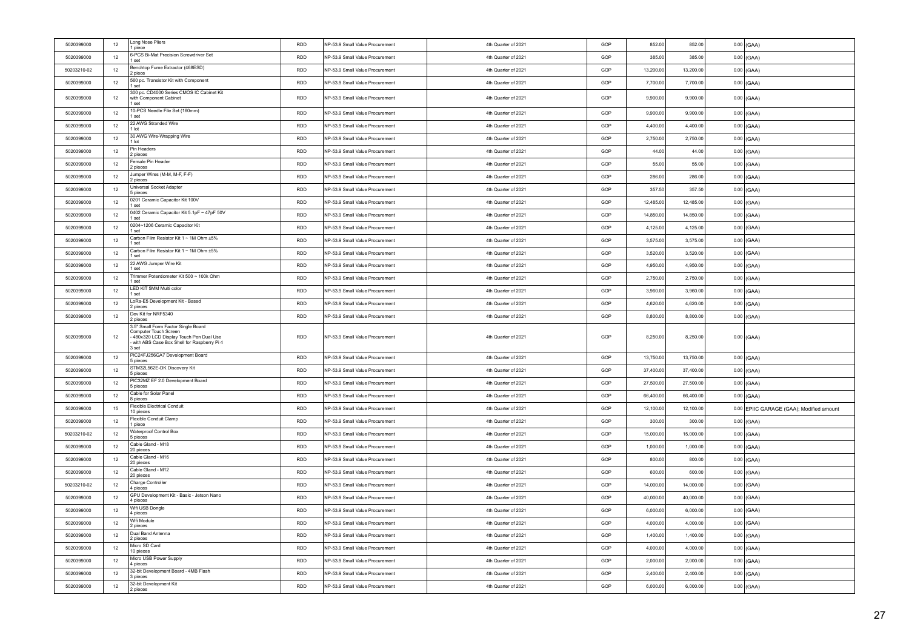| 5020399000  | 12     | Long Nose Pliers<br>1 piece                                                                                                                                   | RDD        | NP-53.9 Small Value Procurement | 4th Quarter of 2021 | GOP | 852.00    | 852.00    | $0.00$ (GAA)                             |
|-------------|--------|---------------------------------------------------------------------------------------------------------------------------------------------------------------|------------|---------------------------------|---------------------|-----|-----------|-----------|------------------------------------------|
| 5020399000  | 12     | 6-PCS Bi-Mat Precision Screwdriver Set<br>1 set                                                                                                               | <b>RDD</b> | NP-53.9 Small Value Procurement | 4th Quarter of 2021 | GOP | 385.00    | 385.00    | $0.00$ (GAA)                             |
| 50203210-02 | 12     | Benchtop Fume Extractor (468ESD)<br>2 piece                                                                                                                   | <b>RDD</b> | NP-53.9 Small Value Procurement | 4th Quarter of 2021 | GOP | 13,200.00 | 13,200.00 | $0.00$ (GAA)                             |
| 5020399000  | 12     | 560 pc. Transistor Kit with Component<br>1 set                                                                                                                | <b>RDD</b> | NP-53.9 Small Value Procurement | 4th Quarter of 2021 | GOP | 7,700.00  | 7,700.00  | $0.00$ (GAA)                             |
| 5020399000  | 12     | 300 pc. CD4000 Series CMOS IC Cabinet Kit<br>with Component Cabinet<br>1 set                                                                                  | <b>RDD</b> | NP-53.9 Small Value Procurement | 4th Quarter of 2021 | GOP | 9,900.00  | 9,900.00  | $0.00$ (GAA)                             |
| 5020399000  | 12     | 10-PCS Needle File Set (160mm)<br>1 set                                                                                                                       | <b>RDD</b> | NP-53.9 Small Value Procurement | 4th Quarter of 2021 | GOP | 9,900.00  | 9,900.00  | $0.00$ (GAA)                             |
| 5020399000  | 12     | 22 AWG Stranded Wire<br>1 lot                                                                                                                                 | <b>RDD</b> | NP-53.9 Small Value Procurement | 4th Quarter of 2021 | GOP | 4,400.00  | 4,400.00  | $0.00$ (GAA)                             |
| 5020399000  | 12     | 30 AWG Wire-Wrapping Wire<br>1 lot                                                                                                                            | <b>RDD</b> | NP-53.9 Small Value Procurement | 4th Quarter of 2021 | GOP | 2.750.00  | 2.750.00  | $0.00$ (GAA)                             |
| 5020399000  | 12     | Pin Headers<br>2 pieces                                                                                                                                       | <b>RDD</b> | NP-53.9 Small Value Procurement | 4th Quarter of 2021 | GOP | 44.00     | 44.00     | $0.00$ (GAA)                             |
| 5020399000  | 12     | Female Pin Header<br>2 pieces                                                                                                                                 | <b>RDD</b> | NP-53.9 Small Value Procurement | 4th Quarter of 2021 | GOP | 55.00     | 55.00     | $0.00$ (GAA)                             |
| 5020399000  | 12     | Jumper Wires (M-M, M-F, F-F)<br>2 pieces                                                                                                                      | <b>RDD</b> | NP-53.9 Small Value Procurement | 4th Quarter of 2021 | GOP | 286.00    | 286.00    | $0.00$ (GAA)                             |
| 5020399000  | 12     | Universal Socket Adapter<br>5 pieces                                                                                                                          | <b>RDD</b> | NP-53.9 Small Value Procurement | 4th Quarter of 2021 | GOP | 357.50    | 357.50    | $0.00$ (GAA)                             |
| 5020399000  | 12     | 0201 Ceramic Capacitor Kit 100V<br>1 set                                                                                                                      | <b>RDD</b> | NP-53.9 Small Value Procurement | 4th Quarter of 2021 | GOP | 12,485.00 | 12 485 00 | $0.00$ (GAA)                             |
| 5020399000  | 12     | 0402 Ceramic Capacitor Kit 5.1pF ~ 47pF 50V<br>1 set                                                                                                          | <b>RDD</b> | NP-53.9 Small Value Procurement | 4th Quarter of 2021 | GOP | 14,850.00 | 14,850.00 | $0.00$ (GAA)                             |
| 5020399000  | 12     | 0204~1206 Ceramic Capacitor Kit<br>1 set                                                                                                                      | RDD        | NP-53.9 Small Value Procurement | 4th Quarter of 2021 | GOP | 4,125.00  | 4,125.00  | $0.00$ (GAA)                             |
| 5020399000  | 12     | Carbon Film Resistor Kit 1 ~ 1M Ohm ±5%<br>1 set                                                                                                              | <b>RDD</b> | NP-53.9 Small Value Procurement | 4th Quarter of 2021 | GOP | 3,575.00  | 3,575.00  | $0.00$ (GAA)                             |
| 5020399000  | 12     | Carbon Film Resistor Kit 1 ~ 1M Ohm ±5%<br>1 set                                                                                                              | RDD        | NP-53.9 Small Value Procurement | 4th Quarter of 2021 | GOP | 3,520.00  | 3,520.00  | $0.00$ (GAA)                             |
| 5020399000  | 12     | 22 AWG Jumper Wire Kit<br>1 set                                                                                                                               | <b>RDD</b> | NP-53.9 Small Value Procurement | 4th Quarter of 2021 | GOP | 4.950.00  | 4,950.00  | $0.00$ (GAA)                             |
| 5020399000  | 12     | Trimmer Potentiometer Kit 500 ~ 100k Ohm<br>1 set                                                                                                             | <b>RDD</b> | NP-53.9 Small Value Procurement | 4th Quarter of 2021 | GOP | 2,750.00  | 2,750.00  | $0.00$ (GAA)                             |
| 5020399000  | 12     | LED KIT 5MM Multi color<br>1 set                                                                                                                              | <b>RDD</b> | NP-53.9 Small Value Procurement | 4th Quarter of 2021 | GOP | 3,960.00  | 3,960.00  | $0.00$ (GAA)                             |
| 5020399000  | 12     | LoRa-E5 Development Kit - Based<br>2 pieces                                                                                                                   | <b>RDD</b> | NP-53.9 Small Value Procurement | 4th Quarter of 2021 | GOP | 4,620.00  | 4,620.00  | $0.00$ (GAA)                             |
| 5020399000  | 12     | Dev Kit for NRF5340<br>2 pieces                                                                                                                               | <b>RDD</b> | NP-53.9 Small Value Procurement | 4th Quarter of 2021 | GOP | 8,800.00  | 8,800.00  | $0.00$ (GAA)                             |
| 5020399000  | 12     | 3.5" Small Form Factor Single Board<br>Computer Touch Screen<br>480x320 LCD Display Touch Pen Dual Use<br>with ABS Case Box Shell for Raspberry Pi 4<br>3 set | <b>RDD</b> | NP-53.9 Small Value Procurement | 4th Quarter of 2021 | GOP | 8,250.00  | 8,250.00  | $0.00$ (GAA)                             |
| 5020399000  | 12     | PIC24FJ256GA7 Development Board<br>5 pieces                                                                                                                   | RDD        | NP-53.9 Small Value Procurement | 4th Quarter of 2021 | GOP | 13,750.00 | 13,750.00 | $0.00$ (GAA)                             |
| 5020399000  | 12     | STM32L562E-DK Discovery Kit<br>5 pieces                                                                                                                       | <b>RDD</b> | NP-53.9 Small Value Procurement | 4th Quarter of 2021 | GOP | 37,400.00 | 37,400.00 | $0.00$ (GAA)                             |
| 5020399000  | 12     | PIC32MZ EF 2.0 Development Board<br>5 pieces                                                                                                                  | <b>RDD</b> | NP-53.9 Small Value Procurement | 4th Quarter of 2021 | GOP | 27,500.00 | 27,500.00 | $0.00$ (GAA)                             |
| 5020399000  | 12     | Cable for Solar Panel<br>B pieces                                                                                                                             | <b>RDD</b> | NP-53.9 Small Value Procurement | 4th Quarter of 2021 | GOP | 66,400.00 | 66,400.00 | $0.00$ (GAA)                             |
| 5020399000  | 15     | Flexible Electrical Conduit<br>10 pieces                                                                                                                      | <b>RDD</b> | NP-53.9 Small Value Procurement | 4th Quarter of 2021 | GOP | 12,100.00 | 12,100.00 | 0.00 EPIIC GARAGE (GAA); Modified amount |
| 5020399000  | 12     | Flexible Conduit Clamp<br>1 piece                                                                                                                             | <b>RDD</b> | NP-53.9 Small Value Procurement | 4th Quarter of 2021 | GOP | 300.00    | 300.00    | $0.00$ (GAA)                             |
| 50203210-02 | 12     | Waterproof Control Box<br>5 pieces                                                                                                                            | <b>RDD</b> | NP-53.9 Small Value Procurement | 4th Quarter of 2021 | GOP | 15,000.00 | 15,000.00 | $0.00$ (GAA)                             |
| 5020399000  | 12     | Cable Gland - M18<br>20 pieces                                                                                                                                | <b>RDD</b> | NP-53.9 Small Value Procurement | 4th Quarter of 2021 | GOP | 1,000.00  | 1,000.00  | $0.00$ (GAA)                             |
| 5020399000  | 12     | Cable Gland - M16<br>20 pieces                                                                                                                                | <b>RDD</b> | NP-53.9 Small Value Procurement | 4th Quarter of 2021 | GOP | 800.00    | 800.00    | $0.00$ (GAA)                             |
| 5020399000  | 12     | Cable Gland - M12<br>20 pieces                                                                                                                                | <b>RDD</b> | NP-53.9 Small Value Procurement | 4th Quarter of 2021 | GOP | 600.00    | 600.00    | $0.00$ (GAA)                             |
| 50203210-02 | 12     | Charge Controller<br>4 pieces                                                                                                                                 | <b>RDD</b> | NP-53.9 Small Value Procurement | 4th Quarter of 2021 | GOP | 14,000.00 | 14,000.00 | $0.00$ (GAA)                             |
| 5020399000  | 12     | GPU Development Kit - Basic - Jetson Nano<br>4 pieces                                                                                                         | <b>RDD</b> | NP-53.9 Small Value Procurement | 4th Quarter of 2021 | GOP | 40,000.00 | 40,000.00 | $0.00$ (GAA)                             |
| 5020399000  | 12     | Wifi USB Dongle<br>4 pieces                                                                                                                                   | <b>RDD</b> | NP-53.9 Small Value Procurement | 4th Quarter of 2021 | GOP | 6,000.00  | 6,000.00  | $0.00$ (GAA)                             |
| 5020399000  | 12     | Wifi Module<br>2 pieces                                                                                                                                       | <b>RDD</b> | NP-53.9 Small Value Procurement | 4th Quarter of 2021 | GOP | 4,000.00  | 4.000.00  | $0.00$ (GAA)                             |
| 5020399000  | 12     | Dual Band Antenna<br>2 pieces                                                                                                                                 | <b>RDD</b> | NP-53.9 Small Value Procurement | 4th Quarter of 2021 | GOP | 1.400.00  | 1,400.00  | $0.00$ (GAA)                             |
| 5020399000  | 12     | Micro SD Card<br>10 pieces                                                                                                                                    | <b>RDD</b> | NP-53.9 Small Value Procurement | 4th Quarter of 2021 | GOP | 4,000.00  | 4.000.00  | $0.00$ (GAA)                             |
| 5020399000  | 12     | Micro USB Power Supply<br>4 pieces                                                                                                                            | <b>RDD</b> | NP-53.9 Small Value Procurement | 4th Quarter of 2021 | GOP | 2,000.00  | 2,000.00  | $0.00$ (GAA)                             |
| 5020399000  | $12\,$ | 32-bit Development Board - 4MB Flash<br>3 pieces                                                                                                              | RDD        | NP-53.9 Small Value Procurement | 4th Quarter of 2021 | GOP | 2,400.00  | 2,400.00  | $0.00$ (GAA)                             |
| 5020399000  | 12     | 32-bit Development Kit<br>2 pieces                                                                                                                            | <b>RDD</b> | NP-53.9 Small Value Procurement | 4th Quarter of 2021 | GOP | 6,000.00  | 6,000.00  | $0.00$ (GAA)                             |
|             |        |                                                                                                                                                               |            |                                 |                     |     |           |           |                                          |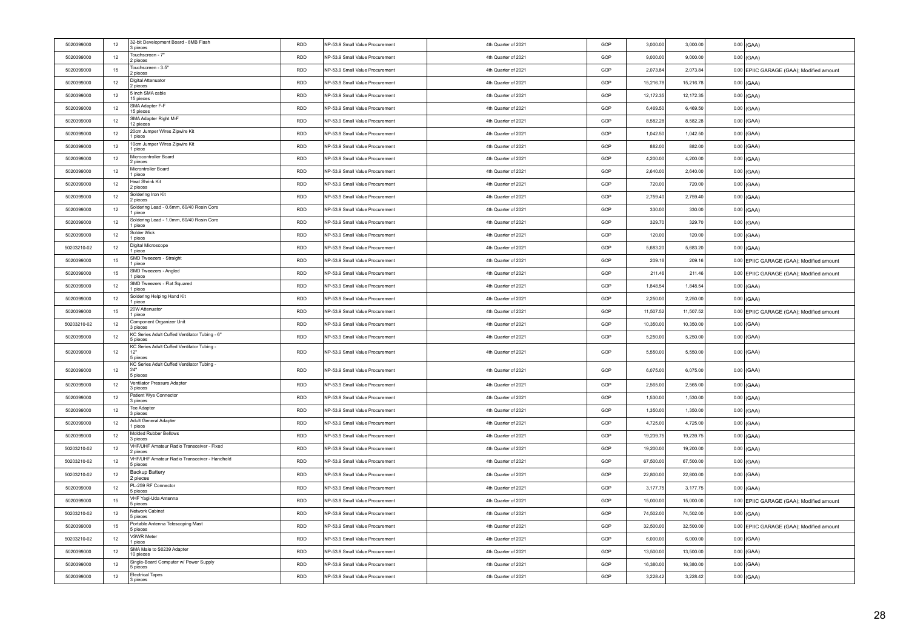| 5020399000  | 12 | 32-bit Development Board - 8MB Flash<br>3 pieces              | <b>RDD</b> | NP-53.9 Small Value Procurement | 4th Quarter of 2021 | GOP | 3,000.00  | 3,000.00  | $0.00$ (GAA)                             |
|-------------|----|---------------------------------------------------------------|------------|---------------------------------|---------------------|-----|-----------|-----------|------------------------------------------|
| 5020399000  | 12 | Touchscreen - 7"<br>2 pieces                                  | <b>RDD</b> | NP-53.9 Small Value Procurement | 4th Quarter of 2021 | GOP | 9,000.00  | 9,000.00  | $0.00$ (GAA)                             |
| 5020399000  | 15 | Touchscreen - 3.5"<br>2 pieces                                | <b>RDD</b> | NP-53.9 Small Value Procurement | 4th Quarter of 2021 | GOP | 2,073.84  | 2,073.84  | 0.00 EPIIC GARAGE (GAA); Modified amount |
| 5020399000  | 12 | <b>Digital Attenuator</b><br>2 nieces                         | RDD        | NP-53.9 Small Value Procurement | 4th Quarter of 2021 | GOP | 15,216.78 | 15,216.78 | $0.00$ (GAA)                             |
| 5020399000  | 12 | 5 inch SMA cable<br>15 pieces                                 | RDD        | NP-53.9 Small Value Procurement | 4th Quarter of 2021 | GOP | 12,172.35 | 12,172.35 | $0.00$ (GAA)                             |
| 5020399000  | 12 | SMA Adapter F-F<br>15 pieces                                  | <b>RDD</b> | NP-53.9 Small Value Procurement | 4th Quarter of 2021 | GOP | 6,469.50  | 6,469.50  | $0.00$ (GAA)                             |
| 5020399000  | 12 | SMA Adapter Right M-F<br>12 pieces                            | <b>RDD</b> | NP-53.9 Small Value Procurement | 4th Quarter of 2021 | GOP | 8,582.28  | 8,582.28  | $0.00$ (GAA)                             |
| 5020399000  | 12 | 20cm Jumper Wires Zipwire Kit<br>1 piece                      | <b>RDD</b> | NP-53.9 Small Value Procurement | 4th Quarter of 2021 | GOP | 1.042.50  | 1,042.50  | $0.00$ (GAA)                             |
| 5020399000  | 12 | 10cm Jumper Wires Zipwire Kit<br>1 piece                      | <b>RDD</b> | NP-53.9 Small Value Procurement | 4th Quarter of 2021 | GOP | 882.00    | 882.00    | $0.00$ (GAA)                             |
| 5020399000  | 12 | Microcontroller Board<br>2 pieces                             | <b>RDD</b> | NP-53.9 Small Value Procurement | 4th Quarter of 2021 | GOP | 4.200.00  | 4.200.00  | $0.00$ (GAA)                             |
| 5020399000  | 12 | Microntroller Board<br>1 piece                                | <b>RDD</b> | NP-53.9 Small Value Procurement | 4th Quarter of 2021 | GOP | 2.640.00  | 2,640.00  | $0.00$ (GAA)                             |
| 5020399000  | 12 | Heat Shrink Kit<br>2 pieces                                   | RDD        | NP-53.9 Small Value Procurement | 4th Quarter of 2021 | GOP | 720.00    | 720.00    | $0.00$ (GAA)                             |
| 5020399000  | 12 | Soldering Iron Kit<br>2 pieces                                | <b>RDD</b> | NP-53.9 Small Value Procurement | 4th Quarter of 2021 | GOP | 2,759.40  | 2,759.40  | $0.00$ (GAA)                             |
| 5020399000  | 12 | Soldering Lead - 0.6mm, 60/40 Rosin Core<br>1 piece           | <b>RDD</b> | NP-53.9 Small Value Procurement | 4th Quarter of 2021 | GOP | 330.00    | 330.00    | $0.00$ $(GAA)$                           |
| 5020399000  | 12 | Soldering Lead - 1.0mm, 60/40 Rosin Core<br>1 piece           | RDD        | NP-53.9 Small Value Procurement | 4th Quarter of 2021 | GOP | 329.70    | 329.70    | $0.00$ (GAA)                             |
| 5020399000  | 12 | Solder Wick<br>1 piece                                        | <b>RDD</b> | NP-53.9 Small Value Procurement | 4th Quarter of 2021 | GOP | 120.00    | 120.00    | $0.00$ (GAA)                             |
| 50203210-02 | 12 | Digital Microscope<br>1 piece                                 | <b>RDD</b> | NP-53.9 Small Value Procurement | 4th Quarter of 2021 | GOP | 5,683.20  | 5,683.20  | $0.00$ (GAA)                             |
| 5020399000  | 15 | SMD Tweezers - Straight<br>1 piece                            | <b>RDD</b> | NP-53.9 Small Value Procurement | 4th Quarter of 2021 | GOP | 209.16    | 209.16    | 0.00 EPIIC GARAGE (GAA); Modified amount |
| 5020399000  | 15 | SMD Tweezers - Angled<br>1 piece                              | <b>RDD</b> | NP-53.9 Small Value Procurement | 4th Quarter of 2021 | GOP | 211.46    | 211.46    | 0.00 EPIIC GARAGE (GAA); Modified amount |
| 5020399000  | 12 | SMD Tweezers - Flat Squared<br>1 piece                        | <b>RDD</b> | NP-53.9 Small Value Procurement | 4th Quarter of 2021 | GOP | 1,848.54  | 1,848.54  | $0.00$ (GAA)                             |
| 5020399000  | 12 | Soldering Helping Hand Kit<br>1 piece                         | <b>RDD</b> | NP-53.9 Small Value Procurement | 4th Quarter of 2021 | GOP | 2,250.00  | 2,250.00  | $0.00$ (GAA)                             |
| 5020399000  | 15 | 20W Attenuator<br>1 piece                                     | RDD        | NP-53.9 Small Value Procurement | 4th Quarter of 2021 | GOP | 11,507.52 | 11,507.52 | 0.00 EPIIC GARAGE (GAA); Modified amount |
| 50203210-02 | 12 | Component Organizer Unit<br>3 pieces                          | <b>RDD</b> | NP-53.9 Small Value Procurement | 4th Quarter of 2021 | GOP | 10,350.00 | 10,350.00 | $0.00$ (GAA)                             |
| 5020399000  | 12 | KC Series Adult Cuffed Ventilator Tubing - 6"<br>5 pieces     | <b>RDD</b> | NP-53.9 Small Value Procurement | 4th Quarter of 2021 | GOP | 5,250.00  | 5,250.00  | $0.00$ (GAA)                             |
| 5020399000  | 12 | KC Series Adult Cuffed Ventilator Tubing -<br>12"<br>5 pieces | RDD        | NP-53.9 Small Value Procurement | 4th Quarter of 2021 | GOP | 5,550.00  | 5,550.00  | $0.00$ (GAA)                             |
| 5020399000  | 12 | KC Series Adult Cuffed Ventilator Tubing -<br>24"<br>5 pieces | RDD        | NP-53.9 Small Value Procurement | 4th Quarter of 2021 | GOP | 6,075.00  | 6,075.00  | $0.00$ (GAA)                             |
| 5020399000  | 12 | Ventilator Pressure Adapter<br>3 pieces                       | <b>RDD</b> | NP-53.9 Small Value Procurement | 4th Quarter of 2021 | GOP | 2,565.00  | 2,565.00  | $0.00$ (GAA)                             |
| 5020399000  | 12 | Patient Wye Connector<br>3 pieces                             | RDD        | NP-53.9 Small Value Procurement | 4th Quarter of 2021 | GOP | 1,530.00  | 1,530.00  | $0.00$ (GAA)                             |
| 5020399000  | 12 | <b>Tee Adapter</b><br>3 pieces                                | RDD        | NP-53.9 Small Value Procurement | 4th Quarter of 2021 | GOP | 1,350.00  | 1,350.00  | $0.00$ (GAA)                             |
| 5020399000  | 12 | Adult General Adapter<br>1 piece                              | RDD        | NP-53.9 Small Value Procurement | 4th Quarter of 2021 | GOP | 4,725.00  | 4,725.00  | $0.00$ (GAA)                             |
| 5020399000  | 12 | Molded Rubber Bellows<br>3 pieces                             | <b>RDD</b> | NP-53.9 Small Value Procurement | 4th Quarter of 2021 | GOP | 19,239.75 | 19,239.75 | $0.00$ (GAA)                             |
| 50203210-02 | 12 | VHF/UHF Amateur Radio Transceiver - Fixed<br>2 pieces         | RDD        | NP-53.9 Small Value Procurement | 4th Quarter of 2021 | GOP | 19,200.00 | 19,200.00 | $0.00$ (GAA)                             |
| 50203210-02 | 12 | VHF/UHF Amateur Radio Transceiver - Handheld<br>5 pieces      | <b>RDD</b> | NP-53.9 Small Value Procurement | 4th Quarter of 2021 | GOP | 67,500.00 | 67,500.00 | $0.00$ (GAA)                             |
| 50203210-02 | 12 | Backup Battery<br>2 pieces                                    | <b>RDD</b> | NP-53.9 Small Value Procurement | 4th Quarter of 2021 | GOP | 22,800.00 | 22,800.00 | $0.00$ (GAA)                             |
| 5020399000  | 12 | PL-259 RF Connector<br>5 pieces                               | <b>RDD</b> | NP-53.9 Small Value Procurement | 4th Quarter of 2021 | GOP | 3,177.75  | 3.177.75  | $0.00$ (GAA)                             |
| 5020399000  | 15 | VHF Yagi-Uda Antenna<br>5 pieces                              | <b>RDD</b> | NP-53.9 Small Value Procurement | 4th Quarter of 2021 | GOP | 15,000.00 | 15,000.00 | 0.00 EPIIC GARAGE (GAA); Modified amount |
| 50203210-02 | 12 | Network Cabinet<br>5 pieces                                   | <b>RDD</b> | NP-53.9 Small Value Procurement | 4th Quarter of 2021 | GOP | 74,502.00 | 74.502.00 | $0.00$ (GAA)                             |
| 5020399000  | 15 | Portable Antenna Telescoping Mast<br>5 pieces                 | <b>RDD</b> | NP-53.9 Small Value Procurement | 4th Quarter of 2021 | GOP | 32,500.00 | 32,500.00 | 0.00 EPIIC GARAGE (GAA); Modified amount |
| 50203210-02 | 12 | <b>VSWR Meter</b><br>1 piece                                  | <b>RDD</b> | NP-53.9 Small Value Procurement | 4th Quarter of 2021 | GOP | 6,000.00  | 6,000.00  | $0.00$ (GAA)                             |
| 5020399000  | 12 | SMA Male to S0239 Adapter<br>10 pieces                        | <b>RDD</b> | NP-53.9 Small Value Procurement | 4th Quarter of 2021 | GOP | 13,500.00 | 13,500.00 | $0.00$ (GAA)                             |
| 5020399000  | 12 | Single-Board Computer w/ Power Supply<br>5 pieces             | <b>RDD</b> | NP-53.9 Small Value Procurement | 4th Quarter of 2021 | GOP | 16,380.00 | 16,380.00 | $0.00$ (GAA)                             |
| 5020399000  | 12 | <b>Electrical Tapes</b><br>3 pieces                           | RDD        | NP-53.9 Small Value Procurement | 4th Quarter of 2021 | GOP | 3,228.42  | 3,228.42  | $0.00$ (GAA)                             |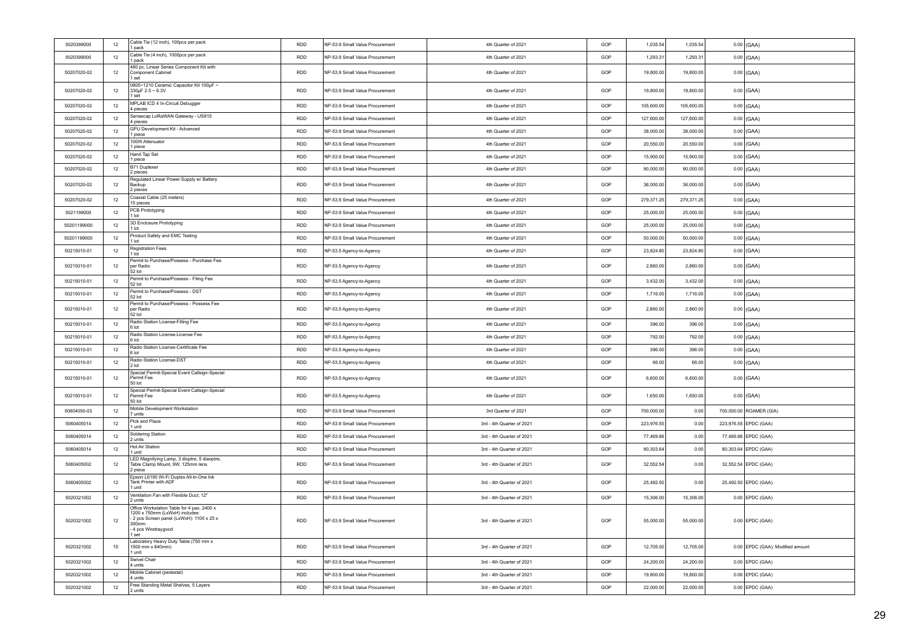| Cable Tie (4 inch), 1000pcs per pack<br>5020399000<br>12<br><b>RDD</b><br>GOP<br>1.293.3<br>1.293.31<br>$0.00$ (GAA)<br>NP-53.9 Small Value Procurement<br>4th Quarter of 2021<br>1 pack<br>480 pc. Linear Series Component Kit with<br>50207020-02<br>12<br><b>RDD</b><br>19,800.00<br>19,800.00<br>$0.00$ (GAA)<br>Component Cabinet<br>NP-53.9 Small Value Procurement<br>4th Quarter of 2021<br>GOP<br>1 set<br>0805~1210 Ceramic Capacitor Kit 100µF ~<br>$0.00$ (GAA)<br>50207020-02<br>12<br><b>RDD</b><br>NP-53.9 Small Value Procurement<br>4th Quarter of 2021<br>GOP<br>19,800.00<br>19,800.00<br>330uF 2.5 ~ 6.3V<br>1 set<br>MPLAB ICD 4 In-Circuit Debugger<br>50207020-02<br>12<br><b>RDD</b><br>NP-53.9 Small Value Procurement<br>4th Quarter of 2021<br>GOP<br>105,600.00<br>105,600.00<br>$0.00$ (GAA)<br>4 pieces<br>Sensecap LoRaWAN Gateway - US915<br>50207020-02<br>12<br><b>RDD</b><br>NP-53.9 Small Value Procurement<br>4th Quarter of 2021<br>GOP<br>127,600.00<br>127,600.00<br>$0.00$ (GAA)<br>4 pieces<br>GPU Development Kit - Advanced<br>50207020-02<br>$12\,$<br><b>RDD</b><br>NP-53.9 Small Value Procurement<br>4th Quarter of 2021<br>GOP<br>38,000.00<br>38,000.00<br>$0.00$ (GAA)<br>1 piece<br>100W Attenuator<br>50207020-02<br>12<br><b>RDD</b><br>NP-53.9 Small Value Procurement<br>4th Quarter of 2021<br>GOP<br>20,550.00<br>20,550.00<br>$0.00$ (GAA)<br>1 piece<br>Hand Tap Set<br>15,900.00<br>50207020-02<br>$12\,$<br><b>RDD</b><br>4th Quarter of 2021<br>GOP<br>15,900.00<br>NP-53.9 Small Value Procurement<br>$0.00$ (GAA)<br>1 piece<br>B71 Duplexer<br>50207020-02<br><b>RDD</b><br>GOP<br>90,000.00<br>12<br>NP-53.9 Small Value Procurement<br>4th Quarter of 2021<br>90,000.00<br>$0.00$ (GAA)<br>pieces<br>Regulated Linear Power Supply w/ Battery<br><b>RDD</b><br>GOP<br>36,000.00<br>36,000.00<br>50207020-02<br>12<br>NP-53.9 Small Value Procurement<br>4th Quarter of 2021<br>$0.00$ (GAA)<br>Backup<br>2 pieces<br>Coaxial Cable (25 meters)<br>50207020-02<br>12<br><b>RDD</b><br>NP-53.9 Small Value Procurement<br>4th Quarter of 2021<br>GOP<br>279,371.25<br>279,371.25<br>$0.00$ (GAA)<br>15 pieces<br>PCB Prototyping<br><b>RDD</b><br>GOP<br>25,000.00<br>25,000.00<br>5021199000<br>12<br>NP-53.9 Small Value Procurement<br>4th Quarter of 2021<br>$0.00$ (GAA)<br>I lot<br>3D Enclosure Prototyping<br>50201199000<br>12<br><b>RDD</b><br>NP-53.9 Small Value Procurement<br>4th Quarter of 2021<br>GOP<br>25,000.00<br>25,000.00<br>$0.00$ (GAA)<br>1 lot<br>Product Safety and EMC Testing<br>50201199000<br>12<br><b>RDD</b><br>NP-53.9 Small Value Procurement<br>4th Quarter of 2021<br>GOP<br>50,000.00<br>50,000.00<br>$0.00$ (GAA)<br>1 lot<br><b>Registration Fees</b><br>50215010-01<br>12<br><b>RDD</b><br>NP-53.5 Agency-to-Agency<br>4th Quarter of 2021<br>GOP<br>23,824.80<br>23,824.80<br>$0.00$ (GAA)<br>$1$ Int<br>Permit to Purchase/Possess - Purchase Fee<br>2,860.00<br>$0.00$ (GAA)<br>50215010-01<br>12<br>per Radio<br><b>RDD</b><br>NP-53.5 Agency-to-Agency<br>4th Quarter of 2021<br>GOP<br>2,860.00<br>52 lot<br>Permit to Purchase/Possess - Filing Fee<br>50215010-01<br>12<br><b>RDD</b><br>4th Quarter of 2021<br>GOP<br>3,432.00<br>3,432.00<br>$0.00$ (GAA)<br>NP-53.5 Agency-to-Agency<br>52 lot<br>Permit to Purchase/Possess - DST<br>RDD<br>1,716.00<br>50215010-01<br>12<br>NP-53.5 Agency-to-Agency<br>4th Quarter of 2021<br>GOP<br>1,716.00<br>$0.00$ (GAA)<br>52 lot<br>Permit to Purchase/Possess - Possess Fee<br>per Radio<br><b>RDD</b><br>GOP<br>2,860.00<br>2,860.00<br>$0.00$ (GAA)<br>50215010-01<br>12<br>4th Quarter of 2021<br>NP-53.5 Agency-to-Agency<br>52 lot<br>Radio Station License-Filling Fee<br><b>RDD</b><br>396.00<br>50215010-01<br>12<br>4th Quarter of 2021<br>GOP<br>396.00<br>$0.00$ (GAA)<br>NP-53.5 Agency-to-Agency<br>6 lot<br>Radio Station License-License Fee<br>50215010-01<br>12<br><b>RDD</b><br>GOP<br>792.00<br>792.00<br>$0.00$ (GAA)<br>4th Quarter of 2021<br>NP-53.5 Agency-to-Agency<br>6 lot<br>Radio Station License-Certificate Fee<br>50215010-01<br><b>RDD</b><br>4th Quarter of 2021<br>GOP<br>396.00<br>396.00<br>12<br>NP-53.5 Agency-to-Agency<br>$0.00$ (GAA)<br>6 lot<br>Radio Station License-DST<br>50215010-01<br>12<br><b>RDD</b><br>NP-53.5 Agency-to-Agency<br>4th Quarter of 2021<br>GOP<br>66.00<br>66.00<br>$0.00$ (GAA)<br>2 lot<br>Special Permit-Special Event Callsign-Special<br>50215010-01<br>12<br>Permit Fee<br><b>RDD</b><br>4th Quarter of 2021<br>GOP<br>6,600.00<br>6,600.00<br>$0.00$ (GAA)<br>NP-53.5 Agency-to-Agency<br>50 lot<br>Special Permit-Special Event Callsign-Special<br>$0.00$ (GAA)<br>50215010-01<br>12<br>Permit Fee<br><b>RDD</b><br>NP-53.5 Agency-to-Agency<br>4th Quarter of 2021<br>GOP<br>1,650.00<br>1,650.00<br>50 lot<br>Mobile Development Workstation<br>50604050-03<br>12<br><b>RDD</b><br>NP-53.9 Small Value Procurement<br>3rd Quarter of 2021<br>GOP<br>700,000.00<br>0.00<br>700,000.00 ROAMER (GIA)<br>7 units<br>Pick and Place<br>12<br><b>RDD</b><br>223,976.55 EPDC (GAA)<br>5060405014<br>NP-53.9 Small Value Procurement<br>3rd - 4th Quarter of 2021<br>GOP<br>223.976.55<br>0.00<br>1 unit<br>Soldering Station<br><b>RDD</b><br>GOP<br>77,469.86<br>77,469.86 EPDC (GAA)<br>5060405014<br>12<br>NP-53.9 Small Value Procurement<br>3rd - 4th Quarter of 2021<br>0.00<br>2 units<br><b>Hot Air Station</b><br>5060405014<br>12<br><b>RDD</b><br>NP-53.9 Small Value Procurement<br>3rd - 4th Quarter of 2021<br>GOP<br>80,303.64<br>0.00<br>80,303.64 EPDC (GAA)<br>1 unit<br>LED Magnifying Lamp, 3 dioptre, 5 diaoptre,<br>32.552.54<br>32,552.54 EPDC (GAA)<br>5060405002<br><b>RDD</b><br>NP-53.9 Small Value Procurement<br>3rd - 4th Quarter of 2021<br>GOP<br>0.00<br>12<br>Table Clamp Mount, 9W, 125mm lens<br>2 piece<br>Epson L6190 Wi-Fi Duplex All-in-One Ink<br>5060405002<br>12<br>Tank Printer with ADF<br><b>RDD</b><br>NP-53.9 Small Value Procurement<br>3rd - 4th Quarter of 2021<br>GOP<br>25,492.50<br>0.00<br>25,492.50 EPDC (GAA)<br>1 unit<br>Ventilation Fan with Flexible Duct, 12"<br>5020321002<br>12<br><b>RDD</b><br>NP-53.9 Small Value Procurement<br>3rd - 4th Quarter of 2021<br>GOP<br>15,306.00<br>15,306.00<br>$0.00$ EPDC (GAA)<br>2 units<br>Office Workstation Table for 4 pax, 2400 x<br>1200 x 750mm (LxWxH) includes:<br>- 2 pcs Screen panel (LxWxH): 1100 x 25 x<br><b>RDD</b><br>5020321002<br>NP-53.9 Small Value Procurement<br>3rd - 4th Quarter of 2021<br>GOP<br>55,000.00<br>55,000.00<br>$0.00$ EPDC (GAA)<br>12<br>300mm<br>- 4 pcs Wiretraygood<br>I set<br>Laboratory Heavy Duty Table (750 mm x<br>1500 mm x 840mm)<br><b>RDD</b><br>12,705.00<br>12,705.00<br>0.00 EPDC (GAA); Modified amount<br>5020321002<br>15<br>NP-53.9 Small Value Procurement<br>3rd - 4th Quarter of 2021<br>GOP<br>1 unit<br>Swivel Chair<br>12<br><b>RDD</b><br>$0.00$ EPDC (GAA)<br>5020321002<br>NP-53.9 Small Value Procurement<br>3rd - 4th Quarter of 2021<br>GOP<br>24,200.00<br>24.200.00<br>4 units<br>Mobile Cabinet (pedestal)<br><b>RDD</b><br>19,800.00<br>$0.00$ EPDC (GAA)<br>5020321002<br>$12\,$<br>3rd - 4th Quarter of 2021<br>GOP<br>19,800.00<br>NP-53.9 Small Value Procurement<br>4 units | 5020399000 | 12 | Cable Tie (12 inch), 100pcs per pack<br>1 pack | <b>RDD</b> | NP-53.9 Small Value Procurement | 4th Quarter of 2021       | GOP | 1,035.54  | 1,035.54  | $0.00$ (GAA) |
|--------------------------------------------------------------------------------------------------------------------------------------------------------------------------------------------------------------------------------------------------------------------------------------------------------------------------------------------------------------------------------------------------------------------------------------------------------------------------------------------------------------------------------------------------------------------------------------------------------------------------------------------------------------------------------------------------------------------------------------------------------------------------------------------------------------------------------------------------------------------------------------------------------------------------------------------------------------------------------------------------------------------------------------------------------------------------------------------------------------------------------------------------------------------------------------------------------------------------------------------------------------------------------------------------------------------------------------------------------------------------------------------------------------------------------------------------------------------------------------------------------------------------------------------------------------------------------------------------------------------------------------------------------------------------------------------------------------------------------------------------------------------------------------------------------------------------------------------------------------------------------------------------------------------------------------------------------------------------------------------------------------------------------------------------------------------------------------------------------------------------------------------------------------------------------------------------------------------------------------------------------------------------------------------------------------------------------------------------------------------------------------------------------------------------------------------------------------------------------------------------------------------------------------------------------------------------------------------------------------------------------------------------------------------------------------------------------------------------------------------------------------------------------------------------------------------------------------------------------------------------------------------------------------------------------------------------------------------------------------------------------------------------------------------------------------------------------------------------------------------------------------------------------------------------------------------------------------------------------------------------------------------------------------------------------------------------------------------------------------------------------------------------------------------------------------------------------------------------------------------------------------------------------------------------------------------------------------------------------------------------------------------------------------------------------------------------------------------------------------------------------------------------------------------------------------------------------------------------------------------------------------------------------------------------------------------------------------------------------------------------------------------------------------------------------------------------------------------------------------------------------------------------------------------------------------------------------------------------------------------------------------------------------------------------------------------------------------------------------------------------------------------------------------------------------------------------------------------------------------------------------------------------------------------------------------------------------------------------------------------------------------------------------------------------------------------------------------------------------------------------------------------------------------------------------------------------------------------------------------------------------------------------------------------------------------------------------------------------------------------------------------------------------------------------------------------------------------------------------------------------------------------------------------------------------------------------------------------------------------------------------------------------------------------------------------------------------------------------------------------------------------------------------------------------------------------------------------------------------------------------------------------------------------------------------------------------------------------------------------------------------------------------------------------------------------------------------------------------------------------------------------------------------------------------------------------------------------------------------------------------------------------------------------------------------------------------------------------------------------------------------------------------------------------------------------------------------------------------------------------------------------------------------------------------------------------------------------------------------------------------------------------------------------------------------------------------------------------------------------------------------------------------------------------------------------------------------------------------------------------------------------------------------------------------------------------------------------------------------------------------------------------------------------------------------------------------------------------------------------------------------------------------------------------------------------------------------------------------------------------------------------------------------------------------------------------------------------------------------------------------------------------------------------------------------------------------------------------------------------------------------------------------------------------------------------------------------------------------------------------------------------------------------------------------------------|------------|----|------------------------------------------------|------------|---------------------------------|---------------------------|-----|-----------|-----------|--------------|
|                                                                                                                                                                                                                                                                                                                                                                                                                                                                                                                                                                                                                                                                                                                                                                                                                                                                                                                                                                                                                                                                                                                                                                                                                                                                                                                                                                                                                                                                                                                                                                                                                                                                                                                                                                                                                                                                                                                                                                                                                                                                                                                                                                                                                                                                                                                                                                                                                                                                                                                                                                                                                                                                                                                                                                                                                                                                                                                                                                                                                                                                                                                                                                                                                                                                                                                                                                                                                                                                                                                                                                                                                                                                                                                                                                                                                                                                                                                                                                                                                                                                                                                                                                                                                                                                                                                                                                                                                                                                                                                                                                                                                                                                                                                                                                                                                                                                                                                                                                                                                                                                                                                                                                                                                                                                                                                                                                                                                                                                                                                                                                                                                                                                                                                                                                                                                                                                                                                                                                                                                                                                                                                                                                                                                                                                                                                                                                                                                                                                                                                                                                                                                                                                                                                                                                                                                                                                                                                                                                                                                                                                                                                                                                                                                                                                                                              |            |    |                                                |            |                                 |                           |     |           |           |              |
|                                                                                                                                                                                                                                                                                                                                                                                                                                                                                                                                                                                                                                                                                                                                                                                                                                                                                                                                                                                                                                                                                                                                                                                                                                                                                                                                                                                                                                                                                                                                                                                                                                                                                                                                                                                                                                                                                                                                                                                                                                                                                                                                                                                                                                                                                                                                                                                                                                                                                                                                                                                                                                                                                                                                                                                                                                                                                                                                                                                                                                                                                                                                                                                                                                                                                                                                                                                                                                                                                                                                                                                                                                                                                                                                                                                                                                                                                                                                                                                                                                                                                                                                                                                                                                                                                                                                                                                                                                                                                                                                                                                                                                                                                                                                                                                                                                                                                                                                                                                                                                                                                                                                                                                                                                                                                                                                                                                                                                                                                                                                                                                                                                                                                                                                                                                                                                                                                                                                                                                                                                                                                                                                                                                                                                                                                                                                                                                                                                                                                                                                                                                                                                                                                                                                                                                                                                                                                                                                                                                                                                                                                                                                                                                                                                                                                                              |            |    |                                                |            |                                 |                           |     |           |           |              |
|                                                                                                                                                                                                                                                                                                                                                                                                                                                                                                                                                                                                                                                                                                                                                                                                                                                                                                                                                                                                                                                                                                                                                                                                                                                                                                                                                                                                                                                                                                                                                                                                                                                                                                                                                                                                                                                                                                                                                                                                                                                                                                                                                                                                                                                                                                                                                                                                                                                                                                                                                                                                                                                                                                                                                                                                                                                                                                                                                                                                                                                                                                                                                                                                                                                                                                                                                                                                                                                                                                                                                                                                                                                                                                                                                                                                                                                                                                                                                                                                                                                                                                                                                                                                                                                                                                                                                                                                                                                                                                                                                                                                                                                                                                                                                                                                                                                                                                                                                                                                                                                                                                                                                                                                                                                                                                                                                                                                                                                                                                                                                                                                                                                                                                                                                                                                                                                                                                                                                                                                                                                                                                                                                                                                                                                                                                                                                                                                                                                                                                                                                                                                                                                                                                                                                                                                                                                                                                                                                                                                                                                                                                                                                                                                                                                                                                              |            |    |                                                |            |                                 |                           |     |           |           |              |
|                                                                                                                                                                                                                                                                                                                                                                                                                                                                                                                                                                                                                                                                                                                                                                                                                                                                                                                                                                                                                                                                                                                                                                                                                                                                                                                                                                                                                                                                                                                                                                                                                                                                                                                                                                                                                                                                                                                                                                                                                                                                                                                                                                                                                                                                                                                                                                                                                                                                                                                                                                                                                                                                                                                                                                                                                                                                                                                                                                                                                                                                                                                                                                                                                                                                                                                                                                                                                                                                                                                                                                                                                                                                                                                                                                                                                                                                                                                                                                                                                                                                                                                                                                                                                                                                                                                                                                                                                                                                                                                                                                                                                                                                                                                                                                                                                                                                                                                                                                                                                                                                                                                                                                                                                                                                                                                                                                                                                                                                                                                                                                                                                                                                                                                                                                                                                                                                                                                                                                                                                                                                                                                                                                                                                                                                                                                                                                                                                                                                                                                                                                                                                                                                                                                                                                                                                                                                                                                                                                                                                                                                                                                                                                                                                                                                                                              |            |    |                                                |            |                                 |                           |     |           |           |              |
|                                                                                                                                                                                                                                                                                                                                                                                                                                                                                                                                                                                                                                                                                                                                                                                                                                                                                                                                                                                                                                                                                                                                                                                                                                                                                                                                                                                                                                                                                                                                                                                                                                                                                                                                                                                                                                                                                                                                                                                                                                                                                                                                                                                                                                                                                                                                                                                                                                                                                                                                                                                                                                                                                                                                                                                                                                                                                                                                                                                                                                                                                                                                                                                                                                                                                                                                                                                                                                                                                                                                                                                                                                                                                                                                                                                                                                                                                                                                                                                                                                                                                                                                                                                                                                                                                                                                                                                                                                                                                                                                                                                                                                                                                                                                                                                                                                                                                                                                                                                                                                                                                                                                                                                                                                                                                                                                                                                                                                                                                                                                                                                                                                                                                                                                                                                                                                                                                                                                                                                                                                                                                                                                                                                                                                                                                                                                                                                                                                                                                                                                                                                                                                                                                                                                                                                                                                                                                                                                                                                                                                                                                                                                                                                                                                                                                                              |            |    |                                                |            |                                 |                           |     |           |           |              |
|                                                                                                                                                                                                                                                                                                                                                                                                                                                                                                                                                                                                                                                                                                                                                                                                                                                                                                                                                                                                                                                                                                                                                                                                                                                                                                                                                                                                                                                                                                                                                                                                                                                                                                                                                                                                                                                                                                                                                                                                                                                                                                                                                                                                                                                                                                                                                                                                                                                                                                                                                                                                                                                                                                                                                                                                                                                                                                                                                                                                                                                                                                                                                                                                                                                                                                                                                                                                                                                                                                                                                                                                                                                                                                                                                                                                                                                                                                                                                                                                                                                                                                                                                                                                                                                                                                                                                                                                                                                                                                                                                                                                                                                                                                                                                                                                                                                                                                                                                                                                                                                                                                                                                                                                                                                                                                                                                                                                                                                                                                                                                                                                                                                                                                                                                                                                                                                                                                                                                                                                                                                                                                                                                                                                                                                                                                                                                                                                                                                                                                                                                                                                                                                                                                                                                                                                                                                                                                                                                                                                                                                                                                                                                                                                                                                                                                              |            |    |                                                |            |                                 |                           |     |           |           |              |
|                                                                                                                                                                                                                                                                                                                                                                                                                                                                                                                                                                                                                                                                                                                                                                                                                                                                                                                                                                                                                                                                                                                                                                                                                                                                                                                                                                                                                                                                                                                                                                                                                                                                                                                                                                                                                                                                                                                                                                                                                                                                                                                                                                                                                                                                                                                                                                                                                                                                                                                                                                                                                                                                                                                                                                                                                                                                                                                                                                                                                                                                                                                                                                                                                                                                                                                                                                                                                                                                                                                                                                                                                                                                                                                                                                                                                                                                                                                                                                                                                                                                                                                                                                                                                                                                                                                                                                                                                                                                                                                                                                                                                                                                                                                                                                                                                                                                                                                                                                                                                                                                                                                                                                                                                                                                                                                                                                                                                                                                                                                                                                                                                                                                                                                                                                                                                                                                                                                                                                                                                                                                                                                                                                                                                                                                                                                                                                                                                                                                                                                                                                                                                                                                                                                                                                                                                                                                                                                                                                                                                                                                                                                                                                                                                                                                                                              |            |    |                                                |            |                                 |                           |     |           |           |              |
|                                                                                                                                                                                                                                                                                                                                                                                                                                                                                                                                                                                                                                                                                                                                                                                                                                                                                                                                                                                                                                                                                                                                                                                                                                                                                                                                                                                                                                                                                                                                                                                                                                                                                                                                                                                                                                                                                                                                                                                                                                                                                                                                                                                                                                                                                                                                                                                                                                                                                                                                                                                                                                                                                                                                                                                                                                                                                                                                                                                                                                                                                                                                                                                                                                                                                                                                                                                                                                                                                                                                                                                                                                                                                                                                                                                                                                                                                                                                                                                                                                                                                                                                                                                                                                                                                                                                                                                                                                                                                                                                                                                                                                                                                                                                                                                                                                                                                                                                                                                                                                                                                                                                                                                                                                                                                                                                                                                                                                                                                                                                                                                                                                                                                                                                                                                                                                                                                                                                                                                                                                                                                                                                                                                                                                                                                                                                                                                                                                                                                                                                                                                                                                                                                                                                                                                                                                                                                                                                                                                                                                                                                                                                                                                                                                                                                                              |            |    |                                                |            |                                 |                           |     |           |           |              |
|                                                                                                                                                                                                                                                                                                                                                                                                                                                                                                                                                                                                                                                                                                                                                                                                                                                                                                                                                                                                                                                                                                                                                                                                                                                                                                                                                                                                                                                                                                                                                                                                                                                                                                                                                                                                                                                                                                                                                                                                                                                                                                                                                                                                                                                                                                                                                                                                                                                                                                                                                                                                                                                                                                                                                                                                                                                                                                                                                                                                                                                                                                                                                                                                                                                                                                                                                                                                                                                                                                                                                                                                                                                                                                                                                                                                                                                                                                                                                                                                                                                                                                                                                                                                                                                                                                                                                                                                                                                                                                                                                                                                                                                                                                                                                                                                                                                                                                                                                                                                                                                                                                                                                                                                                                                                                                                                                                                                                                                                                                                                                                                                                                                                                                                                                                                                                                                                                                                                                                                                                                                                                                                                                                                                                                                                                                                                                                                                                                                                                                                                                                                                                                                                                                                                                                                                                                                                                                                                                                                                                                                                                                                                                                                                                                                                                                              |            |    |                                                |            |                                 |                           |     |           |           |              |
|                                                                                                                                                                                                                                                                                                                                                                                                                                                                                                                                                                                                                                                                                                                                                                                                                                                                                                                                                                                                                                                                                                                                                                                                                                                                                                                                                                                                                                                                                                                                                                                                                                                                                                                                                                                                                                                                                                                                                                                                                                                                                                                                                                                                                                                                                                                                                                                                                                                                                                                                                                                                                                                                                                                                                                                                                                                                                                                                                                                                                                                                                                                                                                                                                                                                                                                                                                                                                                                                                                                                                                                                                                                                                                                                                                                                                                                                                                                                                                                                                                                                                                                                                                                                                                                                                                                                                                                                                                                                                                                                                                                                                                                                                                                                                                                                                                                                                                                                                                                                                                                                                                                                                                                                                                                                                                                                                                                                                                                                                                                                                                                                                                                                                                                                                                                                                                                                                                                                                                                                                                                                                                                                                                                                                                                                                                                                                                                                                                                                                                                                                                                                                                                                                                                                                                                                                                                                                                                                                                                                                                                                                                                                                                                                                                                                                                              |            |    |                                                |            |                                 |                           |     |           |           |              |
|                                                                                                                                                                                                                                                                                                                                                                                                                                                                                                                                                                                                                                                                                                                                                                                                                                                                                                                                                                                                                                                                                                                                                                                                                                                                                                                                                                                                                                                                                                                                                                                                                                                                                                                                                                                                                                                                                                                                                                                                                                                                                                                                                                                                                                                                                                                                                                                                                                                                                                                                                                                                                                                                                                                                                                                                                                                                                                                                                                                                                                                                                                                                                                                                                                                                                                                                                                                                                                                                                                                                                                                                                                                                                                                                                                                                                                                                                                                                                                                                                                                                                                                                                                                                                                                                                                                                                                                                                                                                                                                                                                                                                                                                                                                                                                                                                                                                                                                                                                                                                                                                                                                                                                                                                                                                                                                                                                                                                                                                                                                                                                                                                                                                                                                                                                                                                                                                                                                                                                                                                                                                                                                                                                                                                                                                                                                                                                                                                                                                                                                                                                                                                                                                                                                                                                                                                                                                                                                                                                                                                                                                                                                                                                                                                                                                                                              |            |    |                                                |            |                                 |                           |     |           |           |              |
|                                                                                                                                                                                                                                                                                                                                                                                                                                                                                                                                                                                                                                                                                                                                                                                                                                                                                                                                                                                                                                                                                                                                                                                                                                                                                                                                                                                                                                                                                                                                                                                                                                                                                                                                                                                                                                                                                                                                                                                                                                                                                                                                                                                                                                                                                                                                                                                                                                                                                                                                                                                                                                                                                                                                                                                                                                                                                                                                                                                                                                                                                                                                                                                                                                                                                                                                                                                                                                                                                                                                                                                                                                                                                                                                                                                                                                                                                                                                                                                                                                                                                                                                                                                                                                                                                                                                                                                                                                                                                                                                                                                                                                                                                                                                                                                                                                                                                                                                                                                                                                                                                                                                                                                                                                                                                                                                                                                                                                                                                                                                                                                                                                                                                                                                                                                                                                                                                                                                                                                                                                                                                                                                                                                                                                                                                                                                                                                                                                                                                                                                                                                                                                                                                                                                                                                                                                                                                                                                                                                                                                                                                                                                                                                                                                                                                                              |            |    |                                                |            |                                 |                           |     |           |           |              |
|                                                                                                                                                                                                                                                                                                                                                                                                                                                                                                                                                                                                                                                                                                                                                                                                                                                                                                                                                                                                                                                                                                                                                                                                                                                                                                                                                                                                                                                                                                                                                                                                                                                                                                                                                                                                                                                                                                                                                                                                                                                                                                                                                                                                                                                                                                                                                                                                                                                                                                                                                                                                                                                                                                                                                                                                                                                                                                                                                                                                                                                                                                                                                                                                                                                                                                                                                                                                                                                                                                                                                                                                                                                                                                                                                                                                                                                                                                                                                                                                                                                                                                                                                                                                                                                                                                                                                                                                                                                                                                                                                                                                                                                                                                                                                                                                                                                                                                                                                                                                                                                                                                                                                                                                                                                                                                                                                                                                                                                                                                                                                                                                                                                                                                                                                                                                                                                                                                                                                                                                                                                                                                                                                                                                                                                                                                                                                                                                                                                                                                                                                                                                                                                                                                                                                                                                                                                                                                                                                                                                                                                                                                                                                                                                                                                                                                              |            |    |                                                |            |                                 |                           |     |           |           |              |
|                                                                                                                                                                                                                                                                                                                                                                                                                                                                                                                                                                                                                                                                                                                                                                                                                                                                                                                                                                                                                                                                                                                                                                                                                                                                                                                                                                                                                                                                                                                                                                                                                                                                                                                                                                                                                                                                                                                                                                                                                                                                                                                                                                                                                                                                                                                                                                                                                                                                                                                                                                                                                                                                                                                                                                                                                                                                                                                                                                                                                                                                                                                                                                                                                                                                                                                                                                                                                                                                                                                                                                                                                                                                                                                                                                                                                                                                                                                                                                                                                                                                                                                                                                                                                                                                                                                                                                                                                                                                                                                                                                                                                                                                                                                                                                                                                                                                                                                                                                                                                                                                                                                                                                                                                                                                                                                                                                                                                                                                                                                                                                                                                                                                                                                                                                                                                                                                                                                                                                                                                                                                                                                                                                                                                                                                                                                                                                                                                                                                                                                                                                                                                                                                                                                                                                                                                                                                                                                                                                                                                                                                                                                                                                                                                                                                                                              |            |    |                                                |            |                                 |                           |     |           |           |              |
|                                                                                                                                                                                                                                                                                                                                                                                                                                                                                                                                                                                                                                                                                                                                                                                                                                                                                                                                                                                                                                                                                                                                                                                                                                                                                                                                                                                                                                                                                                                                                                                                                                                                                                                                                                                                                                                                                                                                                                                                                                                                                                                                                                                                                                                                                                                                                                                                                                                                                                                                                                                                                                                                                                                                                                                                                                                                                                                                                                                                                                                                                                                                                                                                                                                                                                                                                                                                                                                                                                                                                                                                                                                                                                                                                                                                                                                                                                                                                                                                                                                                                                                                                                                                                                                                                                                                                                                                                                                                                                                                                                                                                                                                                                                                                                                                                                                                                                                                                                                                                                                                                                                                                                                                                                                                                                                                                                                                                                                                                                                                                                                                                                                                                                                                                                                                                                                                                                                                                                                                                                                                                                                                                                                                                                                                                                                                                                                                                                                                                                                                                                                                                                                                                                                                                                                                                                                                                                                                                                                                                                                                                                                                                                                                                                                                                                              |            |    |                                                |            |                                 |                           |     |           |           |              |
|                                                                                                                                                                                                                                                                                                                                                                                                                                                                                                                                                                                                                                                                                                                                                                                                                                                                                                                                                                                                                                                                                                                                                                                                                                                                                                                                                                                                                                                                                                                                                                                                                                                                                                                                                                                                                                                                                                                                                                                                                                                                                                                                                                                                                                                                                                                                                                                                                                                                                                                                                                                                                                                                                                                                                                                                                                                                                                                                                                                                                                                                                                                                                                                                                                                                                                                                                                                                                                                                                                                                                                                                                                                                                                                                                                                                                                                                                                                                                                                                                                                                                                                                                                                                                                                                                                                                                                                                                                                                                                                                                                                                                                                                                                                                                                                                                                                                                                                                                                                                                                                                                                                                                                                                                                                                                                                                                                                                                                                                                                                                                                                                                                                                                                                                                                                                                                                                                                                                                                                                                                                                                                                                                                                                                                                                                                                                                                                                                                                                                                                                                                                                                                                                                                                                                                                                                                                                                                                                                                                                                                                                                                                                                                                                                                                                                                              |            |    |                                                |            |                                 |                           |     |           |           |              |
|                                                                                                                                                                                                                                                                                                                                                                                                                                                                                                                                                                                                                                                                                                                                                                                                                                                                                                                                                                                                                                                                                                                                                                                                                                                                                                                                                                                                                                                                                                                                                                                                                                                                                                                                                                                                                                                                                                                                                                                                                                                                                                                                                                                                                                                                                                                                                                                                                                                                                                                                                                                                                                                                                                                                                                                                                                                                                                                                                                                                                                                                                                                                                                                                                                                                                                                                                                                                                                                                                                                                                                                                                                                                                                                                                                                                                                                                                                                                                                                                                                                                                                                                                                                                                                                                                                                                                                                                                                                                                                                                                                                                                                                                                                                                                                                                                                                                                                                                                                                                                                                                                                                                                                                                                                                                                                                                                                                                                                                                                                                                                                                                                                                                                                                                                                                                                                                                                                                                                                                                                                                                                                                                                                                                                                                                                                                                                                                                                                                                                                                                                                                                                                                                                                                                                                                                                                                                                                                                                                                                                                                                                                                                                                                                                                                                                                              |            |    |                                                |            |                                 |                           |     |           |           |              |
|                                                                                                                                                                                                                                                                                                                                                                                                                                                                                                                                                                                                                                                                                                                                                                                                                                                                                                                                                                                                                                                                                                                                                                                                                                                                                                                                                                                                                                                                                                                                                                                                                                                                                                                                                                                                                                                                                                                                                                                                                                                                                                                                                                                                                                                                                                                                                                                                                                                                                                                                                                                                                                                                                                                                                                                                                                                                                                                                                                                                                                                                                                                                                                                                                                                                                                                                                                                                                                                                                                                                                                                                                                                                                                                                                                                                                                                                                                                                                                                                                                                                                                                                                                                                                                                                                                                                                                                                                                                                                                                                                                                                                                                                                                                                                                                                                                                                                                                                                                                                                                                                                                                                                                                                                                                                                                                                                                                                                                                                                                                                                                                                                                                                                                                                                                                                                                                                                                                                                                                                                                                                                                                                                                                                                                                                                                                                                                                                                                                                                                                                                                                                                                                                                                                                                                                                                                                                                                                                                                                                                                                                                                                                                                                                                                                                                                              |            |    |                                                |            |                                 |                           |     |           |           |              |
|                                                                                                                                                                                                                                                                                                                                                                                                                                                                                                                                                                                                                                                                                                                                                                                                                                                                                                                                                                                                                                                                                                                                                                                                                                                                                                                                                                                                                                                                                                                                                                                                                                                                                                                                                                                                                                                                                                                                                                                                                                                                                                                                                                                                                                                                                                                                                                                                                                                                                                                                                                                                                                                                                                                                                                                                                                                                                                                                                                                                                                                                                                                                                                                                                                                                                                                                                                                                                                                                                                                                                                                                                                                                                                                                                                                                                                                                                                                                                                                                                                                                                                                                                                                                                                                                                                                                                                                                                                                                                                                                                                                                                                                                                                                                                                                                                                                                                                                                                                                                                                                                                                                                                                                                                                                                                                                                                                                                                                                                                                                                                                                                                                                                                                                                                                                                                                                                                                                                                                                                                                                                                                                                                                                                                                                                                                                                                                                                                                                                                                                                                                                                                                                                                                                                                                                                                                                                                                                                                                                                                                                                                                                                                                                                                                                                                                              |            |    |                                                |            |                                 |                           |     |           |           |              |
|                                                                                                                                                                                                                                                                                                                                                                                                                                                                                                                                                                                                                                                                                                                                                                                                                                                                                                                                                                                                                                                                                                                                                                                                                                                                                                                                                                                                                                                                                                                                                                                                                                                                                                                                                                                                                                                                                                                                                                                                                                                                                                                                                                                                                                                                                                                                                                                                                                                                                                                                                                                                                                                                                                                                                                                                                                                                                                                                                                                                                                                                                                                                                                                                                                                                                                                                                                                                                                                                                                                                                                                                                                                                                                                                                                                                                                                                                                                                                                                                                                                                                                                                                                                                                                                                                                                                                                                                                                                                                                                                                                                                                                                                                                                                                                                                                                                                                                                                                                                                                                                                                                                                                                                                                                                                                                                                                                                                                                                                                                                                                                                                                                                                                                                                                                                                                                                                                                                                                                                                                                                                                                                                                                                                                                                                                                                                                                                                                                                                                                                                                                                                                                                                                                                                                                                                                                                                                                                                                                                                                                                                                                                                                                                                                                                                                                              |            |    |                                                |            |                                 |                           |     |           |           |              |
|                                                                                                                                                                                                                                                                                                                                                                                                                                                                                                                                                                                                                                                                                                                                                                                                                                                                                                                                                                                                                                                                                                                                                                                                                                                                                                                                                                                                                                                                                                                                                                                                                                                                                                                                                                                                                                                                                                                                                                                                                                                                                                                                                                                                                                                                                                                                                                                                                                                                                                                                                                                                                                                                                                                                                                                                                                                                                                                                                                                                                                                                                                                                                                                                                                                                                                                                                                                                                                                                                                                                                                                                                                                                                                                                                                                                                                                                                                                                                                                                                                                                                                                                                                                                                                                                                                                                                                                                                                                                                                                                                                                                                                                                                                                                                                                                                                                                                                                                                                                                                                                                                                                                                                                                                                                                                                                                                                                                                                                                                                                                                                                                                                                                                                                                                                                                                                                                                                                                                                                                                                                                                                                                                                                                                                                                                                                                                                                                                                                                                                                                                                                                                                                                                                                                                                                                                                                                                                                                                                                                                                                                                                                                                                                                                                                                                                              |            |    |                                                |            |                                 |                           |     |           |           |              |
|                                                                                                                                                                                                                                                                                                                                                                                                                                                                                                                                                                                                                                                                                                                                                                                                                                                                                                                                                                                                                                                                                                                                                                                                                                                                                                                                                                                                                                                                                                                                                                                                                                                                                                                                                                                                                                                                                                                                                                                                                                                                                                                                                                                                                                                                                                                                                                                                                                                                                                                                                                                                                                                                                                                                                                                                                                                                                                                                                                                                                                                                                                                                                                                                                                                                                                                                                                                                                                                                                                                                                                                                                                                                                                                                                                                                                                                                                                                                                                                                                                                                                                                                                                                                                                                                                                                                                                                                                                                                                                                                                                                                                                                                                                                                                                                                                                                                                                                                                                                                                                                                                                                                                                                                                                                                                                                                                                                                                                                                                                                                                                                                                                                                                                                                                                                                                                                                                                                                                                                                                                                                                                                                                                                                                                                                                                                                                                                                                                                                                                                                                                                                                                                                                                                                                                                                                                                                                                                                                                                                                                                                                                                                                                                                                                                                                                              |            |    |                                                |            |                                 |                           |     |           |           |              |
|                                                                                                                                                                                                                                                                                                                                                                                                                                                                                                                                                                                                                                                                                                                                                                                                                                                                                                                                                                                                                                                                                                                                                                                                                                                                                                                                                                                                                                                                                                                                                                                                                                                                                                                                                                                                                                                                                                                                                                                                                                                                                                                                                                                                                                                                                                                                                                                                                                                                                                                                                                                                                                                                                                                                                                                                                                                                                                                                                                                                                                                                                                                                                                                                                                                                                                                                                                                                                                                                                                                                                                                                                                                                                                                                                                                                                                                                                                                                                                                                                                                                                                                                                                                                                                                                                                                                                                                                                                                                                                                                                                                                                                                                                                                                                                                                                                                                                                                                                                                                                                                                                                                                                                                                                                                                                                                                                                                                                                                                                                                                                                                                                                                                                                                                                                                                                                                                                                                                                                                                                                                                                                                                                                                                                                                                                                                                                                                                                                                                                                                                                                                                                                                                                                                                                                                                                                                                                                                                                                                                                                                                                                                                                                                                                                                                                                              |            |    |                                                |            |                                 |                           |     |           |           |              |
|                                                                                                                                                                                                                                                                                                                                                                                                                                                                                                                                                                                                                                                                                                                                                                                                                                                                                                                                                                                                                                                                                                                                                                                                                                                                                                                                                                                                                                                                                                                                                                                                                                                                                                                                                                                                                                                                                                                                                                                                                                                                                                                                                                                                                                                                                                                                                                                                                                                                                                                                                                                                                                                                                                                                                                                                                                                                                                                                                                                                                                                                                                                                                                                                                                                                                                                                                                                                                                                                                                                                                                                                                                                                                                                                                                                                                                                                                                                                                                                                                                                                                                                                                                                                                                                                                                                                                                                                                                                                                                                                                                                                                                                                                                                                                                                                                                                                                                                                                                                                                                                                                                                                                                                                                                                                                                                                                                                                                                                                                                                                                                                                                                                                                                                                                                                                                                                                                                                                                                                                                                                                                                                                                                                                                                                                                                                                                                                                                                                                                                                                                                                                                                                                                                                                                                                                                                                                                                                                                                                                                                                                                                                                                                                                                                                                                                              |            |    |                                                |            |                                 |                           |     |           |           |              |
|                                                                                                                                                                                                                                                                                                                                                                                                                                                                                                                                                                                                                                                                                                                                                                                                                                                                                                                                                                                                                                                                                                                                                                                                                                                                                                                                                                                                                                                                                                                                                                                                                                                                                                                                                                                                                                                                                                                                                                                                                                                                                                                                                                                                                                                                                                                                                                                                                                                                                                                                                                                                                                                                                                                                                                                                                                                                                                                                                                                                                                                                                                                                                                                                                                                                                                                                                                                                                                                                                                                                                                                                                                                                                                                                                                                                                                                                                                                                                                                                                                                                                                                                                                                                                                                                                                                                                                                                                                                                                                                                                                                                                                                                                                                                                                                                                                                                                                                                                                                                                                                                                                                                                                                                                                                                                                                                                                                                                                                                                                                                                                                                                                                                                                                                                                                                                                                                                                                                                                                                                                                                                                                                                                                                                                                                                                                                                                                                                                                                                                                                                                                                                                                                                                                                                                                                                                                                                                                                                                                                                                                                                                                                                                                                                                                                                                              |            |    |                                                |            |                                 |                           |     |           |           |              |
|                                                                                                                                                                                                                                                                                                                                                                                                                                                                                                                                                                                                                                                                                                                                                                                                                                                                                                                                                                                                                                                                                                                                                                                                                                                                                                                                                                                                                                                                                                                                                                                                                                                                                                                                                                                                                                                                                                                                                                                                                                                                                                                                                                                                                                                                                                                                                                                                                                                                                                                                                                                                                                                                                                                                                                                                                                                                                                                                                                                                                                                                                                                                                                                                                                                                                                                                                                                                                                                                                                                                                                                                                                                                                                                                                                                                                                                                                                                                                                                                                                                                                                                                                                                                                                                                                                                                                                                                                                                                                                                                                                                                                                                                                                                                                                                                                                                                                                                                                                                                                                                                                                                                                                                                                                                                                                                                                                                                                                                                                                                                                                                                                                                                                                                                                                                                                                                                                                                                                                                                                                                                                                                                                                                                                                                                                                                                                                                                                                                                                                                                                                                                                                                                                                                                                                                                                                                                                                                                                                                                                                                                                                                                                                                                                                                                                                              |            |    |                                                |            |                                 |                           |     |           |           |              |
|                                                                                                                                                                                                                                                                                                                                                                                                                                                                                                                                                                                                                                                                                                                                                                                                                                                                                                                                                                                                                                                                                                                                                                                                                                                                                                                                                                                                                                                                                                                                                                                                                                                                                                                                                                                                                                                                                                                                                                                                                                                                                                                                                                                                                                                                                                                                                                                                                                                                                                                                                                                                                                                                                                                                                                                                                                                                                                                                                                                                                                                                                                                                                                                                                                                                                                                                                                                                                                                                                                                                                                                                                                                                                                                                                                                                                                                                                                                                                                                                                                                                                                                                                                                                                                                                                                                                                                                                                                                                                                                                                                                                                                                                                                                                                                                                                                                                                                                                                                                                                                                                                                                                                                                                                                                                                                                                                                                                                                                                                                                                                                                                                                                                                                                                                                                                                                                                                                                                                                                                                                                                                                                                                                                                                                                                                                                                                                                                                                                                                                                                                                                                                                                                                                                                                                                                                                                                                                                                                                                                                                                                                                                                                                                                                                                                                                              |            |    |                                                |            |                                 |                           |     |           |           |              |
|                                                                                                                                                                                                                                                                                                                                                                                                                                                                                                                                                                                                                                                                                                                                                                                                                                                                                                                                                                                                                                                                                                                                                                                                                                                                                                                                                                                                                                                                                                                                                                                                                                                                                                                                                                                                                                                                                                                                                                                                                                                                                                                                                                                                                                                                                                                                                                                                                                                                                                                                                                                                                                                                                                                                                                                                                                                                                                                                                                                                                                                                                                                                                                                                                                                                                                                                                                                                                                                                                                                                                                                                                                                                                                                                                                                                                                                                                                                                                                                                                                                                                                                                                                                                                                                                                                                                                                                                                                                                                                                                                                                                                                                                                                                                                                                                                                                                                                                                                                                                                                                                                                                                                                                                                                                                                                                                                                                                                                                                                                                                                                                                                                                                                                                                                                                                                                                                                                                                                                                                                                                                                                                                                                                                                                                                                                                                                                                                                                                                                                                                                                                                                                                                                                                                                                                                                                                                                                                                                                                                                                                                                                                                                                                                                                                                                                              |            |    |                                                |            |                                 |                           |     |           |           |              |
|                                                                                                                                                                                                                                                                                                                                                                                                                                                                                                                                                                                                                                                                                                                                                                                                                                                                                                                                                                                                                                                                                                                                                                                                                                                                                                                                                                                                                                                                                                                                                                                                                                                                                                                                                                                                                                                                                                                                                                                                                                                                                                                                                                                                                                                                                                                                                                                                                                                                                                                                                                                                                                                                                                                                                                                                                                                                                                                                                                                                                                                                                                                                                                                                                                                                                                                                                                                                                                                                                                                                                                                                                                                                                                                                                                                                                                                                                                                                                                                                                                                                                                                                                                                                                                                                                                                                                                                                                                                                                                                                                                                                                                                                                                                                                                                                                                                                                                                                                                                                                                                                                                                                                                                                                                                                                                                                                                                                                                                                                                                                                                                                                                                                                                                                                                                                                                                                                                                                                                                                                                                                                                                                                                                                                                                                                                                                                                                                                                                                                                                                                                                                                                                                                                                                                                                                                                                                                                                                                                                                                                                                                                                                                                                                                                                                                                              |            |    |                                                |            |                                 |                           |     |           |           |              |
|                                                                                                                                                                                                                                                                                                                                                                                                                                                                                                                                                                                                                                                                                                                                                                                                                                                                                                                                                                                                                                                                                                                                                                                                                                                                                                                                                                                                                                                                                                                                                                                                                                                                                                                                                                                                                                                                                                                                                                                                                                                                                                                                                                                                                                                                                                                                                                                                                                                                                                                                                                                                                                                                                                                                                                                                                                                                                                                                                                                                                                                                                                                                                                                                                                                                                                                                                                                                                                                                                                                                                                                                                                                                                                                                                                                                                                                                                                                                                                                                                                                                                                                                                                                                                                                                                                                                                                                                                                                                                                                                                                                                                                                                                                                                                                                                                                                                                                                                                                                                                                                                                                                                                                                                                                                                                                                                                                                                                                                                                                                                                                                                                                                                                                                                                                                                                                                                                                                                                                                                                                                                                                                                                                                                                                                                                                                                                                                                                                                                                                                                                                                                                                                                                                                                                                                                                                                                                                                                                                                                                                                                                                                                                                                                                                                                                                              |            |    |                                                |            |                                 |                           |     |           |           |              |
|                                                                                                                                                                                                                                                                                                                                                                                                                                                                                                                                                                                                                                                                                                                                                                                                                                                                                                                                                                                                                                                                                                                                                                                                                                                                                                                                                                                                                                                                                                                                                                                                                                                                                                                                                                                                                                                                                                                                                                                                                                                                                                                                                                                                                                                                                                                                                                                                                                                                                                                                                                                                                                                                                                                                                                                                                                                                                                                                                                                                                                                                                                                                                                                                                                                                                                                                                                                                                                                                                                                                                                                                                                                                                                                                                                                                                                                                                                                                                                                                                                                                                                                                                                                                                                                                                                                                                                                                                                                                                                                                                                                                                                                                                                                                                                                                                                                                                                                                                                                                                                                                                                                                                                                                                                                                                                                                                                                                                                                                                                                                                                                                                                                                                                                                                                                                                                                                                                                                                                                                                                                                                                                                                                                                                                                                                                                                                                                                                                                                                                                                                                                                                                                                                                                                                                                                                                                                                                                                                                                                                                                                                                                                                                                                                                                                                                              |            |    |                                                |            |                                 |                           |     |           |           |              |
|                                                                                                                                                                                                                                                                                                                                                                                                                                                                                                                                                                                                                                                                                                                                                                                                                                                                                                                                                                                                                                                                                                                                                                                                                                                                                                                                                                                                                                                                                                                                                                                                                                                                                                                                                                                                                                                                                                                                                                                                                                                                                                                                                                                                                                                                                                                                                                                                                                                                                                                                                                                                                                                                                                                                                                                                                                                                                                                                                                                                                                                                                                                                                                                                                                                                                                                                                                                                                                                                                                                                                                                                                                                                                                                                                                                                                                                                                                                                                                                                                                                                                                                                                                                                                                                                                                                                                                                                                                                                                                                                                                                                                                                                                                                                                                                                                                                                                                                                                                                                                                                                                                                                                                                                                                                                                                                                                                                                                                                                                                                                                                                                                                                                                                                                                                                                                                                                                                                                                                                                                                                                                                                                                                                                                                                                                                                                                                                                                                                                                                                                                                                                                                                                                                                                                                                                                                                                                                                                                                                                                                                                                                                                                                                                                                                                                                              |            |    |                                                |            |                                 |                           |     |           |           |              |
|                                                                                                                                                                                                                                                                                                                                                                                                                                                                                                                                                                                                                                                                                                                                                                                                                                                                                                                                                                                                                                                                                                                                                                                                                                                                                                                                                                                                                                                                                                                                                                                                                                                                                                                                                                                                                                                                                                                                                                                                                                                                                                                                                                                                                                                                                                                                                                                                                                                                                                                                                                                                                                                                                                                                                                                                                                                                                                                                                                                                                                                                                                                                                                                                                                                                                                                                                                                                                                                                                                                                                                                                                                                                                                                                                                                                                                                                                                                                                                                                                                                                                                                                                                                                                                                                                                                                                                                                                                                                                                                                                                                                                                                                                                                                                                                                                                                                                                                                                                                                                                                                                                                                                                                                                                                                                                                                                                                                                                                                                                                                                                                                                                                                                                                                                                                                                                                                                                                                                                                                                                                                                                                                                                                                                                                                                                                                                                                                                                                                                                                                                                                                                                                                                                                                                                                                                                                                                                                                                                                                                                                                                                                                                                                                                                                                                                              |            |    |                                                |            |                                 |                           |     |           |           |              |
|                                                                                                                                                                                                                                                                                                                                                                                                                                                                                                                                                                                                                                                                                                                                                                                                                                                                                                                                                                                                                                                                                                                                                                                                                                                                                                                                                                                                                                                                                                                                                                                                                                                                                                                                                                                                                                                                                                                                                                                                                                                                                                                                                                                                                                                                                                                                                                                                                                                                                                                                                                                                                                                                                                                                                                                                                                                                                                                                                                                                                                                                                                                                                                                                                                                                                                                                                                                                                                                                                                                                                                                                                                                                                                                                                                                                                                                                                                                                                                                                                                                                                                                                                                                                                                                                                                                                                                                                                                                                                                                                                                                                                                                                                                                                                                                                                                                                                                                                                                                                                                                                                                                                                                                                                                                                                                                                                                                                                                                                                                                                                                                                                                                                                                                                                                                                                                                                                                                                                                                                                                                                                                                                                                                                                                                                                                                                                                                                                                                                                                                                                                                                                                                                                                                                                                                                                                                                                                                                                                                                                                                                                                                                                                                                                                                                                                              |            |    |                                                |            |                                 |                           |     |           |           |              |
|                                                                                                                                                                                                                                                                                                                                                                                                                                                                                                                                                                                                                                                                                                                                                                                                                                                                                                                                                                                                                                                                                                                                                                                                                                                                                                                                                                                                                                                                                                                                                                                                                                                                                                                                                                                                                                                                                                                                                                                                                                                                                                                                                                                                                                                                                                                                                                                                                                                                                                                                                                                                                                                                                                                                                                                                                                                                                                                                                                                                                                                                                                                                                                                                                                                                                                                                                                                                                                                                                                                                                                                                                                                                                                                                                                                                                                                                                                                                                                                                                                                                                                                                                                                                                                                                                                                                                                                                                                                                                                                                                                                                                                                                                                                                                                                                                                                                                                                                                                                                                                                                                                                                                                                                                                                                                                                                                                                                                                                                                                                                                                                                                                                                                                                                                                                                                                                                                                                                                                                                                                                                                                                                                                                                                                                                                                                                                                                                                                                                                                                                                                                                                                                                                                                                                                                                                                                                                                                                                                                                                                                                                                                                                                                                                                                                                                              |            |    |                                                |            |                                 |                           |     |           |           |              |
|                                                                                                                                                                                                                                                                                                                                                                                                                                                                                                                                                                                                                                                                                                                                                                                                                                                                                                                                                                                                                                                                                                                                                                                                                                                                                                                                                                                                                                                                                                                                                                                                                                                                                                                                                                                                                                                                                                                                                                                                                                                                                                                                                                                                                                                                                                                                                                                                                                                                                                                                                                                                                                                                                                                                                                                                                                                                                                                                                                                                                                                                                                                                                                                                                                                                                                                                                                                                                                                                                                                                                                                                                                                                                                                                                                                                                                                                                                                                                                                                                                                                                                                                                                                                                                                                                                                                                                                                                                                                                                                                                                                                                                                                                                                                                                                                                                                                                                                                                                                                                                                                                                                                                                                                                                                                                                                                                                                                                                                                                                                                                                                                                                                                                                                                                                                                                                                                                                                                                                                                                                                                                                                                                                                                                                                                                                                                                                                                                                                                                                                                                                                                                                                                                                                                                                                                                                                                                                                                                                                                                                                                                                                                                                                                                                                                                                              |            |    |                                                |            |                                 |                           |     |           |           |              |
| $0.00$ EPDC (GAA)<br>2 units                                                                                                                                                                                                                                                                                                                                                                                                                                                                                                                                                                                                                                                                                                                                                                                                                                                                                                                                                                                                                                                                                                                                                                                                                                                                                                                                                                                                                                                                                                                                                                                                                                                                                                                                                                                                                                                                                                                                                                                                                                                                                                                                                                                                                                                                                                                                                                                                                                                                                                                                                                                                                                                                                                                                                                                                                                                                                                                                                                                                                                                                                                                                                                                                                                                                                                                                                                                                                                                                                                                                                                                                                                                                                                                                                                                                                                                                                                                                                                                                                                                                                                                                                                                                                                                                                                                                                                                                                                                                                                                                                                                                                                                                                                                                                                                                                                                                                                                                                                                                                                                                                                                                                                                                                                                                                                                                                                                                                                                                                                                                                                                                                                                                                                                                                                                                                                                                                                                                                                                                                                                                                                                                                                                                                                                                                                                                                                                                                                                                                                                                                                                                                                                                                                                                                                                                                                                                                                                                                                                                                                                                                                                                                                                                                                                                                 | 5020321002 | 12 | Free Standing Metal Shelves, 5 Layers          | <b>RDD</b> | NP-53.9 Small Value Procurement | 3rd - 4th Quarter of 2021 | GOP | 22,000.00 | 22,000.00 |              |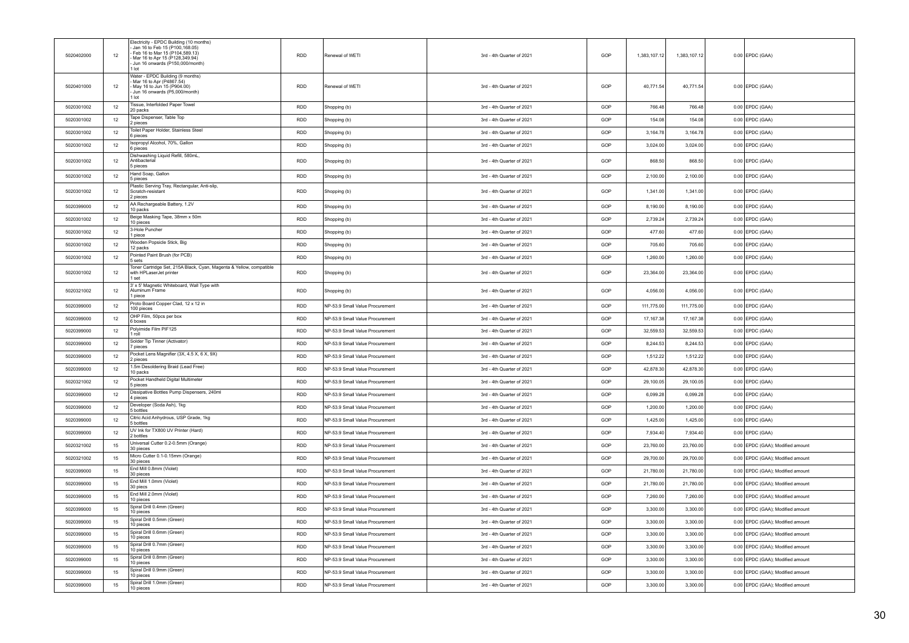| 5020402000 | 12 | Electricity - EPDC Building (10 months)<br>- Jan 16 to Feb 15 (P100,168.05)<br>Feb 16 to Mar 15 (P104.589.13)<br>Mar 16 to Apr 15 (P128,349.94)<br>Jun 16 onwards (P150,000/month)<br>I lot | <b>RDD</b> | Renewal of WETI                 | 3rd - 4th Quarter of 2021 | GOP | 1,383,107.12 | 1,383,107.12 | $0.00$ EPDC (GAA)                |
|------------|----|---------------------------------------------------------------------------------------------------------------------------------------------------------------------------------------------|------------|---------------------------------|---------------------------|-----|--------------|--------------|----------------------------------|
| 5020401000 | 12 | Water - EPDC Building (9 months)<br>Mar 16 to Apr (P4867.54)<br>May 16 to Jun 15 (P904 00)<br>- Jun 16 onwards (P5,000/month)<br>1 lot                                                      | <b>RDD</b> | Renewal of WFTI                 | 3rd - 4th Quarter of 2021 | GOP | 40.771.54    | 40.771.54    | $0.00$ EPDC (GAA)                |
| 5020301002 | 12 | Tissue, Interfolded Paper Towel<br>20 packs                                                                                                                                                 | <b>RDD</b> | Shopping (b)                    | 3rd - 4th Quarter of 2021 | GOP | 766.48       | 766.48       | 0.00 EPDC (GAA)                  |
| 5020301002 | 12 | Tape Dispenser, Table Top<br>2 pieces                                                                                                                                                       | <b>RDD</b> | Shopping (b)                    | 3rd - 4th Quarter of 2021 | GOP | 154.08       | 154.08       | $0.00$ EPDC (GAA)                |
| 5020301002 | 12 | Toilet Paper Holder, Stainless Steel<br>pieces                                                                                                                                              | <b>RDD</b> | Shopping (b)                    | 3rd - 4th Quarter of 2021 | GOP | 3.164.78     | 3.164.78     | $0.00$ EPDC (GAA)                |
| 5020301002 | 12 | Isopropyl Alcohol, 70%, Gallon<br>6 pieces                                                                                                                                                  | RDD        | Shopping (b)                    | 3rd - 4th Quarter of 2021 | GOP | 3,024.00     | 3,024.00     | $0.00$ EPDC (GAA)                |
| 5020301002 | 12 | Dishwashing Liquid Refill, 580mL,<br>Antibacterial<br>5 pieces                                                                                                                              | RDD        | Shopping (b)                    | 3rd - 4th Quarter of 2021 | GOP | 868.50       | 868.50       | $0.00$ EPDC (GAA)                |
| 5020301002 | 12 | Hand Soap, Gallon<br>5 pieces                                                                                                                                                               | <b>RDD</b> | Shopping (b)                    | 3rd - 4th Quarter of 2021 | GOP | 2.100.00     | 2.100.00     | $0.00$ EPDC (GAA)                |
| 5020301002 | 12 | Plastic Serving Tray, Rectangular, Anti-slip,<br>Scratch-resistant<br>2 pieces                                                                                                              | RDD        | Shopping (b)                    | 3rd - 4th Quarter of 2021 | GOP | 1,341.00     | 1,341.00     | $0.00$ EPDC (GAA)                |
| 5020399000 | 12 | AA Rechargeable Battery, 1.2V<br>10 packs                                                                                                                                                   | <b>RDD</b> | Shopping (b)                    | 3rd - 4th Quarter of 2021 | GOP | 8,190.00     | 8,190.00     | $0.00$ EPDC (GAA)                |
| 5020301002 | 12 | Beige Masking Tape, 38mm x 50m<br>10 pieces                                                                                                                                                 | RDD        | Shopping (b)                    | 3rd - 4th Quarter of 2021 | GOP | 2,739.24     | 2,739.24     | $0.00$ EPDC (GAA)                |
| 5020301002 | 12 | 3-Hole Puncher<br>I niece                                                                                                                                                                   | <b>RDD</b> | Shopping (b)                    | 3rd - 4th Quarter of 2021 | GOP | 477.60       | 477.60       | $0.00$ EPDC (GAA)                |
| 5020301002 | 12 | Wooden Popsicle Stick, Big<br>12 packs                                                                                                                                                      | RDD        | Shopping (b)                    | 3rd - 4th Quarter of 2021 | GOP | 705.60       | 705.60       | $0.00$ EPDC (GAA)                |
| 5020301002 | 12 | Pointed Paint Brush (for PCB)<br>5 sets                                                                                                                                                     | <b>RDD</b> | Shopping (b)                    | 3rd - 4th Quarter of 2021 | GOP | 1,260.00     | 1.260.00     | $0.00$ EPDC (GAA)                |
| 5020301002 | 12 | Toner Cartridge Set, 215A Black, Cyan, Magenta & Yellow, compatible<br>with HPLaserJet printer<br>1 set                                                                                     | RDD        | Shopping (b)                    | 3rd - 4th Quarter of 2021 | GOP | 23,364.00    | 23,364.00    | $0.00$ EPDC (GAA)                |
| 5020321002 | 12 | 3' x 5' Magnetic Whiteboard, Wall Type with<br>Aluminum Frame<br>1 piece                                                                                                                    | <b>RDD</b> | Shopping (b)                    | 3rd - 4th Quarter of 2021 | GOP | 4,056.00     | 4,056.00     | $0.00$ EPDC (GAA)                |
| 5020399000 | 12 | Proto Board Copper Clad, 12 x 12 in<br>100 pieces                                                                                                                                           | <b>RDD</b> | NP-53.9 Small Value Procurement | 3rd - 4th Quarter of 2021 | GOP | 111,775.00   | 111,775.00   | $0.00$ EPDC (GAA)                |
| 5020399000 | 12 | OHP Film, 50pcs per box<br>6 boxes                                                                                                                                                          | <b>RDD</b> | NP-53.9 Small Value Procurement | 3rd - 4th Quarter of 2021 | GOP | 17.167.38    | 17,167.38    | $0.00$ EPDC (GAA)                |
| 5020399000 | 12 | Polyimide Film PIF125<br>roll                                                                                                                                                               | <b>RDD</b> | NP-53.9 Small Value Procurement | 3rd - 4th Quarter of 2021 | GOP | 32.559.53    | 32 559 53    | $0.00$ FPDC (GAA)                |
| 5020399000 | 12 | Solder Tip Tinner (Activator)<br>pieces                                                                                                                                                     | RDD        | NP-53.9 Small Value Procurement | 3rd - 4th Quarter of 2021 | GOP | 8,244.53     | 8,244.53     | $0.00$ EPDC (GAA)                |
| 5020399000 | 12 | Pocket Lens Magnifier (3X, 4.5 X, 6 X, 9X)<br>2 pieces                                                                                                                                      | RDD        | NP-53.9 Small Value Procurement | 3rd - 4th Quarter of 2021 | GOP | 1,512.22     | 1,512.22     | $0.00$ EPDC (GAA)                |
| 5020399000 | 12 | 1.5m Desoldering Braid (Lead Free)<br>10 packs                                                                                                                                              | <b>RDD</b> | NP-53.9 Small Value Procurement | 3rd - 4th Quarter of 2021 | GOP | 42,878.30    | 42,878.30    | $0.00$ EPDC (GAA)                |
| 5020321002 | 12 | Pocket Handheld Digital Multimeter<br>5 pieces                                                                                                                                              | <b>RDD</b> | NP-53.9 Small Value Procurement | 3rd - 4th Quarter of 2021 | GOP | 29,100.05    | 29.100.05    | $0.00$ EPDC (GAA)                |
| 5020399000 | 12 | Dissipative Bottles Pump Dispensers, 240ml<br>4 pieces                                                                                                                                      | <b>RDD</b> | NP-53.9 Small Value Procurement | 3rd - 4th Quarter of 2021 | GOP | 6.099.28     | 6,099.28     | $0.00$ EPDC (GAA)                |
| 5020399000 | 12 | Developer (Soda Ash), 1kg<br>bottles                                                                                                                                                        | <b>RDD</b> | NP-53.9 Small Value Procurement | 3rd - 4th Quarter of 2021 | GOP | 1,200.00     | 1,200.00     | $0.00$ EPDC (GAA)                |
| 5020399000 | 12 | Citric Acid Anhydrous, USP Grade, 1kg<br>bottles                                                                                                                                            | <b>RDD</b> | NP-53.9 Small Value Procurement | 3rd - 4th Quarter of 2021 | GOP | 1,425.00     | 1,425.00     | $0.00$ EPDC (GAA)                |
| 5020399000 | 12 | UV Ink for TX800 UV Printer (Hard)<br>2 bottles                                                                                                                                             | <b>RDD</b> | NP-53.9 Small Value Procurement | 3rd - 4th Quarter of 2021 | GOP | 7,934.40     | 7,934.40     | $0.00$ EPDC (GAA)                |
| 5020321002 | 15 | Universal Cutter 0.2-0.5mm (Orange)<br>30 pieces                                                                                                                                            | <b>RDD</b> | NP-53.9 Small Value Procurement | 3rd - 4th Quarter of 2021 | GOP | 23,760.00    | 23,760.00    | 0.00 EPDC (GAA); Modified amount |
| 5020321002 | 15 | Micro Cutter 0.1-0.15mm (Orange)<br>30 pieces                                                                                                                                               | RDD        | NP-53.9 Small Value Procurement | 3rd - 4th Quarter of 2021 | GOP | 29,700.00    | 29,700.00    | 0.00 EPDC (GAA); Modified amount |
| 5020399000 | 15 | End Mill 0.8mm (Violet)<br>30 pieces                                                                                                                                                        | RDD        | NP-53.9 Small Value Procurement | 3rd - 4th Quarter of 2021 | GOP | 21,780.00    | 21,780.00    | 0.00 EPDC (GAA); Modified amount |
| 5020399000 | 15 | End Mill 1.0mm (Violet)<br>30 piecs                                                                                                                                                         | <b>RDD</b> | NP-53.9 Small Value Procurement | 3rd - 4th Quarter of 2021 | GOP | 21,780.00    | 21,780.00    | 0.00 EPDC (GAA); Modified amount |
| 5020399000 | 15 | End Mill 2.0mm (Violet)<br>10 pieces                                                                                                                                                        | <b>RDD</b> | NP-53.9 Small Value Procurement | 3rd - 4th Quarter of 2021 | GOP | 7,260.00     | 7,260.00     | 0.00 EPDC (GAA); Modified amount |
| 5020399000 | 15 | Spiral Drill 0.4mm (Green)<br>10 pieces                                                                                                                                                     | <b>RDD</b> | NP-53.9 Small Value Procurement | 3rd - 4th Quarter of 2021 | GOP | 3,300.00     | 3.300.00     | 0.00 EPDC (GAA): Modified amount |
| 5020399000 | 15 | Spiral Drill 0.5mm (Green)<br>10 pieces                                                                                                                                                     | <b>RDD</b> | NP-53.9 Small Value Procurement | 3rd - 4th Quarter of 2021 | GOP | 3,300.00     | 3,300.00     | 0.00 EPDC (GAA); Modified amount |
| 5020399000 | 15 | Spiral Drill 0.6mm (Green)<br>10 pieces                                                                                                                                                     | <b>RDD</b> | NP-53.9 Small Value Procurement | 3rd - 4th Quarter of 2021 | GOP | 3,300.00     | 3,300.00     | 0.00 EPDC (GAA); Modified amount |
| 5020399000 | 15 | Spiral Drill 0.7mm (Green)<br>10 nieces                                                                                                                                                     | <b>RDD</b> | NP-53.9 Small Value Procurement | 3rd - 4th Quarter of 2021 | GOP | 3,300.00     | 3,300.00     | 0.00 EPDC (GAA); Modified amount |
| 5020399000 | 15 | Spiral Drill 0.8mm (Green)<br>10 pieces                                                                                                                                                     | RDD        | NP-53.9 Small Value Procurement | 3rd - 4th Quarter of 2021 | GOP | 3,300.00     | 3,300.00     | 0.00 EPDC (GAA); Modified amount |
| 5020399000 | 15 | Spiral Drill 0.9mm (Green)<br>10 pieces                                                                                                                                                     | <b>RDD</b> | NP-53.9 Small Value Procurement | 3rd - 4th Quarter of 2021 | GOP | 3.300.00     | 3.300.00     | 0.00 EPDC (GAA); Modified amount |
| 5020399000 | 15 | Spiral Drill 1.0mm (Green)<br>10 pieces                                                                                                                                                     | <b>RDD</b> | NP-53.9 Small Value Procurement | 3rd - 4th Quarter of 2021 | GOP | 3.300.00     | 3.300.00     | 0.00 EPDC (GAA); Modified amount |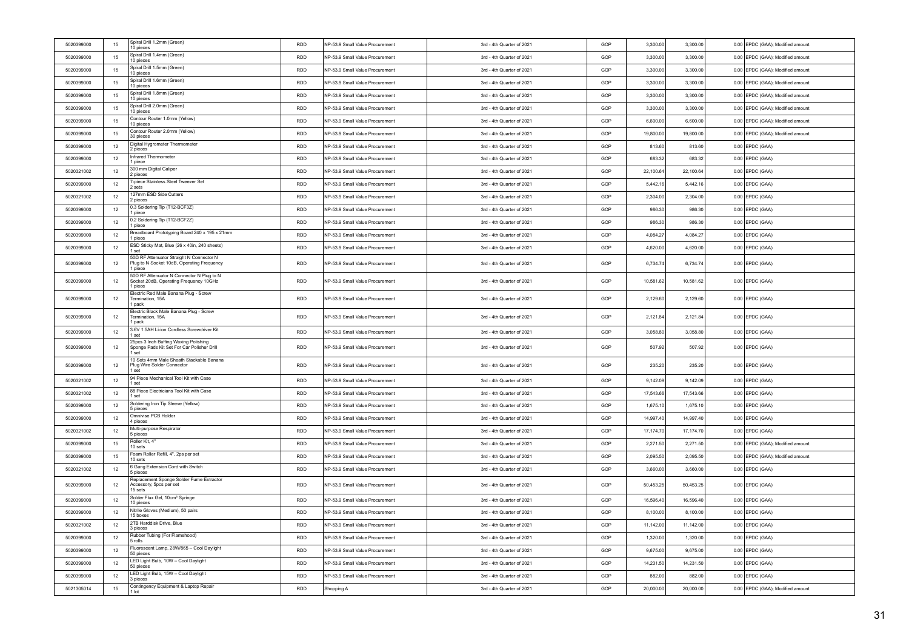| 5020399000 | 15 | Spiral Drill 1.2mm (Green)<br>10 pieces                                                           | <b>RDD</b> | NP-53.9 Small Value Procurement | 3rd - 4th Quarter of 2021 | GOP | 3,300.00  | 3.300.00  | 0.00 EPDC (GAA); Modified amount |
|------------|----|---------------------------------------------------------------------------------------------------|------------|---------------------------------|---------------------------|-----|-----------|-----------|----------------------------------|
| 5020399000 | 15 | Spiral Drill 1.4mm (Green)<br>10 pieces                                                           | RDD        | NP-53.9 Small Value Procurement | 3rd - 4th Quarter of 2021 | GOP | 3,300.00  | 3,300.00  | 0.00 EPDC (GAA); Modified amount |
| 5020399000 | 15 | Spiral Drill 1.5mm (Green)<br>10 pieces                                                           | RDD        | NP-53.9 Small Value Procurement | 3rd - 4th Quarter of 2021 | GOP | 3,300.00  | 3,300.00  | 0.00 EPDC (GAA); Modified amount |
| 5020399000 | 15 | Spiral Drill 1.6mm (Green)<br>10 pieces                                                           | RDD        | NP-53.9 Small Value Procurement | 3rd - 4th Quarter of 2021 | GOP | 3,300.00  | 3,300.00  | 0.00 EPDC (GAA); Modified amount |
| 5020399000 | 15 | Spiral Drill 1.8mm (Green)<br>10 pieces                                                           | <b>RDD</b> | NP-53.9 Small Value Procurement | 3rd - 4th Quarter of 2021 | GOP | 3,300.00  | 3,300.00  | 0.00 EPDC (GAA); Modified amount |
| 5020399000 | 15 | Spiral Drill 2.0mm (Green)<br>10 pieces                                                           | <b>RDD</b> | NP-53.9 Small Value Procurement | 3rd - 4th Quarter of 2021 | GOP | 3,300.00  | 3,300.00  | 0.00 EPDC (GAA): Modified amount |
| 5020399000 | 15 | Contour Router 1.0mm (Yellow)<br>10 pieces                                                        | <b>RDD</b> | NP-53.9 Small Value Procurement | 3rd - 4th Quarter of 2021 | GOP | 6,600.00  | 6,600.00  | 0.00 EPDC (GAA): Modified amount |
| 5020399000 | 15 | Contour Router 2.0mm (Yellow)<br>30 pieces                                                        | <b>RDD</b> | NP-53.9 Small Value Procurement | 3rd - 4th Quarter of 2021 | GOP | 19,800.00 | 19,800.00 | 0.00 EPDC (GAA); Modified amount |
| 5020399000 | 12 | Digital Hygrometer Thermometer<br>2 pieces                                                        | RDD        | NP-53.9 Small Value Procurement | 3rd - 4th Quarter of 2021 | GOP | 813.60    | 813.60    | $0.00$ EPDC (GAA)                |
| 5020399000 | 12 | Infrared Thermometer<br>1 piece                                                                   | <b>RDD</b> | NP-53.9 Small Value Procurement | 3rd - 4th Quarter of 2021 | GOP | 683.32    | 683.32    | $0.00$ EPDC (GAA)                |
| 5020321002 | 12 | 300 mm Digital Caliper<br>2 pieces                                                                | <b>RDD</b> | NP-53.9 Small Value Procurement | 3rd - 4th Quarter of 2021 | GOP | 22,100.64 | 22,100.64 | $0.00$ EPDC (GAA)                |
| 5020399000 | 12 | 7-piece Stainless Steel Tweezer Set<br>2 sets                                                     | <b>RDD</b> | NP-53.9 Small Value Procurement | 3rd - 4th Quarter of 2021 | GOP | 5,442.16  | 5,442.16  | $0.00$ EPDC (GAA)                |
| 5020321002 | 12 | 127mm ESD Side Cutters<br>2 pieces                                                                | RDD        | NP-53.9 Small Value Procurement | 3rd - 4th Quarter of 2021 | GOP | 2,304.00  | 2,304.00  | $0.00$ EPDC (GAA)                |
| 5020399000 | 12 | 0.3 Soldering Tip (T12-BCF3Z)<br>1 piece                                                          | <b>RDD</b> | NP-53.9 Small Value Procurement | 3rd - 4th Quarter of 2021 | GOP | 986.30    | 986.30    | $0.00$ EPDC (GAA)                |
| 5020399000 | 12 | 0.2 Soldering Tip (T12-BCF2Z)<br>1 piece                                                          | <b>RDD</b> | NP-53.9 Small Value Procurement | 3rd - 4th Quarter of 2021 | GOP | 986.30    | 986.30    | $0.00$ EPDC (GAA)                |
| 5020399000 | 12 | Breadboard Prototyping Board 240 x 195 x 21mm<br>1 piece                                          | <b>RDD</b> | NP-53.9 Small Value Procurement | 3rd - 4th Quarter of 2021 | GOP | 4.084.27  | 4.084.27  | $0.00$ EPDC (GAA)                |
| 5020399000 | 12 | ESD Sticky Mat, Blue (26 x 40in, 240 sheets)<br>1 set                                             | <b>RDD</b> | NP-53.9 Small Value Procurement | 3rd - 4th Quarter of 2021 | GOP | 4,620.00  | 4,620.00  | $0.00$ EPDC (GAA)                |
| 5020399000 | 12 | 500 RF Attenuator Straight N Connector N<br>Plug to N Socket 10dB, Operating Frequency<br>1 piece | <b>RDD</b> | NP-53.9 Small Value Procurement | 3rd - 4th Quarter of 2021 | GOP | 6.734.74  | 6,734.74  | $0.00$ EPDC (GAA)                |
| 5020399000 | 12 | 500 RF Attenuator N Connector N Plug to N<br>Socket 20dB, Operating Frequency 10GHz<br>1 piece    | RDD        | NP-53.9 Small Value Procurement | 3rd - 4th Quarter of 2021 | GOP | 10,581.62 | 10,581.62 | $0.00$ EPDC (GAA)                |
| 5020399000 | 12 | Electric Red Male Banana Plug - Screw<br>Termination, 15A<br>1 pack                               | RDD        | NP-53.9 Small Value Procurement | 3rd - 4th Quarter of 2021 | GOP | 2,129.60  | 2,129.60  | $0.00$ EPDC (GAA)                |
| 5020399000 | 12 | Electric Black Male Banana Plug - Screw<br>Termination, 15A<br>1 pack                             | <b>RDD</b> | NP-53.9 Small Value Procurement | 3rd - 4th Quarter of 2021 | GOP | 2.121.84  | 2.121.84  | $0.00$ EPDC (GAA)                |
| 5020399000 | 12 | 3.6V 1.5AH Li-ion Cordless Screwdriver Kit<br>1 set                                               | <b>RDD</b> | NP-53.9 Small Value Procurement | 3rd - 4th Quarter of 2021 | GOP | 3,058.80  | 3,058.80  | $0.00$ EPDC (GAA)                |
| 5020399000 | 12 | 25pcs 3 Inch Buffing Waxing Polishing<br>Sponge Pads Kit Set For Car Polisher Drill<br>1 set      | RDD        | NP-53.9 Small Value Procurement | 3rd - 4th Quarter of 2021 | GOP | 507.92    | 507.92    | $0.00$ EPDC (GAA)                |
| 5020399000 | 12 | 10 Sets 4mm Male Sheath Stackable Banana<br>Plug Wire Solder Connector<br>1 set                   | <b>RDD</b> | NP-53.9 Small Value Procurement | 3rd - 4th Quarter of 2021 | GOP | 235.20    | 235.20    | $0.00$ EPDC (GAA)                |
| 5020321002 | 12 | 94 Piece Mechanical Tool Kit with Case<br>1 set                                                   | <b>RDD</b> | NP-53.9 Small Value Procurement | 3rd - 4th Quarter of 2021 | GOP | 9,142.09  | 9,142.09  | $0.00$ EPDC (GAA)                |
| 5020321002 | 12 | 88 Piece Electricians Tool Kit with Case<br>1 set                                                 | <b>RDD</b> | NP-53.9 Small Value Procurement | 3rd - 4th Quarter of 2021 | GOP | 17,543.66 | 17,543.66 | $0.00$ EPDC (GAA)                |
| 5020399000 | 12 | Soldering Iron Tip Sleeve (Yellow)<br>5 pieces                                                    | <b>RDD</b> | NP-53.9 Small Value Procurement | 3rd - 4th Quarter of 2021 | GOP | 1,675.10  | 1,675.10  | $0.00$ EPDC (GAA)                |
| 5020399000 | 12 | Omnivise PCB Holder<br>4 pieces                                                                   | <b>RDD</b> | NP-53.9 Small Value Procurement | 3rd - 4th Quarter of 2021 | GOP | 14,997.40 | 14,997.40 | $0.00$ EPDC (GAA)                |
| 5020321002 | 12 | Multi-purpose Respirator<br>5 pieces                                                              | <b>RDD</b> | NP-53.9 Small Value Procurement | 3rd - 4th Quarter of 2021 | GOP | 17.174.70 | 17.174.70 | $0.00$ EPDC (GAA)                |
| 5020399000 | 15 | Roller Kit, 4"<br>10 sets                                                                         | <b>RDD</b> | NP-53.9 Small Value Procurement | 3rd - 4th Quarter of 2021 | GOP | 2,271.50  | 2,271.50  | 0.00 EPDC (GAA); Modified amount |
| 5020399000 | 15 | Foam Roller Refill, 4", 2ps per set<br>10 sets                                                    | RDD        | NP-53.9 Small Value Procurement | 3rd - 4th Quarter of 2021 | GOP | 2,095.50  | 2,095.50  | 0.00 EPDC (GAA); Modified amount |
| 5020321002 | 12 | 6 Gang Extension Cord with Switch<br>5 pieces                                                     | RDD        | NP-53.9 Small Value Procurement | 3rd - 4th Quarter of 2021 | GOP | 3,660.00  | 3,660.00  | $0.00$ EPDC (GAA)                |
| 5020399000 | 12 | Replacement Sponge Solder Fume Extractor<br>Accessory, 5pcs per set<br>15 sets                    | <b>RDD</b> | NP-53.9 Small Value Procurement | 3rd - 4th Quarter of 2021 | GOP | 50,453.25 | 50,453.25 | $0.00$ EPDC (GAA)                |
| 5020399000 | 12 | Solder Flux Gel, 10cm <sup>3</sup> Syringe<br>10 pieces                                           | <b>RDD</b> | NP-53.9 Small Value Procurement | 3rd - 4th Quarter of 2021 | GOP | 16,596.40 | 16,596.40 | $0.00$ EPDC (GAA)                |
| 5020399000 | 12 | Nitrile Gloves (Medium), 50 pairs<br>15 boxes                                                     | <b>RDD</b> | NP-53.9 Small Value Procurement | 3rd - 4th Quarter of 2021 | GOP | 8.100.00  | 8.100.00  | $0.00$ EPDC (GAA)                |
| 5020321002 | 12 | 2TB Harddisk Drive, Blue<br>3 pieces                                                              | RDD        | NP-53.9 Small Value Procurement | 3rd - 4th Quarter of 2021 | GOP | 11,142.00 | 11,142.00 | $0.00$ EPDC (GAA)                |
| 5020399000 | 12 | Rubber Tubing (For Flamehood)<br>5 rolls                                                          | <b>RDD</b> | NP-53.9 Small Value Procurement | 3rd - 4th Quarter of 2021 | GOP | 1,320.00  | 1,320.00  | $0.00$ EPDC (GAA)                |
| 5020399000 | 12 | Fluorescent Lamp, 28W/865 - Cool Daylight<br>50 pieces                                            | RDD        | NP-53.9 Small Value Procurement | 3rd - 4th Quarter of 2021 | GOP | 9,675.00  | 9,675.00  | $0.00$ EPDC (GAA)                |
| 5020399000 | 12 | LED Light Bulb, 10W - Cool Daylight<br>50 pieces                                                  | <b>RDD</b> | NP-53.9 Small Value Procurement | 3rd - 4th Quarter of 2021 | GOP | 14.231.50 | 14.231.50 | $0.00$ EPDC (GAA)                |
| 5020399000 | 12 | LED Light Bulb, 15W - Cool Daylight<br>3 pieces                                                   | RDD        | NP-53.9 Small Value Procurement | 3rd - 4th Quarter of 2021 | GOP | 882.00    | 882.00    | $0.00$ EPDC (GAA)                |
| 5021305014 | 15 | Contingency Equipment & Laptop Repair<br>1 lot                                                    | RDD        | Shopping A                      | 3rd - 4th Quarter of 2021 | GOP | 20,000.00 | 20,000.00 | 0.00 EPDC (GAA); Modified amount |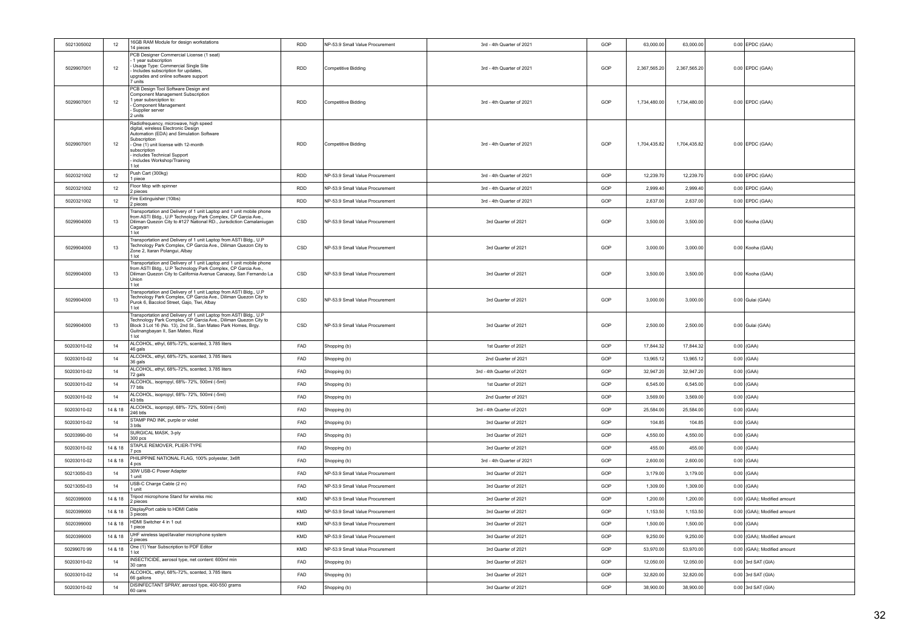| 5021305002  | 12      | 16GB RAM Module for design workstations<br>14 pieces                                                                                                                                                                                                                  | RDD        | NP-53.9 Small Value Procurement | 3rd - 4th Quarter of 2021 | GOP | 63,000.00    | 63,000.00    | $0.00$ EPDC (GAA)           |
|-------------|---------|-----------------------------------------------------------------------------------------------------------------------------------------------------------------------------------------------------------------------------------------------------------------------|------------|---------------------------------|---------------------------|-----|--------------|--------------|-----------------------------|
| 5029907001  | 12      | PCB Designer Commercial License (1 seat)<br>1 year subscription<br>Usage Type: Commercial Single Site<br>Includes subscription for updates,<br>upgrades and online software support<br>units                                                                          | <b>RDD</b> | Competitive Bidding             | 3rd - 4th Quarter of 2021 | GOP | 2.367.565.20 | 2.367.565.20 | $0.00$ EPDC (GAA)           |
| 5029907001  | 12      | PCB Design Tool Software Design and<br>Component Management Subscription<br>year subsrciption to:<br>Component Management<br>Supplier server<br>2 units                                                                                                               | <b>RDD</b> | <b>Competitive Bidding</b>      | 3rd - 4th Quarter of 2021 | GOP | 1,734,480.00 | 1,734,480.00 | $0.00$ EPDC (GAA)           |
| 5029907001  | 12      | Radiofrequency, microwave, high speed<br>digital, wireless Electronic Design<br>Automation (EDA) and Simulation Software<br>Subscription<br>- One (1) unit license with 12-month<br>subscription<br>includes Technical Support<br>includes Workshop/Training<br>l lot | <b>RDD</b> | Competitive Bidding             | 3rd - 4th Quarter of 2021 | GOP | 1 704 435 82 | 1 704 435 82 | $0.00$ EPDC (GAA)           |
| 5020321002  | 12      | Push Cart (300kg)<br>1 piece                                                                                                                                                                                                                                          | <b>RDD</b> | NP-53.9 Small Value Procurement | 3rd - 4th Quarter of 2021 | GOP | 12,239.70    | 12,239.70    | $0.00$ EPDC (GAA)           |
| 5020321002  | 12      | Floor Mop with spinner<br>2 pieces                                                                                                                                                                                                                                    | <b>RDD</b> | NP-53.9 Small Value Procurement | 3rd - 4th Quarter of 2021 | GOP | 2.999.4      | 2,999.40     | $0.00$ EPDC (GAA)           |
| 5020321002  | 12      | Fire Extinguisher (10lbs)<br>2 pieces                                                                                                                                                                                                                                 | <b>RDD</b> | NP-53.9 Small Value Procurement | 3rd - 4th Quarter of 2021 | GOP | 2,637.00     | 2,637.00     | $0.00$ EPDC (GAA)           |
| 5029904000  | 13      | Transportation and Delivery of 1 unit Laptop and 1 unit mobile phone<br>from ASTI Bldg., U.P Technology Park Complex, CP Garcia Ave.,<br>Diliman Quezon City to #127 National RD., Jurisdiction Camalaniugan<br>Cagayan<br>1 lot                                      | CSD        | NP-53.9 Small Value Procurement | 3rd Quarter of 2021       | GOP | 3,500.00     | 3,500.00     | 0.00 Kooha (GAA)            |
| 5029904000  | 13      | Transportation and Delivery of 1 unit Laptop from ASTI Bldg., U.P<br>Technology Park Complex, CP Garcia Ave., Diliman Quezon City to<br>Zone 2, Itaran Polangui, Albay<br>1 lot                                                                                       | CSD        | NP-53.9 Small Value Procurement | 3rd Quarter of 2021       | GOP | 3,000.00     | 3.000.00     | 0.00 Kooha (GAA)            |
| 5029904000  | 13      | Transportation and Delivery of 1 unit Laptop and 1 unit mobile phone<br>from ASTI Bldg., U.P Technology Park Complex, CP Garcia Ave.,<br>Diliman Quezon City to California Avenue Canaoay, San Fernando La<br>Union<br>1 lot                                          | CSD        | NP-53.9 Small Value Procurement | 3rd Quarter of 2021       | GOP | 3,500.00     | 3,500.00     | 0.00 Kooha (GAA)            |
| 5029904000  | 13      | Transportation and Delivery of 1 unit Laptop from ASTI Bldg., U.P<br>Technology Park Complex, CP Garcia Ave., Diliman Quezon City to<br>Purok 6, Bacolod Street, Gajo, Tiwi, Albay<br>1 lot                                                                           | CSD        | NP-53.9 Small Value Procurement | 3rd Quarter of 2021       | GOP | 3,000.00     | 3,000.00     | 0.00 Gulai (GAA)            |
| 5029904000  | 13      | Transportation and Delivery of 1 unit Laptop from ASTI Bldg., U.P<br>Technology Park Complex, CP Garcia Ave., Diliman Quezon City to<br>Block 3 Lot 16 (No. 13), 2nd St., San Mateo Park Homes, Brgy.<br>Guitnangbayan II, San Mateo, Rizal<br>I lot                  | CSD        | NP-53.9 Small Value Procurement | 3rd Quarter of 2021       | GOP | 2,500.00     | 2,500.00     | 0.00 Gulai (GAA)            |
| 50203010-02 | 14      | ALCOHOL, ethyl, 68%-72%, scented, 3.785 liters<br>46 gals                                                                                                                                                                                                             | FAD        | Shopping (b)                    | 1st Quarter of 2021       | GOP | 17,844.32    | 17,844.32    | $0.00$ (GAA)                |
| 50203010-02 | 14      | ALCOHOL, ethyl, 68%-72%, scented, 3.785 liters<br>36 gals                                                                                                                                                                                                             | FAD        | Shopping (b)                    | 2nd Quarter of 2021       | GOP | 13.965.12    | 13.965.12    | $0.00$ (GAA)                |
| 50203010-02 | 14      | ALCOHOL, ethyl, 68%-72%, scented, 3.785 liters<br>72 gals                                                                                                                                                                                                             | FAD        | Shopping (b)                    | 3rd - 4th Quarter of 2021 | GOP | 32.947.20    | 32,947.20    | $0.00$ (GAA)                |
| 50203010-02 | 14      | ALCOHOL, isopropyl, 68%- 72%, 500ml (-5ml)<br>77 btls                                                                                                                                                                                                                 | FAD        | Shopping (b)                    | 1st Quarter of 2021       | GOP | 6,545.00     | 6,545.00     | $0.00$ (GAA)                |
| 50203010-02 | 14      | ALCOHOL, isopropyl, 68%- 72%, 500ml (-5ml)<br>43 btls                                                                                                                                                                                                                 | FAD        | Shopping (b)                    | 2nd Quarter of 2021       | GOP | 3,569.00     | 3,569.00     | $0.00$ (GAA)                |
| 50203010-02 | 14 & 18 | ALCOHOL, isopropyl, 68%- 72%, 500ml (-5ml)<br>246 btls                                                                                                                                                                                                                | FAD        | Shopping (b)                    | 3rd - 4th Quarter of 2021 | GOP | 25,584.00    | 25,584.00    | $0.00$ (GAA)                |
| 50203010-02 | 14      | STAMP PAD INK, purple or violet<br>3 btls                                                                                                                                                                                                                             | FAD        | Shopping (b)                    | 3rd Quarter of 2021       | GOP | 104.85       | 104.85       | $0.00$ (GAA)                |
| 50203990-00 | 14      | SURGICAL MASK, 3-ply<br>300 pcs                                                                                                                                                                                                                                       | <b>FAD</b> | Shopping (b)                    | 3rd Quarter of 2021       | GOP | 4.550.00     | 4.550.00     | $0.00$ (GAA)                |
| 50203010-02 | 14 & 18 | STAPLE REMOVER, PLIER-TYPE<br>pcs                                                                                                                                                                                                                                     | FAD        | Shopping (b)                    | 3rd Quarter of 2021       | GOP | 455.00       | 455.00       | $0.00$ (GAA)                |
| 50203010-02 | 14 & 18 | PHILIPPINE NATIONAL FLAG, 100% polyester, 3x6ft<br>4 pcs                                                                                                                                                                                                              | FAD        | Shopping (b)                    | 3rd - 4th Quarter of 2021 | GOP | 2,600.00     | 2,600.00     | $0.00$ (GAA)                |
| 50213050-03 | 14      | 30W USB-C Power Adapter<br>1 unit                                                                                                                                                                                                                                     | FAD        | NP-53.9 Small Value Procurement | 3rd Quarter of 2021       | GOP | 3,179.00     | 3,179.00     | $0.00$ (GAA)                |
| 50213050-03 | 14      | USB-C Charge Cable (2 m)<br>1 unit                                                                                                                                                                                                                                    | FAD        | NP-53.9 Small Value Procurement | 3rd Quarter of 2021       | GOP | 1,309.00     | 1,309.00     | $0.00$ (GAA)                |
| 5020399000  | 14 & 18 | Tripod microphone Stand for wirelss mic<br>bieces                                                                                                                                                                                                                     | KMD        | NP-53.9 Small Value Procurement | 3rd Quarter of 2021       | GOP | 1,200.00     | 1,200.00     | 0.00 (GAA); Modified amount |
| 5020399000  | 14 & 18 | DisplayPort cable to HDMI Cable<br>pieces                                                                                                                                                                                                                             | <b>KMD</b> | NP-53.9 Small Value Procurement | 3rd Quarter of 2021       | GOP | 1,153.50     | 1,153.50     | 0.00 (GAA); Modified amount |
| 5020399000  | 14 & 18 | IDMI Switcher 4 in 1 out<br>piece                                                                                                                                                                                                                                     | KMD        | NP-53.9 Small Value Procurement | 3rd Quarter of 2021       | GOP | 1,500.00     | 1,500.00     | $0.00$ (GAA)                |
| 5020399000  | 14 & 18 | UHF wireless lapel/lavalier microphone system<br>pieces                                                                                                                                                                                                               | KMD        | NP-53.9 Small Value Procurement | 3rd Quarter of 2021       | GOP | 9,250.00     | 9,250.00     | 0.00 (GAA); Modified amount |
| 50299070 99 | 14 & 18 | One (1) Year Subscription to PDF Editor<br>I lot                                                                                                                                                                                                                      | KMD        | NP-53.9 Small Value Procurement | 3rd Quarter of 2021       | GOP | 53,970.00    | 53,970.00    | 0.00 (GAA); Modified amount |
| 50203010-02 | 14      | INSECTICIDE, aerosol type, net content: 600ml min<br>30 cans                                                                                                                                                                                                          | FAD        | Shopping (b)                    | 3rd Quarter of 2021       | GOP | 12,050.00    | 12,050.00    | $0.00$ 3rd SAT (GIA)        |
| 50203010-02 | 14      | ALCOHOL, ethyl, 68%-72%, scented, 3.785 liters<br>66 gallons                                                                                                                                                                                                          | <b>FAD</b> | Shopping (b)                    | 3rd Quarter of 2021       | GOP | 32,820.00    | 32,820.00    | $0.00$ 3rd SAT (GIA)        |
| 50203010-02 | 14      | DISINFECTANT SPRAY, aerosol type, 400-550 grams<br>60 cans                                                                                                                                                                                                            | <b>FAD</b> | Shopping (b)                    | 3rd Quarter of 2021       | GOP | 38,900.00    | 38,900.00    | $0.00$ 3rd SAT (GIA)        |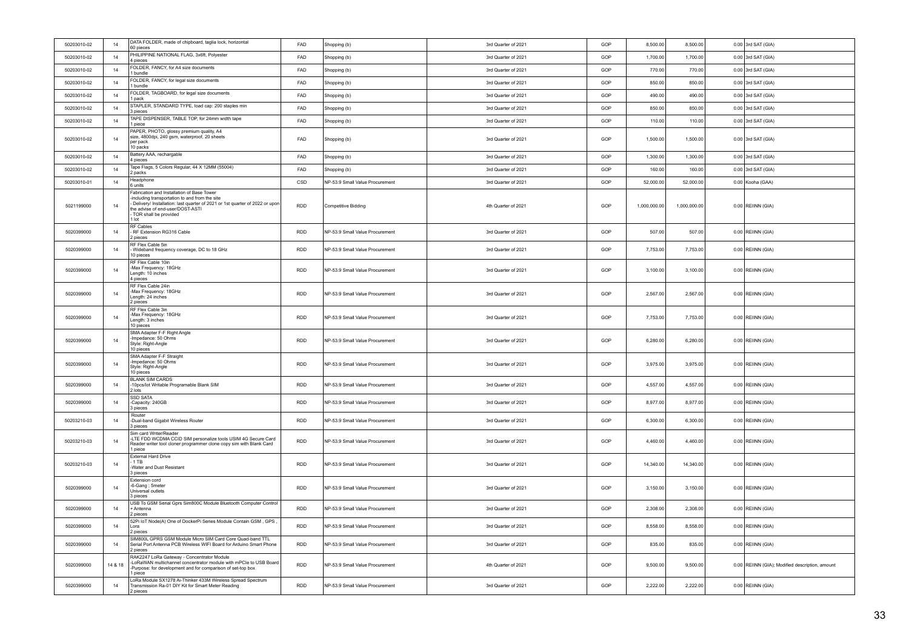| 50203010-02 | 14      | DATA FOLDER, made of chipboard, taglia lock, horizontal<br>60 pieces                                                                                                                                                                              | FAD        | Shopping (b)                    | 3rd Quarter of 2021 | GOP | 8,500.00     | 8,500.00     | $0.00$ 3rd SAT (GIA)                            |
|-------------|---------|---------------------------------------------------------------------------------------------------------------------------------------------------------------------------------------------------------------------------------------------------|------------|---------------------------------|---------------------|-----|--------------|--------------|-------------------------------------------------|
| 50203010-02 | 14      | PHILIPPINE NATIONAL FLAG, 3x6ft, Polyester<br>4 pieces                                                                                                                                                                                            | FAD        | Shopping (b)                    | 3rd Quarter of 2021 | GOP | 1,700.00     | 1,700.00     | $0.00$ 3rd SAT (GIA)                            |
| 50203010-02 | 14      | FOLDER, FANCY, for A4 size documents<br>1 bundle                                                                                                                                                                                                  | FAD        | Shopping (b)                    | 3rd Quarter of 2021 | GOP | 770.00       | 770.00       | $0.00$ 3rd SAT (GIA)                            |
| 50203010-02 | 14      | FOLDER, FANCY, for legal size documents<br>1 bundle                                                                                                                                                                                               | FAD        | Shopping (b)                    | 3rd Quarter of 2021 | GOP | 850.00       | 850.00       | $0.00$ 3rd SAT (GIA)                            |
| 50203010-02 | 14      | FOLDER, TAGBOARD, for legal size documents<br>1 pack                                                                                                                                                                                              | FAD        | Shopping (b)                    | 3rd Quarter of 2021 | GOP | 490.00       | 490.00       | $0.00$ 3rd SAT (GIA)                            |
| 50203010-02 | 14      | STAPLER, STANDARD TYPE, load cap: 200 staples min<br>3 pieces                                                                                                                                                                                     | FAD        | Shopping (b)                    | 3rd Quarter of 2021 | GOP | 850.00       | 850.00       | $0.00$ 3rd SAT (GIA)                            |
| 50203010-02 | 14      | TAPE DISPENSER, TABLE TOP, for 24mm width tape<br>1 piece                                                                                                                                                                                         | FAD        | Shopping (b)                    | 3rd Quarter of 2021 | GOP | 110.00       | 110.00       | $0.00$ 3rd SAT (GIA)                            |
| 50203010-02 | 14      | PAPER, PHOTO, glossy premium quality, A4<br>size, 4800dpi, 240 gsm, waterproof, 20 sheets<br>per pack<br>10 packs                                                                                                                                 | FAD        | Shopping (b)                    | 3rd Quarter of 2021 | GOP | 1,500.00     | 1,500.00     | $0.00$ 3rd SAT (GIA)                            |
| 50203010-02 | 14      | Battery AAA, rechargable<br>4 pieces                                                                                                                                                                                                              | FAD        | Shopping (b)                    | 3rd Quarter of 2021 | GOP | 1,300.00     | 1,300.00     | $0.00$ 3rd SAT (GIA)                            |
| 50203010-02 | 14      | Tape Flags, 5 Colors Regular, 44 X 12MM (55004)<br>2 packs                                                                                                                                                                                        | FAD        | Shopping (b)                    | 3rd Quarter of 2021 | GOP | 160.00       | 160.00       | $0.00$ 3rd SAT (GIA)                            |
| 50203010-01 | 14      | Headphone<br>6 units                                                                                                                                                                                                                              | CSD        | NP-53.9 Small Value Procurement | 3rd Quarter of 2021 | GOP | 52,000.00    | 52,000.00    | 0.00 Kooha (GAA)                                |
| 5021199000  | 14      | Fabrication and Installation of Base Tower<br>-including transportation to and from the site<br>Delivery/ Installation: last quarter of 2021 or 1st quarter of 2022 or upon<br>the advise of end-user/DOST-ASTI<br>TOR shall be provided<br>1 lot | RDD        | <b>Competitive Bidding</b>      | 4th Quarter of 2021 | GOP | 1,000,000.00 | 1,000,000.00 | 0.00 REIINN (GIA)                               |
| 5020399000  | 14      | RF Cables<br>RF Extension RG316 Cable<br>2 pieces                                                                                                                                                                                                 | RDD        | NP-53.9 Small Value Procurement | 3rd Quarter of 2021 | GOP | 507.00       | 507.00       | 0.00 REIINN (GIA)                               |
| 5020399000  | 14      | RF Flex Cable 5in<br>Wideband frequency coverage, DC to 18 GHz<br>10 pieces                                                                                                                                                                       | <b>RDD</b> | NP-53.9 Small Value Procurement | 3rd Quarter of 2021 | GOP | 7,753.00     | 7,753.00     | 0.00 REIINN (GIA)                               |
| 5020399000  | 14      | RF Flex Cable 10in<br>-Max Frequency: 18GHz<br>Length: 10 inches<br>4 pieces                                                                                                                                                                      | <b>RDD</b> | NP-53.9 Small Value Procurement | 3rd Quarter of 2021 | GOP | 3,100.00     | 3.100.00     | 0.00 REIINN (GIA)                               |
| 5020399000  | 14      | RF Flex Cable 24in<br>-Max Frequency: 18GHz<br>Length: 24 inches<br>2 pieces                                                                                                                                                                      | <b>RDD</b> | NP-53.9 Small Value Procurement | 3rd Quarter of 2021 | GOP | 2,567.00     | 2,567.00     | $0.00$ REIINN (GIA)                             |
| 5020399000  | 14      | RF Flex Cable 3in<br>-Max Frequency: 18GHz<br>Length: 3 inches<br>10 pieces                                                                                                                                                                       | RDD        | NP-53.9 Small Value Procurement | 3rd Quarter of 2021 | GOP | 7,753.00     | 7,753.00     | 0.00 REIINN (GIA)                               |
| 5020399000  | 14      | SMA Adapter F-F Right Angle<br>Impedance: 50 Ohms<br>Style: Right-Angle<br>10 pieces                                                                                                                                                              | RDD        | NP-53.9 Small Value Procurement | 3rd Quarter of 2021 | GOP | 6,280.00     | 6,280.00     | 0.00 REIINN (GIA)                               |
| 5020399000  | 14      | SMA Adapter F-F Straight<br>Impedance: 50 Ohms<br>Style: Right-Angle<br>10 pieces                                                                                                                                                                 | <b>RDD</b> | NP-53.9 Small Value Procurement | 3rd Quarter of 2021 | GOP | 3,975.00     | 3,975.00     | 0.00 REIINN (GIA)                               |
| 5020399000  | 14      | <b>BLANK SIM CARDS</b><br>-10pcs/lot Writable Programable Blank SIM<br>2 lots                                                                                                                                                                     | RDD        | NP-53.9 Small Value Procurement | 3rd Quarter of 2021 | GOP | 4,557.00     | 4,557.00     | $0.00$ REIINN (GIA)                             |
| 5020399000  | 14      | <b>SSD SATA</b><br>-Capacity: 240GB<br>3 pieces                                                                                                                                                                                                   | <b>RDD</b> | NP-53.9 Small Value Procurement | 3rd Quarter of 2021 | GOP | 8,977.00     | 8,977.00     | 0.00 REIINN (GIA)                               |
| 50203210-03 | 14      | Router<br>-Dual-band Gigabit Wireless Router<br>3 pieces                                                                                                                                                                                          | RDD        | NP-53.9 Small Value Procurement | 3rd Quarter of 2021 | GOP | 6,300.00     | 6,300.00     | 0.00 REIINN (GIA)                               |
| 50203210-03 | 14      | Sim card Writer/Reader<br>-LTE FDD WCDMA CCID SIM personalize tools USIM 4G Secure Card<br>Reader writer tool cloner programmer clone copy sim with Blank Card<br>1 piece                                                                         | <b>RDD</b> | NP-53.9 Small Value Procurement | 3rd Quarter of 2021 | GOP | 4,460.00     | 4,460.00     | 0.00 REIINN (GIA)                               |
| 50203210-03 | 14      | <b>External Hard Drive</b><br>$-1$ TB<br>-Water and Dust Resistant<br>3 pieces                                                                                                                                                                    | <b>RDD</b> | NP-53.9 Small Value Procurement | 3rd Quarter of 2021 | GOP | 14,340.00    | 14,340.00    | 0.00 REIINN (GIA)                               |
| 5020399000  | 14      | Extension cord<br>-6-Gang ; 5meter<br>Universal outlets<br>3 pieces                                                                                                                                                                               | <b>RDD</b> | NP-53.9 Small Value Procurement | 3rd Quarter of 2021 | GOP | 3,150.00     | 3,150.00     | 0.00 REIINN (GIA)                               |
| 5020399000  | $14$    | USB To GSM Serial Gprs Sim800C Module Bluetooth Computer Control<br>Antenna<br>2 pieces                                                                                                                                                           | <b>RDD</b> | NP-53.9 Small Value Procurement | 3rd Quarter of 2021 | GOP | 2,308.00     | 2,308.00     | 0.00 REIINN (GIA)                               |
| 5020399000  | 14      | 52Pi IoT Node(A) One of DockerPi Series Module Contain GSM, GPS<br>l ora<br>2 pieces                                                                                                                                                              | <b>RDD</b> | NP-53.9 Small Value Procurement | 3rd Quarter of 2021 | GOP | 8,558.00     | 8,558.00     | $0.00$ REIINN (GIA)                             |
| 5020399000  | 14      | SIM800L GPRS GSM Module Micro SIM Card Core Quad-band TTL<br>Serial Port Antenna PCB Wireless WIFI Board for Arduino Smart Phone<br>2 pieces                                                                                                      | <b>RDD</b> | NP-53.9 Small Value Procurement | 3rd Quarter of 2021 | GOP | 835.00       | 835.00       | 0.00 REIINN (GIA)                               |
| 5020399000  | 14 & 18 | RAK2247 LoRa Gateway - Concentrator Module<br>-LoRaWAN multichannel concentrator module with mPCle to USB Board<br>Purpose: for development and for comparison of set-top box<br>1 piece                                                          | RDD        | NP-53.9 Small Value Procurement | 4th Quarter of 2021 | GOP | 9,500.00     | 9,500.00     | 0.00 REIINN (GIA); Modified description, amount |
| 5020399000  | 14      | LoRa Module SX1278 Ai-Thinker 433M Wireless Spread Spectrum<br>Transmission Ra-01 DIY Kit for Smart Meter Reading<br>2 pieces                                                                                                                     | RDD        | NP-53.9 Small Value Procurement | 3rd Quarter of 2021 | GOP | 2,222.00     | 2,222.00     | 0.00 REIINN (GIA)                               |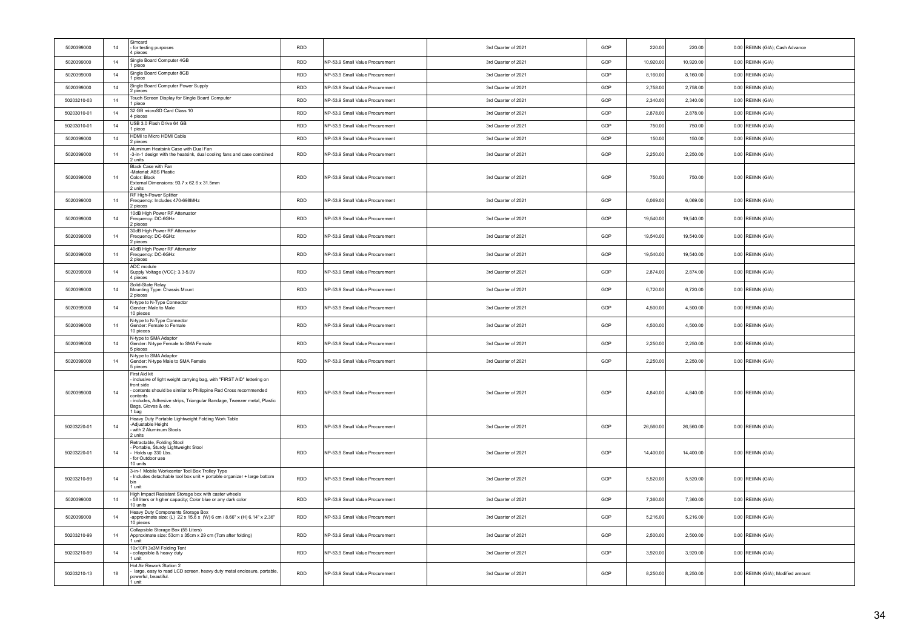| 5020399000  | 14   | Simcard<br>for testing purposes<br>4 pieces                                                                                                                                                                                                                                                 | <b>RDD</b> |                                 | 3rd Quarter of 2021 | GOP | 220.00    | 220.00    | 0.00 REIINN (GIA); Cash Advance    |
|-------------|------|---------------------------------------------------------------------------------------------------------------------------------------------------------------------------------------------------------------------------------------------------------------------------------------------|------------|---------------------------------|---------------------|-----|-----------|-----------|------------------------------------|
| 5020399000  | 14   | Single Board Computer 4GB<br>I piece                                                                                                                                                                                                                                                        | <b>RDD</b> | NP-53.9 Small Value Procurement | 3rd Quarter of 2021 | GOP | 10,920.00 | 10,920.00 | 0.00 REIINN (GIA)                  |
| 5020399000  | 14   | Single Board Computer 8GB<br>1 piece                                                                                                                                                                                                                                                        | <b>RDD</b> | NP-53.9 Small Value Procurement | 3rd Quarter of 2021 | GOP | 8,160.00  | 8,160.00  | 0.00 REIINN (GIA)                  |
| 5020399000  | $14$ | Single Board Computer Power Supply<br>2 pieces                                                                                                                                                                                                                                              | <b>RDD</b> | NP-53.9 Small Value Procurement | 3rd Quarter of 2021 | GOP | 2,758.00  | 2,758.00  | 0.00 REIINN (GIA)                  |
| 50203210-03 | 14   | Touch Screen Display for Single Board Computer<br>1 niece                                                                                                                                                                                                                                   | <b>RDD</b> | NP-53.9 Small Value Procurement | 3rd Quarter of 2021 | GOP | 2,340.00  | 2,340.00  | 0.00 REIINN (GIA)                  |
| 50203010-01 | 14   | 32 GB microSD Card Class 10<br>4 pieces                                                                                                                                                                                                                                                     | <b>RDD</b> | NP-53.9 Small Value Procurement | 3rd Quarter of 2021 | GOP | 2,878.00  | 2,878.00  | 0.00 REIINN (GIA)                  |
| 50203010-01 | 14   | USB 3.0 Flash Drive 64 GB<br>1 niece.                                                                                                                                                                                                                                                       | <b>RDD</b> | NP-53.9 Small Value Procurement | 3rd Quarter of 2021 | GOP | 750.00    | 750.00    | 0.00 REIINN (GIA)                  |
| 5020399000  | 14   | HDMI to Micro HDMI Cable<br>2 pieces                                                                                                                                                                                                                                                        | <b>RDD</b> | NP-53.9 Small Value Procurement | 3rd Quarter of 2021 | GOP | 150.00    | 150.00    | 0.00 REIINN (GIA)                  |
| 5020399000  | 14   | Aluminum Heatsink Case with Dual Fan<br>-3-in-1 design with the heatsink, dual cooling fans and case combined<br>2 units                                                                                                                                                                    | RDD        | NP-53.9 Small Value Procurement | 3rd Quarter of 2021 | GOP | 2,250.00  | 2,250.00  | 0.00 REIINN (GIA)                  |
| 5020399000  | 14   | Black Case with Fan<br>-Material: ABS Plastic<br>Color: Black<br>External Dimensions: 93.7 x 62.6 x 31.5mm<br>2 units                                                                                                                                                                       | RDD        | NP-53.9 Small Value Procurement | 3rd Quarter of 2021 | GOP | 750.00    | 750.00    | 0.00 REIINN (GIA)                  |
| 5020399000  | 14   | RF High-Power Splitter<br>Frequency: Includes 470-698MHz<br>2 pieces                                                                                                                                                                                                                        | <b>RDD</b> | NP-53.9 Small Value Procurement | 3rd Quarter of 2021 | GOP | 6.069.00  | 6,069.00  | $0.00$ REIINN (GIA)                |
| 5020399000  | 14   | 10dB High Power RF Attenuator<br>Frequency: DC-6GHz<br>2 pieces                                                                                                                                                                                                                             | <b>RDD</b> | NP-53.9 Small Value Procurement | 3rd Quarter of 2021 | GOP | 19,540.00 | 19,540.00 | 0.00 REIINN (GIA)                  |
| 5020399000  | $14$ | 30dB High Power RF Attenuator<br>Frequency: DC-6GHz<br>2 pieces                                                                                                                                                                                                                             | <b>RDD</b> | NP-53.9 Small Value Procurement | 3rd Quarter of 2021 | GOP | 19,540.00 | 19,540.00 | 0.00 REIINN (GIA)                  |
| 5020399000  | 14   | 40dB High Power RF Attenuator<br>Frequency: DC-6GHz<br>2 pieces                                                                                                                                                                                                                             | RDD        | NP-53.9 Small Value Procurement | 3rd Quarter of 2021 | GOP | 19,540.00 | 19,540.00 | 0.00 REIINN (GIA)                  |
| 5020399000  | 14   | ADC module<br>Supply Voltage (VCC): 3.3-5.0V<br>4 pieces                                                                                                                                                                                                                                    | <b>RDD</b> | NP-53.9 Small Value Procurement | 3rd Quarter of 2021 | GOP | 2,874.00  | 2,874.00  | $0.00$ REIINN (GIA)                |
| 5020399000  | 14   | Solid-State Relay<br>Mounting Type: Chassis Mount<br>2 pieces                                                                                                                                                                                                                               | RDD        | NP-53.9 Small Value Procurement | 3rd Quarter of 2021 | GOP | 6,720.00  | 6,720.00  | 0.00 REIINN (GIA)                  |
| 5020399000  | 14   | N-type to N-Type Connector<br>Gender: Male to Male<br>10 pieces                                                                                                                                                                                                                             | <b>RDD</b> | NP-53.9 Small Value Procurement | 3rd Quarter of 2021 | GOP | 4,500.00  | 4,500.00  | $0.00$ REIINN (GIA)                |
| 5020399000  | 14   | N-type to N-Type Connector<br>Gender: Female to Female<br>10 nieces                                                                                                                                                                                                                         | <b>RDD</b> | NP-53.9 Small Value Procurement | 3rd Quarter of 2021 | GOP | 4,500.00  | 4,500.00  | $0.00$ REIINN (GIA)                |
| 5020399000  | 14   | N-type to SMA Adaptor<br>Gender: N-type Female to SMA Female<br>5 pieces                                                                                                                                                                                                                    | <b>RDD</b> | NP-53.9 Small Value Procurement | 3rd Quarter of 2021 | GOP | 2,250.00  | 2,250.00  | $0.00$ REIINN (GIA)                |
| 5020399000  | 14   | N-type to SMA Adaptor<br>Gender: N-type Male to SMA Female<br>5 pieces                                                                                                                                                                                                                      | <b>RDD</b> | NP-53.9 Small Value Procurement | 3rd Quarter of 2021 | GOP | 2,250.00  | 2,250.00  | $0.00$ REIINN (GIA)                |
| 5020399000  | 14   | First Aid kit<br>inclusive of light weight carrying bag, with "FIRST AID" lettering on<br>front side<br>contents should be similar to Philippine Red Cross recommended<br>contents<br>includes, Adhesive strips, Triangular Bandage, Tweezer metal, Plastic<br>Bags, Gloves & etc.<br>1 bag | <b>RDD</b> | NP-53.9 Small Value Procurement | 3rd Quarter of 2021 | GOP | 4,840.00  | 4,840.00  | $0.00$ REIINN (GIA)                |
| 50203220-01 | 14   | Heavy Duty Portable Lightweight Folding Work Table<br>-Adiustable Height<br>with 2 Aluminum Stools<br>2 units                                                                                                                                                                               | <b>RDD</b> | NP-53.9 Small Value Procurement | 3rd Quarter of 2021 | GOP | 26,560.00 | 26,560.00 | 0.00 REIINN (GIA)                  |
| 50203220-01 | 14   | Retractable, Folding Stool<br>Portable, Sturdy Lightweight Stool<br>Holds up 330 Lbs.<br>for Outdoor use<br>10 units                                                                                                                                                                        | RDD        | NP-53.9 Small Value Procurement | 3rd Quarter of 2021 | GOP | 14,400.00 | 14,400.00 | 0.00 REIINN (GIA)                  |
| 50203210-99 | 14   | 3-in-1 Mobile Workcenter Tool Box Trolley Type<br>Includes detachable tool box unit + portable organizer + large bottom<br>hin<br>1 unit                                                                                                                                                    | <b>RDD</b> | NP-53.9 Small Value Procurement | 3rd Quarter of 2021 | GOP | 5,520.00  | 5,520.00  | 0.00 REIINN (GIA)                  |
| 5020399000  | 14   | High Impact Resistant Storage box with caster wheels<br>58 liters or higher capacity; Color blue or any dark color<br>10 units                                                                                                                                                              | <b>RDD</b> | NP-53.9 Small Value Procurement | 3rd Quarter of 2021 | GOP | 7,360.00  | 7,360.00  | $0.00$ REIINN (GIA)                |
| 5020399000  | 14   | Heavy Duty Components Storage Box<br>approximate size: (L) 22 x 15.6 x (W) 6 cm / 8.66" x (H) 6.14" x 2.36"<br>10 pieces                                                                                                                                                                    | <b>RDD</b> | NP-53.9 Small Value Procurement | 3rd Quarter of 2021 | GOP | 5,216.00  | 5,216.00  | 0.00 REIINN (GIA)                  |
| 50203210-99 | 14   | Collapsible Storage Box (55 Liters)<br>Approximate size: 53cm x 35cm x 29 cm (7cm after folding)<br>1 unit                                                                                                                                                                                  | <b>RDD</b> | NP-53.9 Small Value Procurement | 3rd Quarter of 2021 | GOP | 2,500.00  | 2,500.00  | 0.00 REIINN (GIA)                  |
| 50203210-99 | 14   | 10x10Ft 3x3M Folding Tent<br>collapsible & heavy duty<br>1 unit                                                                                                                                                                                                                             | <b>RDD</b> | NP-53.9 Small Value Procurement | 3rd Quarter of 2021 | GOP | 3,920.00  | 3,920.00  | $0.00$ REIINN (GIA)                |
| 50203210-13 | 18   | Hot Air Rework Station 2<br>large, easy to read LCD screen, heavy duty metal enclosure, portable,<br>powerful, beautiful.<br>1 unit                                                                                                                                                         | <b>RDD</b> | NP-53.9 Small Value Procurement | 3rd Quarter of 2021 | GOP | 8.250.00  | 8,250.00  | 0.00 REIINN (GIA); Modified amount |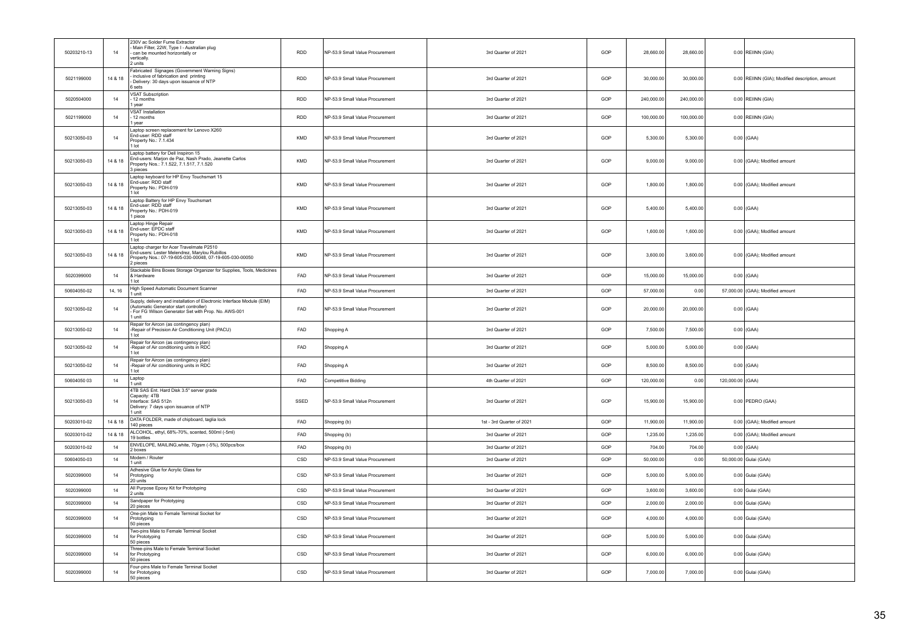| 50203210-13 | 14      | 230V ac Solder Fume Extractor<br>Main Filter, 22W, Type I - Australian plug<br>can be mounted horizontally or<br>vertically.<br>2 units                                          | <b>RDD</b> | NP-53.9 Small Value Procurement | 3rd Quarter of 2021       | GOP | 28,660,00  | 28,660.00  |                  | 0.00 REIINN (GIA)                               |
|-------------|---------|----------------------------------------------------------------------------------------------------------------------------------------------------------------------------------|------------|---------------------------------|---------------------------|-----|------------|------------|------------------|-------------------------------------------------|
| 5021199000  | 14 & 18 | Fabricated Signages (Government Warning Signs)<br>inclusive of fabrication and printing<br>Delivery: 30 days upon issuance of NTP<br>6 sets                                      | RDD        | NP-53.9 Small Value Procurement | 3rd Quarter of 2021       | GOP | 30,000.00  | 30,000.00  |                  | 0.00 REIINN (GIA); Modified description, amount |
| 5020504000  | 14      | VSAT Subscription<br>12 months<br>1 year                                                                                                                                         | <b>RDD</b> | NP-53.9 Small Value Procurement | 3rd Quarter of 2021       | GOP | 240,000.00 | 240,000.00 |                  | 0.00 REIINN (GIA)                               |
| 5021199000  | 14      | <b>VSAT Installation</b><br>12 months<br>1 year                                                                                                                                  | <b>RDD</b> | NP-53.9 Small Value Procurement | 3rd Quarter of 2021       | GOP | 100,000.00 | 100,000.00 |                  | $0.00$ REIINN (GIA)                             |
| 50213050-03 | 14      | Laptop screen replacement for Lenovo X260<br>End-user: RDD staff<br>Property No.: 7.1.434<br>1 lot                                                                               | KMD        | NP-53.9 Small Value Procurement | 3rd Quarter of 2021       | GOP | 5,300.00   | 5,300.00   |                  | $0.00$ (GAA)                                    |
| 50213050-03 | 14 & 18 | Laptop battery for Dell Inspiron 15<br>End-users: Marjon de Paz, Nash Prado, Jeanette Carlos<br>Property Nos.: 7.1.522, 7.1.517, 7.1.520<br>3 pieces                             | KMD        | NP-53.9 Small Value Procurement | 3rd Quarter of 2021       | GOP | 9,000.00   | 9,000.00   |                  | 0.00 (GAA); Modified amount                     |
| 50213050-03 | 14 & 18 | Laptop keyboard for HP Envy Touchsmart 15<br>End-user: RDD staff<br>Property No.: PDH-019<br>$1$ lot                                                                             | KMD        | NP-53.9 Small Value Procurement | 3rd Quarter of 2021       | GOP | 1,800.00   | 1,800.00   |                  | 0.00 (GAA); Modified amount                     |
| 50213050-03 | 14 & 18 | Laptop Battery for HP Envy Touchsmart<br>End-user: RDD staff<br>Property No.: PDH-019<br>1 piece                                                                                 | KMD        | NP-53.9 Small Value Procurement | 3rd Quarter of 2021       | GOP | 5,400.00   | 5,400.00   |                  | $0.00$ (GAA)                                    |
| 50213050-03 | 14 & 18 | Laptop Hinge Repair<br>End-user: EPDC staff<br>Property No.: PDH-018<br>$1$ Int                                                                                                  | KMD        | NP-53.9 Small Value Procurement | 3rd Quarter of 2021       | GOP | 1,600.00   | 1,600.00   |                  | 0.00 (GAA); Modified amount                     |
| 50213050-03 | 14 & 18 | Laptop charger for Acer Travelmate P2510<br>End-users: Lester Melendrez, Marylou Rubillos<br>Property Nos.: 07-19-605-030-00048, 07-19-605-030-00050<br>2 pieces                 | <b>KMD</b> | NP-53.9 Small Value Procurement | 3rd Quarter of 2021       | GOP | 3,600.00   | 3,600.00   |                  | 0.00 (GAA); Modified amount                     |
| 5020399000  | 14      | Stackable Bins Boxes Storage Organizer for Supplies, Tools, Medicines<br>& Hardware<br>1 lot                                                                                     | FAD        | NP-53.9 Small Value Procurement | 3rd Quarter of 2021       | GOP | 15,000.00  | 15,000.00  |                  | $0.00$ (GAA)                                    |
| 50604050-02 | 14.16   | High Speed Automatic Document Scanner<br>1 unit                                                                                                                                  | <b>FAD</b> | NP-53.9 Small Value Procurement | 3rd Quarter of 2021       | GOP | 57,000.00  | 0.00       |                  | 57,000.00 (GAA); Modified amount                |
| 50213050-02 | 14      | Supply, delivery and installation of Electronic Interface Module (EIM)<br>(Automatic Generator start controller)<br>For FG Wilson Generator Set with Prop. No. AWS-001<br>I unit | FAD        | NP-53.9 Small Value Procurement | 3rd Quarter of 2021       | GOP | 20,000.00  | 20,000.00  |                  | $0.00$ (GAA)                                    |
| 50213050-02 | 14      | Repair for Aircon (as contingency plan)<br>-Repair of Precision Air Conditioning Unit (PACU)<br>1 lot                                                                            | FAD        | Shopping A                      | 3rd Quarter of 2021       | GOP | 7,500.00   | 7,500.00   |                  | $0.00$ (GAA)                                    |
| 50213050-02 | 14      | Repair for Aircon (as contingency plan)<br>-Repair of Air conditioning units in RDC<br>$1$ Int                                                                                   | FAD        | Shopping A                      | 3rd Quarter of 2021       | GOP | 5,000.00   | 5,000.00   |                  | $0.00$ (GAA)                                    |
| 50213050-02 | 14      | Repair for Aircon (as contingency plan)<br>-Repair of Air conditioning units in RDC<br>1 lot                                                                                     | FAD        | Shopping A                      | 3rd Quarter of 2021       | GOP | 8,500.00   | 8,500.00   |                  | $0.00$ (GAA)                                    |
| 50604050.03 | 14      | Laptop<br>1 unit                                                                                                                                                                 | FAD        | <b>Competitive Bidding</b>      | 4th Quarter of 2021       | GOP | 120,000.00 | 0.00       | 120,000.00 (GAA) |                                                 |
| 50213050-03 | 14      | 4TB SAS Ent. Hard Disk 3.5" server grade<br>Capacity: 4TB<br>Interface: SAS 512n<br>Delivery: 7 days upon issuance of NTP<br>1 unit                                              | SSED       | NP-53.9 Small Value Procurement | 3rd Quarter of 2021       | GOP | 15,900.00  | 15,900.00  |                  | $0.00$ PEDRO (GAA)                              |
| 50203010-02 | 14 & 18 | DATA FOLDER, made of chipboard, taglia lock<br>140 pieces                                                                                                                        | FAD        | Shopping (b)                    | 1st - 3rd Quarter of 2021 | GOP | 11,900.00  | 11,900.00  |                  | 0.00 (GAA); Modified amount                     |
| 50203010-02 | 14 & 18 | ALCOHOL, ethyl, 68%-70%, scented, 500ml (-5ml)<br>19 bottles                                                                                                                     | FAD        | Shopping (b)                    | 3rd Quarter of 2021       | GOP | 1,235.00   | 1,235.00   |                  | 0.00 (GAA); Modified amount                     |
| 50203010-02 | 14      | ENVELOPE, MAILING, white, 70gsm (-5%), 500pcs/box<br>2 boxes                                                                                                                     | FAD        | Shopping (b)                    | 3rd Quarter of 2021       | GOP | 704.00     | 704.00     |                  | $0.00$ (GAA)                                    |
| 50604050-03 | 14      | Modem / Router<br>1 unit                                                                                                                                                         | CSD        | NP-53.9 Small Value Procurement | 3rd Quarter of 2021       | GOP | 50,000.00  | 0.00       |                  | 50,000.00 Gulai (GAA)                           |
| 5020399000  | 14      | Adhesive Glue for Acrylic Glass for<br>Prototyping<br>20 units                                                                                                                   | CSD        | NP-53.9 Small Value Procurement | 3rd Quarter of 2021       | GOP | 5,000.00   | 5,000.00   |                  | 0.00 Gulai (GAA)                                |
| 5020399000  | 14      | All Purpose Epoxy Kit for Prototyping<br>2 units                                                                                                                                 | CSD        | NP-53.9 Small Value Procurement | 3rd Quarter of 2021       | GOP | 3,600.00   | 3,600.00   |                  | 0.00 Gulai (GAA)                                |
| 5020399000  | 14      | Sandpaper for Prototyping<br>20 pieces                                                                                                                                           | CSD        | NP-53.9 Small Value Procurement | 3rd Quarter of 2021       | GOP | 2,000.00   | 2,000.00   |                  | 0.00 Gulai (GAA)                                |
| 5020399000  | 14      | One-pin Male to Female Terminal Socket for<br>Prototyping<br>50 pieces                                                                                                           | CSD        | NP-53.9 Small Value Procurement | 3rd Quarter of 2021       | GOP | 4.000.00   | 4.000.00   |                  | 0.00 Gulai (GAA)                                |
| 5020399000  | 14      | Two-pins Male to Female Terminal Socket<br>for Prototyping<br>50 pieces                                                                                                          | CSD        | NP-53.9 Small Value Procurement | 3rd Quarter of 2021       | GOP | 5,000.00   | 5,000.00   |                  | 0.00 Gulai (GAA)                                |
| 5020399000  | 14      | Three-pins Male to Female Terminal Socket<br>for Prototyping<br>50 pieces                                                                                                        | CSD        | NP-53.9 Small Value Procurement | 3rd Quarter of 2021       | GOP | 6,000.00   | 6,000.00   |                  | 0.00 Gulai (GAA)                                |
| 5020399000  | 14      | Four-pins Male to Female Terminal Socket<br>for Prototyping<br>50 pieces                                                                                                         | CSD        | NP-53.9 Small Value Procurement | 3rd Quarter of 2021       | GOP | 7,000.00   | 7,000.00   |                  | 0.00 Gulai (GAA)                                |
|             |         |                                                                                                                                                                                  |            |                                 |                           |     |            |            |                  |                                                 |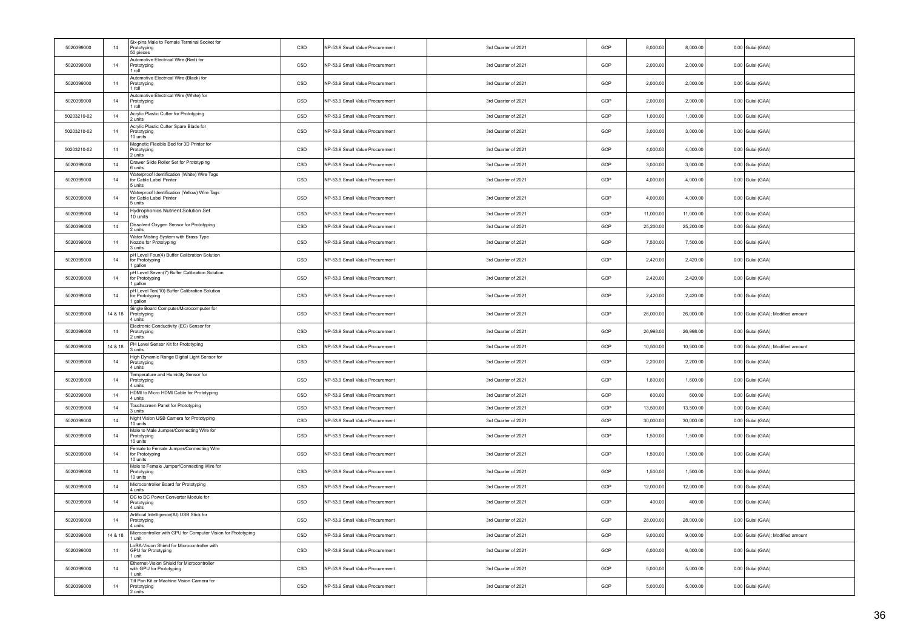| 5020399000  | 14      | Six-pins Male to Female Terminal Socket for<br>Prototyping<br>50 pieces             | CSD | NP-53.9 Small Value Procurement | 3rd Quarter of 2021 | GOP | 8,000.00  | 8.000.00  | 0.00 Gulai (GAA)                  |
|-------------|---------|-------------------------------------------------------------------------------------|-----|---------------------------------|---------------------|-----|-----------|-----------|-----------------------------------|
| 5020399000  | $14$    | Automotive Electrical Wire (Red) for<br>Prototyping<br>1 roll                       | CSD | NP-53.9 Small Value Procurement | 3rd Quarter of 2021 | GOP | 2,000.00  | 2,000.00  | 0.00 Gulai (GAA)                  |
| 5020399000  | 14      | Automotive Electrical Wire (Black) for<br>Prototyping<br>1 roll                     | CSD | NP-53.9 Small Value Procurement | 3rd Quarter of 2021 | GOP | 2,000.00  | 2,000.00  | 0.00 Gulai (GAA)                  |
| 5020399000  | 14      | Automotive Electrical Wire (White) for<br>Prototyping<br>1 roll                     | CSD | NP-53.9 Small Value Procurement | 3rd Quarter of 2021 | GOP | 2,000.00  | 2,000.00  | 0.00 Gulai (GAA)                  |
| 50203210-02 | 14      | Acrylic Plastic Cutter for Prototyping<br>2 units                                   | CSD | NP-53.9 Small Value Procurement | 3rd Quarter of 2021 | GOP | 1,000.00  | 1,000.00  | 0.00 Gulai (GAA)                  |
| 50203210-02 | 14      | Acrylic Plastic Cutter Spare Blade for<br>Prototyping<br>10 units                   | CSD | NP-53.9 Small Value Procurement | 3rd Quarter of 2021 | GOP | 3,000.00  | 3,000.00  | 0.00 Gulai (GAA)                  |
| 50203210-02 | 14      | Magnetic Flexible Bed for 3D Printer for<br>Prototyping<br>2 units                  | CSD | NP-53.9 Small Value Procurement | 3rd Quarter of 2021 | GOP | 4,000.00  | 4,000.00  | 0.00 Gulai (GAA)                  |
| 5020399000  | 14      | Drawer Slide Roller Set for Prototyping<br>6 units                                  | CSD | NP-53.9 Small Value Procurement | 3rd Quarter of 2021 | GOP | 3,000.00  | 3,000.00  | 0.00 Gulai (GAA)                  |
| 5020399000  | 14      | Waterproof Identification (White) Wire Tags<br>for Cable Label Printer<br>5 units   | CSD | NP-53.9 Small Value Procurement | 3rd Quarter of 2021 | GOP | 4.000.00  | 4,000.00  | 0.00 Gulai (GAA)                  |
| 5020399000  | 14      | Waterproof Identification (Yellow) Wire Tags<br>for Cable Label Printer<br>5 units  | CSD | NP-53.9 Small Value Procurement | 3rd Quarter of 2021 | GOP | 4,000.00  | 4,000.00  | 0.00 Gulai (GAA)                  |
| 5020399000  | 14      | Hydrophonics Nutrient Solution Set<br>10 units                                      | CSD | NP-53.9 Small Value Procurement | 3rd Quarter of 2021 | GOP | 11,000.00 | 11,000.00 | 0.00 Gulai (GAA)                  |
| 5020399000  | 14      | Dissolved Oxygen Sensor for Prototyping<br>2 units                                  | CSD | NP-53.9 Small Value Procurement | 3rd Quarter of 2021 | GOP | 25,200.00 | 25,200.00 | 0.00 Gulai (GAA)                  |
| 5020399000  | 14      | Water Misting System with Brass Type<br>Nozzle for Prototyping<br>3 units           | CSD | NP-53.9 Small Value Procurement | 3rd Quarter of 2021 | GOP | 7,500.00  | 7,500.00  | 0.00 Gulai (GAA)                  |
| 5020399000  | 14      | pH Level Four(4) Buffer Calibration Solution<br>for Prototyping<br>1 gallon         | CSD | NP-53.9 Small Value Procurement | 3rd Quarter of 2021 | GOP | 2,420.00  | 2,420.00  | 0.00 Gulai (GAA)                  |
| 5020399000  | 14      | pH Level Seven(7) Buffer Calibration Solution<br>for Prototyping<br>1 gallon        | CSD | NP-53.9 Small Value Procurement | 3rd Quarter of 2021 | GOP | 2,420.00  | 2,420.00  | 0.00 Gulai (GAA)                  |
| 5020399000  | 14      | pH Level Ten(10) Buffer Calibration Solution<br>for Prototyping<br>1 gallon         | CSD | NP-53.9 Small Value Procurement | 3rd Quarter of 2021 | GOP | 2,420.00  | 2,420.00  | 0.00 Gulai (GAA)                  |
| 5020399000  | 14 & 18 | Single Board Computer/Microcomputer for<br>Prototyping<br>4 units                   | CSD | NP-53.9 Small Value Procurement | 3rd Quarter of 2021 | GOP | 26,000.00 | 26,000.00 | 0.00 Gulai (GAA); Modified amount |
| 5020399000  | 14      | Electronic Conductivity (EC) Sensor for<br>Prototyping<br>2 units                   | CSD | NP-53.9 Small Value Procurement | 3rd Quarter of 2021 | GOP | 26,998.00 | 26,998.00 | 0.00 Gulai (GAA)                  |
| 5020399000  | 14 & 18 | PH Level Sensor Kit for Prototyping<br>3 units                                      | CSD | NP-53.9 Small Value Procurement | 3rd Quarter of 2021 | GOP | 10,500.00 | 10,500.00 | 0.00 Gulai (GAA); Modified amount |
| 5020399000  | 14      | High Dynamic Range Digital Light Sensor for<br>Prototyping<br>4 units               | CSD | NP-53.9 Small Value Procurement | 3rd Quarter of 2021 | GOP | 2,200.00  | 2,200.00  | 0.00 Gulai (GAA)                  |
| 5020399000  | 14      | Temperature and Humidity Sensor for<br>Prototyping<br>4 units                       | CSD | NP-53.9 Small Value Procurement | 3rd Quarter of 2021 | GOP | 1,600.00  | 1,600.00  | 0.00 Gulai (GAA)                  |
| 5020399000  | 14      | HDMI to Micro HDMI Cable for Prototyping<br>4 units                                 | CSD | NP-53.9 Small Value Procurement | 3rd Quarter of 2021 | GOP | 600.00    | 600.00    | 0.00 Gulai (GAA)                  |
| 5020399000  | 14      | Touchscreen Panel for Prototyping<br>3 units                                        | CSD | NP-53.9 Small Value Procurement | 3rd Quarter of 2021 | GOP | 13,500.00 | 13,500.00 | 0.00 Gulai (GAA)                  |
| 5020399000  | 14      | Night Vision USB Camera for Prototyping<br>10 units                                 | CSD | NP-53.9 Small Value Procurement | 3rd Quarter of 2021 | GOP | 30,000.00 | 30,000.00 | 0.00 Gulai (GAA)                  |
| 5020399000  | 14      | Male to Male Jumper/Connecting Wire for<br>Prototyping<br>10 units                  | CSD | NP-53.9 Small Value Procurement | 3rd Quarter of 2021 | GOP | 1,500.00  | 1,500.00  | 0.00 Gulai (GAA)                  |
| 5020399000  | 14      | Female to Female Jumper/Connecting Wire<br>for Prototyping<br>10 units              | CSD | NP-53.9 Small Value Procurement | 3rd Quarter of 2021 | GOP | 1,500.00  | 1,500.00  | 0.00 Gulai (GAA)                  |
| 5020399000  | 14      | Male to Female Jumper/Connecting Wire for<br>Prototyping<br>10 units                | CSD | NP-53.9 Small Value Procurement | 3rd Quarter of 2021 | GOP | 1,500.00  | 1,500.00  | 0.00 Gulai (GAA)                  |
| 5020399000  | 14      | Microcontroller Board for Prototyping<br>4 units                                    | CSD | NP-53.9 Small Value Procurement | 3rd Quarter of 2021 | GOP | 12,000.00 | 12,000.00 | 0.00 Gulai (GAA)                  |
| 5020399000  | 14      | DC to DC Power Converter Module for<br>Prototyping<br>4 units                       | CSD | NP-53.9 Small Value Procurement | 3rd Quarter of 2021 | GOP | 400.00    | 400.00    | 0.00 Gulai (GAA)                  |
| 5020399000  | 14      | Artificial Intelligence(AI) USB Stick for<br>Prototyping<br>4 units                 | CSD | NP-53.9 Small Value Procurement | 3rd Quarter of 2021 | GOP | 28,000.00 | 28,000.00 | 0.00 Gulai (GAA)                  |
| 5020399000  | 14 & 18 | Microcontroller with GPU for Computer Vision for Prototyping<br>1 unit              | CSD | NP-53.9 Small Value Procurement | 3rd Quarter of 2021 | GOP | 9,000.00  | 9.000.00  | 0.00 Gulai (GAA); Modified amount |
| 5020399000  | 14      | LoRA-Vision Shield for Microcontroller with<br><b>GPU</b> for Prototyping<br>1 unit | CSD | NP-53.9 Small Value Procurement | 3rd Quarter of 2021 | GOP | 6,000.00  | 6,000.00  | 0.00 Gulai (GAA)                  |
| 5020399000  | 14      | Ethernet-Vision Shield for Microcontroller<br>with GPU for Prototyping<br>1 unit    | CSD | NP-53.9 Small Value Procurement | 3rd Quarter of 2021 | GOP | 5,000.00  | 5,000.00  | 0.00 Gulai (GAA)                  |
| 5020399000  | 14      | Tilt Pan Kit or Machine Vision Camera for<br>Prototyping<br>2 units                 | CSD | NP-53.9 Small Value Procurement | 3rd Quarter of 2021 | GOP | 5,000.00  | 5,000.00  | 0.00 Gulai (GAA)                  |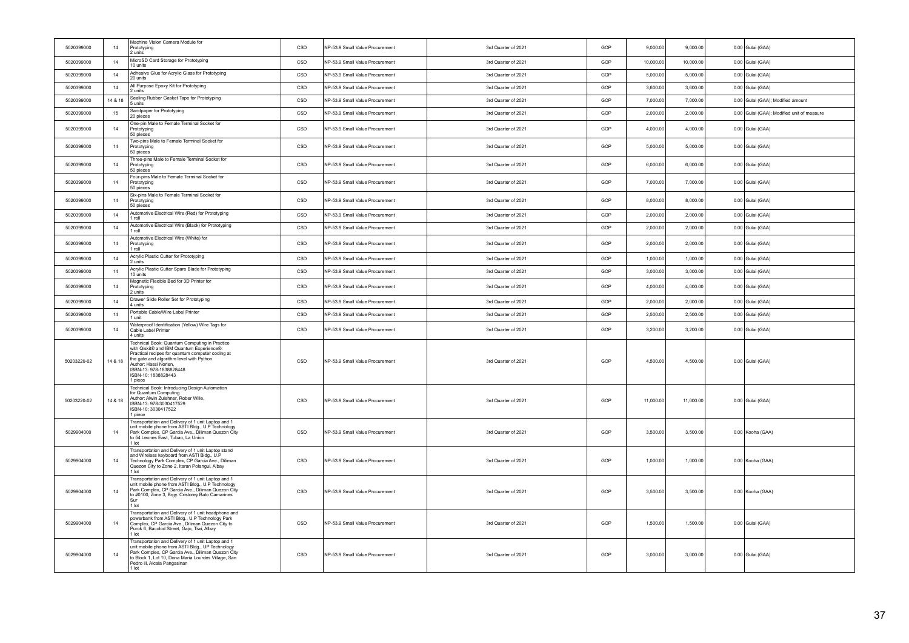| 5020399000  | 14      | Machine Vision Camera Module for<br>Prototyping<br>2 units                                                                                                                                                                                                                       | CSD          | NP-53.9 Small Value Procurement | 3rd Quarter of 2021 | GOP | 9,000.00  | 9,000.00  | 0.00 Gulai (GAA)                           |
|-------------|---------|----------------------------------------------------------------------------------------------------------------------------------------------------------------------------------------------------------------------------------------------------------------------------------|--------------|---------------------------------|---------------------|-----|-----------|-----------|--------------------------------------------|
| 5020399000  | 14      | MicroSD Card Storage for Prototyping<br>10 units                                                                                                                                                                                                                                 | CSD          | NP-53.9 Small Value Procurement | 3rd Quarter of 2021 | GOP | 10,000.00 | 10,000.00 | 0.00 Gulai (GAA)                           |
| 5020399000  | 14      | Adhesive Glue for Acrylic Glass for Prototyping<br>20 units                                                                                                                                                                                                                      | CSD          | NP-53.9 Small Value Procurement | 3rd Quarter of 2021 | GOP | 5,000.00  | 5,000.00  | 0.00 Gulai (GAA)                           |
| 5020399000  | 14      | All Purpose Epoxy Kit for Prototyping<br>2 units                                                                                                                                                                                                                                 | CSD          | NP-53.9 Small Value Procurement | 3rd Quarter of 2021 | GOP | 3,600.00  | 3,600.00  | 0.00 Gulai (GAA)                           |
| 5020399000  | 14 & 18 | Sealing Rubber Gasket Tape for Prototyping<br>5 units                                                                                                                                                                                                                            | CSD          | NP-53.9 Small Value Procurement | 3rd Quarter of 2021 | GOP | 7,000.00  | 7,000.00  | 0.00 Gulai (GAA); Modified amount          |
| 5020399000  | 15      | Sandpaper for Prototyping<br>20 pieces                                                                                                                                                                                                                                           | CSD          | NP-53.9 Small Value Procurement | 3rd Quarter of 2021 | GOP | 2,000.00  | 2,000.00  | 0.00 Gulai (GAA); Modified unit of measure |
| 5020399000  | $14\,$  | One-pin Male to Female Terminal Socket for<br>Prototyping<br>50 pieces                                                                                                                                                                                                           | CSD          | NP-53.9 Small Value Procurement | 3rd Quarter of 2021 | GOP | 4,000.00  | 4,000.00  | 0.00 Gulai (GAA)                           |
| 5020399000  | 14      | Two-pins Male to Female Terminal Socket for<br>Prototyping<br>50 pieces                                                                                                                                                                                                          | CSD          | NP-53.9 Small Value Procurement | 3rd Quarter of 2021 | GOP | 5,000.00  | 5,000.00  | 0.00 Gulai (GAA)                           |
| 5020399000  | 14      | Three-pins Male to Female Terminal Socket for<br>Prototyping<br>50 pieces                                                                                                                                                                                                        | CSD          | NP-53.9 Small Value Procurement | 3rd Quarter of 2021 | GOP | 6,000.00  | 6,000.00  | 0.00 Gulai (GAA)                           |
| 5020399000  | 14      | Four-pins Male to Female Terminal Socket for<br>Prototyping<br>50 pieces                                                                                                                                                                                                         | CSD          | NP-53.9 Small Value Procurement | 3rd Quarter of 2021 | GOP | 7,000.00  | 7,000.00  | 0.00 Gulai (GAA)                           |
| 5020399000  | 14      | Six-pins Male to Female Terminal Socket for<br>Prototyping<br>50 pieces                                                                                                                                                                                                          | CSD          | NP-53.9 Small Value Procurement | 3rd Quarter of 2021 | GOP | 8,000.00  | 8,000.00  | 0.00 Gulai (GAA)                           |
| 5020399000  | 14      | Automotive Electrical Wire (Red) for Prototyping<br>I roll                                                                                                                                                                                                                       | CSD          | NP-53.9 Small Value Procurement | 3rd Quarter of 2021 | GOP | 2,000.00  | 2,000.00  | 0.00 Gulai (GAA)                           |
| 5020399000  | 14      | Automotive Electrical Wire (Black) for Prototyping<br>I roll                                                                                                                                                                                                                     | $_{\tt CSD}$ | NP-53.9 Small Value Procurement | 3rd Quarter of 2021 | GOP | 2,000.00  | 2,000.00  | 0.00 Gulai (GAA)                           |
| 5020399000  | 14      | Automotive Electrical Wire (White) for<br>Prototyping<br>I roll                                                                                                                                                                                                                  | CSD          | NP-53.9 Small Value Procurement | 3rd Quarter of 2021 | GOP | 2,000.00  | 2,000.00  | 0.00 Gulai (GAA)                           |
| 5020399000  | 14      | Acrylic Plastic Cutter for Prototyping<br>2 units                                                                                                                                                                                                                                | CSD          | NP-53.9 Small Value Procurement | 3rd Quarter of 2021 | GOP | 1,000.00  | 1,000.00  | 0.00 Gulai (GAA)                           |
| 5020399000  | 14      | Acrylic Plastic Cutter Spare Blade for Prototyping<br>10 units                                                                                                                                                                                                                   | CSD          | NP-53.9 Small Value Procurement | 3rd Quarter of 2021 | GOP | 3,000.00  | 3,000.00  | 0.00 Gulai (GAA)                           |
| 5020399000  | 14      | Magnetic Flexible Bed for 3D Printer for<br>Prototyping<br>2 units                                                                                                                                                                                                               | CSD          | NP-53.9 Small Value Procurement | 3rd Quarter of 2021 | GOP | 4,000.00  | 4,000.00  | 0.00 Gulai (GAA)                           |
| 5020399000  | 14      | Drawer Slide Roller Set for Prototyping<br>4 units                                                                                                                                                                                                                               | CSD          | NP-53.9 Small Value Procurement | 3rd Quarter of 2021 | GOP | 2,000.00  | 2,000.00  | 0.00 Gulai (GAA)                           |
| 5020399000  | 14      | Portable Cable/Wire Label Printer<br>1 unit                                                                                                                                                                                                                                      | CSD          | NP-53.9 Small Value Procurement | 3rd Quarter of 2021 | GOP | 2,500.00  | 2,500.00  | 0.00 Gulai (GAA)                           |
| 5020399000  | 14      | Naterproof Identification (Yellow) Wire Tags for<br>Cable Label Printer<br>4 units                                                                                                                                                                                               | CSD          | NP-53.9 Small Value Procurement | 3rd Quarter of 2021 | GOP | 3,200.00  | 3,200.00  | 0.00 Gulai (GAA)                           |
| 50203220-02 | 14 & 18 | Technical Book: Quantum Computing in Practice<br>with Qiskit® and IBM Quantum Experience®:<br>Practical recipes for quantum computer coding at<br>the gate and algorithm level with Python<br>Author: Hassi Norlen.<br>ISBN-13: 978-1838828448<br>ISBN-10: 1838828443<br>l piece | CSD          | NP-53.9 Small Value Procurement | 3rd Quarter of 2021 | GOP | 4,500.00  | 4,500.00  | 0.00 Gulai (GAA)                           |
| 50203220-02 | 14 & 18 | Technical Book: Introducing Design Automation<br>for Quantum Computing<br>Author: Alwin Zulehner, Rober Wille,<br>ISBN-13: 978-3030417529<br>ISBN-10: 3030417522<br>l piece                                                                                                      | CSD          | NP-53.9 Small Value Procurement | 3rd Quarter of 2021 | GOP | 11,000.00 | 11,000.00 | 0.00 Gulai (GAA)                           |
| 5029904000  | 14      | Fransportation and Delivery of 1 unit Laptop and 1<br>unit mobile phone from ASTI Bldg., U.P Technology<br>Park Complex, CP Garcia Ave., Diliman Quezon City<br>to 54 Leones East, Tubao, La Union<br>1 lot                                                                      | CSD          | NP-53.9 Small Value Procurement | 3rd Quarter of 2021 | GOP | 3,500.00  | 3,500.00  | 0.00 Kooha (GAA)                           |
| 5029904000  | 14      | Transportation and Delivery of 1 unit Laptop stand<br>and Wireless keyboard from ASTI Bldg., U.P<br>Technology Park Complex, CP Garcia Ave., Diliman<br>Quezon City to Zone 2, Itaran Polangui, Albay<br>I lot                                                                   | CSD          | NP-53.9 Small Value Procurement | 3rd Quarter of 2021 | GOP | 1,000.00  | 1,000.00  | 0.00 Kooha (GAA)                           |
| 5029904000  | 14      | Transportation and Delivery of 1 unit Laptop and 1<br>unit mobile phone from ASTI Bldg., U.P Technology<br>Park Complex, CP Garcia Ave., Diliman Quezon City<br>to #0100, Zone 3, Brgy. Cristorey Bato Camarines<br>Sur<br>1 lot                                                 | CSD          | NP-53.9 Small Value Procurement | 3rd Quarter of 2021 | GOP | 3,500.00  | 3,500.00  | 0.00 Kooha (GAA)                           |
| 5029904000  | 14      | Fransportation and Delivery of 1 unit headphone and<br>powerbank from ASTI Bldg., U.P Technology Park<br>Complex, CP Garcia Ave., Diliman Quezon City to<br>Purok 6, Bacolod Street, Gajo, Tiwi, Albay<br>I lot                                                                  | CSD          | NP-53.9 Small Value Procurement | 3rd Quarter of 2021 | GOP | 1,500.00  | 1,500.00  | 0.00 Gulai (GAA)                           |
| 5029904000  | 14      | Fransportation and Delivery of 1 unit Laptop and 1<br>unit mobile phone from ASTI Bldg., UP Technology<br>Park Complex, CP Garcia Ave., Diliman Quezon City<br>to Block 1, Lot 10, Dona Maria Lourdes Village, San<br>Pedro ili, Alcala Pangasinan<br>1 lot                      | CSD          | NP-53.9 Small Value Procurement | 3rd Quarter of 2021 | GOP | 3.000.00  | 3,000.00  | 0.00 Gulai (GAA)                           |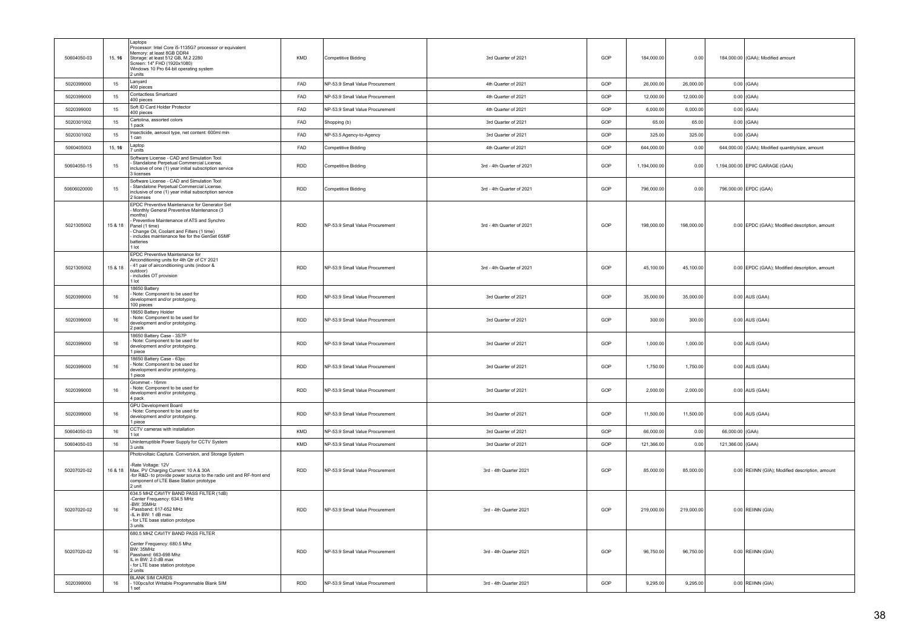| 50604050-03 | 15, 16  | Laptops<br>Processor: Intel Core i5-1135G7 processor or equivalent<br>Memory: at least 8GB DDR4<br>Storage: at least 512 GB, M.2 2280<br>Screen: 14" FHD (1920x1080)<br>Windows 10 Pro 64-bit operating system<br>2 units                                                              | KMD        | <b>Competitive Bidding</b>      | 3rd Quarter of 2021       | GOP | 184,000.00   | 0.00       |                  | 184,000.00 (GAA); Modified amount                |
|-------------|---------|----------------------------------------------------------------------------------------------------------------------------------------------------------------------------------------------------------------------------------------------------------------------------------------|------------|---------------------------------|---------------------------|-----|--------------|------------|------------------|--------------------------------------------------|
| 5020399000  | 15      | I anvard<br>400 pieces                                                                                                                                                                                                                                                                 | FAD        | NP-53.9 Small Value Procurement | 4th Quarter of 2021       | GOP | 26,000.00    | 26,000.00  |                  | $0.00$ (GAA)                                     |
| 5020399000  | 15      | Contactless Smartcard<br>400 pieces                                                                                                                                                                                                                                                    | <b>FAD</b> | NP-53.9 Small Value Procurement | 4th Quarter of 2021       | GOP | 12,000.00    | 12,000.00  |                  | $0.00$ (GAA)                                     |
| 5020399000  | 15      | Soft ID Card Holder Protector<br>400 pieces                                                                                                                                                                                                                                            | FAD        | NP-53.9 Small Value Procurement | 4th Quarter of 2021       | GOP | 6,000.00     | 6,000.00   |                  | $0.00$ (GAA)                                     |
| 5020301002  | 15      | Cartolina, assorted colors<br>pack                                                                                                                                                                                                                                                     | FAD        | Shopping (b)                    | 3rd Quarter of 2021       | GOP | 65.00        | 65.00      |                  | $0.00$ (GAA)                                     |
| 5020301002  | 15      | Insecticide, aerosol type, net content: 600ml min<br>l can                                                                                                                                                                                                                             | FAD        | NP-53.5 Agency-to-Agency        | 3rd Quarter of 2021       | GOP | 325.00       | 325.00     |                  | $0.00$ (GAA)                                     |
| 5060405003  | 15, 16  | Laptop<br><i>units</i>                                                                                                                                                                                                                                                                 | FAD        | Competitive Bidding             | 4th Quarter of 2021       | GOP | 644,000.00   | 0.00       |                  | 644,000.00 (GAA); Modified quantity/size, amount |
| 50604050-15 | 15      | Software License - CAD and Simulation Tool<br>Standalone Pernetual Commercial License.<br>inclusive of one (1) year initial subscription service<br>licenses                                                                                                                           | RDD        | Competitive Bidding             | 3rd - 4th Quarter of 2021 | GOP | 1,194,000.00 | 0.00       |                  | 1,194,000.00 EPIIC GARAGE (GAA)                  |
| 50606020000 | 15      | Software License - CAD and Simulation Tool<br>Standalone Perpetual Commercial License,<br>inclusive of one (1) year initial subscription service<br>2 licenses                                                                                                                         | <b>RDD</b> | Competitive Bidding             | 3rd - 4th Quarter of 2021 | GOP | 796,000.00   | 0.00       |                  | 796,000.00 EPDC (GAA)                            |
| 5021305002  | 15 & 18 | EPDC Preventive Maintenance for Generator Set<br>Monthly General Preventive Maintenance (3<br>months)<br>Preventive Maintenance of ATS and Synchro<br>Panel (1 time)<br>Change Oil, Coolant and Filters (1 time)<br>includes maintenance fee for the GenSet 6SMF<br>batteries<br>1 lot | <b>RDD</b> | NP-53.9 Small Value Procurement | 3rd - 4th Quarter of 2021 | GOP | 198,000.00   | 198,000.00 |                  | 0.00 EPDC (GAA); Modified description, amount    |
| 5021305002  | 15 & 18 | EPDC Preventive Maintenance for<br>Airconditioning units for 4th Qtr of CY 2021<br>41 pair of airconditioning units (indoor &<br>outdoor)<br>includes OT provision<br>l lot                                                                                                            | <b>RDD</b> | NP-53.9 Small Value Procurement | 3rd - 4th Quarter of 2021 | GOP | 45,100.00    | 45,100.00  |                  | 0.00 EPDC (GAA); Modified description, amount    |
| 5020399000  | 16      | 18650 Battery<br>Note: Component to be used for<br>development and/or prototyping.<br>100 pieces                                                                                                                                                                                       | <b>RDD</b> | NP-53.9 Small Value Procurement | 3rd Quarter of 2021       | GOP | 35,000.00    | 35,000.00  |                  | $0.00$ AUS (GAA)                                 |
| 5020399000  | 16      | 18650 Battery Holder<br>Note: Component to be used for<br>development and/or prototyping.<br>2 pack                                                                                                                                                                                    | <b>RDD</b> | NP-53.9 Small Value Procurement | 3rd Quarter of 2021       | GOP | 300.00       | 300.00     |                  | 0.00 AUS (GAA)                                   |
| 5020399000  | 16      | 18650 Battery Case - 3S7P<br>Note: Component to be used for<br>development and/or prototyping.<br>piece                                                                                                                                                                                | RDD        | NP-53.9 Small Value Procurement | 3rd Quarter of 2021       | GOP | 1,000.00     | 1,000.00   |                  | 0.00 AUS (GAA)                                   |
| 5020399000  | 16      | 18650 Battery Case - 63pc<br>Note: Component to be used for<br>development and/or prototyping.<br>piece                                                                                                                                                                                | <b>RDD</b> | NP-53.9 Small Value Procurement | 3rd Quarter of 2021       | GOP | 1.750.00     | 1,750.00   |                  | 0.00 AUS (GAA)                                   |
| 5020399000  | 16      | Grommet - 16mm<br>Note: Component to be used for<br>development and/or prototyping.<br>4 pack                                                                                                                                                                                          | <b>RDD</b> | NP-53.9 Small Value Procurement | 3rd Quarter of 2021       | GOP | 2,000.00     | 2,000.00   |                  | 0.00 AUS (GAA)                                   |
| 5020399000  | 16      | GPU Development Board<br>Note: Component to be used for<br>development and/or prototyping.<br>piece                                                                                                                                                                                    | <b>RDD</b> | NP-53.9 Small Value Procurement | 3rd Quarter of 2021       | GOP | 11,500.00    | 11,500.00  |                  | 0.00 AUS (GAA)                                   |
| 50604050-03 | 16      | CCTV cameras with installation<br>1 lot                                                                                                                                                                                                                                                | KMD        | NP-53.9 Small Value Procurement | 3rd Quarter of 2021       | GOP | 66,000.00    | 0.00       | 66,000.00 (GAA)  |                                                  |
| 50604050-03 | 16      | Uninterruptible Power Supply for CCTV System<br>3 units                                                                                                                                                                                                                                | KMD        | NP-53.9 Small Value Procurement | 3rd Quarter of 2021       | GOP | 121,366.00   | 0.00       | 121,366.00 (GAA) |                                                  |
| 50207020-02 | 16 & 18 | Photovoltaic Capture. Conversion, and Storage System<br>-Rate Voltage: 12V<br>Max. PV Charging Current: 10 A & 30A<br>-for R&D- to provide power source to the radio unit and RF-front end<br>component of LTE Base Station prototype<br>2 unit                                        | <b>RDD</b> | NP-53.9 Small Value Procurement | 3rd - 4th Quarter 2021    | GOP | 85,000.00    | 85,000.00  |                  | 0.00 REIINN (GIA); Modified description, amount  |
| 50207020-02 | 16      | 634.5 MHZ CAVITY BAND PASS FILTER (1dB)<br>-Center Frequency: 634.5 MHz<br>-BW: 35MHz<br>-Passband: 617-652 MHz<br>-IL in BW: 1 dB max<br>for LTE base station prototype<br>3 units                                                                                                    | <b>RDD</b> | NP-53.9 Small Value Procurement | 3rd - 4th Quarter 2021    | GOP | 219,000.00   | 219,000.00 |                  | 0.00 REIINN (GIA)                                |
| 50207020-02 | 16      | 680.5 MHZ CAVITY BAND PASS FILTER<br>Center Frequency: 680.5 Mhz<br>BW: 35MHz<br>Passband: 663-698 Mhz<br>IL in BW: 2.0 dB max<br>- for LTE base station prototype<br>2 units                                                                                                          | RDD        | NP-53.9 Small Value Procurement | 3rd - 4th Quarter 2021    | GOP | 96,750.00    | 96,750.00  |                  | 0.00 REIINN (GIA)                                |
| 5020399000  | 16      | <b>BLANK SIM CARDS</b><br>100pcs/lot Writable Programmable Blank SIM<br>set                                                                                                                                                                                                            | <b>RDD</b> | NP-53.9 Small Value Procurement | 3rd - 4th Quarter 2021    | GOP | 9,295.00     | 9,295.00   |                  | 0.00 REIINN (GIA)                                |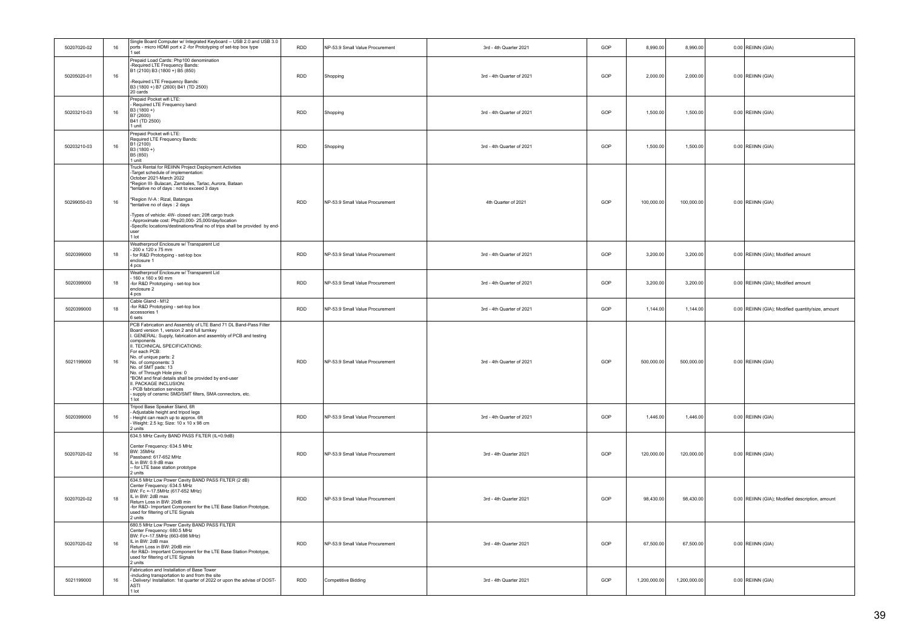| 50207020-02 | $16\,$ | Single Board Computer w/ Integrated Keyboard - USB 2.0 and USB 3.0<br>ports - micro HDMI port x 2 -for Prototyping of set-top box type<br>1 set                                                                                                                                                                                                                                                                                                                                                                                              | <b>RDD</b> | NP-53.9 Small Value Procurement | 3rd - 4th Quarter 2021    | GOP | 8.990.00     | 8.990.00     | 0.00 REIINN (GIA)                                 |
|-------------|--------|----------------------------------------------------------------------------------------------------------------------------------------------------------------------------------------------------------------------------------------------------------------------------------------------------------------------------------------------------------------------------------------------------------------------------------------------------------------------------------------------------------------------------------------------|------------|---------------------------------|---------------------------|-----|--------------|--------------|---------------------------------------------------|
| 50205020-01 | 16     | Prepaid Load Cards: Php100 denomination<br>-Required LTE Frequency Bands:<br>B1 (2100) B3 (1800 +) B5 (850)<br>-Required LTE Frequency Bands:<br>B3 (1800 +) B7 (2600) B41 (TD 2500)<br>20 cards                                                                                                                                                                                                                                                                                                                                             | RDD        | Shopping                        | 3rd - 4th Quarter of 2021 | GOP | 2,000.00     | 2,000.00     | 0.00 REIINN (GIA)                                 |
| 50203210-03 | 16     | Prepaid Pocket wifi LTE:<br>- Required LTE Frequency band:<br>$B3(1800+)$<br>B7 (2600)<br>B41 (TD 2500)<br>1 unit                                                                                                                                                                                                                                                                                                                                                                                                                            | <b>RDD</b> | Shopping                        | 3rd - 4th Quarter of 2021 | GOP | 1,500.00     | 1,500.00     | 0.00 REIINN (GIA)                                 |
| 50203210-03 | 16     | Prepaid Pocket wifi LTE:<br>Required LTE Frequency Bands:<br>B1 (2100)<br>B3 (1800+)<br>B5 (850)<br>1 unit                                                                                                                                                                                                                                                                                                                                                                                                                                   | <b>RDD</b> | Shopping                        | 3rd - 4th Quarter of 2021 | GOP | 1,500.00     | 1,500.00     | $0.00$ REIINN (GIA)                               |
| 50299050-03 | 16     | Truck Rental for REIINN Project Deployment Activities<br>-Target schedule of implementation:<br>October 2021-March 2022<br>*Region III- Bulacan, Zambales, Tarlac, Aurora, Bataan<br>*tentative no of days : not to exceed 3 days<br>*Region IV-A : Rizal, Batangas<br>*tentative no of days : 2 days<br>Types of vehicle: 4W- closed van; 20ft cargo truck<br>- Approximate cost: Php20,000-25,000/day/location<br>-Specific locations/destinations/final no of trips shall be provided by end-<br>user<br>$1$ lot                          | RDD        | NP-53.9 Small Value Procurement | 4th Quarter of 2021       | GOP | 100,000.00   | 100,000.00   | 0.00 REIINN (GIA)                                 |
| 5020399000  | 18     | Weatherproof Enclosure w/ Transparent Lid<br>$-200 \times 120 \times 75$ mm<br>- for R&D Prototyping - set-top box<br>enclosure 1<br>4 pcs                                                                                                                                                                                                                                                                                                                                                                                                   | <b>RDD</b> | NP-53.9 Small Value Procurement | 3rd - 4th Quarter of 2021 | GOP | 3,200.00     | 3,200.00     | 0.00 REIINN (GIA); Modified amount                |
| 5020399000  | 18     | Weatherproof Enclosure w/ Transparent Lid<br>$160 \times 160 \times 90$ mm<br>-for R&D Prototyping - set-top box<br>enclosure 2<br>4 DCS                                                                                                                                                                                                                                                                                                                                                                                                     | <b>RDD</b> | NP-53.9 Small Value Procurement | 3rd - 4th Quarter of 2021 | GOP | 3,200.00     | 3,200.00     | 0.00 REIINN (GIA); Modified amount                |
| 5020399000  | 18     | Cable Gland - M12<br>-for R&D Prototyping - set-top box<br>accessories 1<br>6 sets                                                                                                                                                                                                                                                                                                                                                                                                                                                           | <b>RDD</b> | NP-53.9 Small Value Procurement | 3rd - 4th Quarter of 2021 | GOP | 1.144.00     | 1,144.00     | 0.00 REIINN (GIA); Modified quantity/size, amount |
| 5021199000  | 16     | PCB Fabrication and Assembly of LTE Band 71 DL Band-Pass Filter<br>Board version 1, version 2 and full turnkey<br>. GENERAL: Supply, fabrication and assembly of PCB and testing<br>components<br>II. TECHNICAL SPECIFICATIONS:<br>For each PCB:<br>No. of unique parts: 2<br>No. of components: 3<br>No. of SMT pads: 13<br>No. of Through Hole pins: 0<br>*BOM and final details shall be provided by end-user<br>II. PACKAGE INCLUSION:<br>PCB fabrication services<br>supply of ceramic SMD/SMT filters, SMA connectors, etc.<br>$1$ lot | <b>RDD</b> | NP-53.9 Small Value Procurement | 3rd - 4th Quarter of 2021 | GOP | 500,000.00   | 500,000.00   | $0.00$ REIINN (GIA)                               |
| 5020399000  | 16     | Tripod Base Speaker Stand, 6ft<br>Adjustable height and tripod legs<br>Height can reach up to approx. 6ft<br>- Weight: 2.5 kg; Size: 10 x 10 x 98 cm<br>2 units                                                                                                                                                                                                                                                                                                                                                                              | <b>RDD</b> | NP-53.9 Small Value Procurement | 3rd - 4th Quarter of 2021 | GOP | 1,446.00     | 1,446.00     | 0.00 REIINN (GIA)                                 |
| 50207020-02 | 16     | 634.5 MHz Cavity BAND PASS FILTER (IL=0.9dB)<br>Center Frequency: 634.5 MHz<br>BW: 35MHz<br>Passband: 617-652 MHz<br>IL in BW: 0.9 dB max<br>- for LTE base station prototype<br>2 units                                                                                                                                                                                                                                                                                                                                                     | <b>RDD</b> | NP-53.9 Small Value Procurement | 3rd - 4th Quarter 2021    | GOP | 120,000.00   | 120,000.00   | 0.00 REIINN (GIA)                                 |
| 50207020-02 | 18     | 634.5 MHz Low Power Cavity BAND PASS FILTER (2 dB)<br>Center Frequency: 634.5 MHz<br>BW: Fc +-17.5MHz (617-652 MHz)<br>IL in BW: 2dB max<br>Return Loss in BW: 20dB min<br>-for R&D- Important Component for the LTE Base Station Prototype,<br>used for filtering of LTE Signals<br>2 units                                                                                                                                                                                                                                                 | <b>RDD</b> | NP-53.9 Small Value Procurement | 3rd - 4th Quarter 2021    | GOP | 98,430.00    | 98,430.00    | 0.00 REIINN (GIA); Modified description, amount   |
| 50207020-02 | 16     | 680.5 MHz Low Power Cavity BAND PASS FILTER<br>Center Frequency: 680.5 MHz<br>BW: Fc+-17.5MHz (663-698 MHz)<br>IL in BW: 2dB max<br>Return Loss in BW: 20dB min<br>-for R&D- Important Component for the LTE Base Station Prototype,<br>used for filtering of LTE Signals<br>2 units                                                                                                                                                                                                                                                         | <b>RDD</b> | NP-53.9 Small Value Procurement | 3rd - 4th Quarter 2021    | GOP | 67,500.00    | 67,500.00    | 0.00 REIINN (GIA)                                 |
| 5021199000  | 16     | <b>Fabrication and Installation of Base Tower</b><br>-including transportation to and from the site<br>- Delivery/ Installation: 1st quarter of 2022 or upon the advise of DOST-<br>ASTI<br>1 lot                                                                                                                                                                                                                                                                                                                                            | <b>RDD</b> | Competitive Bidding             | 3rd - 4th Quarter 2021    | GOP | 1,200,000.00 | 1,200,000.00 | 0.00 REIINN (GIA)                                 |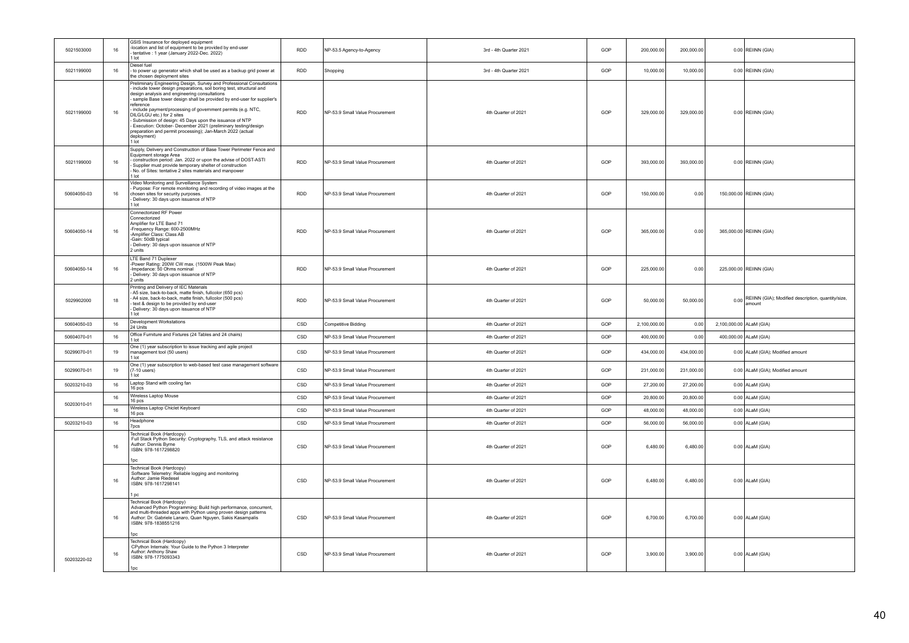| 5021503000  | 16 | GSIS Insurance for deployed equipment<br>-location and list of equipment to be provided by end-user<br>tentative : 1 year (January 2022-Dec. 2022)<br>1 lot                                                                                                                                                                                                                                                                                                                                                                                                                                       | <b>RDD</b> | NP-53.5 Agency-to-Agency        | 3rd - 4th Quarter 2021 | GOP | 200,000.00   | 200,000.00 |                         | 0.00 REIINN (GIA)                                                 |
|-------------|----|---------------------------------------------------------------------------------------------------------------------------------------------------------------------------------------------------------------------------------------------------------------------------------------------------------------------------------------------------------------------------------------------------------------------------------------------------------------------------------------------------------------------------------------------------------------------------------------------------|------------|---------------------------------|------------------------|-----|--------------|------------|-------------------------|-------------------------------------------------------------------|
| 5021199000  | 16 | Diesel fuel<br>- to power up generator which shall be used as a backup grid power at<br>the chosen deployment sites                                                                                                                                                                                                                                                                                                                                                                                                                                                                               | <b>RDD</b> | Shopping                        | 3rd - 4th Quarter 2021 | GOP | 10,000.00    | 10,000.00  |                         | 0.00 REIINN (GIA)                                                 |
| 5021199000  | 16 | Preliminary Engineering Design, Survey and Professional Consultations<br>include tower design preparations, soil boring test, structural and<br>design analysis and engineering consultations<br>sample Base tower design shall be provided by end-user for supplier's<br>reference<br>include payment/processing of government permits (e.g. NTC,<br>DILG/LGU etc.) for 2 sites<br>Submission of design: 45 Days upon the issuance of NTP<br>Execution: October- December 2021 (preliminary testing/design<br>preparation and permit processing); Jan-March 2022 (actual<br>deployment)<br>1 lot | <b>RDD</b> | NP-53.9 Small Value Procurement | 4th Quarter of 2021    | GOP | 329,000.00   | 329,000.00 |                         | 0.00 REIINN (GIA)                                                 |
| 5021199000  | 16 | Supply, Delivery and Construction of Base Tower Perimeter Fence and<br>Equipment storage Area<br>construction period: Jan. 2022 or upon the advise of DOST-ASTI<br>Supplier must provide temporary shelter of construction<br>No. of Sites: tentative 2 sites materials and manpower<br>1 lot                                                                                                                                                                                                                                                                                                     | <b>RDD</b> | NP-53.9 Small Value Procurement | 4th Quarter of 2021    | GOP | 393,000.00   | 393,000.00 |                         | 0.00 REIINN (GIA)                                                 |
| 50604050-03 | 16 | Video Monitoring and Surveillance System<br>Purpose: For remote monitoring and recording of video images at the<br>chosen sites for security purposes.<br>Delivery: 30 days upon issuance of NTP<br>1 lot                                                                                                                                                                                                                                                                                                                                                                                         | <b>RDD</b> | NP-53.9 Small Value Procurement | 4th Quarter of 2021    | GOP | 150,000.00   | 0.00       |                         | 150,000.00 REIINN (GIA)                                           |
| 50604050-14 | 16 | Connectorized RF Power<br>Connectorized<br>Amplifier for LTE Band 71<br>-Frequency Range: 600-2500MHz<br>-Amplifier Class: Class AB<br>-Gain: 50dB typical<br>Delivery: 30 days upon issuance of NTP<br>2 units                                                                                                                                                                                                                                                                                                                                                                                   | <b>RDD</b> | NP-53.9 Small Value Procurement | 4th Quarter of 2021    | GOP | 365,000.00   | 0.00       |                         | 365,000.00 REIINN (GIA)                                           |
| 50604050-14 | 16 | LTE Band 71 Duplexer<br>-Power Rating: 200W CW max. (1500W Peak Max)<br>-Impedance: 50 Ohms nominal<br>Delivery: 30 days upon issuance of NTP<br>2 units                                                                                                                                                                                                                                                                                                                                                                                                                                          | <b>RDD</b> | NP-53.9 Small Value Procurement | 4th Quarter of 2021    | GOP | 225,000.00   | 0.00       |                         | 225,000.00 REIINN (GIA)                                           |
| 5029902000  | 18 | Printing and Delivery of IEC Materials<br>- A5 size, back-to-back, matte finish, fullcolor (650 pcs)<br>- A4 size, back-to-back, matte finish, fullcolor (500 pcs)<br>- text & design to be provided by end-user<br>Delivery: 30 days upon issuance of NTP<br>1 lot                                                                                                                                                                                                                                                                                                                               | <b>RDD</b> | NP-53.9 Small Value Procurement | 4th Quarter of 2021    | GOP | 50,000.00    | 50,000.00  |                         | 0.00 REIINN (GIA); Modified description, quantity/size,<br>amount |
| 50604050-03 | 16 | Development Workstations<br>24 Units                                                                                                                                                                                                                                                                                                                                                                                                                                                                                                                                                              | CSD        | Competitive Bidding             | 4th Quarter of 2021    | GOP | 2,100,000.00 | 0.00       | 2,100,000.00 ALaM (GIA) |                                                                   |
| 50604070-01 | 16 | Office Furniture and Fixtures (24 Tables and 24 chairs)<br>1 lot                                                                                                                                                                                                                                                                                                                                                                                                                                                                                                                                  | CSD        | NP-53.9 Small Value Procurement | 4th Quarter of 2021    | GOP | 400,000.00   | 0.00       |                         | 400,000.00 ALaM (GIA)                                             |
| 50299070-01 | 19 | One (1) year subscription to issue tracking and agile project<br>management tool (50 users)<br>1 lot                                                                                                                                                                                                                                                                                                                                                                                                                                                                                              | CSD        | NP-53.9 Small Value Procurement | 4th Quarter of 2021    | GOP | 434,000.00   | 434,000.00 |                         | 0.00 ALaM (GIA); Modified amount                                  |
| 50299070-01 | 19 | One (1) year subscription to web-based test case management software<br>$(7-10$ users)<br>1 lot                                                                                                                                                                                                                                                                                                                                                                                                                                                                                                   | CSD        | NP-53.9 Small Value Procurement | 4th Quarter of 2021    | GOP | 231,000.00   | 231,000.00 |                         | 0.00 ALaM (GIA); Modified amount                                  |
| 50203210-03 | 16 | Laptop Stand with cooling fan<br>16 pcs                                                                                                                                                                                                                                                                                                                                                                                                                                                                                                                                                           | CSD        | NP-53.9 Small Value Procurement | 4th Quarter of 2021    | GOP | 27,200.00    | 27,200.00  |                         | $0.00$ ALaM (GIA)                                                 |
|             | 16 | Wireless Laptop Mouse<br>16 pcs                                                                                                                                                                                                                                                                                                                                                                                                                                                                                                                                                                   | CSD        | NP-53.9 Small Value Procurement | 4th Quarter of 2021    | GOP | 20,800.00    | 20,800.00  |                         | $0.00$ ALaM (GIA)                                                 |
| 50203010-01 | 16 | Wireless Laptop Chiclet Keyboard<br>16 pcs                                                                                                                                                                                                                                                                                                                                                                                                                                                                                                                                                        | CSD        | NP-53.9 Small Value Procurement | 4th Quarter of 2021    | GOP | 48,000.00    | 48,000.00  |                         | $0.00$ ALaM (GIA)                                                 |
| 50203210-03 | 16 | Headphone<br>7pcs                                                                                                                                                                                                                                                                                                                                                                                                                                                                                                                                                                                 | CSD        | NP-53.9 Small Value Procurement | 4th Quarter of 2021    | GOP | 56,000.00    | 56,000.00  |                         | $0.00$ ALaM (GIA)                                                 |
|             | 16 | Technical Book (Hardcopy)<br>Full Stack Python Security: Cryptography, TLS, and attack resistance<br>Author: Dennis Byrne<br>ISBN: 978-1617298820<br>1nc.                                                                                                                                                                                                                                                                                                                                                                                                                                         | CSD        | NP-53.9 Small Value Procurement | 4th Quarter of 2021    | GOP | 6,480.00     | 6,480.00   |                         | $0.00$ ALaM (GIA)                                                 |
|             | 16 | Technical Book (Hardcopy)<br>Software Telemetry: Reliable logging and monitoring<br>Author: Jamie Riedesel<br>ISBN: 978-1617298141<br>1 <sub>pc</sub>                                                                                                                                                                                                                                                                                                                                                                                                                                             | CSD        | NP-53.9 Small Value Procurement | 4th Quarter of 2021    | GOP | 6,480.00     | 6,480.00   |                         | $0.00$ ALaM (GIA)                                                 |
|             | 16 | Technical Book (Hardcopy)<br>Advanced Python Programming: Build high performance, concurrent,<br>and multi-threaded apps with Python using proven design patterns<br>Author: Dr. Gabriele Lanaro, Quan Nguyen, Sakis Kasampalis<br>ISBN: 978-1838551216<br>1pc                                                                                                                                                                                                                                                                                                                                    | CSD        | NP-53.9 Small Value Procurement | 4th Quarter of 2021    | GOP | 6,700.00     | 6,700.00   |                         | 0.00 ALaM (GIA)                                                   |
| 50203220-02 | 16 | Technical Book (Hardcopy)<br>CPython Internals: Your Guide to the Python 3 Interpreter<br>Author: Anthony Shaw<br>ISBN: 978-1775093343<br>1pc                                                                                                                                                                                                                                                                                                                                                                                                                                                     | CSD        | NP-53.9 Small Value Procurement | 4th Quarter of 2021    | GOP | 3,900.00     | 3,900.00   |                         | 0.00 ALaM (GIA)                                                   |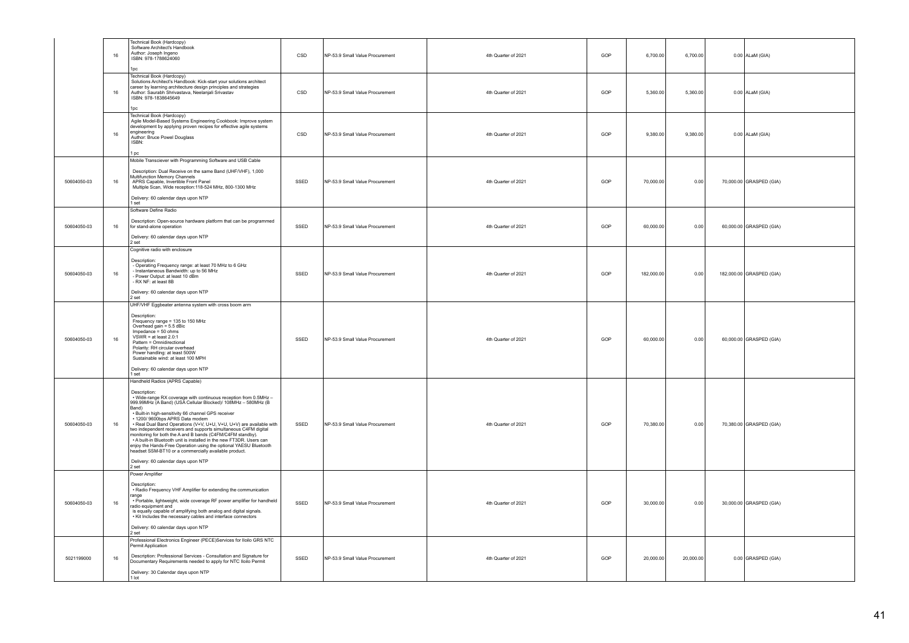|             | 16     | Fechnical Book (Hardcopy)<br>Software Architect's Handbook<br>Author: Joseph Ingeno<br>ISBN: 978-1788624060<br>lpc                                                                                                                                                                                                                                                                                                                                                                                                                                                                                                                                                                                                                                            | CSD  | NP-53.9 Small Value Procurement | 4th Quarter of 2021 | GOP | 6,700.00   | 6,700.00  | $0.00$ ALaM (GIA)        |
|-------------|--------|---------------------------------------------------------------------------------------------------------------------------------------------------------------------------------------------------------------------------------------------------------------------------------------------------------------------------------------------------------------------------------------------------------------------------------------------------------------------------------------------------------------------------------------------------------------------------------------------------------------------------------------------------------------------------------------------------------------------------------------------------------------|------|---------------------------------|---------------------|-----|------------|-----------|--------------------------|
|             | 16     | Technical Book (Hardcopy)<br>Solutions Architect's Handbook: Kick-start your solutions architect<br>career by learning architecture design principles and strategies<br>Author: Saurabh Shrivastava, Neelanjali Srivastav<br>ISBN: 978-1838645649<br>1pc                                                                                                                                                                                                                                                                                                                                                                                                                                                                                                      | CSD  | NP-53.9 Small Value Procurement | 4th Quarter of 2021 | GOP | 5.360.00   | 5,360.00  | $0.00$ ALaM (GIA)        |
|             | 16     | Technical Book (Hardcopy)<br>Agile Model-Based Systems Engineering Cookbook: Improve system<br>development by applying proven recipes for effective agile systems<br>engineering<br>Author: Bruce Powel Douglass<br>ISBN:<br>l pc                                                                                                                                                                                                                                                                                                                                                                                                                                                                                                                             | CSD  | NP-53.9 Small Value Procurement | 4th Quarter of 2021 | GOP | 9,380.00   | 9,380.00  | 0.00 ALaM (GIA)          |
| 50604050-03 | 16     | Mobile Transciever with Programming Software and USB Cable<br>Description: Dual Receive on the same Band (UHF/VHF), 1,000<br>Multifunction Memory Channels<br>APRS Capable, Invertible Front Panel<br>Multiple Scan, Wide reception:118-524 MHz, 800-1300 MHz<br>Delivery: 60 calendar days upon NTP<br>1 set                                                                                                                                                                                                                                                                                                                                                                                                                                                 | SSED | NP-53.9 Small Value Procurement | 4th Quarter of 2021 | GOP | 70,000.00  | 0.00      | 70,000.00 GRASPED (GIA)  |
| 50604050-03 | 16     | Software Define Radio<br>Description: Open-source hardware platform that can be programmed<br>for stand-alone operation<br>Delivery: 60 calendar days upon NTP<br>2 set                                                                                                                                                                                                                                                                                                                                                                                                                                                                                                                                                                                       | SSED | NP-53.9 Small Value Procurement | 4th Quarter of 2021 | GOP | 60,000.00  | 0.00      | 60,000.00 GRASPED (GIA)  |
| 50604050-03 | 16     | Cognitive radio with enclosure<br>Description:<br>Operating Frequency range: at least 70 MHz to 6 GHz<br>Instantaneous Bandwidth: up to 56 MHz<br>Power Output: at least 10 dBm<br>RX NF: at least 8B<br>Delivery: 60 calendar days upon NTP<br>2 set                                                                                                                                                                                                                                                                                                                                                                                                                                                                                                         | SSED | NP-53.9 Small Value Procurement | 4th Quarter of 2021 | GOP | 182,000.00 | 0.00      | 182,000.00 GRASPED (GIA) |
| 50604050-03 | $16\,$ | UHF/VHF Eggbeater antenna system with cross boom arm<br>Description:<br>besouponting range = 135 to 150 MHz<br>Frequency range = 135 to 150 MHz<br>Overhead gain = 5.5 dBic<br>Impedance = 50 ohms<br>VSWR = at least 2.0:1<br>Pattern = Omnidirectional<br>Polarity: RH circular overhead<br>Power handling: at least 500W<br>Sustainable wind: at least 100 MPH<br>Delivery: 60 calendar days upon NTP                                                                                                                                                                                                                                                                                                                                                      | SSED | NP-53.9 Small Value Procurement | 4th Quarter of 2021 | GOP | 60,000.00  | 0.00      | 60,000.00 GRASPED (GIA)  |
| 50604050-03 | 16     | I set<br>Handheld Radios (APRS Capable)<br>Description:<br>· Wide-range RX coverage with continuous reception from 0.5MHz -<br>999.99MHz (A Band) (USA Cellular Blocked)/ 108MHz - 580MHz (B<br>Band)<br>- Built-in high-sensitivity 66 channel GPS receiver<br>• 1200/9600bps APRS Data modem<br>• Real Dual Band Operations (V+V, U+U, V+U, U+V) are available with<br>two independent receivers and supports simultaneous C4FM digital<br>monitoring for both the A and B bands (C4FM/C4FM standby).<br>• A built-in Bluetooth unit is installed in the new FT3DR. Users can<br>enjoy the Hands-Free Operation using the optional YAESU Bluetooth<br>headset SSM-BT10 or a commercially available product.<br>Delivery: 60 calendar days upon NTP<br>2 set | SSED | NP-53.9 Small Value Procurement | 4th Quarter of 2021 | GOP | 70,380.00  | 0.00      | 70,380.00 GRASPED (GIA)  |
| 50604050-03 | $16\,$ | Power Amplifier<br>Description:<br>· Radio Frequency VHF Amplifier for extending the communication<br>ange<br>· Portable, lightweight, wide coverage RF power amplifier for handheld<br>radio equipment and<br>is equally capable of amplifying both analog and digital signals.<br>• Kit Includes the necessary cables and interface connectors<br>Delivery: 60 calendar days upon NTP<br>$2$ set                                                                                                                                                                                                                                                                                                                                                            | SSED | NP-53.9 Small Value Procurement | 4th Quarter of 2021 | GOP | 30,000.00  | 0.00      | 30,000.00 GRASPED (GIA)  |
| 5021199000  | 16     | Professional Electronics Engineer (PECE)Services for Iloilo GRS NTC<br>Permit Application<br>Description: Professional Services - Consultation and Signature for<br>Documentary Requirements needed to apply for NTC Iloilo Permit<br>Delivery: 30 Calendar days upon NTP<br>1 lot                                                                                                                                                                                                                                                                                                                                                                                                                                                                            | SSED | NP-53.9 Small Value Procurement | 4th Quarter of 2021 | GOP | 20,000.00  | 20,000.00 | 0.00 GRASPED (GIA)       |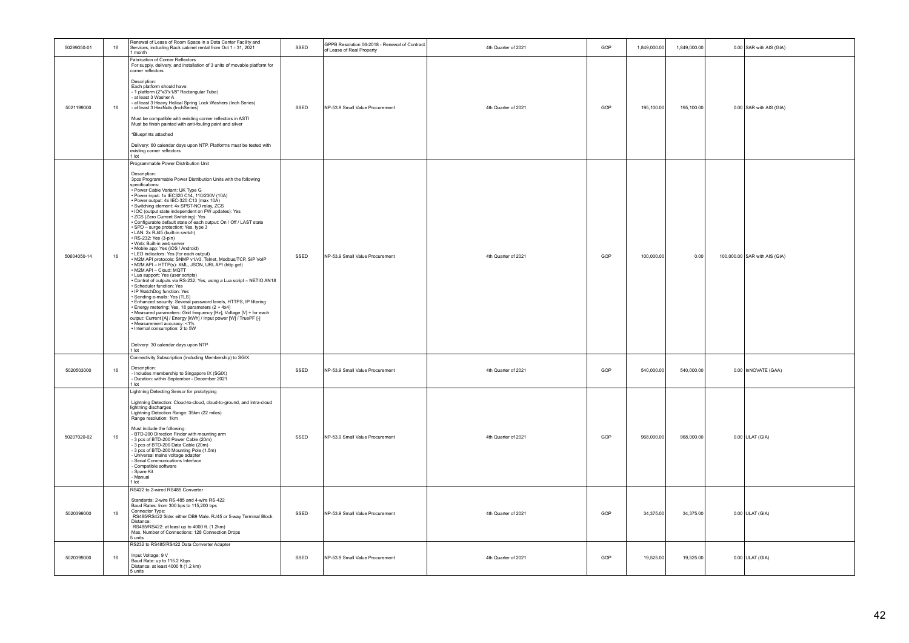| 50299050-01 | 16     | Renewal of Lease of Room Space in a Data Center Facility and<br>Services, including Rack cabinet rental from Oct 1 - 31, 2021<br>1 month                                                                                                                                                                                                                                                                                                                                                                                                                                                                                                                                                                                                                                                                                                                                                                                                                                                                                                                                                                                                                                                                                                                                                                                                                                                                                                                   | SSED | GPPB Resolution 06-2018 - Renewal of Contract<br>of Lease of Real Property | 4th Quarter of 2021 | GOP | 1,849,000.00 | 1,849,000.00 | 0.00 SAR with AIS (GIA)       |
|-------------|--------|------------------------------------------------------------------------------------------------------------------------------------------------------------------------------------------------------------------------------------------------------------------------------------------------------------------------------------------------------------------------------------------------------------------------------------------------------------------------------------------------------------------------------------------------------------------------------------------------------------------------------------------------------------------------------------------------------------------------------------------------------------------------------------------------------------------------------------------------------------------------------------------------------------------------------------------------------------------------------------------------------------------------------------------------------------------------------------------------------------------------------------------------------------------------------------------------------------------------------------------------------------------------------------------------------------------------------------------------------------------------------------------------------------------------------------------------------------|------|----------------------------------------------------------------------------|---------------------|-----|--------------|--------------|-------------------------------|
| 5021199000  | 16     | Fabrication of Corner Reflectors<br>For supply, delivery, and installation of 3 units of movable platform for<br>corner reflectors<br>Description:<br>Each platform should have:<br>- 1 platform (2"x3"x1/8" Rectangular Tube)<br>at least 3 Washer A<br>- at least 3 Heavy Helical Spring Lock Washers (Inch Series)<br>- at least 3 HexNuts (InchSeries)<br>Must be compatible with existing corner reflectors in ASTI<br>Must be finish painted with anti-fouling paint and silver<br>*Blueprints attached<br>Delivery: 60 calendar days upon NTP. Platforms must be tested with<br>existing corner reflectors<br>1 lot                                                                                                                                                                                                                                                                                                                                                                                                                                                                                                                                                                                                                                                                                                                                                                                                                                 | SSED | NP-53.9 Small Value Procurement                                            | 4th Quarter of 2021 | GOP | 195,100.00   | 195,100.00   | 0.00 SAR with AIS (GIA)       |
| 50604050-14 | 16     | Programmable Power Distribution Unit<br>Description:<br>3pcs Programmable Power Distribution Units with the following<br>specifications:<br>* Power Cable Variant: UK Type G<br>* Power input: 1x IEC320 C14, 110/230V (10A)<br>• Power output: 4x IEC-320 C13 (max 10A)<br>Switching element: 4x SPST-NO relay, ZCS<br>. IOC (output state independent on FW updates): Yes<br>· ZCS (Zero Current Switching): Yes<br>· Configurable default state of each output: On / Off / LAST state<br>SPD – surge protection: Yes, type 3<br>· LAN: 2x RJ45 (built-in switch)<br>RS-232: Yes (3-pin)<br>· Web: Built-in web server<br>Mobile app: Yes (iOS / Android)<br>.<br>NED indicators: Yes (for each output)<br>NET MED APP protocols: SNMP v1/v3, Telnet, Modbus/TCP, SIP VoIP<br>· M2M API - HTTP(s): XML, JSON, URL API (http get)<br>· M2M API - Cloud: MQTT<br>· Lua support: Yes (user scripts)<br>Control of outputs via RS-232: Yes, using a Lua script - NETIO AN18<br>· Scheduler function: Yes<br>· IP WatchDog function: Yes<br>· Sending e-mails: Yes (TLS)<br>· Enhanced security: Several password levels, HTTPS, IP filtering<br>· Energy metering: Yes, 18 parameters (2 + 4x4)<br>· Measured parameters: Grid frequency [Hz], Voltage [V] + for each<br>output: Current [A] / Energy [kWh] / Input power [W] / TruePF [-]<br>· Measurement accuracy: <1%<br>• Internal consumption: 2 to 5W<br>Delivery: 30 calendar days upon NTP<br>1 lot | SSED | NP-53.9 Small Value Procurement                                            | 4th Quarter of 2021 | GOP | 100,000.00   | 0.00         | 100,000.00 SAR with AIS (GIA) |
| 5020503000  | $16\,$ | Connectivity Subscription (including Membership) to SGIX<br>Description:<br>- Includes membership to Singapore IX (SGIX)<br>- Duration: within September - December 2021<br>1 lot                                                                                                                                                                                                                                                                                                                                                                                                                                                                                                                                                                                                                                                                                                                                                                                                                                                                                                                                                                                                                                                                                                                                                                                                                                                                          | SSED | NP-53.9 Small Value Procurement                                            | 4th Quarter of 2021 | GOP | 540,000.00   | 540,000.00   | 0.00 InNOVATE (GAA)           |
| 50207020-02 | 16     | Lightning Detecting Sensor for prototyping<br>Lightning Detection: Cloud-to-cloud, cloud-to-ground, and intra-cloud<br>lightning discharges<br>Lightning Detection Range: 35km (22 miles)<br>Range resolution: 1km<br>Must include the following:<br>- BTD-200 Direction Finder with mounting arm<br>- 3 pcs of BTD-200 Power Cable (20m)<br>- 3 pcs of BTD-200 Data Cable (20m)<br>- 3 pcs of BTD-200 Mounting Pole (1.5m)<br>Universal mains voltage adapter<br>Serial Communications Interface<br>Compatible software<br>Spare Kit<br>Manual<br>I lot                                                                                                                                                                                                                                                                                                                                                                                                                                                                                                                                                                                                                                                                                                                                                                                                                                                                                                   | SSED | NP-53.9 Small Value Procurement                                            | 4th Quarter of 2021 | GOP | 968,000.00   | 968,000.00   | $0.00$ ULAT (GIA)             |
| 5020399000  | 16     | RS422 to 2-wired RS485 Converter<br>Standards: 2-wire RS-485 and 4-wire RS-422<br>Baud Rates: from 300 bps to 115,200 bps<br>Connector Type:<br>RS485/RS422 Side: either DB9 Male. RJ45 or 5-way Terminal Block<br>Distance:<br>RS485/RS422: at least up to 4000 ft. (1.2km)<br>Max. Number of Connections: 128 Connection Drops<br>5 units                                                                                                                                                                                                                                                                                                                                                                                                                                                                                                                                                                                                                                                                                                                                                                                                                                                                                                                                                                                                                                                                                                                | SSED | NP-53.9 Small Value Procurement                                            | 4th Quarter of 2021 | GOP | 34,375.00    | 34,375.00    | $0.00$ ULAT (GIA)             |
| 5020399000  | 16     | RS232 to RS485/RS422 Data Converter Adapter<br>Input Voltage: 9 V<br>Baud Rate: up to 115.2 Kbps<br>Distance: at least 4000 ft (1.2 km)<br>5 units                                                                                                                                                                                                                                                                                                                                                                                                                                                                                                                                                                                                                                                                                                                                                                                                                                                                                                                                                                                                                                                                                                                                                                                                                                                                                                         | SSED | NP-53.9 Small Value Procurement                                            | 4th Quarter of 2021 | GOP | 19,525.00    | 19,525.00    | $0.00$ ULAT (GIA)             |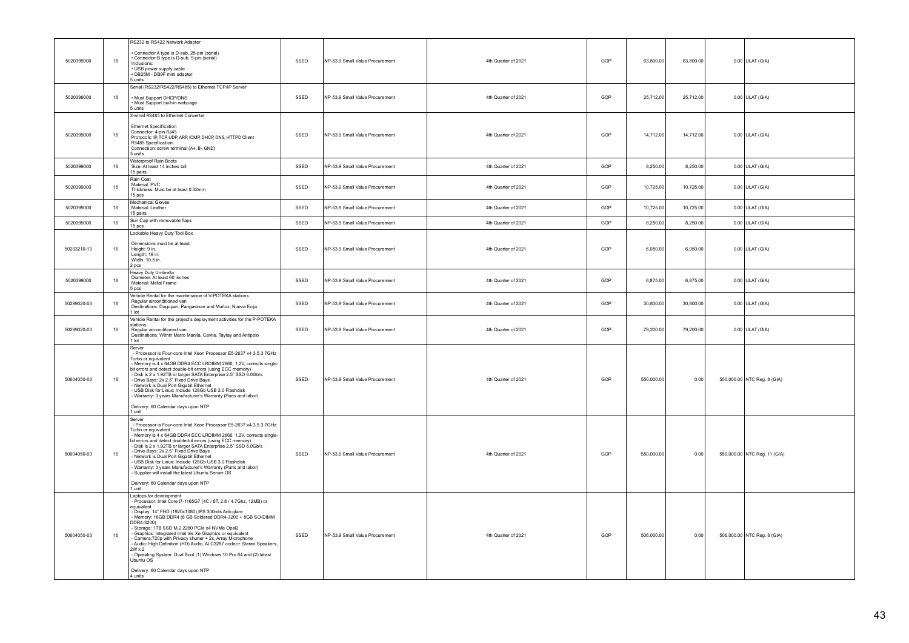|             |    | RS232 to RS422 Network Adapter                                                                                                                                                                                                                                                                                                                                                                                                                                                                                                                                                                                                                  |      |                                 |                     |     |            |           |                              |
|-------------|----|-------------------------------------------------------------------------------------------------------------------------------------------------------------------------------------------------------------------------------------------------------------------------------------------------------------------------------------------------------------------------------------------------------------------------------------------------------------------------------------------------------------------------------------------------------------------------------------------------------------------------------------------------|------|---------------------------------|---------------------|-----|------------|-----------|------------------------------|
| 5020399000  | 16 | Connector A type is D-sub, 25-pin (serial)<br>Connector B type is D-sub, 9-pin (serial)<br>Inclusions:<br>· USB power supply cable<br>· DB25M - DB9F mini adapter<br>5 units                                                                                                                                                                                                                                                                                                                                                                                                                                                                    | SSED | NP-53.9 Small Value Procurement | 4th Quarter of 2021 | GOP | 63,800.00  | 63,800.00 | $0.00$ ULAT (GIA)            |
| 5020399000  | 16 | Serial (RS232/RS422/RS485) to Ethernet TCP/IP Server<br>· Must Support DHCP/DNS<br>· Must Support built-in webpage<br>5 units                                                                                                                                                                                                                                                                                                                                                                                                                                                                                                                   | SSED | NP-53.9 Small Value Procurement | 4th Quarter of 2021 | GOP | 25,712.00  | 25,712.00 | $0.00$ ULAT (GIA)            |
| 5020399000  | 16 | 2-wired RS485 to Ethernet Converter<br><b>Ethernet Specification</b><br>Connector: 4-pin RJ45<br>Protocols: IP, TCP, UDP, ARP, ICMP, DHCP, DNS, HTTPD Client<br>RS485 Specification<br>Connection: screw terminal (A+, B-, GND)<br>5 units                                                                                                                                                                                                                                                                                                                                                                                                      | SSED | NP-53.9 Small Value Procurement | 4th Quarter of 2021 | GOP | 14,712.00  | 14,712.00 | $0.00$ ULAT (GIA)            |
| 5020399000  | 16 | Waterproof Rain Boots<br>Size: At least 14 inches tall<br>15 pairs                                                                                                                                                                                                                                                                                                                                                                                                                                                                                                                                                                              | SSED | NP-53.9 Small Value Procurement | 4th Quarter of 2021 | GOP | 8,250.00   | 8,250.00  | $0.00$ ULAT (GIA)            |
| 5020399000  | 16 | Rain Coat<br>Material: PVC<br>Thickness: Must be at least 0.32mm<br>15 pcs                                                                                                                                                                                                                                                                                                                                                                                                                                                                                                                                                                      | SSED | NP-53.9 Small Value Procurement | 4th Quarter of 2021 | GOP | 10,725.00  | 10,725.00 | $0.00$ ULAT (GIA)            |
| 5020399000  | 16 | Mechanical Gloves<br>Material: Leather<br>15 pairs                                                                                                                                                                                                                                                                                                                                                                                                                                                                                                                                                                                              | SSED | NP-53.9 Small Value Procurement | 4th Quarter of 2021 | GOP | 10.725.00  | 10.725.00 | $0.00$ ULAT (GIA)            |
| 5020399000  | 16 | Sun Cap with removable flaps<br>15 pcs                                                                                                                                                                                                                                                                                                                                                                                                                                                                                                                                                                                                          | SSED | NP-53.9 Small Value Procurement | 4th Quarter of 2021 | GOP | 8,250.00   | 8,250.00  | $0.00$ ULAT (GIA)            |
| 50203210-13 | 16 | Lockable Heavy Duty Tool Box<br>Dimensions must be at least:<br>Height: 9 in.<br>Length: 19 in.<br>Width: 10.5 in.<br>pcs                                                                                                                                                                                                                                                                                                                                                                                                                                                                                                                       | SSED | NP-53.9 Small Value Procurement | 4th Quarter of 2021 | GOP | 6,050.00   | 6,050.00  | $0.00$ ULAT (GIA)            |
| 5020399000  | 16 | Heavy Duty Umbrella<br>Diameter: At least 60 inches<br>Material: Metal Frame<br>5 pcs                                                                                                                                                                                                                                                                                                                                                                                                                                                                                                                                                           | SSED | NP-53.9 Small Value Procurement | 4th Quarter of 2021 | GOP | 6,875.00   | 6,875.00  | 0.00 ULAT (GIA)              |
| 50299020-03 | 16 | Vehicle Rental for the maintenance of V-POTEKA stations<br>Regular airconditioned van<br>Destinations: Dagupan, Pangasinan and Muñoz, Nueva Ecija<br>1 lot                                                                                                                                                                                                                                                                                                                                                                                                                                                                                      | SSED | NP-53.9 Small Value Procurement | 4th Quarter of 2021 | GOP | 30,800.00  | 30,800.00 | 0.00 ULAT (GIA)              |
| 50299020-03 | 16 | Vehicle Rental for the project's deployment activities for the P-POTEKA<br>stations<br>Regular airconditioned van<br>Destinations: Within Metro Manila, Cavite, Taytay and Antipolo<br>1 lot                                                                                                                                                                                                                                                                                                                                                                                                                                                    | SSED | NP-53.9 Small Value Procurement | 4th Quarter of 2021 | GOP | 79,200.00  | 79,200.00 | $0.00$ ULAT (GIA)            |
| 50604050-03 | 16 | Server<br>- Processor is Four-core Intel Xeon Processor E5-2637 v4 3.5.3 7GHz<br>Turbo or equivalent<br>Memory is 4 x 64GB DDR4 ECC LRDIMM 2666, 1.2V, corrects single-<br>bit errors and detect double-bit errors (using ECC memory)<br>Disk is 2 x 1.92TB or larger SATA Enterprise 2.5" SSD 6.0Gb/s<br>Drive Bays: 2x 2.5" Fixed Drive Bays<br>Network is Dual Port Gigabit Ethernet<br>USB Disk for Linux: Include 128Gb USB 3.0 Flashdisk<br>Warranty: 3 years Manufacturer's Warranty (Parts and labor)<br>Delivery: 60 Calendar days upon NTP<br>1 unit                                                                                  | SSED | NP-53.9 Small Value Procurement | 4th Quarter of 2021 | GOP | 550,000.00 | 0.00      | 550,000.00 NTC Reg. 8 (GIA)  |
| 50604050-03 | 16 | Server<br>- Processor is Four-core Intel Xeon Processor E5-2637 v4 3.5.3 7GHz<br>Turbo or equivalent<br>Memory is 4 x 64GB DDR4 ECC LRDIMM 2666, 1.2V, corrects single-<br>bit errors and detect double-bit errors (using ECC memory)<br>Disk is 2 x 1.92TB or larger SATA Enterprise 2.5" SSD 6.0Gb/s<br>Drive Bays: 2x 2.5" Fixed Drive Bays<br>Network is Dual Port Gigabit Ethernet<br>USB Disk for Linux: Include 128Gb USB 3.0 Flashdisk<br>Warranty: 3 years Manufacturer's Warranty (Parts and labor)<br>Supplier will install the latest Ubuntu Server OS<br>Delivery: 60 Calendar days upon NTP<br>1 unit                             | SSED | NP-53.9 Small Value Procurement | 4th Quarter of 2021 | GOP | 550,000.00 | 0.00      | 550,000.00 NTC Reg. 11 (GIA) |
| 50604050-03 | 16 | Laptops for development<br>- Processor: Intel Core i7-1165G7 (4C / 8T, 2.8 / 4.7Ghz, 12MB) or<br>equivalent<br>Display: 14" FHD (1920x1080) IPS 300nits Anti-glare<br>Memory: 16GB DDR4 (8 GB Soldered DDR4-3200 + 8GB SO-DIMM<br>DDR4-3200)<br>Storage: 1TB SSD M.2 2280 PCIe x4 NVMe Opal2<br>Graphics: Integrated Intel Iris Xe Graphics or equivalent<br>Camera: 720p with Privacy shutter + 2x, Array Microphone<br>Audio: High Definition (HD) Audio, ALC3287 codec+ Stereo Speakers,<br>$2W \times 2$<br>Operating System: Dual Boot (1) Windows 10 Pro 64 and (2) latest<br>Ubuntu OS<br>Delivery: 60 Calendar days upon NTP<br>4 units | SSED | NP-53.9 Small Value Procurement | 4th Quarter of 2021 | GOP | 506,000.00 | 0.00      | 506,000.00 NTC Reg. 8 (GIA)  |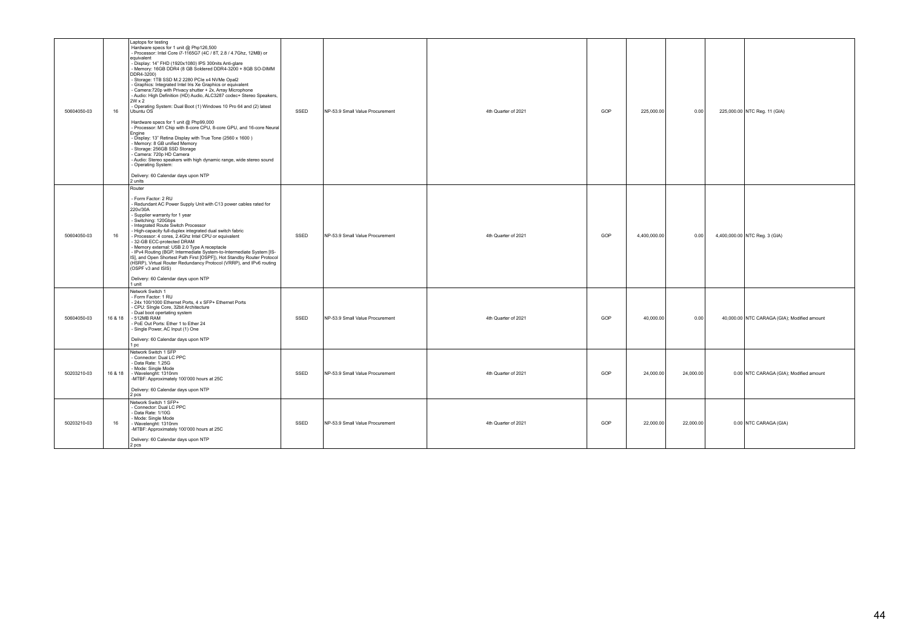| 50604050-03 | 16      | Laptops for testing<br>Hardware specs for 1 unit @ Php126,500<br>- Processor: Intel Core i7-1165G7 (4C / 8T, 2.8 / 4.7Ghz, 12MB) or<br>equivalent<br>- Display: 14" FHD (1920x1080) IPS 300nits Anti-glare<br>Memory: 16GB DDR4 (8 GB Soldered DDR4-3200 + 8GB SO-DIMM<br>DDR4-3200)<br>Storage: 1TB SSD M.2 2280 PCIe x4 NVMe Opal2<br>- Graphics: Integrated Intel Iris Xe Graphics or equivalent<br>- Camera: 720p with Privacy shutter + 2x, Array Microphone<br>- Audio: High Definition (HD) Audio, ALC3287 codec+ Stereo Speakers,<br>2W x 2<br>- Operating System: Dual Boot (1) Windows 10 Pro 64 and (2) latest<br>Ubuntu OS<br>Hardware specs for 1 unit @ Php99,000<br>- Processor: M1 Chip with 8-core CPU, 8-core GPU, and 16-core Neural<br>Engine<br>- Display: 13" Retina Display with True Tone (2560 x 1600)<br>- Memory: 8 GB unified Memory<br>- Storage: 256GB SSD Storage<br>Camera: 720p HD Camera<br>- Audio: Stereo speakers with high dynamic range, wide stereo sound<br>- Operating System:<br>Delivery: 60 Calendar days upon NTP<br>2 units | SSED | NP-53.9 Small Value Procurement | 4th Quarter of 2021 | GOP | 225,000.00   | 0.00      | 225,000.00 NTC Reg. 11 (GIA)                |
|-------------|---------|----------------------------------------------------------------------------------------------------------------------------------------------------------------------------------------------------------------------------------------------------------------------------------------------------------------------------------------------------------------------------------------------------------------------------------------------------------------------------------------------------------------------------------------------------------------------------------------------------------------------------------------------------------------------------------------------------------------------------------------------------------------------------------------------------------------------------------------------------------------------------------------------------------------------------------------------------------------------------------------------------------------------------------------------------------------------------|------|---------------------------------|---------------------|-----|--------------|-----------|---------------------------------------------|
| 50604050-03 | 16      | Router<br>Form Factor: 2 RU<br>- Redundant AC Power Supply Unit with C13 power cables rated for<br>220v/30A<br>- Supplier warranty for 1 year<br>Switching: 120Gbps<br>Integrated Route Switch Processor<br>High-capacity full-duplex integrated dual switch fabric<br>- Processor: 4 cores. 2.4Ghz Intel CPU or equivalent<br>32-GB ECC-protected DRAM<br>Memory external: USB 2.0 Type A receptacle<br>- IPv4 Routing (BGP, Intermediate System-to-Intermediate System [IS-<br>IS], and Open Shortest Path First [OSPF]), Hot Standby Router Protocol<br>(HSRP), Virtual Router Redundancy Protocol (VRRP), and IPv6 routing<br>(OSPF v3 and ISIS)<br>Delivery: 60 Calendar days upon NTP<br>1 unit                                                                                                                                                                                                                                                                                                                                                                      | SSED | NP-53.9 Small Value Procurement | 4th Quarter of 2021 | GOP | 4,400,000.00 | 0.00      | 4,400,000.00 NTC Reg. 3 (GIA)               |
| 50604050-03 | 16 & 18 | Network Switch 1<br>- Form Factor: 1 RU<br>- 24x 100/1000 Ethernet Ports, 4 x SFP+ Ethernet Ports<br>- CPU: SIngle Core, 32bit Architecture<br>- Dual boot opertating system<br>- 512MB RAM<br>PoE Out Ports: Ether 1 to Ether 24<br>- Single Power, AC Input (1) One<br>Delivery: 60 Calendar days upon NTP<br>1 pc                                                                                                                                                                                                                                                                                                                                                                                                                                                                                                                                                                                                                                                                                                                                                       | SSED | NP-53.9 Small Value Procurement | 4th Quarter of 2021 | GOP | 40,000.00    | 0.00      | 40,000.00 NTC CARAGA (GIA); Modified amount |
| 50203210-03 | 16 & 18 | Network Switch 1 SFP<br>- Connector: Dual LC PPC<br>Data Rate: 1.25G<br>- Mode: Single Mode<br>- Wavelenght: 1310nm<br>-MTBF: Approximately 100'000 hours at 25C<br>Delivery: 60 Calendar days upon NTP<br>2 pcs                                                                                                                                                                                                                                                                                                                                                                                                                                                                                                                                                                                                                                                                                                                                                                                                                                                           | SSED | NP-53.9 Small Value Procurement | 4th Quarter of 2021 | GOP | 24,000.00    | 24,000.00 | 0.00 NTC CARAGA (GIA); Modified amount      |
| 50203210-03 | 16      | Network Switch 1 SFP+<br>- Connector: Dual LC PPC<br>Data Rate: 1/10G<br>- Mode: Single Mode<br>- Wavelenght: 1310nm<br>-MTBF: Approximately 100'000 hours at 25C<br>Delivery: 60 Calendar days upon NTP<br>2 pcs                                                                                                                                                                                                                                                                                                                                                                                                                                                                                                                                                                                                                                                                                                                                                                                                                                                          | SSED | NP-53.9 Small Value Procurement | 4th Quarter of 2021 | GOP | 22,000.00    | 22,000.00 | 0.00 NTC CARAGA (GIA)                       |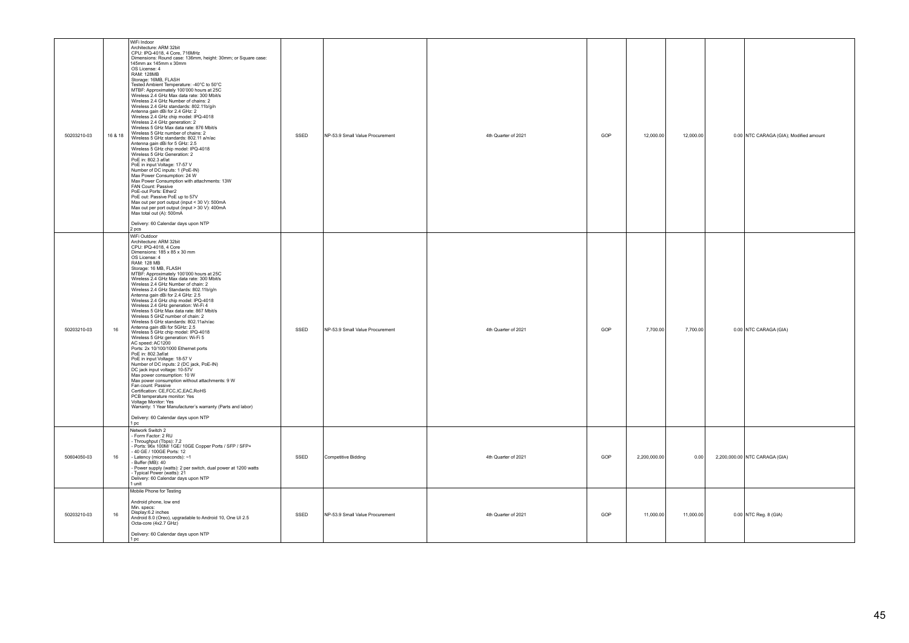| 50203210-03<br>16 & 18 | WiFi Indoor<br>Architecture: ARM 32bit<br>CPU: IPQ-4018, 4 Core, 716MHz<br>Dimensions: Round case: 136mm, height: 30mm; or Square case:<br>145mm ax 145mm x 30mm<br>OS License: 4<br><b>RAM: 128MB</b><br>Storage: 16MB, FLASH<br>Tested Ambient Temperature: -40°C to 50°C<br>MTBF: Approximately 100'000 hours at 25C<br>Wireless 2.4 GHz Max data rate: 300 Mbit/s<br>Wireless 2.4 GHz Number of chains: 2<br>Wireless 2.4 GHz standards: 802.11b/g/n<br>Antenna gain dBi for 2.4 GHz: 2<br>Wireless 2.4 GHz chip model: IPQ-4018<br>Wireless 2.4 GHz generation: 2<br>Wireless 5 GHz Max data rate: 876 Mbit/s<br>Wireless 5 GHz number of chains: 2<br>Wireless 5 GHz standards: 802.11 a/n/ac<br>Antenna gain dBi for 5 GHz: 2.5<br>Wireless 5 GHz chip model: IPQ-4018<br>Wireless 5 GHz Generation: 2<br>PoE in: 802.3 af/at<br>PoE in input Voltage: 17-57 V<br>Number of DC inputs: 1 (PoE-IN)<br>Max Power Consumption: 24 W<br>Max Power Consumption with attachments: 13W<br>FAN Count: Passive<br>PoE-out Ports: Ether2<br>PoE out: Passive PoE up to 57V<br>Max out per port output (input < 30 V): 500mA<br>Max out per port output (input > 30 V): 400mA<br>Max total out (A): 500mA<br>Delivery: 60 Calendar days upon NTP<br>2 pcs                                          | SSED | NP-53.9 Small Value Procurement | 4th Quarter of 2021 | GOP | 12,000.00    | 12,000.00 | 0.00 NTC CARAGA (GIA); Modified amount |
|------------------------|------------------------------------------------------------------------------------------------------------------------------------------------------------------------------------------------------------------------------------------------------------------------------------------------------------------------------------------------------------------------------------------------------------------------------------------------------------------------------------------------------------------------------------------------------------------------------------------------------------------------------------------------------------------------------------------------------------------------------------------------------------------------------------------------------------------------------------------------------------------------------------------------------------------------------------------------------------------------------------------------------------------------------------------------------------------------------------------------------------------------------------------------------------------------------------------------------------------------------------------------------------------------------------------------|------|---------------------------------|---------------------|-----|--------------|-----------|----------------------------------------|
| 50203210-03<br>16      | WiFi Outdoor<br>Architecture: ARM 32bit<br>CPU: IPQ-4018, 4 Core<br>Dimensions: 185 x 85 x 30 mm<br>OS License: 4<br><b>RAM: 128 MB</b><br>Normal 25<br>MITHE: Approximately 100'000 hours at 25C<br>MITHE: Approximately 100'000 hours at 25C<br>Wireless 2.4 GHz Max data rate: 300 Mbit/s<br>Wireless 2.4 GHz Number of chain: 2<br>Wireless 2.4 GHz Standards: 802.11b/g/n<br>Antenna gain dBi for 2.4 GHz: 2.5<br>Wireless 2.4 GHz chip model: IPQ-4018<br>Wireless 2.4 GHz generation: Wi-Fi 4<br>Wireless 5 GHz Max data rate: 867 Mbit/s<br>Wireless 5 GHZ number of chain: 2<br>Wireless 5 GHz standards: 802.11a/n/ac<br>Antenna gain dBi for 5GHz: 2.5<br>Wireless 5 GHz chip model: IPQ-4018<br>Wireless 5 GHz generation: Wi-Fi 5<br>AC speed: AC1200<br>Ports: 2x 10/100/1000 Ethernet ports<br>PoE in: 802.3af/at<br>PoE in input Voltage: 18-57 V<br>Number of DC inputs: 2 (DC jack, PoE-IN)<br>DC jack input voltage: 10-57V<br>Max power consumption: 10 W<br>Max power consumption: 10 W<br>Max power consumption without attachments: 9 W<br>Fan count: Passive<br>Certification: CE,FCC,IC,EAC,RoHS<br>PCB temperature monitor: Yes<br>Voltage Monitor: Yes<br>Warranty: 1 Year Manufacturer's warranty (Parts and labor)<br>Delivery: 60 Calendar days upon NTP<br>1 pc | SSED | NP-53.9 Small Value Procurement | 4th Quarter of 2021 | GOP | 7,700.00     | 7,700.00  | 0.00 NTC CARAGA (GIA)                  |
| $16\,$<br>50604050-03  | Network Switch 2<br>Form Factor: 2 RU<br>- Form Fractor. 2 RD<br>- Throughput (Tbps): 7.2<br>- Ports: 96x 100M/ 1GE/ 10GE Copper Ports / SFP / SFP+<br>- 40 GE / 100GE Ports: 12<br>Latency (microseconds): ~1<br>Buffer (MB): 40<br>Power supply (watts): 2 per switch, dual power at 1200 watts<br>Typical Power (watts): 21<br>Delivery: 60 Calendar days upon NTP<br>1 unit                                                                                                                                                                                                                                                                                                                                                                                                                                                                                                                                                                                                                                                                                                                                                                                                                                                                                                                | SSED | Competitive Bidding             | 4th Quarter of 2021 | GOP | 2,200,000.00 | 0.00      | 2,200,000.00 NTC CARAGA (GIA)          |
| 50203210-03<br>$16\,$  | Mobile Phone for Testing<br>Android phone, low end<br>Min. specs:<br>Display:6.2 inches<br>Android 8.0 (Oreo), upgradable to Android 10, One UI 2.5<br>Octa-core (4x2.7 GHz)<br>Delivery: 60 Calendar days upon NTP<br>1 pc                                                                                                                                                                                                                                                                                                                                                                                                                                                                                                                                                                                                                                                                                                                                                                                                                                                                                                                                                                                                                                                                    | SSED | NP-53.9 Small Value Procurement | 4th Quarter of 2021 | GOP | 11,000.00    | 11,000.00 | 0.00 NTC Reg. 8 (GIA)                  |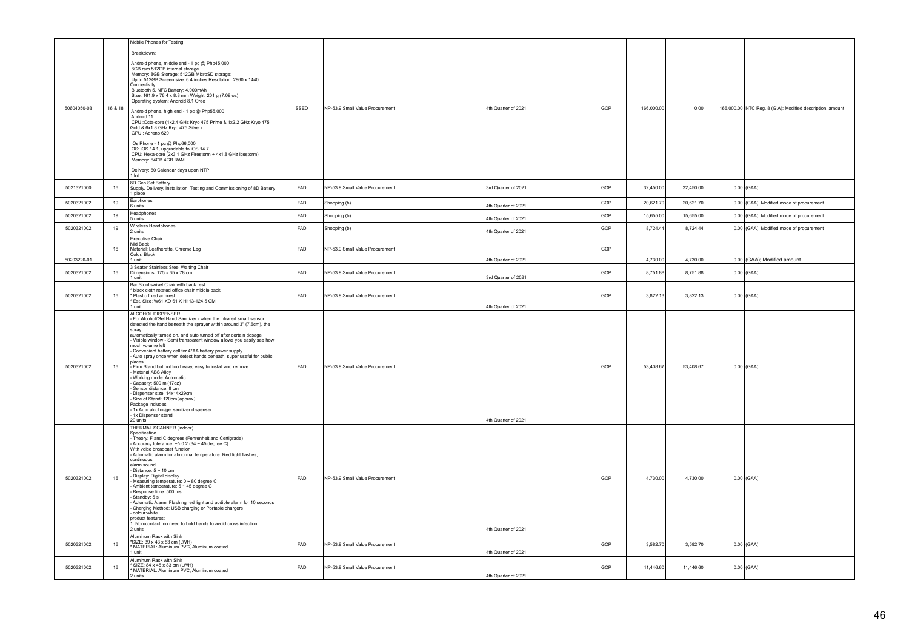|             |         | Mobile Phones for Testing<br>Breakdown:                                                                                                                                                                                                                                                                                                                                                                                                                                                                                                                                                                                                                                                                                                                                                                          |            |                                 |                     |     |            |           |                                                           |
|-------------|---------|------------------------------------------------------------------------------------------------------------------------------------------------------------------------------------------------------------------------------------------------------------------------------------------------------------------------------------------------------------------------------------------------------------------------------------------------------------------------------------------------------------------------------------------------------------------------------------------------------------------------------------------------------------------------------------------------------------------------------------------------------------------------------------------------------------------|------------|---------------------------------|---------------------|-----|------------|-----------|-----------------------------------------------------------|
| 50604050-03 | 16 & 18 | Android phone, middle end - 1 pc @ Php45,000<br>8GB ram 512GB internal storage<br>Memory: 8GB Storage: 512GB MicroSD storage:<br>Up to 512GB Screen size: 6.4 inches Resolution: 2960 x 1440<br>Connectivity<br>Bluetooth 5, NFC Battery: 4,000mAh<br>Size: 161.9 x 76.4 x 8.8 mm Weight: 201 g (7.09 oz)<br>Operating system: Android 8.1 Oreo<br>Android phone, high end - 1 pc @ Php55,000<br>Android 11<br>CPU : Octa-core (1x2.4 GHz Kryo 475 Prime & 1x2.2 GHz Kryo 475<br>Gold & 6x1.8 GHz Kryo 475 Silver)<br>GPU : Adreno 620                                                                                                                                                                                                                                                                           | SSED       | NP-53.9 Small Value Procurement | 4th Quarter of 2021 | GOP | 166,000.00 | 0.00      | 166,000.00 NTC Reg. 8 (GIA); Modified description, amount |
|             |         | iOs Phone - 1 pc @ Php66,000<br>OS: iOS 14.1, upgradable to iOS 14.7<br>CPU: Hexa-core (2x3.1 GHz Firestorm + 4x1.8 GHz Icestorm)<br>Memory: 64GB 4GB RAM<br>Delivery: 60 Calendar days upon NTP<br>1 lot                                                                                                                                                                                                                                                                                                                                                                                                                                                                                                                                                                                                        |            |                                 |                     |     |            |           |                                                           |
| 5021321000  | 16      | 8D Gen Set Battery<br>Supply, Delivery, Installation, Testing and Commissioning of 8D Battery<br>piece                                                                                                                                                                                                                                                                                                                                                                                                                                                                                                                                                                                                                                                                                                           | FAD        | NP-53.9 Small Value Procurement | 3rd Quarter of 2021 | GOP | 32,450.00  | 32,450.00 | $0.00$ (GAA)                                              |
| 5020321002  | 19      | Earphones<br>6 units                                                                                                                                                                                                                                                                                                                                                                                                                                                                                                                                                                                                                                                                                                                                                                                             | FAD        | Shopping (b)                    | 4th Quarter of 2021 | GOP | 20,621.70  | 20,621.70 | 0.00 (GAA); Modified mode of procurement                  |
| 5020321002  | 19      | Headphones<br>5 units                                                                                                                                                                                                                                                                                                                                                                                                                                                                                                                                                                                                                                                                                                                                                                                            | FAD        | Shopping (b)                    | 4th Quarter of 2021 | GOP | 15,655.00  | 15,655.00 | 0.00 (GAA); Modified mode of procurement                  |
| 5020321002  | 19      | Wireless Headphones<br>2 units                                                                                                                                                                                                                                                                                                                                                                                                                                                                                                                                                                                                                                                                                                                                                                                   | FAD        | Shopping (b)                    | 4th Quarter of 2021 | GOP | 8,724.44   | 8,724.44  | 0.00 (GAA); Modified mode of procurement                  |
|             | 16      | <b>Executive Chair</b><br>Mid Back<br>Material: Leatherette, Chrome Leg                                                                                                                                                                                                                                                                                                                                                                                                                                                                                                                                                                                                                                                                                                                                          | FAD        | NP-53.9 Small Value Procurement |                     | GOP |            |           |                                                           |
| 50203220-01 |         | Color: Black<br>1 unit                                                                                                                                                                                                                                                                                                                                                                                                                                                                                                                                                                                                                                                                                                                                                                                           |            |                                 | 4th Quarter of 2021 |     | 4,730.00   | 4,730.00  | 0.00 (GAA); Modified amount                               |
| 5020321002  | 16      | 3 Seater Stainless Steel Waiting Chair<br>Dimensions: 175 x 65 x 78 cm<br>1 unit                                                                                                                                                                                                                                                                                                                                                                                                                                                                                                                                                                                                                                                                                                                                 | FAD        | NP-53.9 Small Value Procurement | 3rd Quarter of 2021 | GOP | 8,751.88   | 8,751.88  | $0.00$ (GAA)                                              |
| 5020321002  | 16      | Bar Stool swivel Chair with back rest<br>black cloth rotated office chair middle back<br>Plastic fixed armrest<br>Est. Size: W61 XD 61 X H113-124.5 CM<br>1 unit                                                                                                                                                                                                                                                                                                                                                                                                                                                                                                                                                                                                                                                 | FAD        | NP-53.9 Small Value Procurement | 4th Quarter of 2021 | GOP | 3,822.13   | 3,822.13  | $0.00$ (GAA)                                              |
| 5020321002  | 16      | ALCOHOL DISPENSER<br>For Alcohol/Gel Hand Sanitizer - when the infrared smart sensor<br>detected the hand beneath the sprayer within around 3" (7.6cm), the<br>spray<br>automatically turned on, and auto turned off after certain dosage<br>- Visible window - Semi transparent window allows you easily see how<br>much volume left<br>Convenient battery cell for 4*AA battery power supply<br>Auto spray once when detect hands beneath, super useful for public<br>places<br>Firm Stand but not too heavy, easy to install and remove<br>Material: ABS Alloy<br>Working mode: Automatic<br>Capacity: 500 ml(17oz)<br>Sensor distance: 8 cm<br>Dispenser size: 14x14x29cm<br>Size of Stand: 120cm (approx)<br>Package includes:<br>1x Auto alcohol/gel sanitizer dispenser<br>1x Dispenser stand<br>20 units | <b>FAD</b> | NP-53.9 Small Value Procurement | 4th Quarter of 2021 | GOP | 53,408.67  | 53,408.67 | $0.00$ (GAA)                                              |
| 5020321002  | 16      | THERMAL SCANNER (indoor)<br>Specification<br>Theory: F and C degrees (Fehrenheit and Certigrade)<br>Accuracy tolerance: $+/- 0.2$ (34 ~ 45 degree C)<br>With voice broadcast function<br>- Automatic alarm for abnormal temperature: Red light flashes,<br>continuous<br>alarm sound<br>Distance: $5 \sim 10$ cm<br>Display: Digital display<br>Measuring temperature: 0 ~ 80 degree C<br>Ambient temperature: 5 ~ 45 degree C<br>Response time: 500 ms<br>Standby: 5 s<br>Automatic Alarm: Flashing red light and audible alarm for 10 seconds<br>Charging Method: USB charging or Portable chargers<br>colour:white<br>product features:<br>. Non-contact, no need to hold hands to avoid cross infection.<br>units                                                                                            | FAD        | NP-53.9 Small Value Procurement | 4th Quarter of 2021 | GOP | 4,730.00   | 4,730.00  | $0.00$ (GAA)                                              |
| 5020321002  | 16      | Aluminum Rack with Sink<br>*SIZE: 39 x 43 x 83 cm (LWH)<br>* MATERIAL: Aluminum PVC, Aluminum coated<br>1 unit                                                                                                                                                                                                                                                                                                                                                                                                                                                                                                                                                                                                                                                                                                   | FAD        | NP-53.9 Small Value Procurement | 4th Quarter of 2021 | GOP | 3,582.70   | 3,582.70  | $0.00$ (GAA)                                              |
| 5020321002  | 16      | Aluminum Rack with Sink<br>SIZE: 84 x 45 x 83 cm (LWH)<br>MATERIAL: Aluminum PVC, Aluminum coated                                                                                                                                                                                                                                                                                                                                                                                                                                                                                                                                                                                                                                                                                                                | FAD        | NP-53.9 Small Value Procurement |                     | GOP | 11,446.60  | 11,446.60 | $0.00$ (GAA)                                              |
|             |         | 2 units                                                                                                                                                                                                                                                                                                                                                                                                                                                                                                                                                                                                                                                                                                                                                                                                          |            |                                 | 4th Quarter of 2021 |     |            |           |                                                           |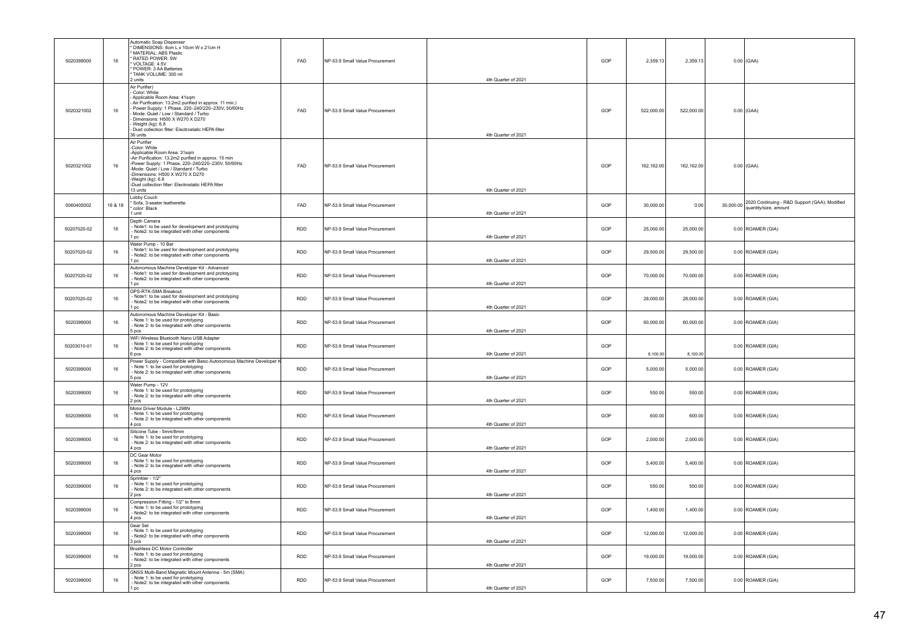| 5020399000  | 16      | Automatic Soap Dispenser<br>DIMENSIONS: 8cm L x 10cm W x 21cm H<br>MATERIAL: ABS Plastic<br><b>RATED POWER: 5W</b><br>VOLTAGE: 4 5V<br>POWER: 3 AA Batteries<br>TANK VOLUME: 300 ml<br>2 units                                                                                                                                                | FAD        | NP-53.9 Small Value Procurement | 4th Quarter of 2021 | GOP | 2,359.13   | 2,359.13   | $0.00$ (GAA)                                                                     |
|-------------|---------|-----------------------------------------------------------------------------------------------------------------------------------------------------------------------------------------------------------------------------------------------------------------------------------------------------------------------------------------------|------------|---------------------------------|---------------------|-----|------------|------------|----------------------------------------------------------------------------------|
| 5020321002  | 16      | Air Purifier)<br>Color: White<br>Applicable Room Area: 41sqm<br>Air Purification: 13.2m2 purified in approx. 11 min.)<br>Power Supply: 1 Phase, 220-240/220-230V, 50/60Hz<br>Mode: Quiet / Low / Standard / Turbo<br>Dimensions: H500 X W270 X D270<br>Weight (kg): 6.8<br>Dust collection filter: Electrostatic HEPA filter<br>36 units      | FAD        | NP-53.9 Small Value Procurement | 4th Quarter of 2021 | GOP | 522,000.00 | 522,000.00 | $0.00$ (GAA)                                                                     |
| 5020321002  | 16      | Air Purifier<br>-Color: White<br>-Applicable Room Area: 31sqm<br>-Air Purification: 13.2m2 purified in approx. 15 min<br>-Power Supply: 1 Phase, 220-240/220-230V, 50/60Hz<br>-Mode: Quiet / Low / Standard / Turbo<br>-Dimensions: H500 X W270 X D270<br>-Weight (kg): 6.8<br>-Dust collection filter: Electrostatic HEPA filter<br>13 units | FAD        | NP-53.9 Small Value Procurement | 4th Quarter of 2021 | GOP | 162,162.00 | 162,162.00 | $0.00$ (GAA)                                                                     |
| 5060405002  | 16 & 18 | Lobby Couch<br>Sofa, 3-seater leatherette<br>color: Black<br>1 unit                                                                                                                                                                                                                                                                           | FAD        | NP-53.9 Small Value Procurement | 4th Quarter of 2021 | GOP | 30,000.00  | 0.00       | 30,000.00 2020 Continuing - R&D Support (GAA); Modified<br>quantity/size, amount |
| 50207020-02 | 16      | Depth Camera<br>Note1: to be used for development and prototyping<br>- Note2: to be integrated with other components<br>1 pc                                                                                                                                                                                                                  | <b>RDD</b> | NP-53.9 Small Value Procurement | 4th Quarter of 2021 | GOP | 25,000.00  | 25,000.00  | $0.00$ ROAMER (GIA)                                                              |
| 50207020-02 | 16      | Water Pump - 10 Bar<br>Note1: to be used for development and prototyping<br>Note2: to be integrated with other components<br>1 pc                                                                                                                                                                                                             | RDD        | NP-53.9 Small Value Procurement | 4th Quarter of 2021 | GOP | 29,500.00  | 29,500.00  | 0.00 ROAMER (GIA)                                                                |
| 50207020-02 | 16      | Autonomous Machine Developer Kit - Advanced<br>Note1: to be used for development and prototyping<br>Note2: to be integrated with other components<br>l pc                                                                                                                                                                                     | <b>RDD</b> | NP-53.9 Small Value Procurement | 4th Quarter of 2021 | GOP | 70,000.00  | 70,000.00  | 0.00 ROAMER (GIA)                                                                |
| 50207020-02 | 16      | GPS-RTK-SMA Breakout<br>Note1: to be used for development and prototyping<br>Note2: to be integrated with other components<br>l pc                                                                                                                                                                                                            | <b>RDD</b> | NP-53.9 Small Value Procurement | 4th Quarter of 2021 | GOP | 28,000.00  | 28,000.00  | 0.00 ROAMER (GIA)                                                                |
| 5020399000  | 16      | Autonomous Machine Developer Kit - Basic<br>Note 1: to be used for prototyping<br>Note 2: to be integrated with other components<br>5 pcs                                                                                                                                                                                                     | <b>RDD</b> | NP-53.9 Small Value Procurement | 4th Quarter of 2021 | GOP | 60,000.00  | 60,000.00  | 0.00 ROAMER (GIA)                                                                |
| 50203010-01 | 16      | WiFi Wireless Bluetooth Nano USB Adapter<br>Note 1: to be used for prototyping<br>Note 2: to be integrated with other components<br>6 pcs                                                                                                                                                                                                     | <b>RDD</b> | NP-53.9 Small Value Procurement | 4th Quarter of 2021 | GOP | 8,100.00   | 8,100.00   | 0.00 ROAMER (GIA)                                                                |
| 5020399000  | 16      | Power Supply - Compatible with Basic Autonomous Machine Developer I<br>Note 1: to be used for prototyping<br>Note 2: to be integrated with other components<br>5 pcs                                                                                                                                                                          | <b>RDD</b> | NP-53.9 Small Value Procurement | 4th Quarter of 2021 | GOP | 5,000.00   | 5,000.00   | 0.00 ROAMER (GIA)                                                                |
| 5020399000  | 16      | Water Pump - 12V<br>- Note 1: to be used for prototyping<br>- Note 2: to be integrated with other components<br>2 pcs                                                                                                                                                                                                                         | <b>RDD</b> | NP-53.9 Small Value Procurement | 4th Quarter of 2021 | GOP | 550.00     | 550.00     | 0.00 ROAMER (GIA)                                                                |
| 5020399000  | 16      | Motor Driver Module - L298N<br>Note 1: to be used for prototyping<br>Note 2: to be integrated with other components<br>4 pcs                                                                                                                                                                                                                  | <b>RDD</b> | NP-53.9 Small Value Procurement | 4th Quarter of 2021 | GOP | 600.00     | 600.00     | 0.00 ROAMER (GIA)                                                                |
| 5020399000  | 16      | Silicone Tube - 5mm/8mm<br>Note 1: to be used for prototyping<br>Note 2: to be integrated with other components<br>4 pcs                                                                                                                                                                                                                      | <b>RDD</b> | NP-53.9 Small Value Procurement | 4th Quarter of 2021 | GOP | 2,000.00   | 2,000.00   | 0.00 ROAMER (GIA)                                                                |
| 5020399000  | 16      | DC Gear Motor<br>- Note 1: to be used for prototyping<br>- Note 2: to be integrated with other components<br>1 pcs                                                                                                                                                                                                                            | <b>RDD</b> | NP-53.9 Small Value Procurement | 4th Quarter of 2021 | GOP | 5,400.00   | 5,400.00   | 0.00 ROAMER (GIA)                                                                |
| 5020399000  | 16      | Sprinkler - 1/2"<br>Note 1: to be used for prototyping<br>Note 2: to be integrated with other components<br>2 pcs                                                                                                                                                                                                                             | <b>RDD</b> | NP-53.9 Small Value Procurement | 4th Quarter of 2021 | GOP | 550.00     | 550.00     | $0.00$ ROAMER (GIA)                                                              |
| 5020399000  | 16      | Compression Fitting - 1/2" to 8mm<br>Note 1: to be used for prototyping<br>Note2: to be integrated with other components<br>4 pcs                                                                                                                                                                                                             | <b>RDD</b> | NP-53.9 Small Value Procurement | 4th Quarter of 2021 | GOP | 1,400.00   | 1,400.00   | 0.00 ROAMER (GIA)                                                                |
| 5020399000  | 16      | Gear Set<br>Note 1: to be used for prototyping<br>Note2: to be integrated with other components<br>3 pcs                                                                                                                                                                                                                                      | <b>RDD</b> | NP-53.9 Small Value Procurement | 4th Quarter of 2021 | GOP | 12.000.00  | 12,000.00  | 0.00 ROAMER (GIA)                                                                |
| 5020399000  | 16      | Brushless DC Motor Controller<br>Note 1: to be used for prototyping<br>- Note2: to be integrated with other components<br>2 pcs                                                                                                                                                                                                               | RDD        | NP-53.9 Small Value Procurement | 4th Quarter of 2021 | GOP | 19,000.00  | 19,000.00  | 0.00 ROAMER (GIA)                                                                |
| 5020399000  | 16      | GNSS Multi-Band Magnetic Mount Antenna - 5m (SMA)<br>- Note 1: to be used for prototyping<br>- Note2: to be integrated with other components<br>1 pc                                                                                                                                                                                          | <b>RDD</b> | NP-53.9 Small Value Procurement | 4th Quarter of 2021 | GOP | 7,500.00   | 7,500.00   | 0.00 ROAMER (GIA)                                                                |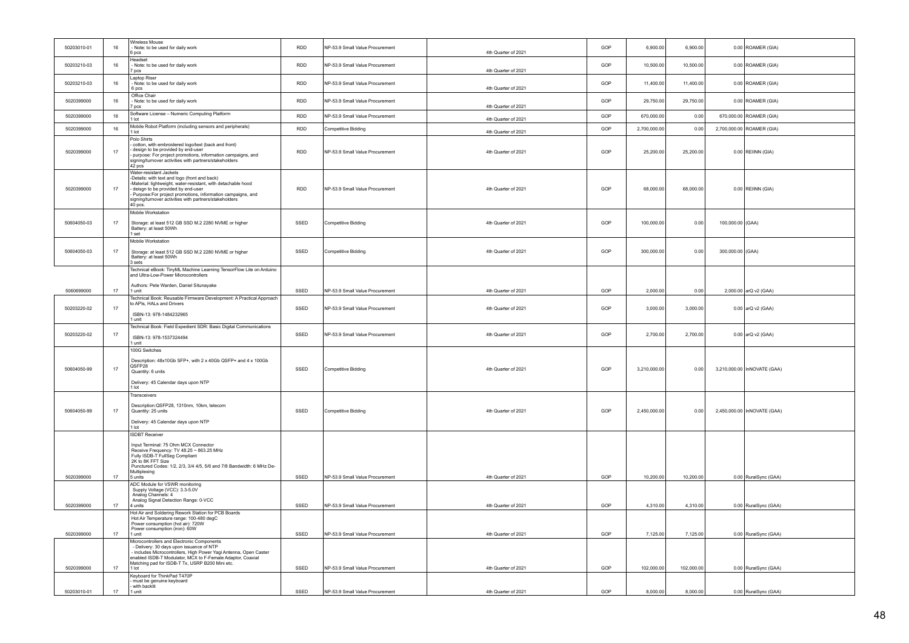| 50203010-01 | $16\,$ | Wireless Mouse<br>Note: to be used for daily work<br>6 pcs                                                                                                                                                                                                                                                        | RDD        | NP-53.9 Small Value Procurement | 4th Quarter of 2021 | GOP | 6,900.00     | 6,900.00   |                  | 0.00 ROAMER (GIA)           |
|-------------|--------|-------------------------------------------------------------------------------------------------------------------------------------------------------------------------------------------------------------------------------------------------------------------------------------------------------------------|------------|---------------------------------|---------------------|-----|--------------|------------|------------------|-----------------------------|
| 50203210-03 | 16     | Headset<br>Note: to be used for daily work<br>DCS                                                                                                                                                                                                                                                                 | <b>RDD</b> | NP-53.9 Small Value Procurement | 4th Quarter of 2021 | GOP | 10,500.00    | 10,500.00  |                  | 0.00 ROAMER (GIA)           |
| 50203210-03 | $16\,$ | aptop Riser<br>Note: to be used for daily work<br>6 pcs                                                                                                                                                                                                                                                           | RDD        | NP-53.9 Small Value Procurement | 4th Quarter of 2021 | GOP | 11,400.00    | 11,400.00  |                  | 0.00 ROAMER (GIA)           |
| 5020399000  | 16     | Office Chair<br>Note: to be used for daily work<br>DCS                                                                                                                                                                                                                                                            | RDD        | NP-53.9 Small Value Procurement | 4th Quarter of 2021 | GOP | 29,750.00    | 29,750.00  |                  | 0.00 ROAMER (GIA)           |
| 5020399000  | 16     | Software License - Numeric Computing Platform<br>1 lot                                                                                                                                                                                                                                                            | RDD        | NP-53.9 Small Value Procurement | 4th Quarter of 2021 | GOP | 670,000.00   | 0.00       |                  | 670,000.00 ROAMER (GIA)     |
| 5020399000  | 16     | Mobile Robot Platform (including sensors and peripherals)<br>1 lot                                                                                                                                                                                                                                                | <b>RDD</b> | Competitive Bidding             | 4th Quarter of 2021 | GOP | 2,700,000.00 | 0.00       |                  | 2,700,000.00 ROAMER (GIA)   |
|             |        | Polo Shirts                                                                                                                                                                                                                                                                                                       |            |                                 |                     |     |              |            |                  |                             |
| 5020399000  | 17     | cotton, with embroidered logo/text (back and front)<br>design to be provided by end-user<br>- purpose: For project promotions, information campaigns, and<br>signing/turnover activities with partners/stakeholders<br>42 pcs                                                                                     | RDD        | NP-53.9 Small Value Procurement | 4th Quarter of 2021 | GOP | 25,200.00    | 25,200.00  |                  | $0.00$ REIINN (GIA)         |
| 5020399000  | 17     | Water-resistant Jackets<br>-Details: with text and logo (front and back)<br>-Material: lightweight, water-resistant, with detachable hood<br>deisgn to be provided by end-user<br>Purpose:For project promotions, information campaigns, and<br>signing/turnover activities with partners/stakeholders<br>40 pcs. | <b>RDD</b> | NP-53.9 Small Value Procurement | 4th Quarter of 2021 | GOP | 68,000.00    | 68,000.00  |                  | $0.00$ REIINN (GIA)         |
| 50604050-03 | 17     | Mobile Workstation<br>Storage: at least 512 GB SSD M.2 2280 NVME or higher<br>Battery: at least 50Wh<br>set                                                                                                                                                                                                       | SSED       | Competitive Bidding             | 4th Quarter of 2021 | GOP | 100,000.00   | 0.00       | 100,000.00 (GAA) |                             |
| 50604050-03 | 17     | Mobile Workstation<br>Storage: at least 512 GB SSD M.2 2280 NVME or higher<br>Battery: at least 50Wh<br>3 sets                                                                                                                                                                                                    | SSED       | Competitive Bidding             | 4th Quarter of 2021 | GOP | 300,000.00   | 0.00       | 300,000.00 (GAA) |                             |
|             |        | Technical eBook: TinyML Machine Learning TensorFlow Lite on Arduino<br>and Ultra-Low-Power Microcontrollers                                                                                                                                                                                                       |            |                                 |                     |     |              |            |                  |                             |
| 5060699000  | 17     | Authors: Pete Warden, Daniel Situnayake<br>1 unit                                                                                                                                                                                                                                                                 | SSED       | NP-53.9 Small Value Procurement | 4th Quarter of 2021 | GOP | 2,000.00     | 0.00       |                  | 2,000.00 arQ v2 (GAA)       |
|             |        | Technical Book: Reusable Firmware Development: A Practical Approach<br>to APIs. HALs and Drivers                                                                                                                                                                                                                  |            |                                 |                     |     |              |            |                  |                             |
| 50203220-02 | 17     | ISBN-13: 978-1484232965<br>unit                                                                                                                                                                                                                                                                                   | SSED       | NP-53.9 Small Value Procurement | 4th Quarter of 2021 | GOP | 3,000.00     | 3,000.00   |                  | 0.00 arQ v2 (GAA)           |
| 50203220-02 | 17     | Technical Book: Field Expedient SDR: Basic Digital Communications<br>ISBN-13: 978-1537324494<br>1 unit                                                                                                                                                                                                            | SSED       | NP-53.9 Small Value Procurement | 4th Quarter of 2021 | GOP | 2,700.00     | 2,700.00   |                  | 0.00 arQ v2 (GAA)           |
| 50604050-99 | 17     | 100G Switches<br>Description: 48x10Gb SFP+, with 2 x 40Gb QSFP+ and 4 x 100Gb<br>QSFP28<br>Quantity: 6 units<br>Delivery: 45 Calendar days upon NTP<br>1 Int                                                                                                                                                      | SSED       | Competitive Bidding             | 4th Quarter of 2021 | GOP | 3,210,000.00 | 0.00       |                  | 3,210,000.00 InNOVATE (GAA) |
| 50604050-99 | 17     | Transceivers<br>Description:QSFP28, 1310nm, 10km, telecom<br>Quantity: 25 units<br>Delivery: 45 Calendar days upon NTP<br>1 lot                                                                                                                                                                                   | SSED       | Competitive Bidding             | 4th Quarter of 2021 | GOP | 2,450,000.00 | 0.00       |                  | 2,450,000.00 InNOVATE (GAA) |
| 5020399000  | 17     | <b>ISDBT Receiver</b><br>Input Terminal: 75 Ohm MCX Connector<br>Receive Frequency: TV 48.25 ~ 863.25 MHz<br>Fully ISDB-T FullSeg Compliant<br>2K to 8K FFT Size<br>Punctured Codes: 1/2, 2/3, 3/4 4/5, 5/6 and 7/8 Bandwidth: 6 MHz De-<br>Multiplexing<br>5 units                                               | SSED       | NP-53.9 Small Value Procurement | 4th Quarter of 2021 | GOP | 10,200.00    | 10,200.00  |                  | 0.00 RuralSync (GAA)        |
|             |        | ADC Module for VSWR monitoring<br>Supply Voltage (VCC): 3.3-5.0V                                                                                                                                                                                                                                                  |            |                                 |                     |     |              |            |                  |                             |
| 5020399000  | 17     | Analog Channels: 4<br>Analog Signal Detection Range: 0-VCC                                                                                                                                                                                                                                                        | SSED       | NP-53.9 Small Value Procurement | 4th Quarter of 2021 | GOP | 4,310.00     | 4,310.00   |                  |                             |
|             |        | 4 units<br>Hot Air and Soldering Rework Station for PCB Boards                                                                                                                                                                                                                                                    |            |                                 |                     |     |              |            |                  | 0.00 RuralSync (GAA)        |
|             |        | Hot Air Temperature range: 100-480 degC<br>Power consumption (hot air): 720W<br>Power consumption (iron): 60W                                                                                                                                                                                                     |            |                                 |                     |     |              |            |                  |                             |
| 5020399000  | 17     | 1 unit<br>Microcontrollers and Electronic Components                                                                                                                                                                                                                                                              | SSED       | NP-53.9 Small Value Procurement | 4th Quarter of 2021 | GOP | 7,125.00     | 7,125.00   |                  | 0.00 RuralSync (GAA)        |
|             |        | - Delivery: 30 days upon issuance of NTP<br>includes Microcontrollers, High Power Yagi Antenna, Open Caster<br>enabled ISDB-T Modulator, MCX to F-Female Adaptor, Coaxial<br>Matching pad for ISDB-T Tx, USRP B200 Mini etc.                                                                                      |            |                                 |                     |     |              |            |                  |                             |
| 5020399000  | 17     | $1$ lot                                                                                                                                                                                                                                                                                                           | SSED       | NP-53.9 Small Value Procurement | 4th Quarter of 2021 | GOP | 102,000.00   | 102,000.00 |                  | 0.00 RuralSync (GAA)        |
|             |        | Keyboard for ThinkPad T470P<br>must be genuine keyboard                                                                                                                                                                                                                                                           |            |                                 |                     |     |              |            |                  |                             |
| 50203010-01 | 17     | with backlit<br>1 unit                                                                                                                                                                                                                                                                                            | SSED       | NP-53.9 Small Value Procurement | 4th Quarter of 2021 | GOP | 8,000.00     | 8,000.00   |                  | 0.00 RuralSync (GAA)        |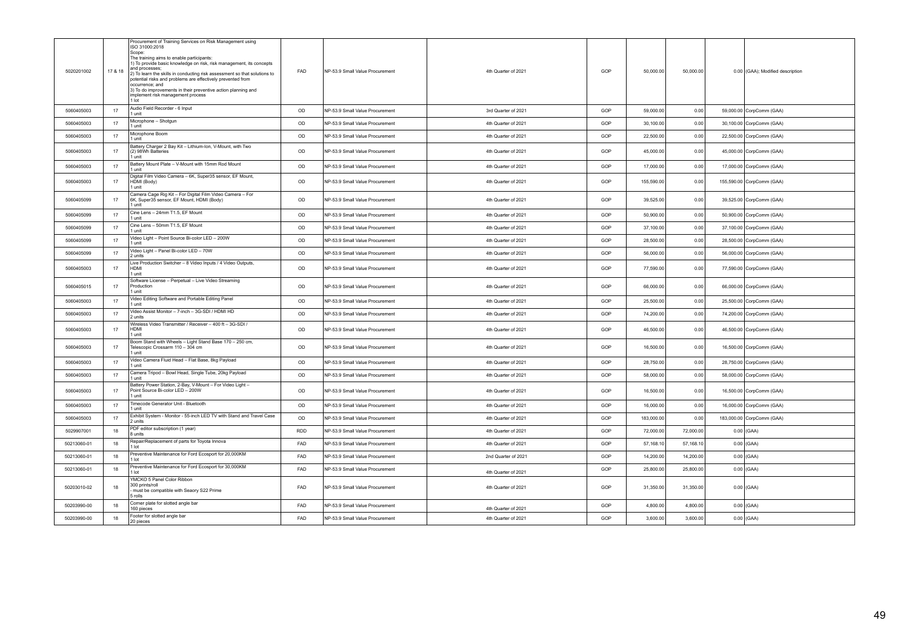| Audio Field Recorder - 6 Input<br>OD<br>5060405003<br>17<br>NP-53.9 Small Value Procurement<br>3rd Quarter of 2021<br>GOP<br>59,000.00<br>0.00<br>59,000.00 CorpComm (GAA)<br>1 unit<br>Microphone - Shotgun<br>5060405003<br>17<br>OD<br>NP-53.9 Small Value Procurement<br>4th Quarter of 2021<br>GOP<br>30,100.00<br>0.00<br>30,100.00 CorpComm (GAA)<br>1 unit<br>Microphone Boom<br>OD<br>17<br>4th Quarter of 2021<br>GOP<br>22,500.00<br>0.00<br>5060405003<br>NP-53.9 Small Value Procurement<br>22,500.00 CorpComm (GAA)<br>1 unit<br>Battery Charger 2 Bay Kit - Lithium-Ion, V-Mount, with Two<br>5060405003<br>17<br>OD<br>NP-53.9 Small Value Procurement<br>4th Quarter of 2021<br>GOP<br>45,000.00<br>0.00<br>45,000.00 CorpComm (GAA)<br>(2) 98Wh Batteries<br>1 unit<br>Battery Mount Plate - V-Mount with 15mm Rod Mount<br>17<br>OD<br>4th Quarter of 2021<br>GOP<br>0.00<br>17,000.00 CorpComm (GAA)<br>5060405003<br>NP-53.9 Small Value Procurement<br>17,000.00<br>1 unit<br>Digital Film Video Camera - 6K, Super35 sensor, EF Mount,<br>HDMI (Body)<br>OD<br>GOP<br>155,590.00<br>5060405003<br>17<br>NP-53.9 Small Value Procurement<br>4th Quarter of 2021<br>0.00<br>155,590.00 CorpComm (GAA)<br>1 unit<br>Camera Cage Rig Kit - For Digital Film Video Camera - For<br>6K, Super35 sensor, EF Mount, HDMI (Body)<br>OD<br>5060405099<br>NP-53.9 Small Value Procurement<br>4th Quarter of 2021<br>GOP<br>39,525.00<br>0.00<br>39,525.00 CorpComm (GAA)<br>17<br>1 unit<br>Cine Lens - 24mm T1.5, EF Mount<br>17<br>OD<br>5060405099<br>NP-53.9 Small Value Procurement<br>4th Quarter of 2021<br>GOP<br>50,900.00<br>0.00<br>50,900.00 CorpComm (GAA)<br>1 unit<br>Cine Lens - 50mm T1.5, EF Mount<br>OD<br>17<br>GOP<br>37,100.00<br>0.00<br>5060405099<br>NP-53.9 Small Value Procurement<br>4th Quarter of 2021<br>37,100.00 CorpComm (GAA)<br>1 unit<br>Video Light - Point Source Bi-color LED - 200W<br>17<br>OD<br>GOP<br>28,500.00<br>0.00<br>5060405099<br>NP-53.9 Small Value Procurement<br>4th Quarter of 2021<br>28,500.00 CorpComm (GAA)<br>1 unit<br>Video Light - Panel Bi-color LED - 70W<br>OD<br>GOP<br>0.00<br>5060405099<br>17<br>NP-53.9 Small Value Procurement<br>4th Quarter of 2021<br>56,000.00<br>56,000.00 CorpComm (GAA)<br>2 units<br>Live Production Switcher - 8 Video Inputs / 4 Video Outputs,<br>OD<br>17<br>Інрмі<br>GOP<br>77,590.00<br>0.00<br>5060405003<br>NP-53.9 Small Value Procurement<br>4th Quarter of 2021<br>77,590.00 CorpComm (GAA)<br>1 unit<br>Software License - Perpetual - Live Video Streaming<br>OD<br>GOP<br>66,000.00<br>5060405015<br>17<br>Production<br>NP-53.9 Small Value Procurement<br>4th Quarter of 2021<br>0.00<br>66,000.00 CorpComm (GAA)<br>1 unit<br>Video Editing Software and Portable Editing Panel<br>OD<br>GOP<br>0.00<br>5060405003<br>17<br>NP-53.9 Small Value Procurement<br>4th Quarter of 2021<br>25,500.00<br>25,500.00 CorpComm (GAA)<br>1 unit<br>Video Assist Monitor - 7-inch - 3G-SDI / HDMI HD<br>17<br>OD<br>GOP<br>0.00<br>NP-53.9 Small Value Procurement<br>74,200.00<br>74,200.00 CorpComm (GAA)<br>5060405003<br>4th Quarter of 2021<br>2 units<br>Wireless Video Transmitter / Receiver - 400 ft - 3G-SDI /<br>HDMI<br>5060405003<br>17<br>OD<br>NP-53.9 Small Value Procurement<br>4th Quarter of 2021<br>GOP<br>46,500.00<br>0.00<br>46,500.00 CorpComm (GAA)<br>1 unit<br>Boom Stand with Wheels - Light Stand Base 170 - 250 cm,<br>OD<br>GOP<br>5060405003<br>17<br>Telescopic Crossarm 110 - 304 cm<br>NP-53.9 Small Value Procurement<br>4th Quarter of 2021<br>16,500.00<br>0.00<br>16,500.00 CorpComm (GAA)<br>1 unit<br>Video Camera Fluid Head - Flat Base, 8kg Payload<br>5060405003<br>17<br>OD<br>NP-53.9 Small Value Procurement<br>4th Quarter of 2021<br>GOP<br>28,750.00<br>0.00<br>28,750.00 CorpComm (GAA)<br>1 unit<br>Camera Tripod - Bowl Head, Single Tube, 20kg Payload<br>OD<br>5060405003<br>17<br>NP-53.9 Small Value Procurement<br>4th Quarter of 2021<br>GOP<br>58,000.00<br>0.00<br>58,000.00 CorpComm (GAA)<br>1 unit<br>Battery Power Station, 2-Bay, V-Mount - For Video Light -<br>Point Source Bi-color LED - 200W<br>5060405003<br>OD<br>NP-53.9 Small Value Procurement<br>4th Quarter of 2021<br>GOP<br>16,500.00<br>0.00<br>16,500.00 CorpComm (GAA)<br>17<br>1 unit<br>Timecode Generator Unit - Bluetooth<br>OD<br>GOP<br>17<br>NP-53.9 Small Value Procurement<br>16,000.00<br>0.00<br>16,000.00 CorpComm (GAA)<br>5060405003<br>4th Quarter of 2021<br>1 unit<br>Exhibit System - Monitor - 55-inch LED TV with Stand and Travel Case<br>OD<br>0.00<br>5060405003<br>17<br>NP-53.9 Small Value Procurement<br>4th Quarter of 2021<br>GOP<br>183,000.00<br>183,000.00 CorpComm (GAA)<br>2 units<br>PDF editor subscription (1 year)<br>18<br><b>RDD</b><br>4th Quarter of 2021<br>GOP<br>72,000.00<br>5029907001<br>NP-53.9 Small Value Procurement<br>72,000.00<br>$0.00$ (GAA)<br>8 units<br>Repair/Replacement of parts for Toyota Innova<br>FAD<br>50213060-01<br>18<br>NP-53.9 Small Value Procurement<br>4th Quarter of 2021<br>GOP<br>57,168.10<br>57,168.10<br>$0.00$ (GAA)<br>1 lot<br>Preventive Maintenance for Ford Ecosport for 20,000KM<br><b>FAD</b><br>GOP<br>50213060-01<br>18<br>NP-53.9 Small Value Procurement<br>2nd Quarter of 2021<br>14,200.00<br>14,200.00<br>$0.00$ (GAA)<br>$1$ lot<br>Preventive Maintenance for Ford Ecosport for 30,000KM<br>50213060-01<br>FAD<br>GOP<br>25,800.00<br>$0.00$ (GAA)<br>18<br>NP-53.9 Small Value Procurement<br>25,800.00<br>4th Quarter of 2021<br>1 lot<br>YMCKO 5 Panel Color Ribbon<br>300 prints/roll<br>FAD<br>GOP<br>50203010-02<br>NP-53.9 Small Value Procurement<br>4th Quarter of 2021<br>31,350.00<br>31,350.00<br>18<br>$0.00$ (GAA)<br>must be compatible with Seaory S22 Prime<br>5 rolls<br>Corner plate for slotted angle bar<br>50203990-00<br><b>FAD</b><br>GOP<br>18<br>NP-53.9 Small Value Procurement<br>4,800.00<br>4,800.00<br>$0.00$ (GAA)<br>160 pieces<br>4th Quarter of 2021<br>Footer for slotted angle bar<br>50203990-00<br><b>FAD</b><br>NP-53.9 Small Value Procurement<br>GOP<br>3,600.00<br>$0.00$ (GAA)<br>18<br>4th Quarter of 2021<br>3,600.00<br>20 pieces | 5020201002 | 17 & 18 | Procurement of Training Services on Risk Management using<br>ISO 31000:2018<br>Scope:<br>The training aims to enable participants:<br>1) To provide basic knowledge on risk, risk management, its concepts<br>and processes:<br>2) To learn the skills in conducting risk assessment so that solutions to<br>potential risks and problems are effectively prevented from<br>occurrence; and<br>3) To do improvements in their preventive action planning and<br>implement risk management process<br>1 lot | FAD | NP-53.9 Small Value Procurement | 4th Quarter of 2021 | GOP | 50,000.00 | 50,000.00 | 0.00 (GAA); Modified description |
|----------------------------------------------------------------------------------------------------------------------------------------------------------------------------------------------------------------------------------------------------------------------------------------------------------------------------------------------------------------------------------------------------------------------------------------------------------------------------------------------------------------------------------------------------------------------------------------------------------------------------------------------------------------------------------------------------------------------------------------------------------------------------------------------------------------------------------------------------------------------------------------------------------------------------------------------------------------------------------------------------------------------------------------------------------------------------------------------------------------------------------------------------------------------------------------------------------------------------------------------------------------------------------------------------------------------------------------------------------------------------------------------------------------------------------------------------------------------------------------------------------------------------------------------------------------------------------------------------------------------------------------------------------------------------------------------------------------------------------------------------------------------------------------------------------------------------------------------------------------------------------------------------------------------------------------------------------------------------------------------------------------------------------------------------------------------------------------------------------------------------------------------------------------------------------------------------------------------------------------------------------------------------------------------------------------------------------------------------------------------------------------------------------------------------------------------------------------------------------------------------------------------------------------------------------------------------------------------------------------------------------------------------------------------------------------------------------------------------------------------------------------------------------------------------------------------------------------------------------------------------------------------------------------------------------------------------------------------------------------------------------------------------------------------------------------------------------------------------------------------------------------------------------------------------------------------------------------------------------------------------------------------------------------------------------------------------------------------------------------------------------------------------------------------------------------------------------------------------------------------------------------------------------------------------------------------------------------------------------------------------------------------------------------------------------------------------------------------------------------------------------------------------------------------------------------------------------------------------------------------------------------------------------------------------------------------------------------------------------------------------------------------------------------------------------------------------------------------------------------------------------------------------------------------------------------------------------------------------------------------------------------------------------------------------------------------------------------------------------------------------------------------------------------------------------------------------------------------------------------------------------------------------------------------------------------------------------------------------------------------------------------------------------------------------------------------------------------------------------------------------------------------------------------------------------------------------------------------------------------------------------------------------------------------------------------------------------------------------------------------------------------------------------------------------------------------------------------------------------------------------------------------------------------------------------------------------------------------------------------------------------------------------------------------------------------------------------------------------------------------------------------------------------------------------------------------------------------------------------------------------------------------------------------------------------------------------------------------------------------------------------------------------------------------------------------------------------------------------------------------------------------------------------------------------------------------------------------------------------------------------------------------------------------------------------------------------------------------------------------------------------------------------------------------------------------------------------------------------------------------------------------------------------------------------------------------------------------------------------------------|------------|---------|------------------------------------------------------------------------------------------------------------------------------------------------------------------------------------------------------------------------------------------------------------------------------------------------------------------------------------------------------------------------------------------------------------------------------------------------------------------------------------------------------------|-----|---------------------------------|---------------------|-----|-----------|-----------|----------------------------------|
|                                                                                                                                                                                                                                                                                                                                                                                                                                                                                                                                                                                                                                                                                                                                                                                                                                                                                                                                                                                                                                                                                                                                                                                                                                                                                                                                                                                                                                                                                                                                                                                                                                                                                                                                                                                                                                                                                                                                                                                                                                                                                                                                                                                                                                                                                                                                                                                                                                                                                                                                                                                                                                                                                                                                                                                                                                                                                                                                                                                                                                                                                                                                                                                                                                                                                                                                                                                                                                                                                                                                                                                                                                                                                                                                                                                                                                                                                                                                                                                                                                                                                                                                                                                                                                                                                                                                                                                                                                                                                                                                                                                                                                                                                                                                                                                                                                                                                                                                                                                                                                                                                                                                                                                                                                                                                                                                                                                                                                                                                                                                                                                                                                                                                                                                                                                                                                                                                                                                                                                                                                                                                                                                                                                                                                              |            |         |                                                                                                                                                                                                                                                                                                                                                                                                                                                                                                            |     |                                 |                     |     |           |           |                                  |
|                                                                                                                                                                                                                                                                                                                                                                                                                                                                                                                                                                                                                                                                                                                                                                                                                                                                                                                                                                                                                                                                                                                                                                                                                                                                                                                                                                                                                                                                                                                                                                                                                                                                                                                                                                                                                                                                                                                                                                                                                                                                                                                                                                                                                                                                                                                                                                                                                                                                                                                                                                                                                                                                                                                                                                                                                                                                                                                                                                                                                                                                                                                                                                                                                                                                                                                                                                                                                                                                                                                                                                                                                                                                                                                                                                                                                                                                                                                                                                                                                                                                                                                                                                                                                                                                                                                                                                                                                                                                                                                                                                                                                                                                                                                                                                                                                                                                                                                                                                                                                                                                                                                                                                                                                                                                                                                                                                                                                                                                                                                                                                                                                                                                                                                                                                                                                                                                                                                                                                                                                                                                                                                                                                                                                                              |            |         |                                                                                                                                                                                                                                                                                                                                                                                                                                                                                                            |     |                                 |                     |     |           |           |                                  |
|                                                                                                                                                                                                                                                                                                                                                                                                                                                                                                                                                                                                                                                                                                                                                                                                                                                                                                                                                                                                                                                                                                                                                                                                                                                                                                                                                                                                                                                                                                                                                                                                                                                                                                                                                                                                                                                                                                                                                                                                                                                                                                                                                                                                                                                                                                                                                                                                                                                                                                                                                                                                                                                                                                                                                                                                                                                                                                                                                                                                                                                                                                                                                                                                                                                                                                                                                                                                                                                                                                                                                                                                                                                                                                                                                                                                                                                                                                                                                                                                                                                                                                                                                                                                                                                                                                                                                                                                                                                                                                                                                                                                                                                                                                                                                                                                                                                                                                                                                                                                                                                                                                                                                                                                                                                                                                                                                                                                                                                                                                                                                                                                                                                                                                                                                                                                                                                                                                                                                                                                                                                                                                                                                                                                                                              |            |         |                                                                                                                                                                                                                                                                                                                                                                                                                                                                                                            |     |                                 |                     |     |           |           |                                  |
|                                                                                                                                                                                                                                                                                                                                                                                                                                                                                                                                                                                                                                                                                                                                                                                                                                                                                                                                                                                                                                                                                                                                                                                                                                                                                                                                                                                                                                                                                                                                                                                                                                                                                                                                                                                                                                                                                                                                                                                                                                                                                                                                                                                                                                                                                                                                                                                                                                                                                                                                                                                                                                                                                                                                                                                                                                                                                                                                                                                                                                                                                                                                                                                                                                                                                                                                                                                                                                                                                                                                                                                                                                                                                                                                                                                                                                                                                                                                                                                                                                                                                                                                                                                                                                                                                                                                                                                                                                                                                                                                                                                                                                                                                                                                                                                                                                                                                                                                                                                                                                                                                                                                                                                                                                                                                                                                                                                                                                                                                                                                                                                                                                                                                                                                                                                                                                                                                                                                                                                                                                                                                                                                                                                                                                              |            |         |                                                                                                                                                                                                                                                                                                                                                                                                                                                                                                            |     |                                 |                     |     |           |           |                                  |
|                                                                                                                                                                                                                                                                                                                                                                                                                                                                                                                                                                                                                                                                                                                                                                                                                                                                                                                                                                                                                                                                                                                                                                                                                                                                                                                                                                                                                                                                                                                                                                                                                                                                                                                                                                                                                                                                                                                                                                                                                                                                                                                                                                                                                                                                                                                                                                                                                                                                                                                                                                                                                                                                                                                                                                                                                                                                                                                                                                                                                                                                                                                                                                                                                                                                                                                                                                                                                                                                                                                                                                                                                                                                                                                                                                                                                                                                                                                                                                                                                                                                                                                                                                                                                                                                                                                                                                                                                                                                                                                                                                                                                                                                                                                                                                                                                                                                                                                                                                                                                                                                                                                                                                                                                                                                                                                                                                                                                                                                                                                                                                                                                                                                                                                                                                                                                                                                                                                                                                                                                                                                                                                                                                                                                                              |            |         |                                                                                                                                                                                                                                                                                                                                                                                                                                                                                                            |     |                                 |                     |     |           |           |                                  |
|                                                                                                                                                                                                                                                                                                                                                                                                                                                                                                                                                                                                                                                                                                                                                                                                                                                                                                                                                                                                                                                                                                                                                                                                                                                                                                                                                                                                                                                                                                                                                                                                                                                                                                                                                                                                                                                                                                                                                                                                                                                                                                                                                                                                                                                                                                                                                                                                                                                                                                                                                                                                                                                                                                                                                                                                                                                                                                                                                                                                                                                                                                                                                                                                                                                                                                                                                                                                                                                                                                                                                                                                                                                                                                                                                                                                                                                                                                                                                                                                                                                                                                                                                                                                                                                                                                                                                                                                                                                                                                                                                                                                                                                                                                                                                                                                                                                                                                                                                                                                                                                                                                                                                                                                                                                                                                                                                                                                                                                                                                                                                                                                                                                                                                                                                                                                                                                                                                                                                                                                                                                                                                                                                                                                                                              |            |         |                                                                                                                                                                                                                                                                                                                                                                                                                                                                                                            |     |                                 |                     |     |           |           |                                  |
|                                                                                                                                                                                                                                                                                                                                                                                                                                                                                                                                                                                                                                                                                                                                                                                                                                                                                                                                                                                                                                                                                                                                                                                                                                                                                                                                                                                                                                                                                                                                                                                                                                                                                                                                                                                                                                                                                                                                                                                                                                                                                                                                                                                                                                                                                                                                                                                                                                                                                                                                                                                                                                                                                                                                                                                                                                                                                                                                                                                                                                                                                                                                                                                                                                                                                                                                                                                                                                                                                                                                                                                                                                                                                                                                                                                                                                                                                                                                                                                                                                                                                                                                                                                                                                                                                                                                                                                                                                                                                                                                                                                                                                                                                                                                                                                                                                                                                                                                                                                                                                                                                                                                                                                                                                                                                                                                                                                                                                                                                                                                                                                                                                                                                                                                                                                                                                                                                                                                                                                                                                                                                                                                                                                                                                              |            |         |                                                                                                                                                                                                                                                                                                                                                                                                                                                                                                            |     |                                 |                     |     |           |           |                                  |
|                                                                                                                                                                                                                                                                                                                                                                                                                                                                                                                                                                                                                                                                                                                                                                                                                                                                                                                                                                                                                                                                                                                                                                                                                                                                                                                                                                                                                                                                                                                                                                                                                                                                                                                                                                                                                                                                                                                                                                                                                                                                                                                                                                                                                                                                                                                                                                                                                                                                                                                                                                                                                                                                                                                                                                                                                                                                                                                                                                                                                                                                                                                                                                                                                                                                                                                                                                                                                                                                                                                                                                                                                                                                                                                                                                                                                                                                                                                                                                                                                                                                                                                                                                                                                                                                                                                                                                                                                                                                                                                                                                                                                                                                                                                                                                                                                                                                                                                                                                                                                                                                                                                                                                                                                                                                                                                                                                                                                                                                                                                                                                                                                                                                                                                                                                                                                                                                                                                                                                                                                                                                                                                                                                                                                                              |            |         |                                                                                                                                                                                                                                                                                                                                                                                                                                                                                                            |     |                                 |                     |     |           |           |                                  |
|                                                                                                                                                                                                                                                                                                                                                                                                                                                                                                                                                                                                                                                                                                                                                                                                                                                                                                                                                                                                                                                                                                                                                                                                                                                                                                                                                                                                                                                                                                                                                                                                                                                                                                                                                                                                                                                                                                                                                                                                                                                                                                                                                                                                                                                                                                                                                                                                                                                                                                                                                                                                                                                                                                                                                                                                                                                                                                                                                                                                                                                                                                                                                                                                                                                                                                                                                                                                                                                                                                                                                                                                                                                                                                                                                                                                                                                                                                                                                                                                                                                                                                                                                                                                                                                                                                                                                                                                                                                                                                                                                                                                                                                                                                                                                                                                                                                                                                                                                                                                                                                                                                                                                                                                                                                                                                                                                                                                                                                                                                                                                                                                                                                                                                                                                                                                                                                                                                                                                                                                                                                                                                                                                                                                                                              |            |         |                                                                                                                                                                                                                                                                                                                                                                                                                                                                                                            |     |                                 |                     |     |           |           |                                  |
|                                                                                                                                                                                                                                                                                                                                                                                                                                                                                                                                                                                                                                                                                                                                                                                                                                                                                                                                                                                                                                                                                                                                                                                                                                                                                                                                                                                                                                                                                                                                                                                                                                                                                                                                                                                                                                                                                                                                                                                                                                                                                                                                                                                                                                                                                                                                                                                                                                                                                                                                                                                                                                                                                                                                                                                                                                                                                                                                                                                                                                                                                                                                                                                                                                                                                                                                                                                                                                                                                                                                                                                                                                                                                                                                                                                                                                                                                                                                                                                                                                                                                                                                                                                                                                                                                                                                                                                                                                                                                                                                                                                                                                                                                                                                                                                                                                                                                                                                                                                                                                                                                                                                                                                                                                                                                                                                                                                                                                                                                                                                                                                                                                                                                                                                                                                                                                                                                                                                                                                                                                                                                                                                                                                                                                              |            |         |                                                                                                                                                                                                                                                                                                                                                                                                                                                                                                            |     |                                 |                     |     |           |           |                                  |
|                                                                                                                                                                                                                                                                                                                                                                                                                                                                                                                                                                                                                                                                                                                                                                                                                                                                                                                                                                                                                                                                                                                                                                                                                                                                                                                                                                                                                                                                                                                                                                                                                                                                                                                                                                                                                                                                                                                                                                                                                                                                                                                                                                                                                                                                                                                                                                                                                                                                                                                                                                                                                                                                                                                                                                                                                                                                                                                                                                                                                                                                                                                                                                                                                                                                                                                                                                                                                                                                                                                                                                                                                                                                                                                                                                                                                                                                                                                                                                                                                                                                                                                                                                                                                                                                                                                                                                                                                                                                                                                                                                                                                                                                                                                                                                                                                                                                                                                                                                                                                                                                                                                                                                                                                                                                                                                                                                                                                                                                                                                                                                                                                                                                                                                                                                                                                                                                                                                                                                                                                                                                                                                                                                                                                                              |            |         |                                                                                                                                                                                                                                                                                                                                                                                                                                                                                                            |     |                                 |                     |     |           |           |                                  |
|                                                                                                                                                                                                                                                                                                                                                                                                                                                                                                                                                                                                                                                                                                                                                                                                                                                                                                                                                                                                                                                                                                                                                                                                                                                                                                                                                                                                                                                                                                                                                                                                                                                                                                                                                                                                                                                                                                                                                                                                                                                                                                                                                                                                                                                                                                                                                                                                                                                                                                                                                                                                                                                                                                                                                                                                                                                                                                                                                                                                                                                                                                                                                                                                                                                                                                                                                                                                                                                                                                                                                                                                                                                                                                                                                                                                                                                                                                                                                                                                                                                                                                                                                                                                                                                                                                                                                                                                                                                                                                                                                                                                                                                                                                                                                                                                                                                                                                                                                                                                                                                                                                                                                                                                                                                                                                                                                                                                                                                                                                                                                                                                                                                                                                                                                                                                                                                                                                                                                                                                                                                                                                                                                                                                                                              |            |         |                                                                                                                                                                                                                                                                                                                                                                                                                                                                                                            |     |                                 |                     |     |           |           |                                  |
|                                                                                                                                                                                                                                                                                                                                                                                                                                                                                                                                                                                                                                                                                                                                                                                                                                                                                                                                                                                                                                                                                                                                                                                                                                                                                                                                                                                                                                                                                                                                                                                                                                                                                                                                                                                                                                                                                                                                                                                                                                                                                                                                                                                                                                                                                                                                                                                                                                                                                                                                                                                                                                                                                                                                                                                                                                                                                                                                                                                                                                                                                                                                                                                                                                                                                                                                                                                                                                                                                                                                                                                                                                                                                                                                                                                                                                                                                                                                                                                                                                                                                                                                                                                                                                                                                                                                                                                                                                                                                                                                                                                                                                                                                                                                                                                                                                                                                                                                                                                                                                                                                                                                                                                                                                                                                                                                                                                                                                                                                                                                                                                                                                                                                                                                                                                                                                                                                                                                                                                                                                                                                                                                                                                                                                              |            |         |                                                                                                                                                                                                                                                                                                                                                                                                                                                                                                            |     |                                 |                     |     |           |           |                                  |
|                                                                                                                                                                                                                                                                                                                                                                                                                                                                                                                                                                                                                                                                                                                                                                                                                                                                                                                                                                                                                                                                                                                                                                                                                                                                                                                                                                                                                                                                                                                                                                                                                                                                                                                                                                                                                                                                                                                                                                                                                                                                                                                                                                                                                                                                                                                                                                                                                                                                                                                                                                                                                                                                                                                                                                                                                                                                                                                                                                                                                                                                                                                                                                                                                                                                                                                                                                                                                                                                                                                                                                                                                                                                                                                                                                                                                                                                                                                                                                                                                                                                                                                                                                                                                                                                                                                                                                                                                                                                                                                                                                                                                                                                                                                                                                                                                                                                                                                                                                                                                                                                                                                                                                                                                                                                                                                                                                                                                                                                                                                                                                                                                                                                                                                                                                                                                                                                                                                                                                                                                                                                                                                                                                                                                                              |            |         |                                                                                                                                                                                                                                                                                                                                                                                                                                                                                                            |     |                                 |                     |     |           |           |                                  |
|                                                                                                                                                                                                                                                                                                                                                                                                                                                                                                                                                                                                                                                                                                                                                                                                                                                                                                                                                                                                                                                                                                                                                                                                                                                                                                                                                                                                                                                                                                                                                                                                                                                                                                                                                                                                                                                                                                                                                                                                                                                                                                                                                                                                                                                                                                                                                                                                                                                                                                                                                                                                                                                                                                                                                                                                                                                                                                                                                                                                                                                                                                                                                                                                                                                                                                                                                                                                                                                                                                                                                                                                                                                                                                                                                                                                                                                                                                                                                                                                                                                                                                                                                                                                                                                                                                                                                                                                                                                                                                                                                                                                                                                                                                                                                                                                                                                                                                                                                                                                                                                                                                                                                                                                                                                                                                                                                                                                                                                                                                                                                                                                                                                                                                                                                                                                                                                                                                                                                                                                                                                                                                                                                                                                                                              |            |         |                                                                                                                                                                                                                                                                                                                                                                                                                                                                                                            |     |                                 |                     |     |           |           |                                  |
|                                                                                                                                                                                                                                                                                                                                                                                                                                                                                                                                                                                                                                                                                                                                                                                                                                                                                                                                                                                                                                                                                                                                                                                                                                                                                                                                                                                                                                                                                                                                                                                                                                                                                                                                                                                                                                                                                                                                                                                                                                                                                                                                                                                                                                                                                                                                                                                                                                                                                                                                                                                                                                                                                                                                                                                                                                                                                                                                                                                                                                                                                                                                                                                                                                                                                                                                                                                                                                                                                                                                                                                                                                                                                                                                                                                                                                                                                                                                                                                                                                                                                                                                                                                                                                                                                                                                                                                                                                                                                                                                                                                                                                                                                                                                                                                                                                                                                                                                                                                                                                                                                                                                                                                                                                                                                                                                                                                                                                                                                                                                                                                                                                                                                                                                                                                                                                                                                                                                                                                                                                                                                                                                                                                                                                              |            |         |                                                                                                                                                                                                                                                                                                                                                                                                                                                                                                            |     |                                 |                     |     |           |           |                                  |
|                                                                                                                                                                                                                                                                                                                                                                                                                                                                                                                                                                                                                                                                                                                                                                                                                                                                                                                                                                                                                                                                                                                                                                                                                                                                                                                                                                                                                                                                                                                                                                                                                                                                                                                                                                                                                                                                                                                                                                                                                                                                                                                                                                                                                                                                                                                                                                                                                                                                                                                                                                                                                                                                                                                                                                                                                                                                                                                                                                                                                                                                                                                                                                                                                                                                                                                                                                                                                                                                                                                                                                                                                                                                                                                                                                                                                                                                                                                                                                                                                                                                                                                                                                                                                                                                                                                                                                                                                                                                                                                                                                                                                                                                                                                                                                                                                                                                                                                                                                                                                                                                                                                                                                                                                                                                                                                                                                                                                                                                                                                                                                                                                                                                                                                                                                                                                                                                                                                                                                                                                                                                                                                                                                                                                                              |            |         |                                                                                                                                                                                                                                                                                                                                                                                                                                                                                                            |     |                                 |                     |     |           |           |                                  |
|                                                                                                                                                                                                                                                                                                                                                                                                                                                                                                                                                                                                                                                                                                                                                                                                                                                                                                                                                                                                                                                                                                                                                                                                                                                                                                                                                                                                                                                                                                                                                                                                                                                                                                                                                                                                                                                                                                                                                                                                                                                                                                                                                                                                                                                                                                                                                                                                                                                                                                                                                                                                                                                                                                                                                                                                                                                                                                                                                                                                                                                                                                                                                                                                                                                                                                                                                                                                                                                                                                                                                                                                                                                                                                                                                                                                                                                                                                                                                                                                                                                                                                                                                                                                                                                                                                                                                                                                                                                                                                                                                                                                                                                                                                                                                                                                                                                                                                                                                                                                                                                                                                                                                                                                                                                                                                                                                                                                                                                                                                                                                                                                                                                                                                                                                                                                                                                                                                                                                                                                                                                                                                                                                                                                                                              |            |         |                                                                                                                                                                                                                                                                                                                                                                                                                                                                                                            |     |                                 |                     |     |           |           |                                  |
|                                                                                                                                                                                                                                                                                                                                                                                                                                                                                                                                                                                                                                                                                                                                                                                                                                                                                                                                                                                                                                                                                                                                                                                                                                                                                                                                                                                                                                                                                                                                                                                                                                                                                                                                                                                                                                                                                                                                                                                                                                                                                                                                                                                                                                                                                                                                                                                                                                                                                                                                                                                                                                                                                                                                                                                                                                                                                                                                                                                                                                                                                                                                                                                                                                                                                                                                                                                                                                                                                                                                                                                                                                                                                                                                                                                                                                                                                                                                                                                                                                                                                                                                                                                                                                                                                                                                                                                                                                                                                                                                                                                                                                                                                                                                                                                                                                                                                                                                                                                                                                                                                                                                                                                                                                                                                                                                                                                                                                                                                                                                                                                                                                                                                                                                                                                                                                                                                                                                                                                                                                                                                                                                                                                                                                              |            |         |                                                                                                                                                                                                                                                                                                                                                                                                                                                                                                            |     |                                 |                     |     |           |           |                                  |
|                                                                                                                                                                                                                                                                                                                                                                                                                                                                                                                                                                                                                                                                                                                                                                                                                                                                                                                                                                                                                                                                                                                                                                                                                                                                                                                                                                                                                                                                                                                                                                                                                                                                                                                                                                                                                                                                                                                                                                                                                                                                                                                                                                                                                                                                                                                                                                                                                                                                                                                                                                                                                                                                                                                                                                                                                                                                                                                                                                                                                                                                                                                                                                                                                                                                                                                                                                                                                                                                                                                                                                                                                                                                                                                                                                                                                                                                                                                                                                                                                                                                                                                                                                                                                                                                                                                                                                                                                                                                                                                                                                                                                                                                                                                                                                                                                                                                                                                                                                                                                                                                                                                                                                                                                                                                                                                                                                                                                                                                                                                                                                                                                                                                                                                                                                                                                                                                                                                                                                                                                                                                                                                                                                                                                                              |            |         |                                                                                                                                                                                                                                                                                                                                                                                                                                                                                                            |     |                                 |                     |     |           |           |                                  |
|                                                                                                                                                                                                                                                                                                                                                                                                                                                                                                                                                                                                                                                                                                                                                                                                                                                                                                                                                                                                                                                                                                                                                                                                                                                                                                                                                                                                                                                                                                                                                                                                                                                                                                                                                                                                                                                                                                                                                                                                                                                                                                                                                                                                                                                                                                                                                                                                                                                                                                                                                                                                                                                                                                                                                                                                                                                                                                                                                                                                                                                                                                                                                                                                                                                                                                                                                                                                                                                                                                                                                                                                                                                                                                                                                                                                                                                                                                                                                                                                                                                                                                                                                                                                                                                                                                                                                                                                                                                                                                                                                                                                                                                                                                                                                                                                                                                                                                                                                                                                                                                                                                                                                                                                                                                                                                                                                                                                                                                                                                                                                                                                                                                                                                                                                                                                                                                                                                                                                                                                                                                                                                                                                                                                                                              |            |         |                                                                                                                                                                                                                                                                                                                                                                                                                                                                                                            |     |                                 |                     |     |           |           |                                  |
|                                                                                                                                                                                                                                                                                                                                                                                                                                                                                                                                                                                                                                                                                                                                                                                                                                                                                                                                                                                                                                                                                                                                                                                                                                                                                                                                                                                                                                                                                                                                                                                                                                                                                                                                                                                                                                                                                                                                                                                                                                                                                                                                                                                                                                                                                                                                                                                                                                                                                                                                                                                                                                                                                                                                                                                                                                                                                                                                                                                                                                                                                                                                                                                                                                                                                                                                                                                                                                                                                                                                                                                                                                                                                                                                                                                                                                                                                                                                                                                                                                                                                                                                                                                                                                                                                                                                                                                                                                                                                                                                                                                                                                                                                                                                                                                                                                                                                                                                                                                                                                                                                                                                                                                                                                                                                                                                                                                                                                                                                                                                                                                                                                                                                                                                                                                                                                                                                                                                                                                                                                                                                                                                                                                                                                              |            |         |                                                                                                                                                                                                                                                                                                                                                                                                                                                                                                            |     |                                 |                     |     |           |           |                                  |
|                                                                                                                                                                                                                                                                                                                                                                                                                                                                                                                                                                                                                                                                                                                                                                                                                                                                                                                                                                                                                                                                                                                                                                                                                                                                                                                                                                                                                                                                                                                                                                                                                                                                                                                                                                                                                                                                                                                                                                                                                                                                                                                                                                                                                                                                                                                                                                                                                                                                                                                                                                                                                                                                                                                                                                                                                                                                                                                                                                                                                                                                                                                                                                                                                                                                                                                                                                                                                                                                                                                                                                                                                                                                                                                                                                                                                                                                                                                                                                                                                                                                                                                                                                                                                                                                                                                                                                                                                                                                                                                                                                                                                                                                                                                                                                                                                                                                                                                                                                                                                                                                                                                                                                                                                                                                                                                                                                                                                                                                                                                                                                                                                                                                                                                                                                                                                                                                                                                                                                                                                                                                                                                                                                                                                                              |            |         |                                                                                                                                                                                                                                                                                                                                                                                                                                                                                                            |     |                                 |                     |     |           |           |                                  |
|                                                                                                                                                                                                                                                                                                                                                                                                                                                                                                                                                                                                                                                                                                                                                                                                                                                                                                                                                                                                                                                                                                                                                                                                                                                                                                                                                                                                                                                                                                                                                                                                                                                                                                                                                                                                                                                                                                                                                                                                                                                                                                                                                                                                                                                                                                                                                                                                                                                                                                                                                                                                                                                                                                                                                                                                                                                                                                                                                                                                                                                                                                                                                                                                                                                                                                                                                                                                                                                                                                                                                                                                                                                                                                                                                                                                                                                                                                                                                                                                                                                                                                                                                                                                                                                                                                                                                                                                                                                                                                                                                                                                                                                                                                                                                                                                                                                                                                                                                                                                                                                                                                                                                                                                                                                                                                                                                                                                                                                                                                                                                                                                                                                                                                                                                                                                                                                                                                                                                                                                                                                                                                                                                                                                                                              |            |         |                                                                                                                                                                                                                                                                                                                                                                                                                                                                                                            |     |                                 |                     |     |           |           |                                  |
|                                                                                                                                                                                                                                                                                                                                                                                                                                                                                                                                                                                                                                                                                                                                                                                                                                                                                                                                                                                                                                                                                                                                                                                                                                                                                                                                                                                                                                                                                                                                                                                                                                                                                                                                                                                                                                                                                                                                                                                                                                                                                                                                                                                                                                                                                                                                                                                                                                                                                                                                                                                                                                                                                                                                                                                                                                                                                                                                                                                                                                                                                                                                                                                                                                                                                                                                                                                                                                                                                                                                                                                                                                                                                                                                                                                                                                                                                                                                                                                                                                                                                                                                                                                                                                                                                                                                                                                                                                                                                                                                                                                                                                                                                                                                                                                                                                                                                                                                                                                                                                                                                                                                                                                                                                                                                                                                                                                                                                                                                                                                                                                                                                                                                                                                                                                                                                                                                                                                                                                                                                                                                                                                                                                                                                              |            |         |                                                                                                                                                                                                                                                                                                                                                                                                                                                                                                            |     |                                 |                     |     |           |           |                                  |
|                                                                                                                                                                                                                                                                                                                                                                                                                                                                                                                                                                                                                                                                                                                                                                                                                                                                                                                                                                                                                                                                                                                                                                                                                                                                                                                                                                                                                                                                                                                                                                                                                                                                                                                                                                                                                                                                                                                                                                                                                                                                                                                                                                                                                                                                                                                                                                                                                                                                                                                                                                                                                                                                                                                                                                                                                                                                                                                                                                                                                                                                                                                                                                                                                                                                                                                                                                                                                                                                                                                                                                                                                                                                                                                                                                                                                                                                                                                                                                                                                                                                                                                                                                                                                                                                                                                                                                                                                                                                                                                                                                                                                                                                                                                                                                                                                                                                                                                                                                                                                                                                                                                                                                                                                                                                                                                                                                                                                                                                                                                                                                                                                                                                                                                                                                                                                                                                                                                                                                                                                                                                                                                                                                                                                                              |            |         |                                                                                                                                                                                                                                                                                                                                                                                                                                                                                                            |     |                                 |                     |     |           |           |                                  |
|                                                                                                                                                                                                                                                                                                                                                                                                                                                                                                                                                                                                                                                                                                                                                                                                                                                                                                                                                                                                                                                                                                                                                                                                                                                                                                                                                                                                                                                                                                                                                                                                                                                                                                                                                                                                                                                                                                                                                                                                                                                                                                                                                                                                                                                                                                                                                                                                                                                                                                                                                                                                                                                                                                                                                                                                                                                                                                                                                                                                                                                                                                                                                                                                                                                                                                                                                                                                                                                                                                                                                                                                                                                                                                                                                                                                                                                                                                                                                                                                                                                                                                                                                                                                                                                                                                                                                                                                                                                                                                                                                                                                                                                                                                                                                                                                                                                                                                                                                                                                                                                                                                                                                                                                                                                                                                                                                                                                                                                                                                                                                                                                                                                                                                                                                                                                                                                                                                                                                                                                                                                                                                                                                                                                                                              |            |         |                                                                                                                                                                                                                                                                                                                                                                                                                                                                                                            |     |                                 |                     |     |           |           |                                  |
|                                                                                                                                                                                                                                                                                                                                                                                                                                                                                                                                                                                                                                                                                                                                                                                                                                                                                                                                                                                                                                                                                                                                                                                                                                                                                                                                                                                                                                                                                                                                                                                                                                                                                                                                                                                                                                                                                                                                                                                                                                                                                                                                                                                                                                                                                                                                                                                                                                                                                                                                                                                                                                                                                                                                                                                                                                                                                                                                                                                                                                                                                                                                                                                                                                                                                                                                                                                                                                                                                                                                                                                                                                                                                                                                                                                                                                                                                                                                                                                                                                                                                                                                                                                                                                                                                                                                                                                                                                                                                                                                                                                                                                                                                                                                                                                                                                                                                                                                                                                                                                                                                                                                                                                                                                                                                                                                                                                                                                                                                                                                                                                                                                                                                                                                                                                                                                                                                                                                                                                                                                                                                                                                                                                                                                              |            |         |                                                                                                                                                                                                                                                                                                                                                                                                                                                                                                            |     |                                 |                     |     |           |           |                                  |
|                                                                                                                                                                                                                                                                                                                                                                                                                                                                                                                                                                                                                                                                                                                                                                                                                                                                                                                                                                                                                                                                                                                                                                                                                                                                                                                                                                                                                                                                                                                                                                                                                                                                                                                                                                                                                                                                                                                                                                                                                                                                                                                                                                                                                                                                                                                                                                                                                                                                                                                                                                                                                                                                                                                                                                                                                                                                                                                                                                                                                                                                                                                                                                                                                                                                                                                                                                                                                                                                                                                                                                                                                                                                                                                                                                                                                                                                                                                                                                                                                                                                                                                                                                                                                                                                                                                                                                                                                                                                                                                                                                                                                                                                                                                                                                                                                                                                                                                                                                                                                                                                                                                                                                                                                                                                                                                                                                                                                                                                                                                                                                                                                                                                                                                                                                                                                                                                                                                                                                                                                                                                                                                                                                                                                                              |            |         |                                                                                                                                                                                                                                                                                                                                                                                                                                                                                                            |     |                                 |                     |     |           |           |                                  |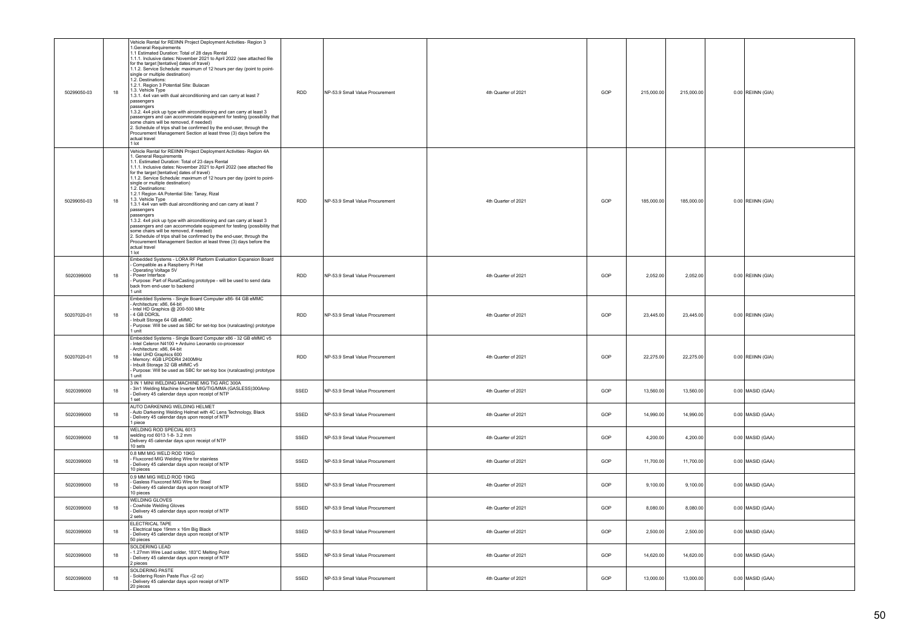| 50299050-03 | 18 | Vehicle Rental for REIINN Project Deployment Activities- Region 3<br>1. General Requirements<br>1.1 Estimated Duration: Total of 28 days Rental<br>1.1.1. Inclusive dates: November 2021 to April 2022 (see attached file<br>for the target [tentative] dates of travel)<br>1.1.2. Service Schedule: maximum of 12 hours per day (point to point-<br>single or multiple destination)<br>1.2. Destinations:<br>1.2.1. Region 3 Potential Site: Bulacan<br>1.3. Vehicle Type<br>1.3.1. 4x4 van with dual airconditioning and can carry at least 7<br>passengers<br>nassengers<br>1.3.2. 4x4 pick up type with airconditioning and can carry at least 3<br>passengers and can accommodate equipment for testing (possibility that<br>some chairs will be removed, if needed)<br>2. Schedule of trips shall be confirmed by the end-user, through the<br>Procurement Management Section at least three (3) days before the<br>actual travel<br>1 lot       | <b>RDD</b> | NP-53.9 Small Value Procurement | 4th Quarter of 2021 | GOP | 215,000.00 | 215,000.00 | $0.00$ REIINN (GIA) |
|-------------|----|--------------------------------------------------------------------------------------------------------------------------------------------------------------------------------------------------------------------------------------------------------------------------------------------------------------------------------------------------------------------------------------------------------------------------------------------------------------------------------------------------------------------------------------------------------------------------------------------------------------------------------------------------------------------------------------------------------------------------------------------------------------------------------------------------------------------------------------------------------------------------------------------------------------------------------------------------------|------------|---------------------------------|---------------------|-----|------------|------------|---------------------|
| 50299050-03 | 18 | Vehicle Rental for REIINN Project Deployment Activities- Region 4A<br>1. General Requirements<br>1.1. Estimated Duration: Total of 23 days Rental<br>1.1.1. Inclusive dates: November 2021 to April 2022 (see attached file<br>for the target [tentative] dates of travel)<br>1.1.2. Service Schedule: maximum of 12 hours per day (point to point-<br>single or multiple destination)<br>1.2. Destinations:<br>1.2.1 Region 4A Potential Site: Tanay, Rizal<br>1.3. Vehicle Type<br>1.3.1 4x4 van with dual airconditioning and can carry at least 7<br>passengers<br>passengers<br>1.3.2. 4x4 pick up type with airconditioning and can carry at least 3<br>passengers and can accommodate equipment for testing (possibility that<br>some chairs will be removed, if needed)<br>2. Schedule of trips shall be confirmed by the end-user, through the<br>Procurement Management Section at least three (3) days before the<br>actual travel<br>1 lot | <b>RDD</b> | NP-53.9 Small Value Procurement | 4th Quarter of 2021 | GOP | 185,000.00 | 185,000.00 | 0.00 REIINN (GIA)   |
| 5020399000  | 18 | Embedded Systems - LORA RF Platform Evaluation Expansion Board<br>Compatible as a Raspberry Pi Hat<br>Operating Voltage 5V<br>Power Interface<br>Purpose: Part of RuralCasting prototype - will be used to send data<br>back from end-user to backend<br>1 unit                                                                                                                                                                                                                                                                                                                                                                                                                                                                                                                                                                                                                                                                                        | <b>RDD</b> | NP-53.9 Small Value Procurement | 4th Quarter of 2021 | GOP | 2,052.00   | 2,052.00   | $0.00$ REIINN (GIA) |
| 50207020-01 | 18 | Embedded Systems - Single Board Computer x86- 64 GB eMMC<br>Architecture: x86, 64-bit<br>Intel HD Graphics @ 200-500 MHz<br>4 GB DDR3L<br>Inbuilt Storage 64 GB eMMC<br>Purpose: Will be used as SBC for set-top box (ruralcasting) prototype<br>unit                                                                                                                                                                                                                                                                                                                                                                                                                                                                                                                                                                                                                                                                                                  | <b>RDD</b> | NP-53.9 Small Value Procurement | 4th Quarter of 2021 | GOP | 23,445.00  | 23,445.00  | 0.00 REIINN (GIA)   |
| 50207020-01 | 18 | Embedded Systems - Single Board Computer x86 - 32 GB eMMC v5<br>Intel Celeron N4100 + Arduino Leonardo co-processor<br>Architecture: x86, 64-bit<br>Intel UHD Graphics 600<br>Memory: 4GB LPDDR4 2400MHz<br>Inbuilt Storage 32 GB eMMC v5<br>Purpose: Will be used as SBC for set-top box (ruralcasting) prototype<br>l unit                                                                                                                                                                                                                                                                                                                                                                                                                                                                                                                                                                                                                           | <b>RDD</b> | NP-53.9 Small Value Procurement | 4th Quarter of 2021 | GOP | 22,275.00  | 22,275.00  | 0.00 REIINN (GIA)   |
| 5020399000  | 18 | 3 IN 1 MINI WELDING MACHINE MIG TIG ARC 300A<br>- 3in1 Welding Machine Inverter MIG/TIG/MMA (GASLESS)300Amp<br>Delivery 45 calendar days upon receipt of NTP<br>1 set                                                                                                                                                                                                                                                                                                                                                                                                                                                                                                                                                                                                                                                                                                                                                                                  | SSED       | NP-53.9 Small Value Procurement | 4th Quarter of 2021 | GOP | 13,560.00  | 13,560.00  | 0.00 MASID (GAA)    |
| 5020399000  | 18 | AUTO DARKENING WELDING HELMET<br>Auto Darkening Welding Helmet with 4C Lens Technology, Black<br>Delivery 45 calendar days upon receipt of NTP<br>1 piece                                                                                                                                                                                                                                                                                                                                                                                                                                                                                                                                                                                                                                                                                                                                                                                              | SSED       | NP-53.9 Small Value Procurement | 4th Quarter of 2021 | GOP | 14,990.00  | 14,990.00  | 0.00 MASID (GAA)    |
| 5020399000  | 18 | WELDING ROD SPECIAL 6013<br>velding rod 6013 1-8-3.2 mm<br>Delivery 45 calendar days upon receipt of NTP<br>10 sets                                                                                                                                                                                                                                                                                                                                                                                                                                                                                                                                                                                                                                                                                                                                                                                                                                    | SSED       | NP-53.9 Small Value Procurement | 4th Quarter of 2021 | GOP | 4,200.00   | 4,200.00   | 0.00 MASID (GAA)    |
| 5020399000  | 18 | 0.8 MM MIG WELD ROD 10KG<br>Fluxcored MIG Welding Wire for stainless<br>Delivery 45 calendar days upon receipt of NTP<br>10 pieces                                                                                                                                                                                                                                                                                                                                                                                                                                                                                                                                                                                                                                                                                                                                                                                                                     | SSED       | NP-53.9 Small Value Procurement | 4th Quarter of 2021 | GOP | 11,700.00  | 11,700.00  | $0.00$ MASID (GAA)  |
| 5020399000  | 18 | 0.9 MM MIG WELD ROD 10KG<br>Gasless Fluxcored MIG Wire for Steel<br>Delivery 45 calendar days upon receipt of NTP<br>10 pieces                                                                                                                                                                                                                                                                                                                                                                                                                                                                                                                                                                                                                                                                                                                                                                                                                         | SSED       | NP-53.9 Small Value Procurement | 4th Quarter of 2021 | GOP | 9,100.00   | 9,100.00   | 0.00 MASID (GAA)    |
| 5020399000  | 18 | <b>WELDING GLOVES</b><br>Cowhide Welding Gloves<br>Delivery 45 calendar days upon receipt of NTP<br>2 sets                                                                                                                                                                                                                                                                                                                                                                                                                                                                                                                                                                                                                                                                                                                                                                                                                                             | SSED       | NP-53.9 Small Value Procurement | 4th Quarter of 2021 | GOP | 8,080.00   | 8,080.00   | 0.00 MASID (GAA)    |
| 5020399000  | 18 | ELECTRICAL TAPE<br>Electrical tape 19mm x 16m Big Black<br>Delivery 45 calendar days upon receipt of NTP<br>50 pieces                                                                                                                                                                                                                                                                                                                                                                                                                                                                                                                                                                                                                                                                                                                                                                                                                                  | SSED       | NP-53.9 Small Value Procurement | 4th Quarter of 2021 | GOP | 2,500.00   | 2,500.00   | $0.00$ MASID (GAA)  |
| 5020399000  | 18 | SOLDERING LEAD<br>1.27mm Wire Lead solder, 183°C Melting Point<br>Delivery 45 calendar days upon receipt of NTP<br>2 pieces                                                                                                                                                                                                                                                                                                                                                                                                                                                                                                                                                                                                                                                                                                                                                                                                                            | SSED       | NP-53.9 Small Value Procurement | 4th Quarter of 2021 | GOP | 14,620.00  | 14,620.00  | 0.00 MASID (GAA)    |
| 5020399000  | 18 | SOLDERING PASTE<br>Soldering Rosin Paste Flux -(2 oz)<br>Delivery 45 calendar days upon receipt of NTP<br>20 pieces                                                                                                                                                                                                                                                                                                                                                                                                                                                                                                                                                                                                                                                                                                                                                                                                                                    | SSED       | NP-53.9 Small Value Procurement | 4th Quarter of 2021 | GOP | 13,000.00  | 13,000.00  | 0.00 MASID (GAA)    |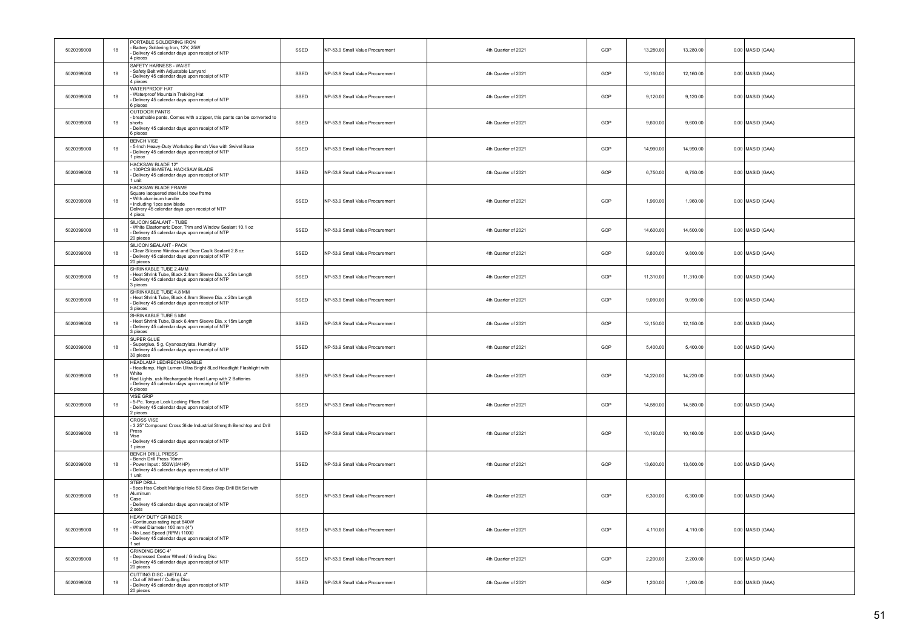| 5020399000 | 18 | PORTABLE SOLDERING IRON<br>Battery Soldering Iron, 12V, 25W<br>- Delivery 45 calendar days upon receipt of NTP<br>4 pieces                                                                                                    | SSED | NP-53.9 Small Value Procurement | 4th Quarter of 2021 | GOP | 13,280.00 | 13,280.00 | 0.00 MASID (GAA)   |
|------------|----|-------------------------------------------------------------------------------------------------------------------------------------------------------------------------------------------------------------------------------|------|---------------------------------|---------------------|-----|-----------|-----------|--------------------|
| 5020399000 | 18 | SAFETY HARNESS - WAIST<br>Safety Belt with Adjustable Lanyard<br>Delivery 45 calendar days upon receipt of NTP<br>4 pieces                                                                                                    | SSED | NP-53.9 Small Value Procurement | 4th Quarter of 2021 | GOP | 12,160.00 | 12,160.00 | $0.00$ MASID (GAA) |
| 5020399000 | 18 | WATERPROOF HAT<br>Waterproof Mountain Trekking Hat<br>- Delivery 45 calendar days upon receipt of NTP<br>6 pieces                                                                                                             | SSED | NP-53.9 Small Value Procurement | 4th Quarter of 2021 | GOP | 9,120.00  | 9,120.00  | 0.00 MASID (GAA)   |
| 5020399000 | 18 | <b>OUTDOOR PANTS</b><br>breathable pants. Comes with a zipper, this pants can be converted to<br>shorts<br>- Delivery 45 calendar days upon receipt of NTP<br>6 pieces                                                        | SSED | NP-53.9 Small Value Procurement | 4th Quarter of 2021 | GOP | 9,600.00  | 9,600.00  | $0.00$ MASID (GAA) |
| 5020399000 | 18 | <b>BENCH VISE</b><br>5-Inch Heavy-Duty Workshop Bench Vise with Swivel Base<br>- Delivery 45 calendar days upon receipt of NTP<br>1 niece                                                                                     | SSED | NP-53.9 Small Value Procurement | 4th Quarter of 2021 | GOP | 14,990.00 | 14,990.00 | $0.00$ MASID (GAA) |
| 5020399000 | 18 | <b>HACKSAW BLADE 12"</b><br>100PCS BI-METAL HACKSAW BLADE<br>Delivery 45 calendar days upon receipt of NTP<br>1 unit                                                                                                          | SSED | NP-53.9 Small Value Procurement | 4th Quarter of 2021 | GOP | 6,750.00  | 6,750.00  | 0.00 MASID (GAA)   |
| 5020399000 | 18 | HACKSAW BLADE FRAME<br>Square lacquered steel tube bow frame<br>· With aluminum handle<br>· Including 1pcs saw blade<br>Delivery 45 calendar days upon receipt of NTP<br>4 piecs                                              | SSED | NP-53.9 Small Value Procurement | 4th Quarter of 2021 | GOP | 1,960.00  | 1,960.00  | $0.00$ MASID (GAA) |
| 5020399000 | 18 | SILICON SEALANT - TUBE<br>White Elastomeric Door, Trim and Window Sealant 10.1 oz<br>- Delivery 45 calendar days upon receipt of NTP<br>20 pieces                                                                             | SSED | NP-53.9 Small Value Procurement | 4th Quarter of 2021 | GOP | 14,600.00 | 14,600.00 | $0.00$ MASID (GAA) |
| 5020399000 | 18 | SILICON SEALANT - PACK<br>Clear Silicone Window and Door Caulk Sealant 2.8 oz<br>- Delivery 45 calendar days upon receipt of NTP<br>20 pieces                                                                                 | SSED | NP-53.9 Small Value Procurement | 4th Quarter of 2021 | GOP | 9,800.00  | 9,800.00  | 0.00 MASID (GAA)   |
| 5020399000 | 18 | SHRINKABLE TUBE 2.4MM<br>Heat Shrink Tube, Black 2.4mm Sleeve Dia. x 25m Length<br>- Delivery 45 calendar days upon receipt of NTP<br>3 pieces                                                                                | SSED | NP-53.9 Small Value Procurement | 4th Quarter of 2021 | GOP | 11,310.00 | 11,310.00 | $0.00$ MASID (GAA) |
| 5020399000 | 18 | SHRINKABLE TUBE 4.8 MM<br>Heat Shrink Tube, Black 4.8mm Sleeve Dia. x 20m Length<br>Delivery 45 calendar days upon receipt of NTP<br>3 pieces                                                                                 | SSED | NP-53.9 Small Value Procurement | 4th Quarter of 2021 | GOP | 9,090.00  | 9,090.00  | $0.00$ MASID (GAA) |
| 5020399000 | 18 | SHRINKABLE TUBE 5 MM<br>Heat Shrink Tube, Black 6.4mm Sleeve Dia. x 15m Length<br>- Delivery 45 calendar days upon receipt of NTP<br>3 nieces                                                                                 | SSED | NP-53.9 Small Value Procurement | 4th Quarter of 2021 | GOP | 12,150.00 | 12,150.00 | $0.00$ MASID (GAA) |
| 5020399000 | 18 | SUPER GLUE<br>Superglue, 5 g, Cyanoacrylate, Humidity<br>Delivery 45 calendar days upon receipt of NTP<br>30 pieces                                                                                                           | SSED | NP-53.9 Small Value Procurement | 4th Quarter of 2021 | GOP | 5.400.00  | 5,400.00  | $0.00$ MASID (GAA) |
| 5020399000 | 18 | HEADLAMP LED/RECHARGABLE<br>Headlamp, High Lumen Ultra Bright 8Led Headlight Flashlight with<br>White<br>Red Lights, usb Rechargeable Head Lamp with 2 Batteries<br>Delivery 45 calendar days upon receipt of NTP<br>6 pieces | SSED | NP-53.9 Small Value Procurement | 4th Quarter of 2021 | GOP | 14,220.00 | 14,220.00 | $0.00$ MASID (GAA) |
| 5020399000 | 18 | <b>VISE GRIP</b><br>5-Pc. Torque Lock Locking Pliers Set<br>Delivery 45 calendar days upon receipt of NTP<br>2 pieces                                                                                                         | SSED | NP-53.9 Small Value Procurement | 4th Quarter of 2021 | GOP | 14.580.00 | 14.580.00 | $0.00$ MASID (GAA) |
| 5020399000 | 18 | <b>CROSS VISE</b><br>3.25" Compound Cross Slide Industrial Strength Benchtop and Drill<br>Press<br>Api<br>- Delivery 45 calendar days upon receipt of NTP<br>1 piece                                                          | SSED | NP-53.9 Small Value Procurement | 4th Quarter of 2021 | GOP | 10,160.00 | 10,160.00 | $0.00$ MASID (GAA) |
| 5020399000 | 18 | <b>BENCH DRILL PRESS</b><br>Bench Drill Press 16mm<br>Power Input: 550W(3/4HP)<br>Delivery 45 calendar days upon receipt of NTP<br>1 unit                                                                                     | SSED | NP-53.9 Small Value Procurement | 4th Quarter of 2021 | GOP | 13,600.00 | 13,600.00 | $0.00$ MASID (GAA) |
| 5020399000 | 18 | STEP DRILL<br>5pcs Hss Cobalt Multiple Hole 50 Sizes Step Drill Bit Set with<br>Aluminum<br>Case<br>- Delivery 45 calendar days upon receipt of NTP<br>2 sets                                                                 | SSED | NP-53.9 Small Value Procurement | 4th Quarter of 2021 | GOP | 6,300.00  | 6,300.00  | $0.00$ MASID (GAA) |
| 5020399000 | 18 | HEAVY DUTY GRINDER<br>Continuous rating input 840W<br>Wheel Diameter 100 mm (4")<br>No Load Speed (RPM) 11000<br>- Delivery 45 calendar days upon receipt of NTP<br>1 set                                                     | SSED | NP-53.9 Small Value Procurement | 4th Quarter of 2021 | GOP | 4,110.00  | 4,110.00  | $0.00$ MASID (GAA) |
| 5020399000 | 18 | <b>GRINDING DISC 4"</b><br>Depressed Center Wheel / Grinding Disc<br>Delivery 45 calendar days upon receipt of NTP<br>20 pieces                                                                                               | SSED | NP-53.9 Small Value Procurement | 4th Quarter of 2021 | GOP | 2,200.00  | 2,200.00  | $0.00$ MASID (GAA) |
| 5020399000 | 18 | CUTTING DISC - METAL 4"<br>Cut off Wheel / Cutting Disc<br>Delivery 45 calendar days upon receipt of NTP<br>20 pieces                                                                                                         | SSED | NP-53.9 Small Value Procurement | 4th Quarter of 2021 | GOP | 1,200.00  | 1,200.00  | 0.00 MASID (GAA)   |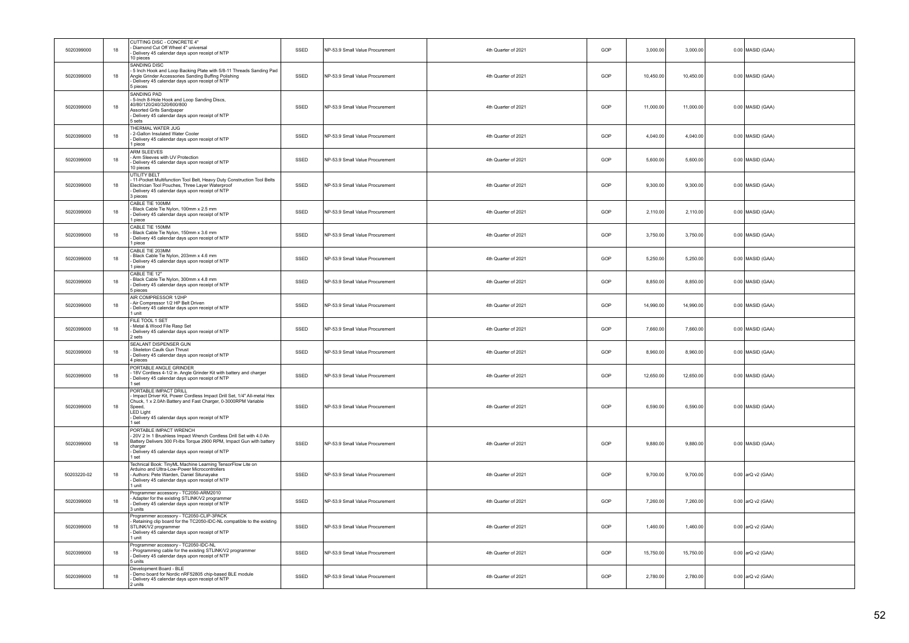| 5020399000  | 18     | CUTTING DISC - CONCRETE 4"<br>Diamond Cut Off Wheel 4" universal<br>Delivery 45 calendar days upon receipt of NTP<br>10 pieces                                                                                                                           | SSED | NP-53.9 Small Value Procurement | 4th Quarter of 2021 | GOP | 3,000.00  | 3,000.00  | $0.00$ MASID (GAA)  |
|-------------|--------|----------------------------------------------------------------------------------------------------------------------------------------------------------------------------------------------------------------------------------------------------------|------|---------------------------------|---------------------|-----|-----------|-----------|---------------------|
| 5020399000  | 18     | SANDING DISC<br>5 Inch Hook and Loop Backing Plate with 5/8-11 Threads Sanding Pad<br>Angle Grinder Accessories Sanding Buffing Polishing<br>Delivery 45 calendar days upon receipt of NTP<br>5 pieces                                                   | SSED | NP-53.9 Small Value Procurement | 4th Quarter of 2021 | GOP | 10,450.00 | 10,450.00 | 0.00 MASID (GAA)    |
| 5020399000  | 18     | SANDING PAD<br>5-Inch 8-Hole Hook and Loop Sanding Discs,<br>40/80/120/240/320/600/800<br>Assorted Grits Sandpaper<br>Delivery 45 calendar days upon receipt of NTP<br>5 sets                                                                            | SSED | NP-53.9 Small Value Procurement | 4th Quarter of 2021 | GOP | 11,000.00 | 11,000.00 | 0.00 MASID (GAA)    |
| 5020399000  | 18     | THERMAL WATER JUG<br>2-Gallon Insulated Water Cooler<br>Delivery 45 calendar days upon receipt of NTP<br>1 piece                                                                                                                                         | SSED | NP-53.9 Small Value Procurement | 4th Quarter of 2021 | GOP | 4,040.00  | 4,040.00  | 0.00 MASID (GAA)    |
| 5020399000  | 18     | <b>ARM SLEEVES</b><br>Arm Sleeves with UV Protection<br>Delivery 45 calendar days upon receipt of NTP<br>10 pieces                                                                                                                                       | SSED | NP-53.9 Small Value Procurement | 4th Quarter of 2021 | GOP | 5,600.00  | 5,600.00  | 0.00 MASID (GAA)    |
| 5020399000  | 18     | <b>UTILITY BELT</b><br>11-Pocket Multifunction Tool Belt, Heavy Duty Construction Tool Belts<br>Electrician Tool Pouches, Three Layer Waterproof<br>Delivery 45 calendar days upon receipt of NTP<br>3 pieces                                            | SSED | NP-53.9 Small Value Procurement | 4th Quarter of 2021 | GOP | 9,300.00  | 9,300.00  | $0.00$ MASID (GAA)  |
| 5020399000  | 18     | CABLE TIE 100MM<br>Black Cable Tie Nylon, 100mm x 2.5 mm<br>Delivery 45 calendar days upon receipt of NTP<br>1 piece                                                                                                                                     | SSED | NP-53.9 Small Value Procurement | 4th Quarter of 2021 | GOP | 2,110.00  | 2,110.00  | 0.00 MASID (GAA)    |
| 5020399000  | 18     | CABLE TIE 150MM<br>Black Cable Tie Nylon, 150mm x 3.6 mm<br>- Delivery 45 calendar days upon receipt of NTP<br>1 piece                                                                                                                                   | SSED | NP-53.9 Small Value Procurement | 4th Quarter of 2021 | GOP | 3,750.00  | 3,750.00  | 0.00 MASID (GAA)    |
| 5020399000  | 18     | CABLE TIE 203MM<br>Black Cable Tie Nylon, 203mm x 4.6 mm<br>Delivery 45 calendar days upon receipt of NTP<br>1 piece                                                                                                                                     | SSED | NP-53.9 Small Value Procurement | 4th Quarter of 2021 | GOP | 5,250.00  | 5,250.00  | 0.00 MASID (GAA)    |
| 5020399000  | 18     | CABLE TIE 12"<br>Black Cable Tie Nylon, 300mm x 4.8 mm<br>Delivery 45 calendar days upon receipt of NTP<br>5 pieces                                                                                                                                      | SSED | NP-53.9 Small Value Procurement | 4th Quarter of 2021 | GOP | 8,850.00  | 8,850.00  | 0.00 MASID (GAA)    |
| 5020399000  | 18     | AIR COMPRESSOR 1/2HP<br>- Air Compressor 1/2 HP Belt Driven<br>- Delivery 45 calendar days upon receipt of NTP<br>1 unit                                                                                                                                 | SSED | NP-53.9 Small Value Procurement | 4th Quarter of 2021 | GOP | 14,990.00 | 14,990.00 | 0.00 MASID (GAA)    |
| 5020399000  | 18     | FILE TOOL 1 SET<br>Metal & Wood File Rasp Set<br>Delivery 45 calendar days upon receipt of NTP<br>2 sets                                                                                                                                                 | SSED | NP-53.9 Small Value Procurement | 4th Quarter of 2021 | GOP | 7.660.00  | 7.660.00  | 0.00 MASID (GAA)    |
| 5020399000  | 18     | SEALANT DISPENSER GUN<br>Skeleton Caulk Gun Thrust<br>Delivery 45 calendar days upon receipt of NTP<br>pieces                                                                                                                                            | SSED | NP-53.9 Small Value Procurement | 4th Quarter of 2021 | GOP | 8,960.00  | 8,960.00  | $0.00$ MASID (GAA)  |
| 5020399000  | 18     | PORTABLE ANGLE GRINDER<br>18V Cordless 4-1/2 in. Angle Grinder Kit with battery and charger<br>Delivery 45 calendar days upon receipt of NTP<br>1 set                                                                                                    | SSED | NP-53.9 Small Value Procurement | 4th Quarter of 2021 | GOP | 12,650.00 | 12,650.00 | $0.00$ MASID (GAA)  |
| 5020399000  | $18\,$ | PORTABLE IMPACT DRILL<br>Impact Driver Kit, Power Cordless Impact Drill Set, 1/4" All-metal Hex<br>Chuck, 1 x 2.0Ah Battery and Fast Charger, 0-3000RPM Variable<br>Speed,<br><b>LED Light</b><br>Delivery 45 calendar days upon receipt of NTP<br>1 set | SSED | NP-53.9 Small Value Procurement | 4th Quarter of 2021 | GOP | 6,590.00  | 6,590.00  | 0.00 MASID (GAA)    |
| 5020399000  | 18     | PORTABLE IMPACT WRENCH<br>20V 2 In 1 Brushless Impact Wrench Cordless Drill Set with 4.0 Ah<br>Battery Delivers 300 Ft-Ibs Torque 2900 RPM, Impact Gun with battery<br>charger<br>Delivery 45 calendar days upon receipt of NTP<br>1 set                 | SSED | NP-53.9 Small Value Procurement | 4th Quarter of 2021 | GOP | 9,880.00  | 9,880.00  | 0.00 MASID (GAA)    |
| 50203220-02 | 18     | Technical Book: TinyML Machine Learning TensorFlow Lite on<br>Arduino and Ultra-Low-Power Microcontrollers<br>Authors: Pete Warden, Daniel Situnayake<br>Delivery 45 calendar days upon receipt of NTP<br>I unit                                         | SSED | NP-53.9 Small Value Procurement | 4th Quarter of 2021 | GOP | 9,700.00  | 9,700.00  | 0.00 arQ v2 (GAA)   |
| 5020399000  | 18     | Programmer accessory - TC2050-ARM2010<br>Adapter for the existing STLINK/V2 programmer<br>Delivery 45 calendar days upon receipt of NTP<br>3 units                                                                                                       | SSED | NP-53.9 Small Value Procurement | 4th Quarter of 2021 | GOP | 7,260.00  | 7,260.00  | $0.00$ arQ v2 (GAA) |
| 5020399000  | 18     | Programmer accessory - TC2050-CLIP-3PACK<br>Retaining clip board for the TC2050-IDC-NL compatible to the existing<br>STLINK/V2 programmer<br>Delivery 45 calendar days upon receipt of NTP<br>1 unit                                                     | SSED | NP-53.9 Small Value Procurement | 4th Quarter of 2021 | GOP | 1,460.00  | 1,460.00  | 0.00 arQ v2 (GAA)   |
| 5020399000  | 18     | Programmer accessory - TC2050-IDC-NL<br>Programming cable for the existing STLINK/V2 programmer<br>Delivery 45 calendar days upon receipt of NTP<br>5 units                                                                                              | SSED | NP-53.9 Small Value Procurement | 4th Quarter of 2021 | GOP | 15,750.00 | 15,750.00 | 0.00 arQ v2 (GAA)   |
| 5020399000  | 18     | Development Board - BLE<br>Demo board for Nordic nRF52805 chip-based BLE module<br>Delivery 45 calendar days upon receipt of NTP<br>2 units                                                                                                              | SSED | NP-53.9 Small Value Procurement | 4th Quarter of 2021 | GOP | 2,780.00  | 2,780.00  | 0.00 arQ v2 (GAA)   |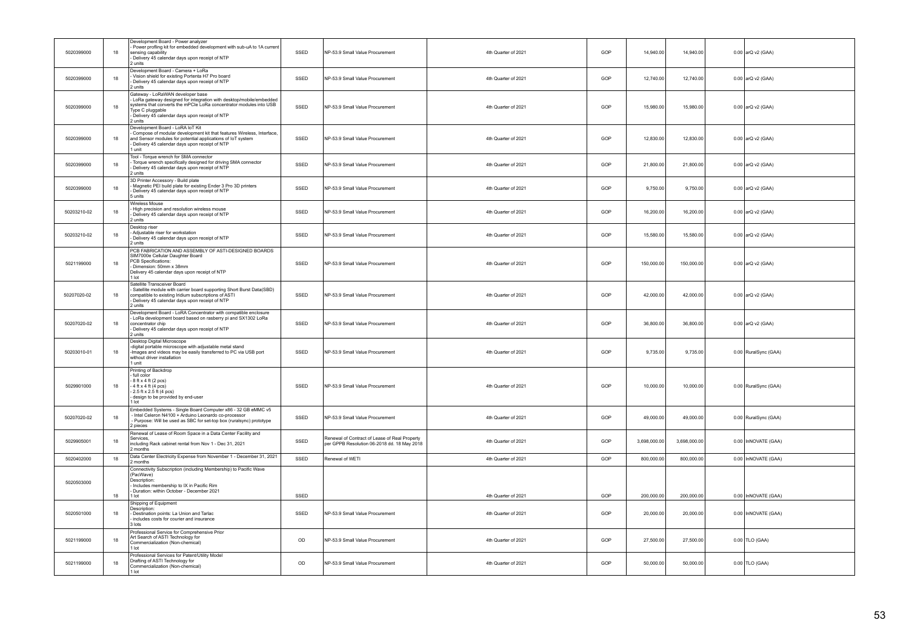| 5020399000  | 18     | Development Board - Power analyzer<br>Power profling kit for embedded development with sub-uA to 1A current<br>sensing capability<br>Delivery 45 calendar days upon receipt of NTP<br>2 units                                                                | SSED | NP-53.9 Small Value Procurement                                                              | 4th Quarter of 2021 | GOP | 14,940.00    | 14,940.00    | 0.00 arQ v2 (GAA)    |
|-------------|--------|--------------------------------------------------------------------------------------------------------------------------------------------------------------------------------------------------------------------------------------------------------------|------|----------------------------------------------------------------------------------------------|---------------------|-----|--------------|--------------|----------------------|
| 5020399000  | 18     | Development Board - Camera + LoRa<br>Vision shield for existing Portenta H7 Pro board<br>Delivery 45 calendar days upon receipt of NTP<br>2 units                                                                                                            | SSED | NP-53.9 Small Value Procurement                                                              | 4th Quarter of 2021 | GOP | 12.740.00    | 12,740.00    | 0.00 arQ v2 (GAA)    |
| 5020399000  | 18     | Gateway - LoRaWAN developer base<br>LoRa gateway designed for integration with desktop/mobile/embedded<br>systems that converts the mPCle LoRa concentrator modules into USB<br>Type C pluggable<br>Delivery 45 calendar days upon receipt of NTP<br>2 units | SSED | NP-53.9 Small Value Procurement                                                              | 4th Quarter of 2021 | GOP | 15,980.00    | 15,980.00    | $0.00$ arQ v2 (GAA)  |
| 5020399000  | 18     | Development Board - LoRA IoT Kit<br>Compose of modular development kit that features Wireless, Interface,<br>and Sensor modules for potential applications of IoT system<br>Delivery 45 calendar days upon receipt of NTP<br>1 unit                          | SSED | NP-53.9 Small Value Procurement                                                              | 4th Quarter of 2021 | GOP | 12,830.00    | 12,830.00    | 0.00 arQ v2 (GAA)    |
| 5020399000  | 18     | Tool - Torque wrench for SMA connector<br>Torque wrench specifically designed for driving SMA connector<br>Delivery 45 calendar days upon receipt of NTP<br>2 units                                                                                          | SSED | NP-53.9 Small Value Procurement                                                              | 4th Quarter of 2021 | GOP | 21,800.00    | 21,800.00    | 0.00 arQ v2 (GAA)    |
| 5020399000  | 18     | 3D Printer Accessory - Build plate<br>Magnetic PEI build plate for existing Ender 3 Pro 3D printers<br>Delivery 45 calendar days upon receipt of NTP<br>5 units                                                                                              | SSED | NP-53.9 Small Value Procurement                                                              | 4th Quarter of 2021 | GOP | 9,750.00     | 9,750.00     | 0.00 arQ v2 (GAA)    |
| 50203210-02 | 18     | Wireless Mouse<br>High precision and resolution wireless mouse<br>Delivery 45 calendar days upon receipt of NTP<br>2 units                                                                                                                                   | SSED | NP-53.9 Small Value Procurement                                                              | 4th Quarter of 2021 | GOP | 16,200.00    | 16,200.00    | 0.00 arQ v2 (GAA)    |
| 50203210-02 | 18     | Desktop riser<br>Adjustable riser for workstation<br>Delivery 45 calendar days upon receipt of NTP<br>2 units                                                                                                                                                | SSED | NP-53.9 Small Value Procurement                                                              | 4th Quarter of 2021 | GOP | 15,580.00    | 15,580.00    | 0.00 arQ v2 (GAA)    |
| 5021199000  | 18     | PCB FABRICATION AND ASSEMBLY OF ASTI-DESIGNED BOARDS<br>SIM7000e Cellular Daughter Board<br>PCB Specifications:<br>Dimension: 50mm x 38mm<br>Delivery 45 calendar days upon receipt of NTP<br>1 lot                                                          | SSED | NP-53.9 Small Value Procurement                                                              | 4th Quarter of 2021 | GOP | 150,000.00   | 150,000.00   | $0.00$ arQ v2 (GAA)  |
| 50207020-02 | 18     | Satellite Transceiver Board<br>Satellite module with carrier board supporting Short Burst Data(SBD)<br>compatible to existing Iridium subscriptions of ASTI<br>Delivery 45 calendar days upon receipt of NTP<br>2 units                                      | SSED | NP-53.9 Small Value Procurement                                                              | 4th Quarter of 2021 | GOP | 42,000.00    | 42,000.00    | 0.00 arQ v2 (GAA)    |
| 50207020-02 | 18     | Development Board - LoRA Concentrator with compatible enclosure<br>LoRa development board based on rasberry pi and SX1302 LoRa<br>concentrator chip<br>Delivery 45 calendar days upon receipt of NTP<br>2 units                                              | SSED | NP-53.9 Small Value Procurement                                                              | 4th Quarter of 2021 | GOP | 36,800.00    | 36,800.00    | 0.00 arQ v2 (GAA)    |
| 50203010-01 | 18     | Desktop Digital Microscope<br>digital portable microscope with adjustable metal stand<br>Images and videos may be easily transferred to PC via USB port<br>without driver installation<br>1 unit                                                             | SSED | NP-53.9 Small Value Procurement                                                              | 4th Quarter of 2021 | GOP | 9,735.00     | 9,735.00     | 0.00 RuralSync (GAA) |
| 5029901000  | 18     | Printing of Backdrop<br>full color<br>8 ft x 4 ft (2 pcs)<br>-4 ft x 4 ft (4 pcs)<br>2.5 ft x 2.5 ft (4 pcs)<br>design to be provided by end-user<br>1 lot                                                                                                   | SSED | NP-53.9 Small Value Procurement                                                              | 4th Quarter of 2021 | GOP | 10,000.00    | 10,000.00    | 0.00 RuralSync (GAA) |
| 50207020-02 | 18     | Embedded Systems - Single Board Computer x86 - 32 GB eMMC v5<br>- Intel Celeron N4100 + Arduino Leonardo co-processor<br>- Purpose: Will be used as SBC for set-top box (ruralsync) prototype<br>2 pieces                                                    | SSED | NP-53.9 Small Value Procurement                                                              | 4th Quarter of 2021 | GOP | 49,000.00    | 49,000.00    | 0.00 RuralSync (GAA) |
| 5029905001  | 18     | Renewal of Lease of Room Space in a Data Center Facility and<br>Services.<br>including Rack cabinet rental from Nov 1 - Dec 31, 2021<br>2 months                                                                                                             | SSED | Renewal of Contract of Lease of Real Property<br>per GPPB Resolution 06-2018 dd. 18 May 2018 | 4th Quarter of 2021 | GOP | 3,698,000.00 | 3,698,000.00 | 0.00 InNOVATE (GAA)  |
| 5020402000  | $18\,$ | Data Center Electricity Expense from November 1 - December 31, 2021<br>2 months                                                                                                                                                                              | SSED | Renewal of WETI                                                                              | 4th Quarter of 2021 | GOP | 800,000.00   | 800,000.00   | 0.00 InNOVATE (GAA)  |
| 5020503000  | 18     | Connectivity Subscription (including Membership) to Pacific Wave<br>(PacWave)<br>Description:<br>Includes membership to IX in Pacific Rim<br>Duration: within October - December 2021<br>1 lot                                                               | SSED |                                                                                              | 4th Quarter of 2021 | GOP | 200,000.00   | 200,000.00   | 0.00 InNOVATE (GAA)  |
| 5020501000  | 18     | Shipping of Equipment<br>Description:<br>Destination points: La Union and Tarlac<br>includes costs for courier and insurance<br>3 lots                                                                                                                       | SSED | NP-53.9 Small Value Procurement                                                              | 4th Quarter of 2021 | GOP | 20,000.00    | 20,000.00    | 0.00 InNOVATE (GAA)  |
| 5021199000  | 18     | Professional Service for Comprehensive Prior<br>Art Search of ASTI Technology for<br>Commercialization (Non-chemical)<br>1 lot                                                                                                                               | OD   | NP-53.9 Small Value Procurement                                                              | 4th Quarter of 2021 | GOP | 27,500.00    | 27,500.00    | $0.00$ TLO (GAA)     |
| 5021199000  | 18     | Professional Services for Patent/Utility Model<br>Drafting of ASTI Technology for<br>Commercialization (Non-chemical)<br>1 lot                                                                                                                               | OD   | NP-53.9 Small Value Procurement                                                              | 4th Quarter of 2021 | GOP | 50,000.00    | 50,000.00    | $0.00$ TLO (GAA)     |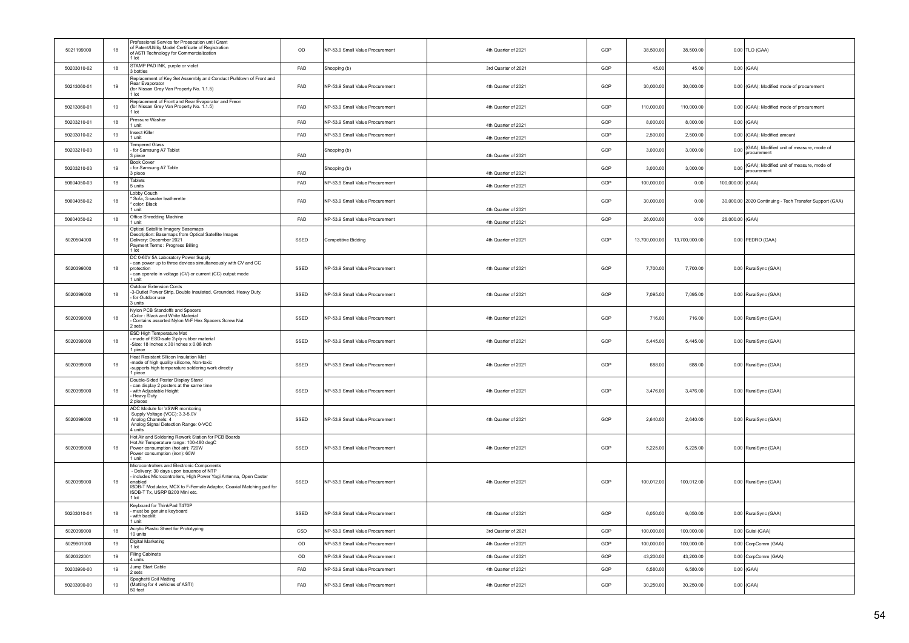| 5021199000  | 18 | Professional Service for Prosecution until Grant<br>of Patent/Utility Model Certificate of Registration<br>of ASTI Technology for Commercialization<br>1 lot                                                                                                                         | OD         | NP-53.9 Small Value Procurement | 4th Quarter of 2021 | GOP | 38,500.00     | 38,500.00     |                  | 0.00 TLO (GAA)                                          |
|-------------|----|--------------------------------------------------------------------------------------------------------------------------------------------------------------------------------------------------------------------------------------------------------------------------------------|------------|---------------------------------|---------------------|-----|---------------|---------------|------------------|---------------------------------------------------------|
| 50203010-02 | 18 | STAMP PAD INK, purple or violet<br>3 bottles                                                                                                                                                                                                                                         | FAD        | Shopping (b)                    | 3rd Quarter of 2021 | GOP | 45.00         | 45.00         |                  | $0.00$ (GAA)                                            |
| 50213060-01 | 19 | Replacement of Key Set Assembly and Conduct Pulldown of Front and<br>Rear Evaporator<br>(for Nissan Grey Van Property No. 1.1.5)<br>1 lot                                                                                                                                            | FAD        | NP-53.9 Small Value Procurement | 4th Quarter of 2021 | GOP | 30,000.00     | 30,000.00     |                  | 0.00 (GAA); Modified mode of procurement                |
| 50213060-01 | 19 | Replacement of Front and Rear Evaporator and Freon<br>(for Nissan Grey Van Property No. 1.1.5)<br>1 lot                                                                                                                                                                              | <b>FAD</b> | NP-53.9 Small Value Procurement | 4th Quarter of 2021 | GOP | 110.000.00    | 110.000.00    |                  | 0.00 (GAA); Modified mode of procurement                |
| 50203210-01 | 18 | Pressure Washer<br>1 unit                                                                                                                                                                                                                                                            | FAD        | NP-53.9 Small Value Procurement | 4th Quarter of 2021 | GOP | 8.000.00      | 8,000.00      |                  | $0.00$ (GAA)                                            |
| 50203010-02 | 19 | <b>Insect Killer</b><br>1 unit                                                                                                                                                                                                                                                       | <b>FAD</b> | NP-53.9 Small Value Procurement | 4th Quarter of 2021 | GOP | 2,500.00      | 2,500.00      |                  | 0.00 (GAA); Modified amount                             |
| 50203210-03 | 19 | <b>Tempered Glass</b><br>- for Samsung A7 Tablet<br>3 piece                                                                                                                                                                                                                          | FAD        | Shopping (b)                    | 4th Quarter of 2021 | GOP | 3.000.00      | 3,000.00      | 0.00             | (GAA); Modified unit of measure, mode of<br>procurement |
| 50203210-03 | 19 | <b>Book Cover</b><br>- for Samsung A7 Table<br>3 piece                                                                                                                                                                                                                               | FAD        | Shopping (b)                    | 4th Quarter of 2021 | GOP | 3,000.00      | 3,000.00      | 0.00             | (GAA); Modified unit of measure, mode of<br>procurement |
| 50604050-03 | 18 | Tablets<br>5 units                                                                                                                                                                                                                                                                   | FAD        | NP-53.9 Small Value Procurement | 4th Quarter of 2021 | GOP | 100,000.00    | 0.00          | 100,000.00 (GAA) |                                                         |
| 50604050-02 | 18 | Lobby Couch<br>Sofa, 3-seater leatherette<br>* color: Black<br>1 unit                                                                                                                                                                                                                | FAD        | NP-53.9 Small Value Procurement | 4th Quarter of 2021 | GOP | 30,000.00     | 0.00          |                  | 30,000.00 2020 Continuing - Tech Transfer Support (GAA) |
| 50604050-02 | 18 | Office Shredding Machine<br>1 unit                                                                                                                                                                                                                                                   | FAD        | NP-53.9 Small Value Procurement | 4th Quarter of 2021 | GOP | 26,000.00     | 0.00          | 26,000.00 (GAA)  |                                                         |
| 5020504000  | 18 | Optical Satellite Imagery Basemaps<br>Description: Basemaps from Optical Satellite Images<br>Delivery: December 2021<br>Payment Terms: Progress Billing<br>$1$ Int                                                                                                                   | SSED       | <b>Competitive Bidding</b>      | 4th Quarter of 2021 | GOP | 13,700,000.00 | 13,700,000.00 |                  | 0.00 PEDRO (GAA)                                        |
| 5020399000  | 18 | DC 0-60V 5A Laboratory Power Supply<br>- can power up to three devices simultaneously with CV and CC<br>protection<br>- can operate in voltage (CV) or current (CC) output mode<br>1 unit                                                                                            | SSED       | NP-53.9 Small Value Procurement | 4th Quarter of 2021 | GOP | 7,700.00      | 7,700.00      |                  | 0.00 RuralSync (GAA)                                    |
| 5020399000  | 18 | Outdoor Extension Cords<br>-3-Outlet Power Strip, Double Insulated, Grounded, Heavy Duty,<br>- for Outdoor use<br>3 units                                                                                                                                                            | SSED       | NP-53.9 Small Value Procurement | 4th Quarter of 2021 | GOP | 7.095.00      | 7.095.00      |                  | 0.00 RuralSync (GAA)                                    |
| 5020399000  | 18 | Nylon PCB Standoffs and Spacers<br>-Color: Black and White Material<br>Contains assorted Nylon M-F Hex Spacers Screw Nut<br>2 sets                                                                                                                                                   | SSED       | NP-53.9 Small Value Procurement | 4th Quarter of 2021 | GOP | 716.00        | 716.00        |                  | 0.00 RuralSync (GAA)                                    |
| 5020399000  | 18 | ESD High Temperature Mat<br>made of ESD-safe 2-ply rubber material<br>-Size: 18 inches x 30 inches x 0.08 inch<br>1 piece                                                                                                                                                            | SSED       | NP-53.9 Small Value Procurement | 4th Quarter of 2021 | GOP | 5,445.00      | 5,445.00      |                  | 0.00 RuralSync (GAA)                                    |
| 5020399000  | 18 | Heat Resistant Sllicon Insulation Mat<br>-made of high quality silicone, Non-toxic<br>-supports high temperature soldering work directly<br>1 piece                                                                                                                                  | SSED       | NP-53.9 Small Value Procurement | 4th Quarter of 2021 | GOP | 688.00        | 688.00        |                  | 0.00 RuralSync (GAA)                                    |
| 5020399000  | 18 | Double-Sided Poster Display Stand<br>can display 2 posters at the same time<br>with Adjustable Height<br>Heavy Duty<br>2 pieces                                                                                                                                                      | SSED       | NP-53.9 Small Value Procurement | 4th Quarter of 2021 | GOP | 3,476.00      | 3,476.00      |                  | 0.00 RuralSync (GAA)                                    |
| 5020399000  | 18 | ADC Module for VSWR monitoring<br>Supply Voltage (VCC): 3.3-5.0V<br>Analog Channels: 4<br>Analog Signal Detection Range: 0-VCC<br>4 units                                                                                                                                            | SSED       | NP-53.9 Small Value Procurement | 4th Quarter of 2021 | GOP | 2,640.00      | 2,640.00      |                  | 0.00 RuralSync (GAA)                                    |
| 5020399000  | 18 | Hot Air and Soldering Rework Station for PCB Boards<br>Hot Air Temperature range: 100-480 degC<br>Power consumption (hot air): 720W<br>Power consumption (iron): 60W<br>1 unit                                                                                                       | SSED       | NP-53.9 Small Value Procurement | 4th Quarter of 2021 | GOP | 5,225.00      | 5,225.00      |                  | 0.00 RuralSync (GAA)                                    |
| 5020399000  | 18 | Microcontrollers and Electronic Components<br>Delivery: 30 days upon issuance of NTP<br>includes Microcontrollers, High Power Yagi Antenna, Open Caster<br>enabled<br>ISDB-T Modulator, MCX to F-Female Adaptor, Coaxial Matching pad for<br>ISDB-T Tx, USRP B200 Mini etc.<br>1 lot | SSED       | NP-53.9 Small Value Procurement | 4th Quarter of 2021 | GOP | 100,012.00    | 100,012.00    |                  | 0.00 RuralSync (GAA)                                    |
| 50203010-01 | 18 | Keyboard for ThinkPad T470P<br>must be genuine keyboard<br>with backlit<br>1 unit                                                                                                                                                                                                    | SSED       | NP-53.9 Small Value Procurement | 4th Quarter of 2021 | GOP | 6,050.00      | 6,050.00      |                  | 0.00 RuralSync (GAA)                                    |
| 5020399000  | 18 | Acrylic Plastic Sheet for Prototyping<br>10 units                                                                                                                                                                                                                                    | CSD        | NP-53.9 Small Value Procurement | 3rd Quarter of 2021 | GOP | 100,000.00    | 100,000.00    |                  | 0.00 Gulai (GAA)                                        |
| 5029901000  | 19 | Digital Marketing<br>1 lot                                                                                                                                                                                                                                                           | OD         | NP-53.9 Small Value Procurement | 4th Quarter of 2021 | GOP | 100,000.00    | 100,000.00    |                  | 0.00 CorpComm (GAA)                                     |
| 5020322001  | 19 | <b>Filing Cabinets</b><br>4 units                                                                                                                                                                                                                                                    | OD         | NP-53.9 Small Value Procurement | 4th Quarter of 2021 | GOP | 43,200.00     | 43,200.00     |                  | 0.00 CorpComm (GAA)                                     |
| 50203990-00 | 19 | Jump Start Cable<br>2 sets                                                                                                                                                                                                                                                           | FAD        | NP-53.9 Small Value Procurement | 4th Quarter of 2021 | GOP | 6,580.00      | 6,580.00      |                  | $0.00$ (GAA)                                            |
| 50203990-00 | 19 | Spaghetti Coil Matting<br>(Matting for 4 vehicles of ASTI)<br>50 feet                                                                                                                                                                                                                | FAD        | NP-53.9 Small Value Procurement | 4th Quarter of 2021 | GOP | 30,250.00     | 30,250.00     |                  | $0.00$ (GAA)                                            |